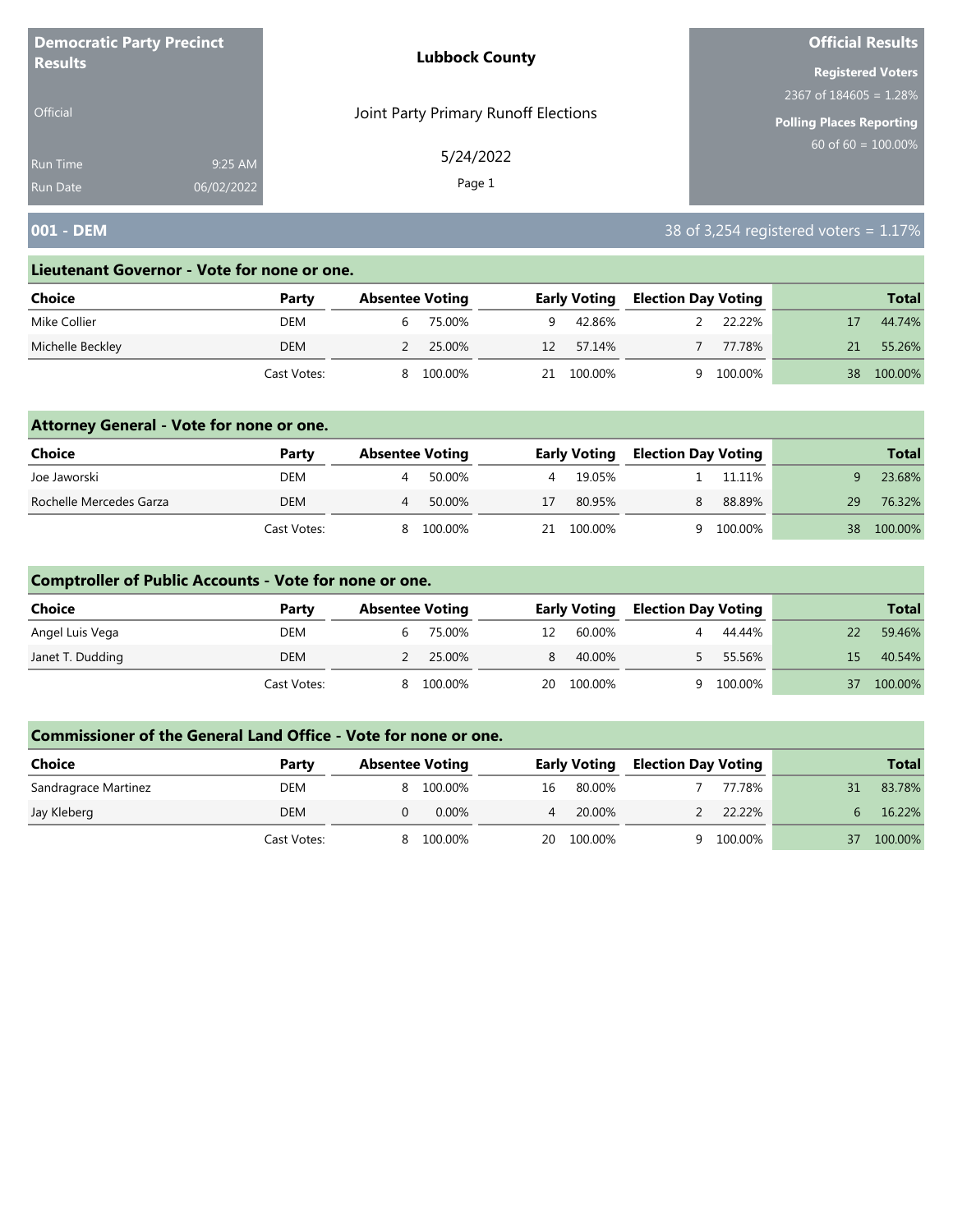| <b>Democratic Party Precinct</b> |            | <b>Lubbock County</b>                | <b>Official Results</b>   |
|----------------------------------|------------|--------------------------------------|---------------------------|
| <b>Results</b>                   |            |                                      | <b>Registered Voters</b>  |
|                                  |            |                                      | 2367 of $184605 = 1.28\%$ |
| <b>Official</b>                  |            | Joint Party Primary Runoff Elections | Polling Places Reporting  |
| <b>Run Time</b>                  | 9:25 AM    | 5/24/2022                            | $60$ of 60 = 100.00%      |
| <b>Run Date</b>                  | 06/02/2022 | Page 1                               |                           |

# **001 - DEM** 38 of 3,254 registered voters = 1.17%

#### **Lieutenant Governor - Vote for none or one.**

| Choice           | Party       | <b>Absentee Voting</b> |         |    | <b>Early Voting</b> | <b>Election Day Voting</b> |         |    | <b>Total</b> |
|------------------|-------------|------------------------|---------|----|---------------------|----------------------------|---------|----|--------------|
| Mike Collier     | DEM         | b                      | 75.00%  | a  | 42.86%              |                            | 22.22%  |    | 44.74%       |
| Michelle Beckley | <b>DEM</b>  |                        | 25.00%  | 12 | 57.14%              |                            | 77.78%  |    | 55.26%       |
|                  | Cast Votes: | 8                      | 100.00% | 21 | 100.00%             |                            | 100.00% | 38 | 100.00%      |

### **Attorney General - Vote for none or one.**

| Choice                  | Party       | <b>Absentee Voting</b> |         |     | <b>Early Voting</b> | <b>Election Day Voting</b> |         |    | <b>Total</b> |
|-------------------------|-------------|------------------------|---------|-----|---------------------|----------------------------|---------|----|--------------|
| Joe Jaworski            | DEM         |                        | 50.00%  |     | 19.05%              |                            | 11.11%  |    | 23.68%       |
| Rochelle Mercedes Garza | <b>DEM</b>  |                        | 50.00%  | 17  | 80.95%              | 8                          | 88.89%  | 29 | 76.32%       |
|                         | Cast Votes: | 8                      | 100.00% | 21. | 100.00%             | Q                          | 100.00% | 38 | 100.00%      |

### **Comptroller of Public Accounts - Vote for none or one.**

| <b>Choice</b>    | Party       | <b>Absentee Voting</b> |         |    | <b>Early Voting</b> | <b>Election Day Voting</b> |         |    | <b>Total</b> |
|------------------|-------------|------------------------|---------|----|---------------------|----------------------------|---------|----|--------------|
| Angel Luis Vega  | DEM         | b                      | 75.00%  | 12 | 60.00%              |                            | 44.44%  | 22 | 59.46%       |
| Janet T. Dudding | DEM         |                        | 25.00%  |    | 40.00%              |                            | 55.56%  | 15 | 40.54%       |
|                  | Cast Votes: | 8                      | 100.00% | 20 | 100.00%             | a                          | 100.00% | 37 | 100.00%      |

| <b>Choice</b>        | Party       | <b>Absentee Voting</b> |          |                | <b>Early Voting</b> | <b>Election Day Voting</b> |         | <b>Total</b> |
|----------------------|-------------|------------------------|----------|----------------|---------------------|----------------------------|---------|--------------|
| Sandragrace Martinez | DEM         | 8                      | 100.00%  | 16             | 80.00%              |                            | 77.78%  | 83.78%       |
| Jay Kleberg          | DEM         |                        | $0.00\%$ | $\overline{4}$ | 20.00%              |                            | 22.22%  | 16.22%       |
|                      | Cast Votes: |                        | 100.00%  | 20             | 100.00%             |                            | 100.00% | 100.00%      |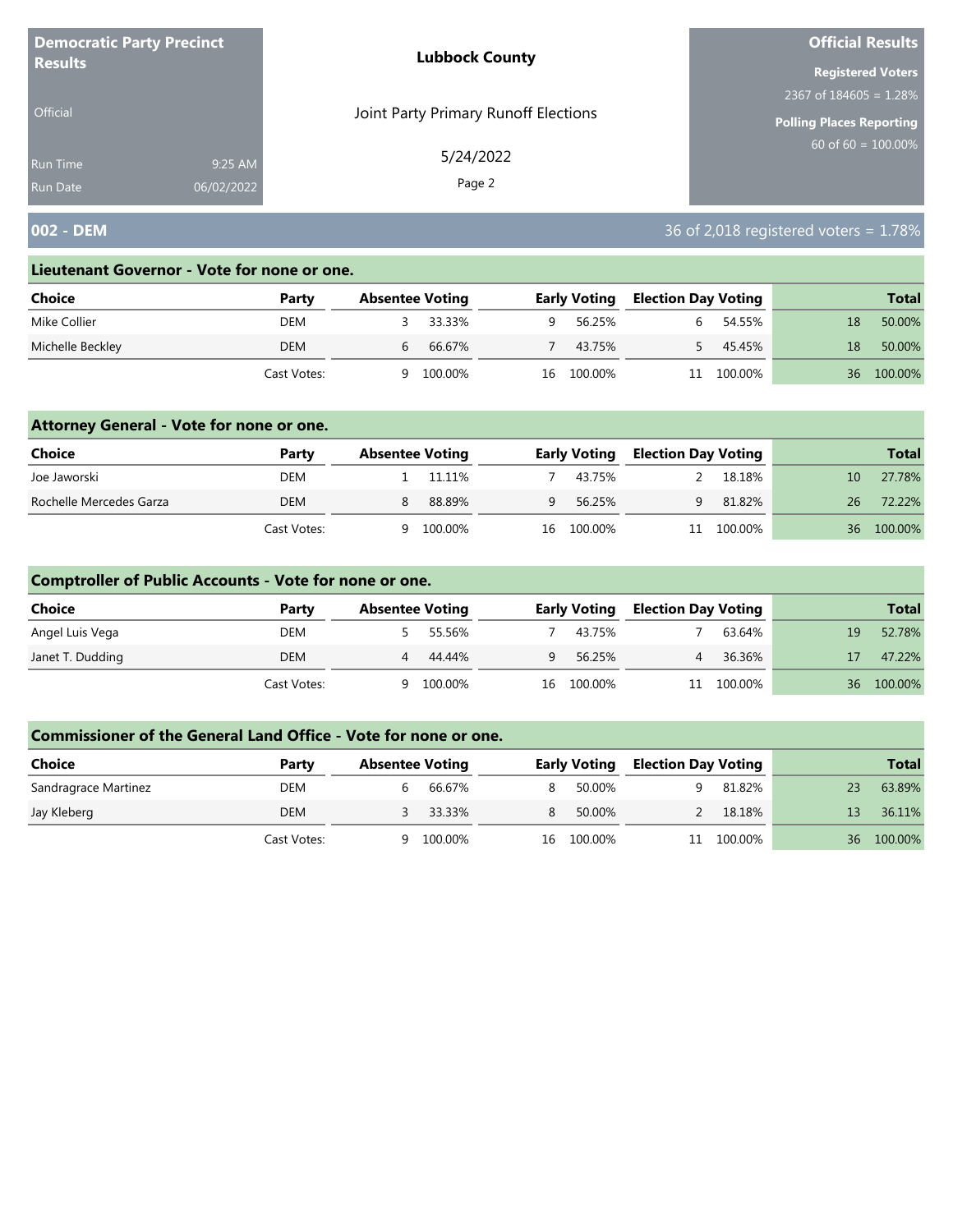| <b>Democratic Party Precinct</b> |            | <b>Lubbock County</b>                | <b>Official Results</b>   |
|----------------------------------|------------|--------------------------------------|---------------------------|
| <b>Results</b>                   |            |                                      | <b>Registered Voters</b>  |
|                                  |            |                                      | 2367 of $184605 = 1.28\%$ |
| <b>Official</b>                  |            | Joint Party Primary Runoff Elections | Polling Places Reporting  |
| Run Time                         | 9:25 AM    | 5/24/2022                            | $60$ of 60 = 100.00%      |
| <b>Run Date</b>                  | 06/02/2022 | Page 2                               |                           |

# **002 - DEM** 36 of 2,018 registered voters = 1.78%

#### **Lieutenant Governor - Vote for none or one.**

| Choice           | Party       | <b>Absentee Voting</b> |    | <b>Early Voting</b> | <b>Election Day Voting</b> |         |    | <b>Total</b> |
|------------------|-------------|------------------------|----|---------------------|----------------------------|---------|----|--------------|
| Mike Collier     | DEM         | 33.33%                 | Q  | 56.25%              |                            | 54.55%  | 18 | 50.00%       |
| Michelle Beckley | <b>DEM</b>  | 66.67%<br>b            |    | 43.75%              |                            | 45.45%  | 18 | 50.00%       |
|                  | Cast Votes: | 100.00%<br>a           | 16 | 100.00%             |                            | 100.00% | 36 | 100.00%      |

### **Attorney General - Vote for none or one.**

| Choice                  | Party       | <b>Absentee Voting</b> |         |              | <b>Early Voting</b> | <b>Election Day Voting</b> |            |      | <b>Total</b> |
|-------------------------|-------------|------------------------|---------|--------------|---------------------|----------------------------|------------|------|--------------|
| Joe Jaworski            | DEM         |                        | 11.11%  |              | 43.75%              |                            | 18.18%     | 10.  | 27.78%       |
| Rochelle Mercedes Garza | DEM         |                        | 88.89%  | $\mathbf{Q}$ | 56.25%              | q                          | 81.82%     | 26   | 72.22%       |
|                         | Cast Votes: | Q                      | 100.00% |              | 16 100.00%          |                            | 11 100.00% | 36 · | 100.00%      |

### **Comptroller of Public Accounts - Vote for none or one.**

| <b>Choice</b>    | Party       | <b>Absentee Voting</b> |         |   | <b>Early Voting</b> | <b>Election Day Voting</b> |            |    | <b>Total</b> |
|------------------|-------------|------------------------|---------|---|---------------------|----------------------------|------------|----|--------------|
| Angel Luis Vega  | DEM         |                        | 55.56%  |   | 43.75%              |                            | 63.64%     | 19 | 52.78%       |
| Janet T. Dudding | DEM         | 4                      | 44.44%  | Q | 56.25%              |                            | 36.36%     | 17 | 47.22%       |
|                  | Cast Votes: | a                      | 100.00% |   | 16 100.00%          |                            | 11 100.00% | 36 | 100.00%      |

| <b>Choice</b>        | Party       | <b>Absentee Voting</b> |         |    | <b>Early Voting</b> | <b>Election Day Voting</b> |         |    | <b>Total</b> |
|----------------------|-------------|------------------------|---------|----|---------------------|----------------------------|---------|----|--------------|
| Sandragrace Martinez | DEM         |                        | 66.67%  | 8  | 50.00%              |                            | 81.82%  | 23 | 63.89%       |
| Jay Kleberg          | <b>DEM</b>  |                        | 33.33%  | 8. | 50.00%              |                            | 18.18%  | 13 | 36.11%       |
|                      | Cast Votes: |                        | 100.00% | 16 | 100.00%             | 11                         | 100.00% | 36 | 100.00%      |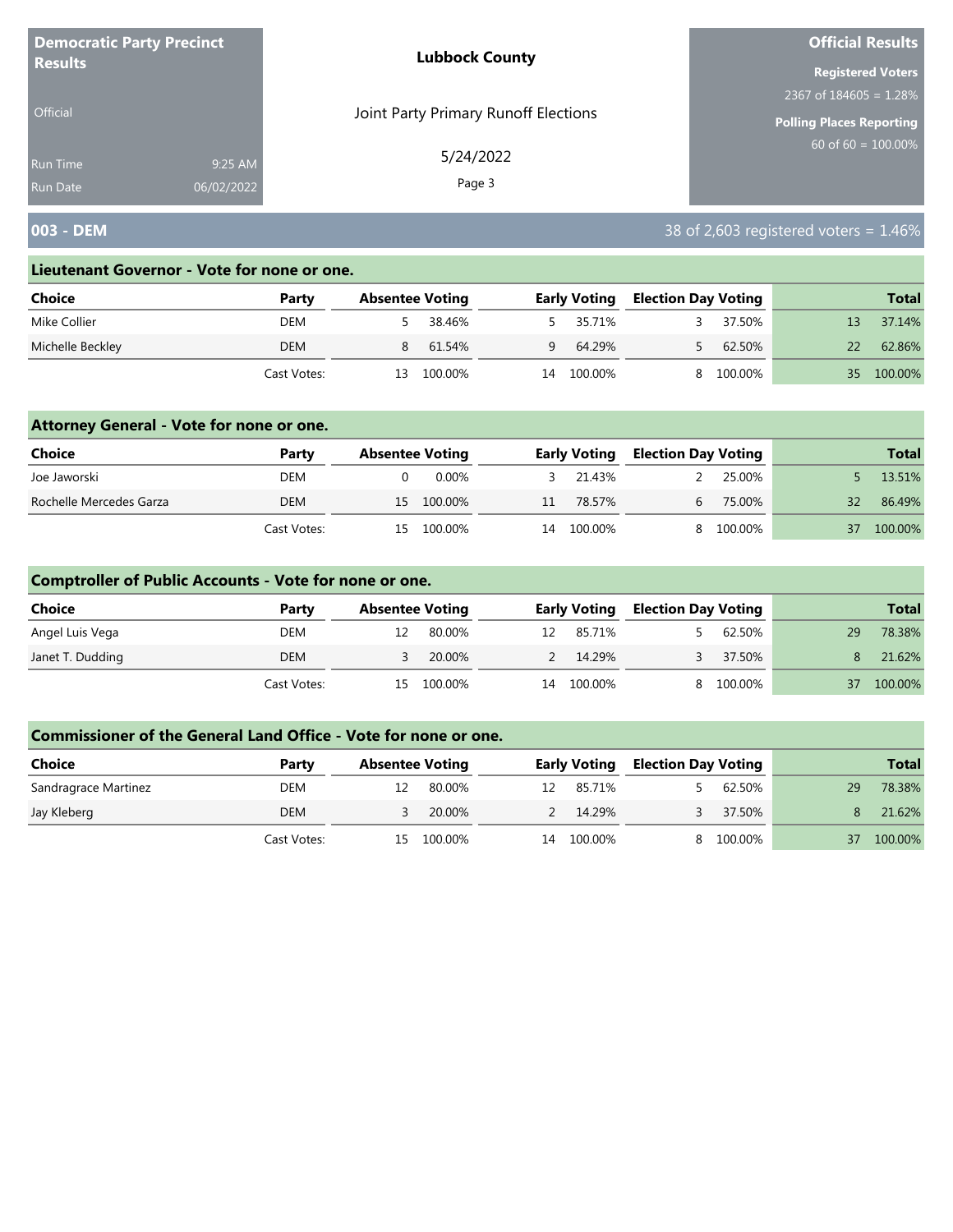| <b>Democratic Party Precinct</b> |            | <b>Lubbock County</b>                | <b>Official Results</b>   |
|----------------------------------|------------|--------------------------------------|---------------------------|
| <b>Results</b>                   |            |                                      | <b>Registered Voters</b>  |
|                                  |            |                                      | 2367 of $184605 = 1.28\%$ |
| <b>Official</b>                  |            | Joint Party Primary Runoff Elections | Polling Places Reporting  |
| <b>Run Time</b>                  | 9:25 AM    | 5/24/2022                            | $60$ of 60 = 100.00%      |
| <b>Run Date</b>                  | 06/02/2022 | Page 3                               |                           |

# **003 - DEM** 38 of 2,603 registered voters = 1.46%

#### **Lieutenant Governor - Vote for none or one.**

| Choice           | Party       | <b>Absentee Voting</b> |         |    | <b>Early Voting</b> | <b>Election Day Voting</b> |         |    | <b>Total</b> |
|------------------|-------------|------------------------|---------|----|---------------------|----------------------------|---------|----|--------------|
| Mike Collier     | DEM         |                        | 38.46%  |    | 5 35.71%            |                            | 37.50%  |    | 37.14%       |
| Michelle Beckley | DEM         | 8                      | 61.54%  | Q  | 64.29%              |                            | 62.50%  |    | 62.86%       |
|                  | Cast Votes: | 13                     | 100.00% | 14 | 100.00%             |                            | 100.00% | 35 | 100.00%      |

### **Attorney General - Vote for none or one.**

| Choice                  | Party       | <b>Absentee Voting</b> |            |    | <b>Early Voting</b> | <b>Election Day Voting</b> |           |    | <b>Total</b> |
|-------------------------|-------------|------------------------|------------|----|---------------------|----------------------------|-----------|----|--------------|
| Joe Jaworski            | DEM         |                        | 0.00%      |    | 21.43%              |                            | 25.00%    |    | 13.51%       |
| Rochelle Mercedes Garza | DEM         |                        | 15 100.00% | 11 | 78.57%              | h.                         | 75.00%    | 32 | 86.49%       |
|                         | Cast Votes: |                        | 15 100.00% |    | 14 100.00%          |                            | 8 100.00% | 37 | 100.00%      |

### **Comptroller of Public Accounts - Vote for none or one.**

| <b>Choice</b>    | Party       | <b>Absentee Voting</b> |         |    | <b>Early Voting</b> |   | <b>Election Day Voting</b> |    | <b>Total</b> |
|------------------|-------------|------------------------|---------|----|---------------------|---|----------------------------|----|--------------|
| Angel Luis Vega  | DEM         |                        | 80.00%  |    | 12 85.71%           |   | 62.50%                     | 29 | 78.38%       |
| Janet T. Dudding | DEM         |                        | 20.00%  |    | 2 14.29%            |   | 37.50%                     | 8. | 21.62%       |
|                  | Cast Votes: | 15.                    | 100.00% | 14 | 100.00%             | 8 | 100.00%                    | 37 | 100.00%      |

| <b>Choice</b>        | Party       | <b>Absentee Voting</b> |         |    | <b>Early Voting</b> |  | <b>Election Day Voting</b> |    | <b>Total</b> |
|----------------------|-------------|------------------------|---------|----|---------------------|--|----------------------------|----|--------------|
| Sandragrace Martinez | DEM         |                        | 80.00%  | 12 | 85.71%              |  | 62.50%                     | 29 | 78.38%       |
| Jay Kleberg          | DEM         |                        | 20.00%  |    | 2 14.29%            |  | 37.50%                     |    | 21.62%       |
|                      | Cast Votes: | 15.                    | 100.00% | 14 | 100.00%             |  | 100.00%                    |    | 100.00%      |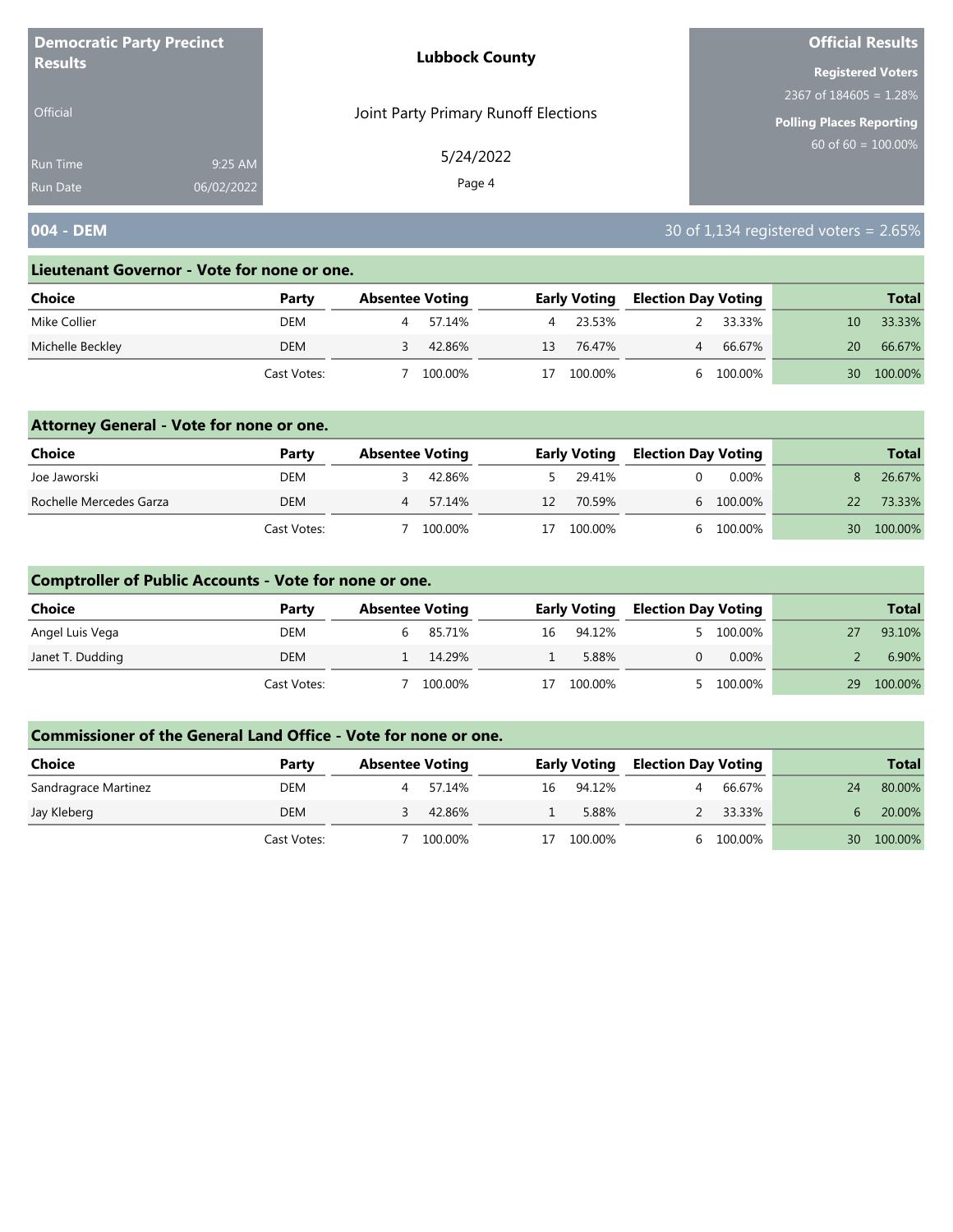| <b>Democratic Party Precinct</b><br><b>Results</b> |            | <b>Lubbock County</b>                | <b>Official Results</b>   |  |  |
|----------------------------------------------------|------------|--------------------------------------|---------------------------|--|--|
|                                                    |            |                                      | <b>Registered Voters</b>  |  |  |
|                                                    |            |                                      | 2367 of $184605 = 1.28\%$ |  |  |
| <b>Official</b>                                    |            | Joint Party Primary Runoff Elections | Polling Places Reporting  |  |  |
| <b>Run Time</b>                                    | 9:25 AM    | 5/24/2022                            | $60$ of 60 = 100.00%      |  |  |
| <b>Run Date</b>                                    | 06/02/2022 | Page 4                               |                           |  |  |

# **004 - DEM** 30 of 1,134 registered voters = 2.65%

#### **Lieutenant Governor - Vote for none or one.**

| Choice           | Party       | <b>Absentee Voting</b> |         |    | <b>Early Voting</b> |  | <b>Election Day Voting</b> | <b>Total</b> |         |
|------------------|-------------|------------------------|---------|----|---------------------|--|----------------------------|--------------|---------|
| Mike Collier     | DEM         |                        | 57.14%  |    | 23.53%              |  | 33.33%                     | 10           | 33.33%  |
| Michelle Beckley | DEM         |                        | 42.86%  | 13 | 76.47%              |  | 66.67%                     | 20           | 66.67%  |
|                  | Cast Votes: |                        | 100.00% |    | 100.00%             |  | 100.00%                    | 30           | 100.00% |

### **Attorney General - Vote for none or one.**

| Choice                  | Party       | <b>Absentee Voting</b> |         |    | <b>Early Voting</b> |  | <b>Election Day Voting</b> |                 | <b>Total</b> |
|-------------------------|-------------|------------------------|---------|----|---------------------|--|----------------------------|-----------------|--------------|
| Joe Jaworski            | DEM         |                        | 42.86%  |    | 5 29.41%            |  | 0.00%                      |                 | 26.67%       |
| Rochelle Mercedes Garza | <b>DEM</b>  |                        | 57.14%  | 12 | 70.59%              |  | 6 100.00%                  | 22              | 73.33%       |
|                         | Cast Votes: |                        | 100.00% | 17 | 100.00%             |  | 6 100.00%                  | 30 <sup>2</sup> | 100.00%      |

### **Comptroller of Public Accounts - Vote for none or one.**

| <b>Choice</b>    | Party       | <b>Absentee Voting</b> |         |    | <b>Early Voting</b> | <b>Election Day Voting</b> |          |    | <b>Total</b> |
|------------------|-------------|------------------------|---------|----|---------------------|----------------------------|----------|----|--------------|
| Angel Luis Vega  | DEM         |                        | 85.71%  | 16 | 94.12%              |                            | 100.00%  |    | 93.10%       |
| Janet T. Dudding | DEM         |                        | 14.29%  |    | 5.88%               |                            | $0.00\%$ |    | 6.90%        |
|                  | Cast Votes: |                        | 100.00% | 17 | 100.00%             |                            | 100.00%  | 29 | 100.00%      |

| <b>Choice</b>        | Party       | <b>Absentee Voting</b> |         |    | <b>Early Voting</b> |  | <b>Election Day Voting</b> |    | <b>Total</b> |
|----------------------|-------------|------------------------|---------|----|---------------------|--|----------------------------|----|--------------|
| Sandragrace Martinez | DEM         |                        | 57.14%  | 16 | 94.12%              |  | 66.67%                     | 24 | 80.00%       |
| Jay Kleberg          | DEM         |                        | 42.86%  |    | 5.88%               |  | 33.33%                     |    | 20.00%       |
|                      | Cast Votes: |                        | 100.00% | 17 | 100.00%             |  | 100.00%                    | 30 | 100.00%      |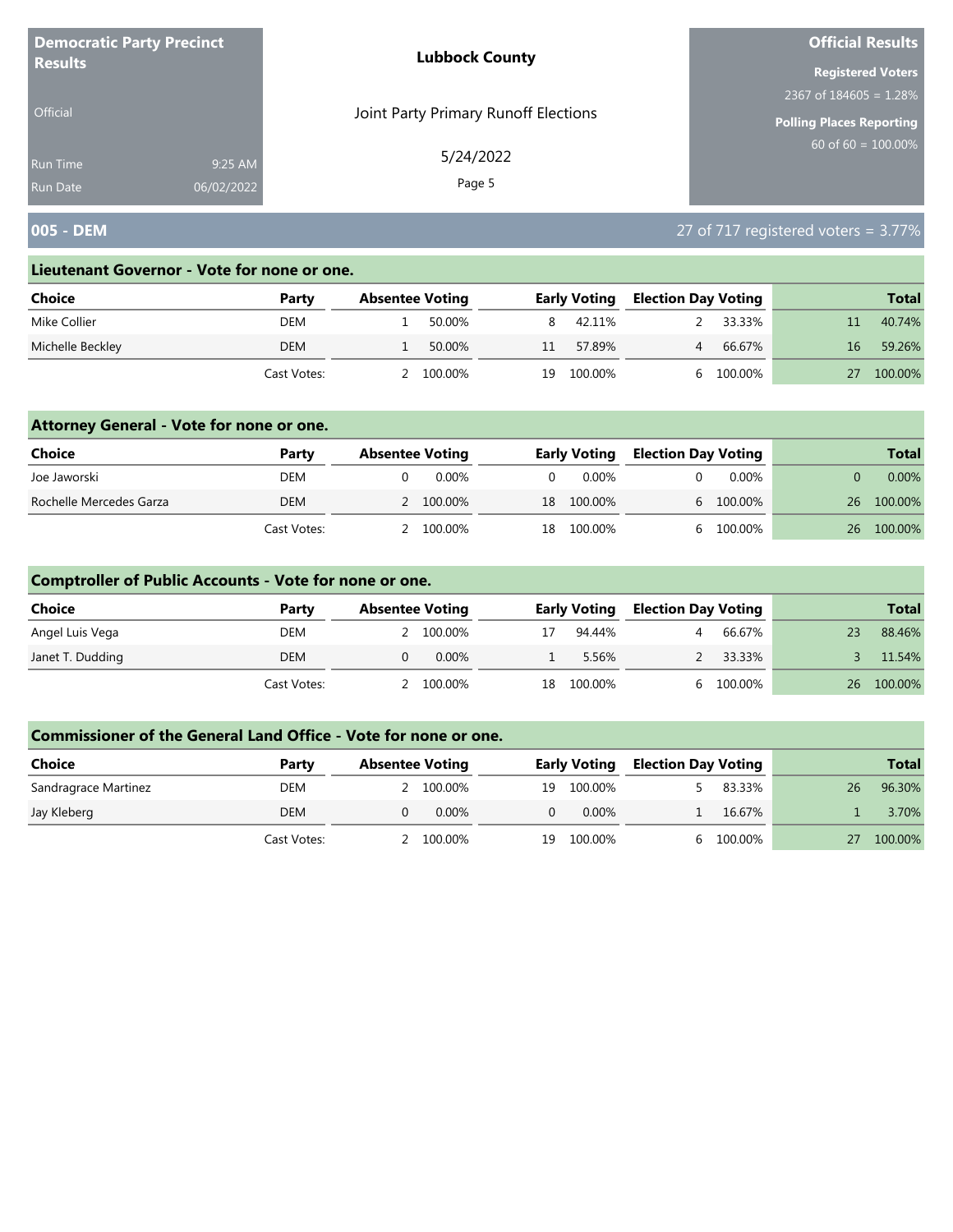| <b>Democratic Party Precinct</b><br><b>Results</b> |            | <b>Lubbock County</b>                | <b>Official Results</b>   |  |  |
|----------------------------------------------------|------------|--------------------------------------|---------------------------|--|--|
|                                                    |            |                                      | <b>Registered Voters</b>  |  |  |
|                                                    |            |                                      | 2367 of $184605 = 1.28\%$ |  |  |
| <b>Official</b>                                    |            | Joint Party Primary Runoff Elections | Polling Places Reporting  |  |  |
| <b>Run Time</b>                                    | 9:25 AM    | 5/24/2022                            | $60$ of 60 = 100.00%      |  |  |
| <b>Run Date</b>                                    | 06/02/2022 | Page 5                               |                           |  |  |

# **005 - DEM** 27 of 717 registered voters = 3.77%

#### **Lieutenant Governor - Vote for none or one.**

| Choice           | Party       | <b>Absentee Voting</b> |         |    | <b>Early Voting</b> | <b>Election Day Voting</b> |         |    | <b>Total</b> |
|------------------|-------------|------------------------|---------|----|---------------------|----------------------------|---------|----|--------------|
| Mike Collier     | DEM         |                        | 50.00%  |    | 42.11%              |                            | 33.33%  |    | 40.74%       |
| Michelle Beckley | DEM         |                        | 50.00%  | 11 | 57.89%              | $\overline{4}$             | 66.67%  | 16 | 59.26%       |
|                  | Cast Votes: |                        | 100.00% | 19 | 100.00%             |                            | 100.00% |    | 100.00%      |

### **Attorney General - Vote for none or one.**

| Choice                  | Party       | <b>Absentee Voting</b> |          | <b>Early Voting</b> | <b>Election Day Voting</b> |           |    | <b>Total</b> |
|-------------------------|-------------|------------------------|----------|---------------------|----------------------------|-----------|----|--------------|
| Joe Jaworski            | DEM         | 0.00%                  | $\Omega$ | 0.00%               |                            | $0.00\%$  |    | $0.00\%$     |
| Rochelle Mercedes Garza | DEM         | 2 100.00%              |          | 18 100.00%          |                            | 6 100.00% | 26 | 100.00%      |
|                         | Cast Votes: | 2 100.00%              |          | 18 100.00%          |                            | 100.00%   | 26 | 100.00%      |

## **Comptroller of Public Accounts - Vote for none or one.**

| Choice           | Party       | <b>Absentee Voting</b> |          |    | <b>Early Voting</b> | <b>Election Day Voting</b> |         | <b>Total</b> |
|------------------|-------------|------------------------|----------|----|---------------------|----------------------------|---------|--------------|
| Angel Luis Vega  | DEM         |                        | 100.00%  | 17 | 94.44%              | Δ.                         | 66.67%  | 88.46%       |
| Janet T. Dudding | DEM         |                        | $0.00\%$ |    | 5.56%               |                            | 33.33%  | 11.54%       |
|                  | Cast Votes: |                        | 100.00%  | 18 | 100.00%             |                            | 100.00% | 26 100.00%   |

| Choice               | Party       | <b>Absentee Voting</b> |    | <b>Early Voting</b> | <b>Election Day Voting</b> |           |    | <b>Total</b> |
|----------------------|-------------|------------------------|----|---------------------|----------------------------|-----------|----|--------------|
| Sandragrace Martinez | DEM         | 100.00%                | 19 | 100.00%             |                            | 83.33%    | 26 | 96.30%       |
| Jay Kleberg          | DEM         | $0.00\%$               |    | $0.00\%$            |                            | 16.67%    |    | 3.70%        |
|                      | Cast Votes: | 100.00%                | 19 | 100.00%             |                            | 6 100.00% |    | 100.00%      |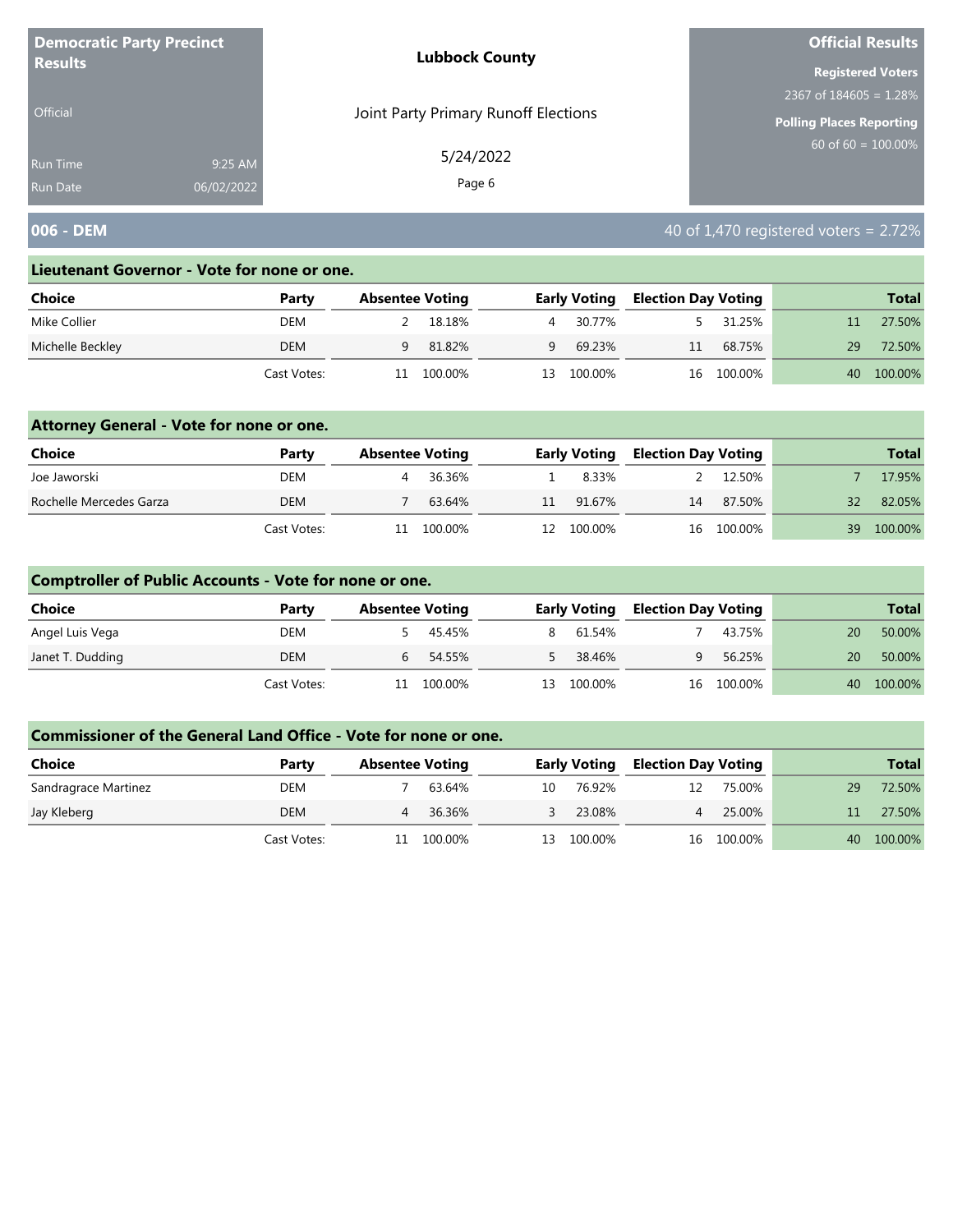| <b>Democratic Party Precinct</b>   |                       | <b>Lubbock County</b>                | <b>Official Results</b>         |
|------------------------------------|-----------------------|--------------------------------------|---------------------------------|
| <b>Results</b>                     |                       |                                      | <b>Registered Voters</b>        |
|                                    |                       |                                      | 2367 of $184605 = 1.28\%$       |
| <b>Official</b>                    |                       | Joint Party Primary Runoff Elections | <b>Polling Places Reporting</b> |
| <b>Run Time</b><br><b>Run Date</b> | 9:25 AM<br>06/02/2022 | 5/24/2022<br>Page 6                  | 60 of $60 = 100.00\%$           |
|                                    |                       |                                      |                                 |

## **006 - DEM 1006 - DEM 1006 - DEM 1006 - DEM 1006 - DEM 1006 - DEM 1006 - DEM 1006 - DEM 1006 - DEM 1006 - DEM 1006 - DEM 1006 - DEM 1006 - DEM 1006 - DEM 1006 - DEM 1006 - DEM 1006 - DEM 1**

#### **Lieutenant Governor - Vote for none or one.**

| Choice           | Party       | <b>Absentee Voting</b> |         |    | <b>Early Voting</b> | <b>Election Day Voting</b> |            |    | <b>Total</b> |
|------------------|-------------|------------------------|---------|----|---------------------|----------------------------|------------|----|--------------|
| Mike Collier     | DEM         |                        | 18.18%  | 4  | 30.77%              |                            | 31.25%     |    | 27.50%       |
| Michelle Beckley | <b>DEM</b>  | 9                      | 81.82%  | Q  | 69.23%              | 11                         | 68.75%     | 29 | 72.50%       |
|                  | Cast Votes: |                        | 100.00% | 13 | 100.00%             |                            | 16 100.00% | 40 | 100.00%      |

### **Attorney General - Vote for none or one.**

| Choice                  | Party       | <b>Absentee Voting</b> |         |    | <b>Early Voting</b> | <b>Election Day Voting</b> |            |                 | <b>Total</b> |
|-------------------------|-------------|------------------------|---------|----|---------------------|----------------------------|------------|-----------------|--------------|
| Joe Jaworski            | DEM         |                        | 36.36%  |    | 8.33%               |                            | 12.50%     |                 | 17.95%       |
| Rochelle Mercedes Garza | <b>DEM</b>  |                        | 63.64%  | 11 | 91.67%              | 14                         | 87.50%     | 32 <sub>1</sub> | 82.05%       |
|                         | Cast Votes: | 11                     | 100.00% |    | 12 100.00%          |                            | 16 100.00% | 39              | 100.00%      |

### **Comptroller of Public Accounts - Vote for none or one.**

| Choice           | Party       | <b>Absentee Voting</b> |            | <b>Early Voting</b> | <b>Election Day Voting</b> |            |    | <b>Total</b> |
|------------------|-------------|------------------------|------------|---------------------|----------------------------|------------|----|--------------|
| Angel Luis Vega  | DEM         |                        | 45.45%     | 8 61.54%            |                            | 43.75%     | 20 | 50.00%       |
| Janet T. Dudding | <b>DEM</b>  | 6                      | 54.55%     | 38.46%              | q                          | 56.25%     | 20 | 50.00%       |
|                  | Cast Votes: |                        | 11 100.00% | 13 100.00%          |                            | 16 100.00% | 40 | 100.00%      |

| <b>Choice</b>        | Party       | <b>Absentee Voting</b> |         |    | <b>Early Voting</b> | <b>Election Day Voting</b> |            |    | <b>Total</b> |
|----------------------|-------------|------------------------|---------|----|---------------------|----------------------------|------------|----|--------------|
| Sandragrace Martinez | DEM         |                        | 63.64%  | 10 | 76.92%              | 12                         | 75.00%     | 29 | 72.50%       |
| Jay Kleberg          | DEM         |                        | 36.36%  |    | 23.08%              |                            | 25.00%     |    | 27.50%       |
|                      | Cast Votes: |                        | 100.00% | 13 | 100.00%             |                            | 16 100.00% | 40 | 100.00%      |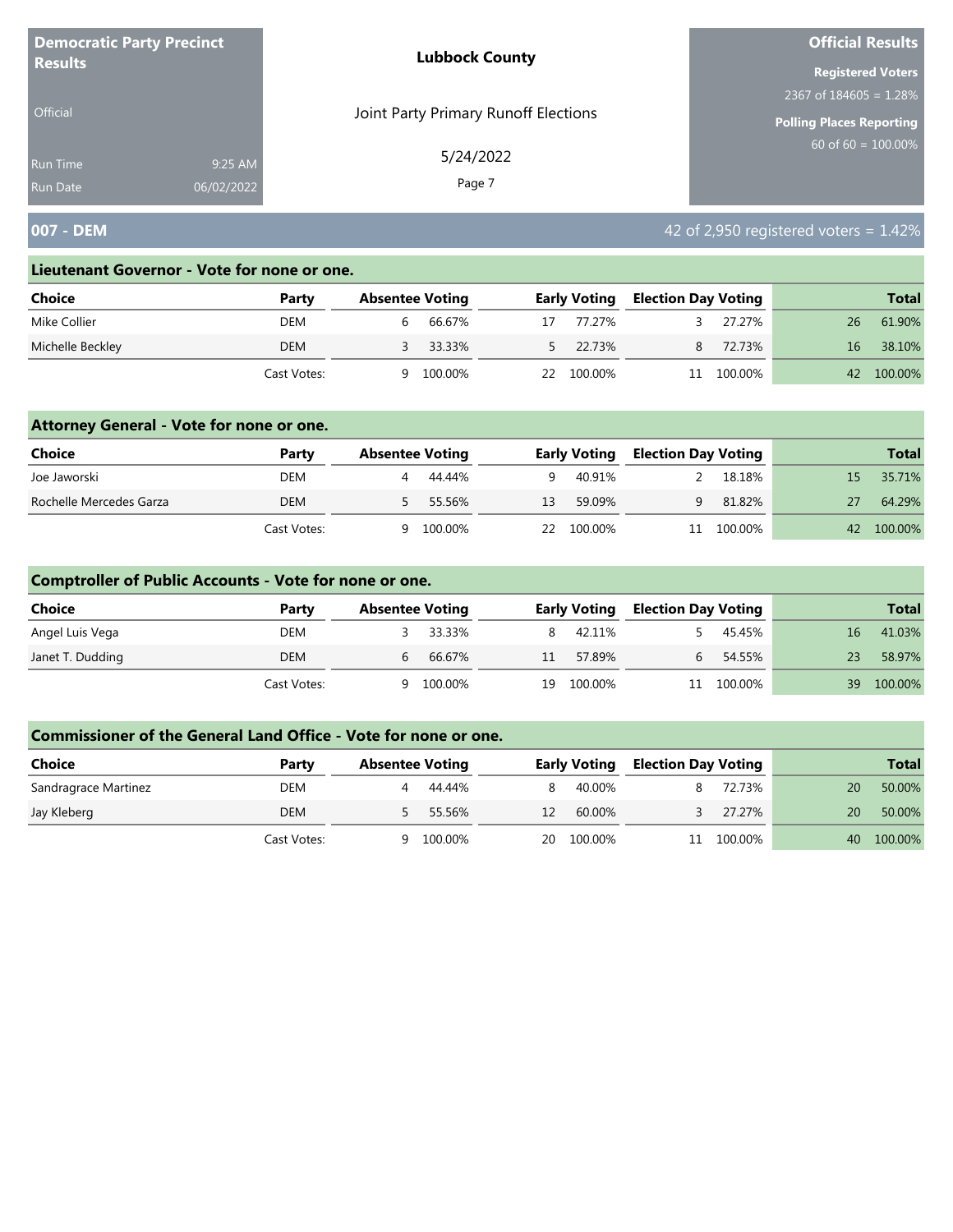| <b>Democratic Party Precinct</b> |            | <b>Lubbock County</b>                | <b>Official Results</b>   |
|----------------------------------|------------|--------------------------------------|---------------------------|
| <b>Results</b>                   |            |                                      | <b>Registered Voters</b>  |
|                                  |            |                                      | 2367 of $184605 = 1.28\%$ |
| <b>Official</b>                  |            | Joint Party Primary Runoff Elections | Polling Places Reporting  |
| Run Time                         | 9:25 AM    | 5/24/2022                            | 60 of 60 = $100.00\%$     |
| <b>Run Date</b>                  | 06/02/2022 | Page 7                               |                           |

# **007 - DEM 1.42% 1.42% 1.42% 1.42% 42 of 2,950 registered voters = 1.42%**

#### **Lieutenant Governor - Vote for none or one.**

| Choice           | Party       | <b>Absentee Voting</b> |    | <b>Early Voting</b> | <b>Election Day Voting</b> |         |    | <b>Total</b> |
|------------------|-------------|------------------------|----|---------------------|----------------------------|---------|----|--------------|
| Mike Collier     | DEM         | 66.67%<br>b            | 17 | 77.27%              |                            | 27.27%  | 26 | 61.90%       |
| Michelle Beckley | DEM         | 33.33%                 |    | 5 22.73%            | 8                          | 72.73%  | 16 | 38.10%       |
|                  | Cast Votes: | 100.00%<br>a           | 22 | 100.00%             | 11                         | 100.00% | 42 | 100.00%      |

### **Attorney General - Vote for none or one.**

| <b>Choice</b>           | Party       | <b>Absentee Voting</b> |         |    | <b>Early Voting</b> | <b>Election Day Voting</b> |            |     | <b>Total</b> |
|-------------------------|-------------|------------------------|---------|----|---------------------|----------------------------|------------|-----|--------------|
| Joe Jaworski            | DEM         |                        | 44.44%  | Q. | 40.91%              |                            | 18.18%     | 15. | 35.71%       |
| Rochelle Mercedes Garza | DEM         |                        | 55.56%  | 13 | 59.09%              | Q                          | 81.82%     | 27  | 64.29%       |
|                         | Cast Votes: | a                      | 100.00% |    | 22 100.00%          |                            | 11 100.00% |     | 42 100.00%   |

### **Comptroller of Public Accounts - Vote for none or one.**

| Choice           | Party       | <b>Absentee Voting</b> |          |    | <b>Early Voting</b> | <b>Election Day Voting</b> |            |    | <b>Total</b> |
|------------------|-------------|------------------------|----------|----|---------------------|----------------------------|------------|----|--------------|
| Angel Luis Vega  | DEM         |                        | 3 33.33% |    | 42.11%              |                            | 45.45%     | 16 | 41.03%       |
| Janet T. Dudding | DEM         | b                      | 66.67%   | 11 | 57.89%              | h.                         | 54.55%     | 23 | 58.97%       |
|                  | Cast Votes: | Q                      | 100.00%  | 19 | 100.00%             |                            | 11 100.00% | 39 | 100.00%      |

| <b>Choice</b>        | Party       | <b>Absentee Voting</b> |         |    | <b>Early Voting</b> | <b>Election Day Voting</b> |         |    | <b>Total</b> |
|----------------------|-------------|------------------------|---------|----|---------------------|----------------------------|---------|----|--------------|
| Sandragrace Martinez | DEM         |                        | 44.44%  |    | 40.00%              |                            | 72.73%  | 20 | 50.00%       |
| Jay Kleberg          | DEM         |                        | 55.56%  | 12 | 60.00%              |                            | 27.27%  | 20 | 50.00%       |
|                      | Cast Votes: | a                      | 100.00% | 20 | 100.00%             |                            | 100.00% | 40 | 100.00%      |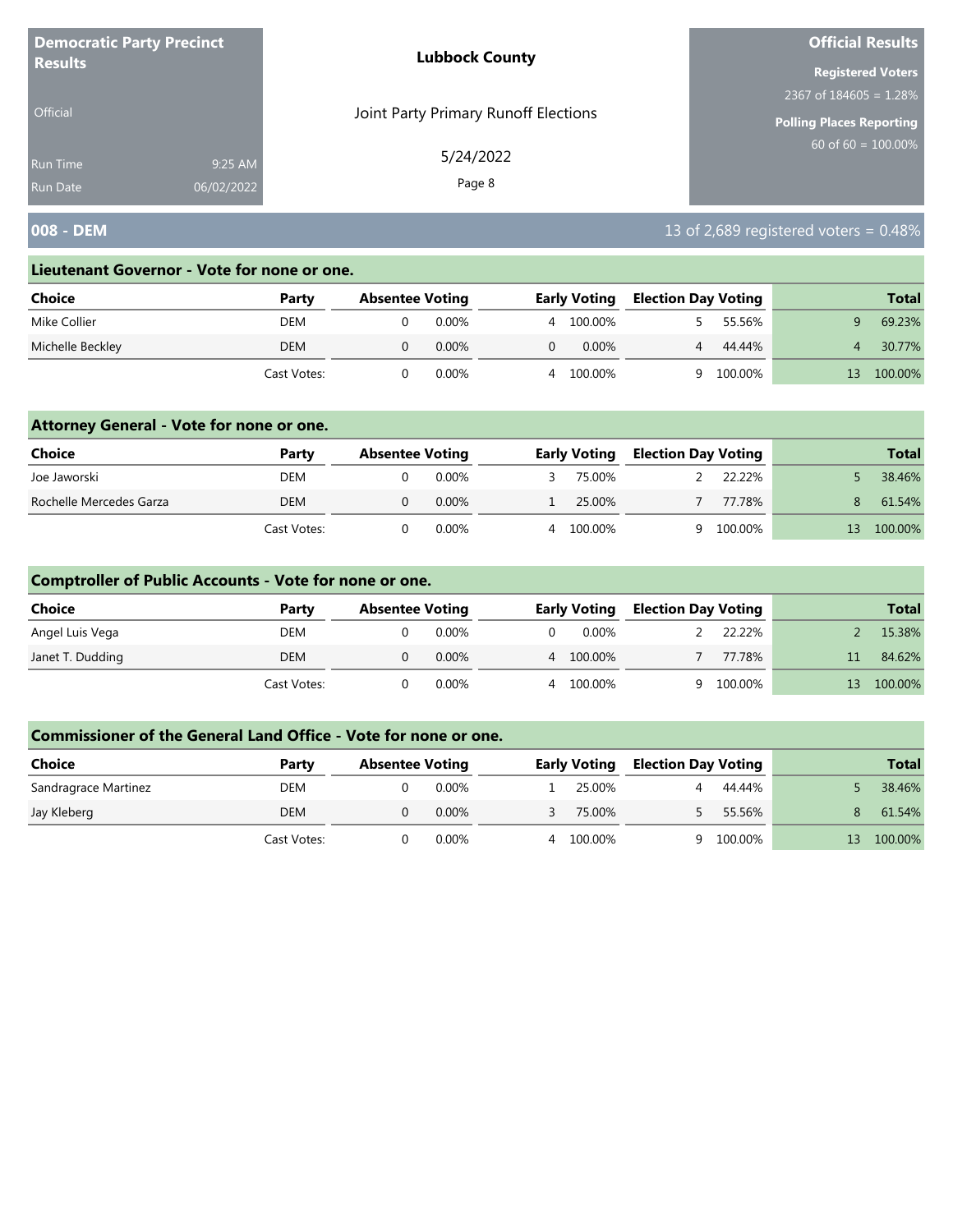| <b>Democratic Party Precinct</b>   |                       | <b>Lubbock County</b>                | <b>Official Results</b>         |
|------------------------------------|-----------------------|--------------------------------------|---------------------------------|
| <b>Results</b>                     |                       |                                      | <b>Registered Voters</b>        |
|                                    |                       |                                      | 2367 of $184605 = 1.28\%$       |
| <b>Official</b>                    |                       | Joint Party Primary Runoff Elections | <b>Polling Places Reporting</b> |
| <b>Run Time</b><br><b>Run Date</b> | 9:25 AM<br>06/02/2022 | 5/24/2022<br>Page 8                  | 60 of $60 = 100.00\%$           |
|                                    |                       |                                      |                                 |

# **008 - DEM 13 of 2,689 registered voters = 0.48%**

#### **Lieutenant Governor - Vote for none or one.**

| Choice           | Party       | <b>Absentee Voting</b> |          |   | <b>Early Voting</b> | <b>Election Day Voting</b> |         | <b>Total</b> |
|------------------|-------------|------------------------|----------|---|---------------------|----------------------------|---------|--------------|
| Mike Collier     | DEM         |                        | $0.00\%$ | 4 | 100.00%             |                            | 55.56%  | 69.23%       |
| Michelle Beckley | DEM         |                        | $0.00\%$ |   | $0.00\%$            | 4                          | 44.44%  | 30.77%       |
|                  | Cast Votes: |                        | 0.00%    | 4 | 100.00%             |                            | 100.00% | 100.00%      |

### **Attorney General - Vote for none or one.**

| Choice                  | Party       | <b>Absentee Voting</b> |          |   | <b>Early Voting</b> | <b>Election Day Voting</b> |         |    | <b>Total</b> |
|-------------------------|-------------|------------------------|----------|---|---------------------|----------------------------|---------|----|--------------|
| Joe Jaworski            | DEM         |                        | 0.00%    |   | 75.00%              |                            | 22.22%  |    | 38.46%       |
| Rochelle Mercedes Garza | DEM         |                        | $0.00\%$ |   | 25.00%              |                            | 77.78%  | 8. | 61.54%       |
|                         | Cast Votes: |                        | $0.00\%$ | 4 | 100.00%             | u.                         | 100.00% | 13 | 100.00%      |

### **Comptroller of Public Accounts - Vote for none or one.**

| <b>Choice</b>    | Party       | <b>Absentee Voting</b> |       |          | <b>Early Voting</b> | <b>Election Day Voting</b> |         |    | <b>Total</b> |
|------------------|-------------|------------------------|-------|----------|---------------------|----------------------------|---------|----|--------------|
| Angel Luis Vega  | DEM         |                        | 0.00% | $\Omega$ | 0.00%               |                            | 22.22%  |    | 15.38%       |
| Janet T. Dudding | DEM         |                        | 0.00% |          | 4 100.00%           |                            | 77.78%  |    | 84.62%       |
|                  | Cast Votes: |                        | 0.00% |          | 4 100.00%           | Q                          | 100.00% | 13 | 100.00%      |

| <b>Choice</b>        | Party       | <b>Absentee Voting</b> |       |   | <b>Early Voting</b> | <b>Election Day Voting</b> |         |    | <b>Total</b> |
|----------------------|-------------|------------------------|-------|---|---------------------|----------------------------|---------|----|--------------|
| Sandragrace Martinez | DEM         |                        | 0.00% |   | 25.00%              |                            | 44.44%  |    | 38.46%       |
| Jay Kleberg          | DEM         |                        | 0.00% |   | 75.00%              |                            | 55.56%  | 8. | 61.54%       |
|                      | Cast Votes: |                        | 0.00% | 4 | 100.00%             |                            | 100.00% | 13 | 100.00%      |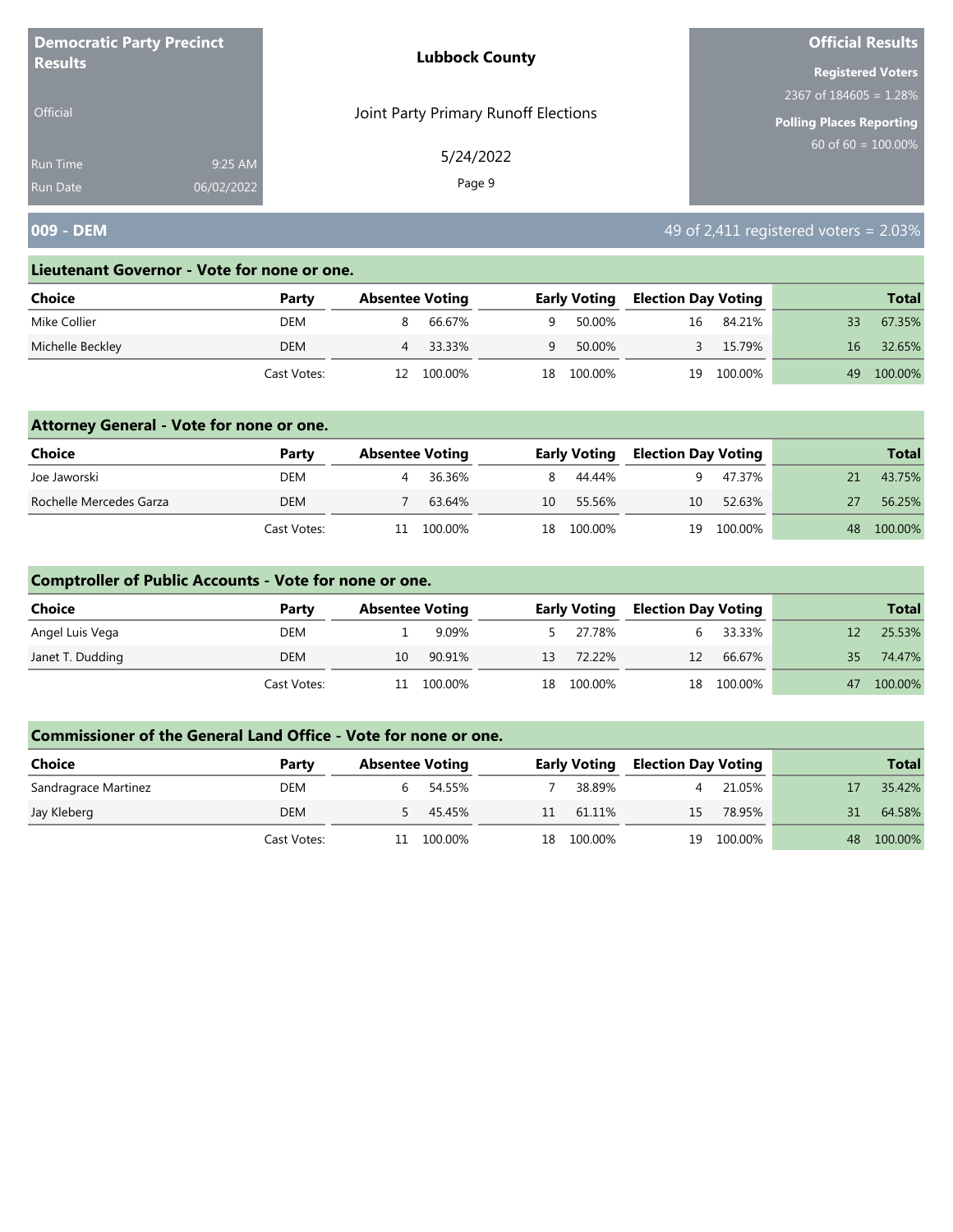| <b>Democratic Party Precinct</b>                            | <b>Lubbock County</b>                | <b>Official Results</b>         |  |  |
|-------------------------------------------------------------|--------------------------------------|---------------------------------|--|--|
| <b>Results</b>                                              |                                      | <b>Registered Voters</b>        |  |  |
|                                                             |                                      | 2367 of $184605 = 1.28\%$       |  |  |
| <b>Official</b>                                             | Joint Party Primary Runoff Elections | <b>Polling Places Reporting</b> |  |  |
| 9:25 AM<br><b>Run Time</b><br>06/02/2022<br><b>Run Date</b> | 5/24/2022<br>Page 9                  | 60 of $60 = 100.00\%$           |  |  |

# **009 - DEM 1999 - DEM 1999 - DEM 1999 - DEM 1999 - DEM 1999 - DEM 1999 - DEM 1999 - DEM 1999 - DEM 1999 - DEM 1999 - DEM 1999 - DEM 1999 - DEM 1999 - DEM 1999 - DEM 1999 - DEM 1999 - DEM 1**

#### **Lieutenant Governor - Vote for none or one.**

| Choice           | Party       | <b>Absentee Voting</b> |         |    | <b>Early Voting</b> | Election Day Voting |         |    | <b>Total</b> |
|------------------|-------------|------------------------|---------|----|---------------------|---------------------|---------|----|--------------|
| Mike Collier     | DEM         |                        | 66.67%  | Q  | 50.00%              | 16                  | 84.21%  | 33 | 67.35%       |
| Michelle Beckley | DEM         |                        | 33.33%  | Q  | 50.00%              |                     | 15.79%  | 16 | 32.65%       |
|                  | Cast Votes: | 12                     | 100.00% | 18 | 100.00%             | 19                  | 100.00% | 49 | 100.00%      |

### **Attorney General - Vote for none or one.**

| <b>Choice</b>           | Party       | <b>Absentee Voting</b> |         | <b>Early Voting</b> | <b>Election Day Voting</b> |            |    | <b>Total</b> |
|-------------------------|-------------|------------------------|---------|---------------------|----------------------------|------------|----|--------------|
| Joe Jaworski            | DEM         |                        | 36.36%  | 8 44.44%            |                            | 47.37%     | 21 | 43.75%       |
| Rochelle Mercedes Garza | DEM         |                        | 63.64%  | 10 55.56%           | 10                         | 52.63%     |    | 56.25%       |
|                         | Cast Votes: | 11                     | 100.00% | 18 100.00%          |                            | 19 100.00% | 48 | 100.00%      |

## **Comptroller of Public Accounts - Vote for none or one.**

| Choice           | Party       | <b>Absentee Voting</b> |         | <b>Early Voting</b> | <b>Election Day Voting</b> |            |    | <b>Total</b> |
|------------------|-------------|------------------------|---------|---------------------|----------------------------|------------|----|--------------|
| Angel Luis Vega  | DEM         |                        | 9.09%   | 5 27.78%            | 6.                         | 33.33%     |    | 25.53%       |
| Janet T. Dudding | DEM         | 10                     | 90.91%  | 13 72.22%           | 12                         | 66.67%     | 35 | 74.47%       |
|                  | Cast Votes: | 11                     | 100.00% | 18 100.00%          |                            | 18 100.00% | 47 | 100.00%      |

| Choice               | Party       | <b>Absentee Voting</b> |         |    | <b>Early Voting</b> |    | <b>Election Day Voting</b> |    | <b>Total</b> |
|----------------------|-------------|------------------------|---------|----|---------------------|----|----------------------------|----|--------------|
| Sandragrace Martinez | DEM         |                        | 54.55%  |    | 38.89%              |    | 21.05%                     |    | 35.42%       |
| Jay Kleberg          | DEM         |                        | 45.45%  | 11 | 61.11%              | 15 | 78.95%                     |    | 64.58%       |
|                      | Cast Votes: |                        | 100.00% | 18 | 100.00%             | 19 | 100.00%                    | 48 | 100.00%      |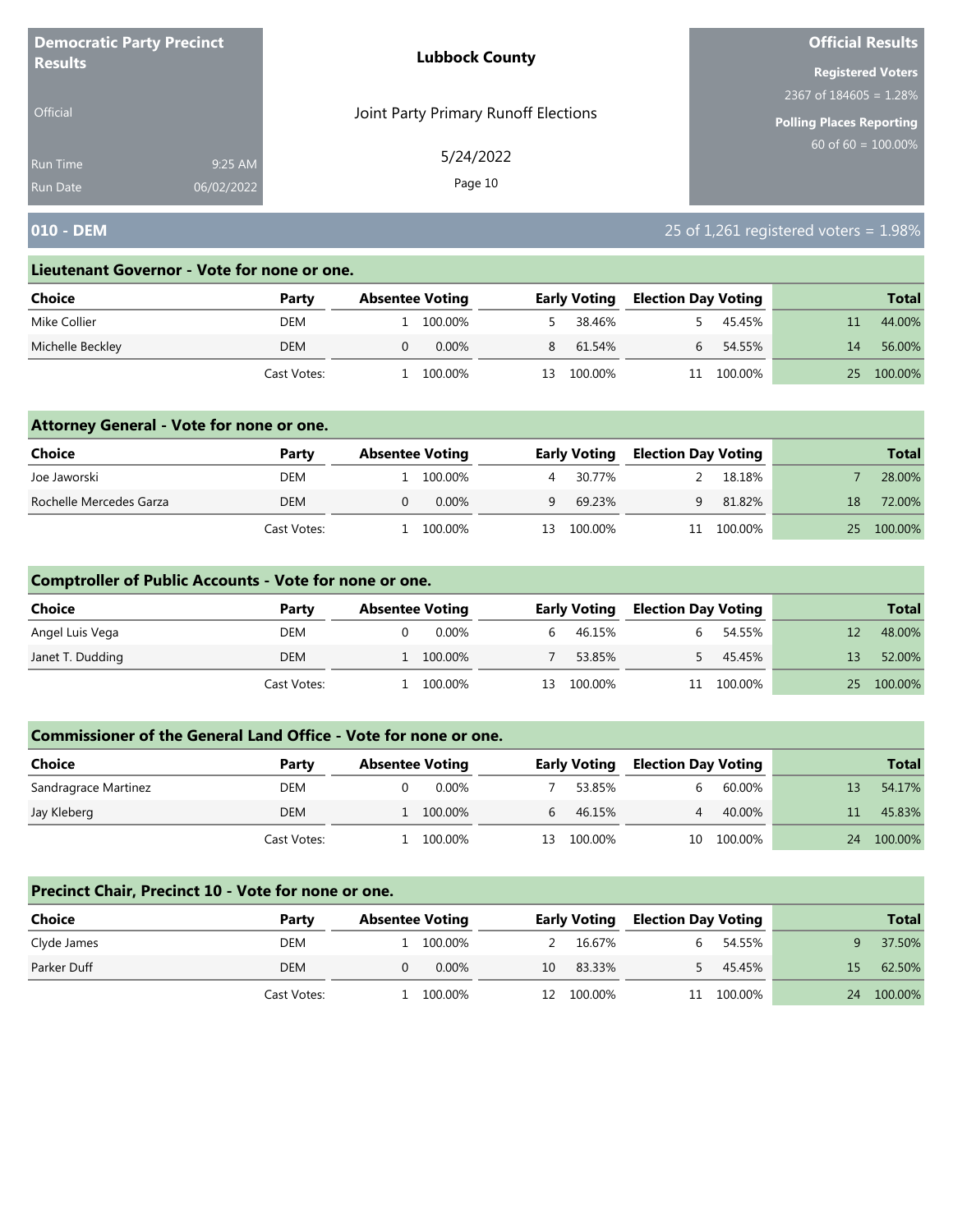| <b>Democratic Party Precinct</b><br><b>Results</b> |            | <b>Lubbock County</b>                | <b>Official Results</b>   |  |  |
|----------------------------------------------------|------------|--------------------------------------|---------------------------|--|--|
|                                                    |            |                                      | <b>Registered Voters</b>  |  |  |
|                                                    |            |                                      | 2367 of $184605 = 1.28\%$ |  |  |
| <b>Official</b>                                    |            | Joint Party Primary Runoff Elections | Polling Places Reporting  |  |  |
| Run Time                                           | 9:25 AM    | 5/24/2022                            | $60$ of 60 = 100.00%      |  |  |
| <b>Run Date</b>                                    | 06/02/2022 | Page 10                              |                           |  |  |

## **010 - DEM** 25 of 1,261 registered voters = 1.98%

#### **Lieutenant Governor - Vote for none or one.**

| Choice           | Party       | <b>Absentee Voting</b> |    | <b>Early Voting</b> | <b>Election Day Voting</b> |         |    | <b>Total</b> |
|------------------|-------------|------------------------|----|---------------------|----------------------------|---------|----|--------------|
| Mike Collier     | DEM         | 100.00%                |    | 38.46%              |                            | 45.45%  |    | 44.00%       |
| Michelle Beckley | <b>DEM</b>  | $0.00\%$               | 8  | 61.54%              |                            | 54.55%  | 14 | 56.00%       |
|                  | Cast Votes: | 100.00%                | 13 | 100.00%             | 11                         | 100.00% | 25 | 100.00%      |

### **Attorney General - Vote for none or one.**

| Choice                  | Party       | <b>Absentee Voting</b> |           | <b>Early Voting</b> | <b>Election Day Voting</b> |            |    | <b>Total</b> |
|-------------------------|-------------|------------------------|-----------|---------------------|----------------------------|------------|----|--------------|
| Joe Jaworski            | DEM         |                        | 1 100.00% | 30.77%              |                            | 18.18%     |    | 28.00%       |
| Rochelle Mercedes Garza | DEM         |                        | $0.00\%$  | 69.23%              | Q                          | 81.82%     | 18 | 72.00%       |
|                         | Cast Votes: |                        | 100.00%   | 13 100.00%          |                            | 11 100.00% | 25 | 100.00%      |

### **Comptroller of Public Accounts - Vote for none or one.**

| <b>Choice</b>    | Party       | <b>Absentee Voting</b> |         |    | <b>Early Voting</b> | <b>Election Day Voting</b> |         |    | <b>Total</b> |
|------------------|-------------|------------------------|---------|----|---------------------|----------------------------|---------|----|--------------|
| Angel Luis Vega  | DEM         |                        | 0.00%   | b. | 46.15%              |                            | 54.55%  |    | 48.00%       |
| Janet T. Dudding | DEM         |                        | 100.00% |    | 53.85%              |                            | 45.45%  | 13 | 52.00%       |
|                  | Cast Votes: |                        | 100.00% | 13 | 100.00%             | 11                         | 100.00% |    | 25 100.00%   |

#### **Commissioner of the General Land Office - Vote for none or one.**

| Choice               | Party       | <b>Absentee Voting</b> |          |    | <b>Early Voting</b> |    | <b>Election Day Voting</b> |    |         |  | <b>Total</b> |
|----------------------|-------------|------------------------|----------|----|---------------------|----|----------------------------|----|---------|--|--------------|
| Sandragrace Martinez | DEM         |                        | $0.00\%$ |    | 53.85%              |    | 60.00%                     | 13 | 54.17%  |  |              |
| Jay Kleberg          | DEM         |                        | 100.00%  |    | 46.15%              |    | 40.00%                     |    | 45.83%  |  |              |
|                      | Cast Votes: |                        | 100.00%  | 13 | 100.00%             | 10 | 100.00%                    | 24 | 100.00% |  |              |

#### **Precinct Chair, Precinct 10 - Vote for none or one.**

| <b>Choice</b> | Party       | <b>Absentee Voting</b> |          |    | <b>Early Voting</b> |    | <b>Election Day Voting</b> |    | <b>Total</b> |
|---------------|-------------|------------------------|----------|----|---------------------|----|----------------------------|----|--------------|
| Clyde James   | DEM         |                        | 100.00%  |    | 16.67%              | h. | 54.55%                     |    | 37.50%       |
| Parker Duff   | <b>DEM</b>  | 0                      | $0.00\%$ | 10 | 83.33%              |    | 45.45%                     | 15 | 62.50%       |
|               | Cast Votes: |                        | 100.00%  | 12 | 100.00%             | 11 | 100.00%                    | 24 | 100.00%      |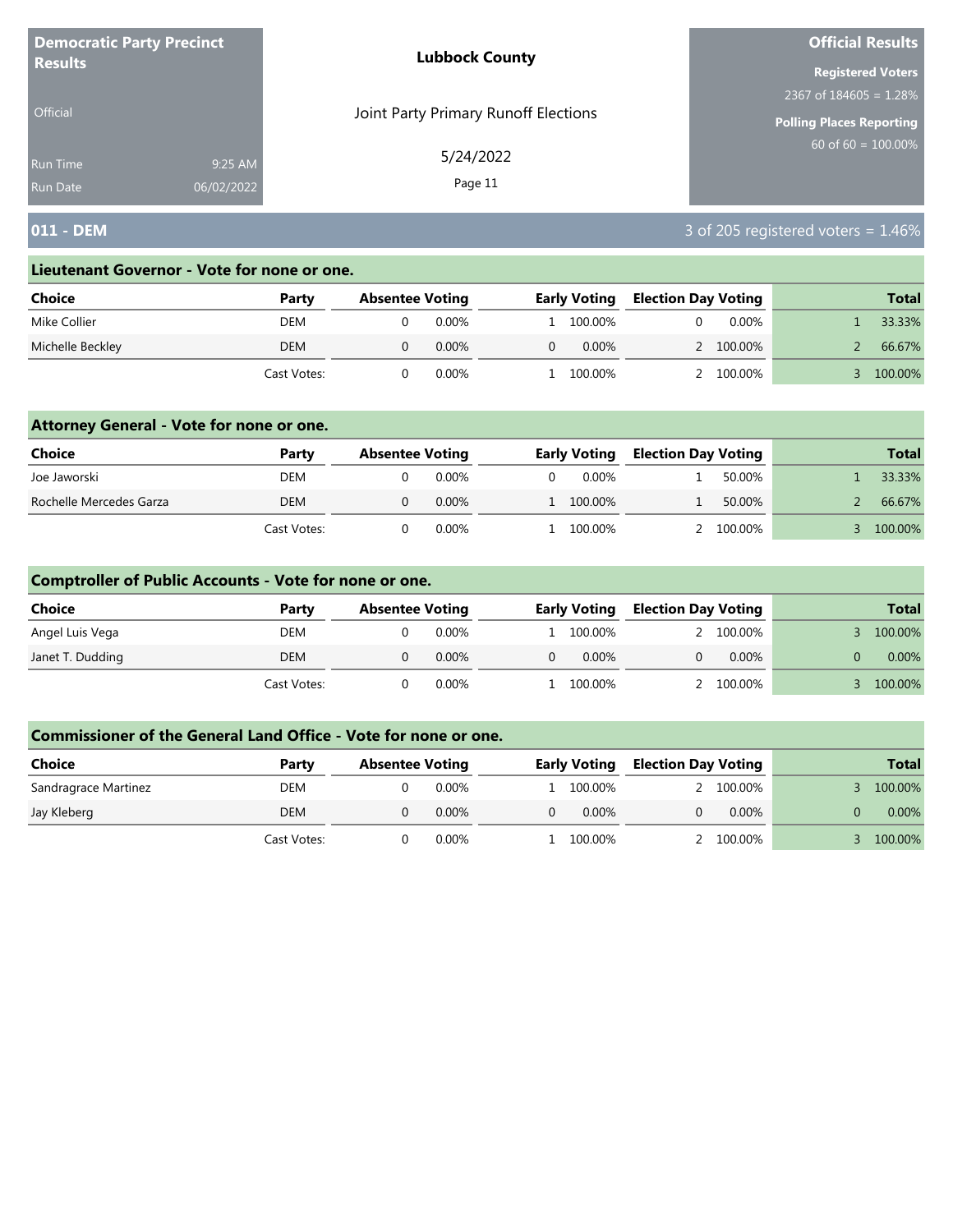| <b>Democratic Party Precinct</b><br><b>Results</b> |            | <b>Lubbock County</b>                | <b>Official Results</b>         |  |  |
|----------------------------------------------------|------------|--------------------------------------|---------------------------------|--|--|
|                                                    |            |                                      | <b>Registered Voters</b>        |  |  |
|                                                    |            |                                      | 2367 of $184605 = 1.28\%$       |  |  |
| <b>Official</b>                                    |            | Joint Party Primary Runoff Elections | <b>Polling Places Reporting</b> |  |  |
| <b>Run Time</b>                                    | 9:25 AM    | 5/24/2022                            | $60$ of 60 = 100.00%            |  |  |
| <b>Run Date</b>                                    | 06/02/2022 | Page 11                              |                                 |  |  |

## **011 - DEM** 3 of 205 registered voters = 1.46%

#### **Lieutenant Governor - Vote for none or one.**

| Choice           | Party       | <b>Absentee Voting</b> |          |    | <b>Early Voting</b> | <b>Election Day Voting</b> |           |  |  | <b>Total</b> |
|------------------|-------------|------------------------|----------|----|---------------------|----------------------------|-----------|--|--|--------------|
| Mike Collier     | DEM         |                        | 0.00%    |    | 1 100.00%           |                            | $0.00\%$  |  |  | 33.33%       |
| Michelle Beckley | DEM         |                        | $0.00\%$ | 0. | 0.00%               |                            | 2 100.00% |  |  | 66.67%       |
|                  | Cast Votes: |                        | 0.00%    |    | 100.00%             |                            | 100.00%   |  |  | 100.00%      |

### **Attorney General - Vote for none or one.**

| <b>Choice</b>           | Party       | <b>Absentee Voting</b> |          | <b>Early Voting</b> |  | <b>Election Day Voting</b> | <b>Total</b> |
|-------------------------|-------------|------------------------|----------|---------------------|--|----------------------------|--------------|
| Joe Jaworski            | DEM         |                        | 0.00%    | 0.00%               |  | 50.00%                     | 33.33%       |
| Rochelle Mercedes Garza | <b>DEM</b>  |                        | $0.00\%$ | 1 100.00%           |  | 50.00%                     | 66.67%       |
|                         | Cast Votes: |                        | 0.00%    | 100.00%             |  | 2 100,00%                  | 100.00%      |

## **Comptroller of Public Accounts - Vote for none or one.**

| <b>Choice</b>    | Party       | <b>Absentee Voting</b> |          | <b>Early Voting</b> | <b>Election Day Voting</b> |          | <b>Total</b> |
|------------------|-------------|------------------------|----------|---------------------|----------------------------|----------|--------------|
| Angel Luis Vega  | DEM         |                        | 0.00%    | 1 100.00%           |                            | 100.00%  | 100.00%      |
| Janet T. Dudding | DEM         |                        | $0.00\%$ | $0.00\%$            |                            | $0.00\%$ | $0.00\%$     |
|                  | Cast Votes: |                        | $0.00\%$ | 100.00%             |                            | 100.00%  | 100.00%      |

| Choice               | Party       | <b>Absentee Voting</b> |          | <b>Election Day Voting</b><br><b>Early Voting</b> |  |           | <b>Total</b> |
|----------------------|-------------|------------------------|----------|---------------------------------------------------|--|-----------|--------------|
| Sandragrace Martinez | DEM         |                        | $0.00\%$ | l 100.00%                                         |  | 2 100,00% | 100.00%      |
| Jay Kleberg          | DEM         |                        | 0.00%    | $0.00\%$                                          |  | $0.00\%$  | 0.00%        |
|                      | Cast Votes: |                        | 0.00%    | . 100.00%                                         |  | 2 100.00% | 100.00%      |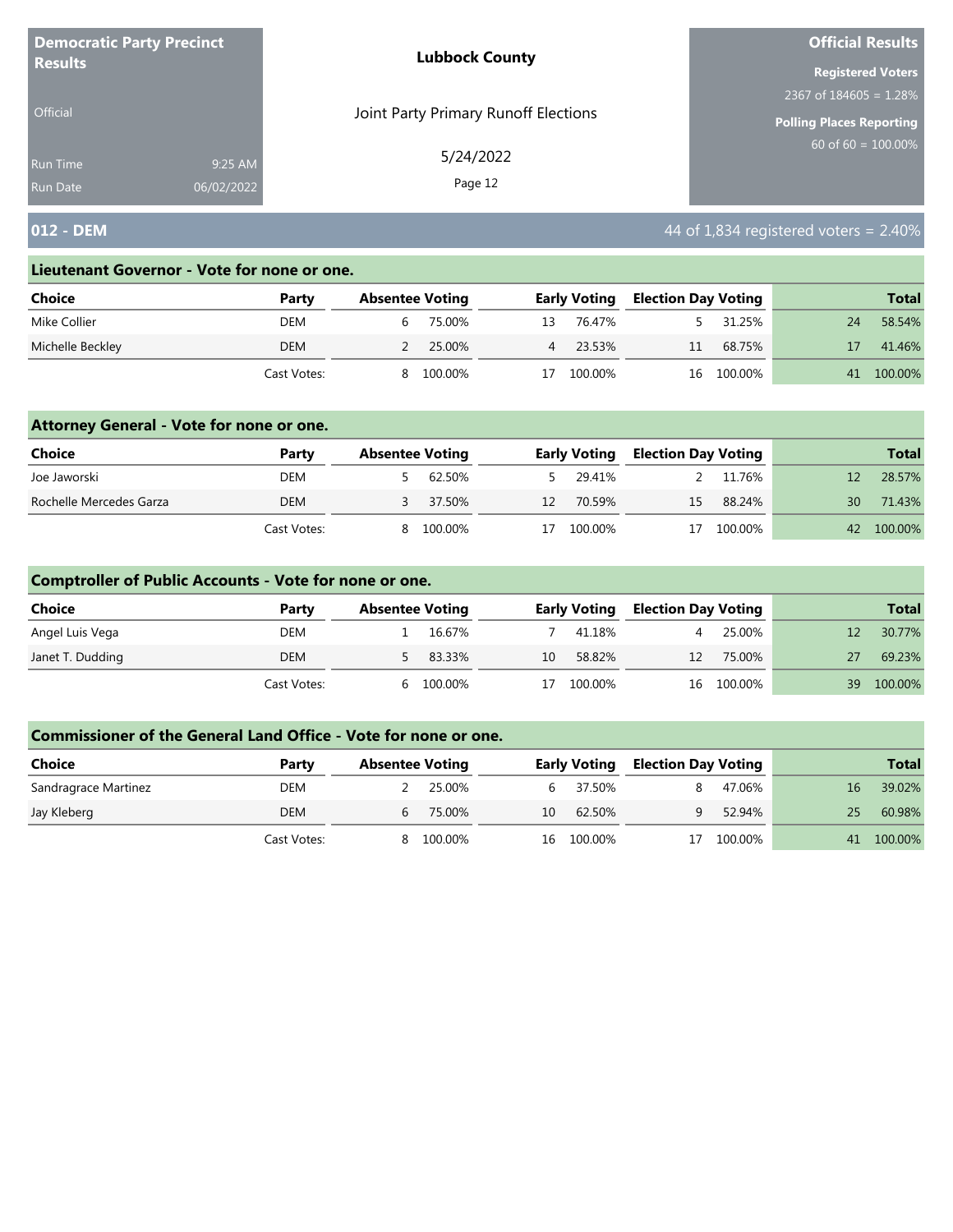| <b>Democratic Party Precinct</b><br><b>Results</b> |            | <b>Lubbock County</b>                | <b>Official Results</b>         |  |  |
|----------------------------------------------------|------------|--------------------------------------|---------------------------------|--|--|
|                                                    |            |                                      | <b>Registered Voters</b>        |  |  |
|                                                    |            |                                      | 2367 of $184605 = 1.28\%$       |  |  |
| <b>Official</b>                                    |            | Joint Party Primary Runoff Elections | <b>Polling Places Reporting</b> |  |  |
| <b>Run Time</b>                                    | 9:25 AM    | 5/24/2022                            | $60$ of 60 = 100.00%            |  |  |
| <b>Run Date</b>                                    | 06/02/2022 | Page 12                              |                                 |  |  |

## **012 - DEM** 44 of 1,834 registered voters = 2.40%

#### **Lieutenant Governor - Vote for none or one.**

| Choice           | Party       | <b>Absentee Voting</b> |                | <b>Early Voting</b> | <b>Election Day Voting</b> |            |    | <b>Total</b> |
|------------------|-------------|------------------------|----------------|---------------------|----------------------------|------------|----|--------------|
| Mike Collier     | DEM         | 75.00%                 | 13             | 76.47%              |                            | 31.25%     | 24 | 58.54%       |
| Michelle Beckley | DEM         | 25.00%                 | $\overline{4}$ | 23.53%              | 11                         | 68.75%     |    | 41.46%       |
|                  | Cast Votes: | 100.00%                |                | 100.00%             |                            | 16 100.00% | 41 | 100.00%      |

### **Attorney General - Vote for none or one.**

| Choice                  | Party       | <b>Absentee Voting</b> |          |    | <b>Early Voting</b> | <b>Election Day Voting</b> |         |    | <b>Total</b> |
|-------------------------|-------------|------------------------|----------|----|---------------------|----------------------------|---------|----|--------------|
| Joe Jaworski            | DEM         |                        | 62.50%   |    | 29.41%              |                            | 11.76%  |    | 28.57%       |
| Rochelle Mercedes Garza | DEM         |                        | 3 37.50% | 12 | 70.59%              | 15                         | 88.24%  | 30 | 71.43%       |
|                         | Cast Votes: | 8.                     | 100.00%  | 17 | 100.00%             | 17                         | 100.00% |    | 42 100.00%   |

### **Comptroller of Public Accounts - Vote for none or one.**

| Choice           | Party       | <b>Absentee Voting</b> |          |    | <b>Early Voting</b> | <b>Election Day Voting</b> |            |    | <b>Total</b> |
|------------------|-------------|------------------------|----------|----|---------------------|----------------------------|------------|----|--------------|
| Angel Luis Vega  | DEM         |                        | 16.67%   |    | 41.18%              |                            | 25.00%     |    | 30.77%       |
| Janet T. Dudding | <b>DEM</b>  |                        | 5 83.33% | 10 | 58.82%              | 12 <sup>°</sup>            | 75.00%     |    | 69.23%       |
|                  | Cast Votes: | <sub>b</sub>           | 100.00%  | 17 | 100.00%             |                            | 16 100.00% | 39 | 100.00%      |

| <b>Choice</b>        | Party       | <b>Absentee Voting</b> |         |    | <b>Early Voting</b> | <b>Election Day Voting</b> |         |    | <b>Total</b> |
|----------------------|-------------|------------------------|---------|----|---------------------|----------------------------|---------|----|--------------|
| Sandragrace Martinez | DEM         |                        | 25.00%  |    | 37.50%<br>h.        |                            | 47.06%  | 16 | 39.02%       |
| Jay Kleberg          | DEM         |                        | 75.00%  | 10 | 62.50%              | a                          | 52.94%  | 25 | 60.98%       |
|                      | Cast Votes: |                        | 100.00% |    | 16 100.00%          |                            | 100.00% | 41 | 100.00%      |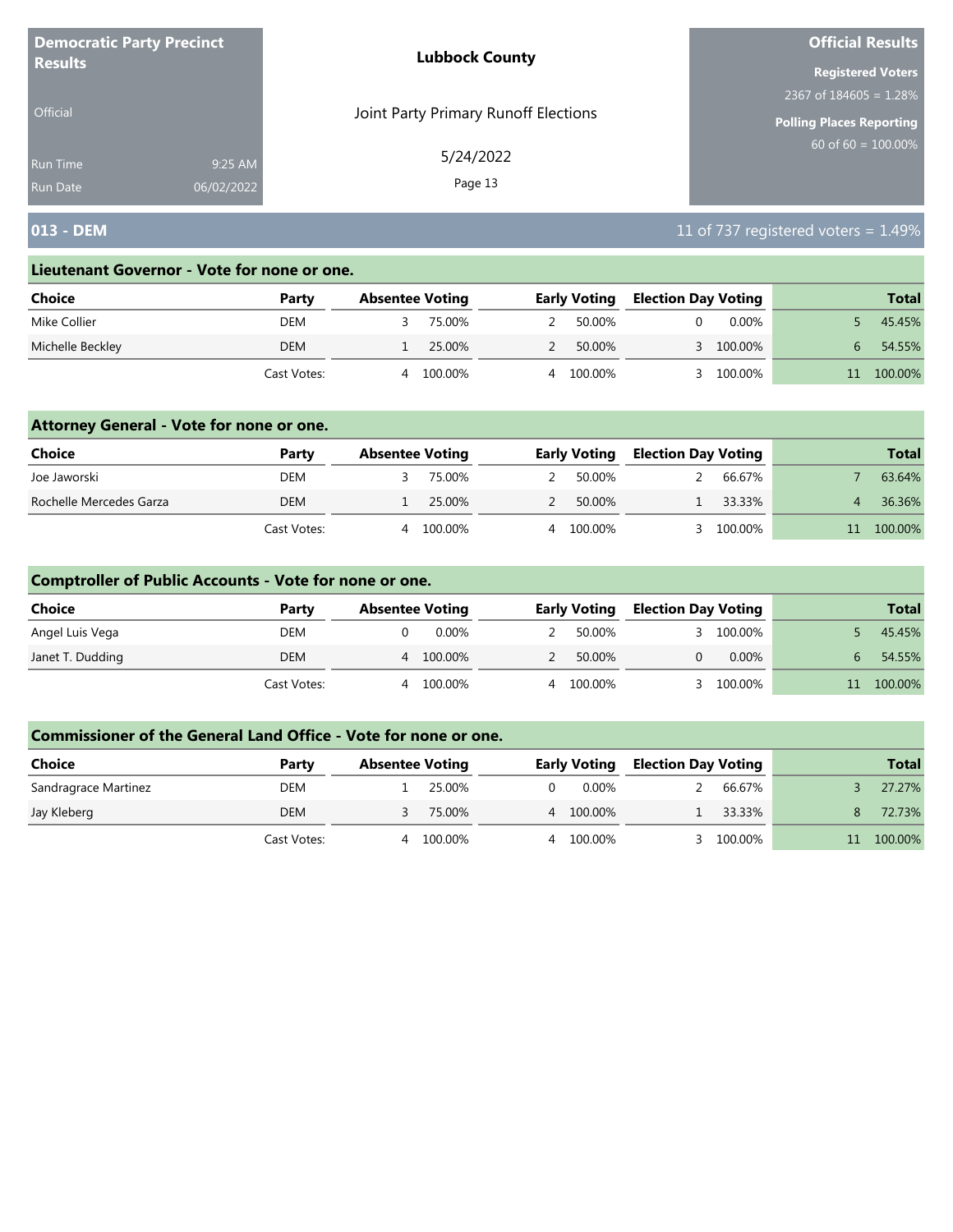| <b>Democratic Party Precinct</b> |            | <b>Lubbock County</b>                | <b>Official Results</b>         |
|----------------------------------|------------|--------------------------------------|---------------------------------|
| <b>Results</b>                   |            |                                      | <b>Registered Voters</b>        |
|                                  |            |                                      | 2367 of $184605 = 1.28\%$       |
| <b>Official</b>                  |            | Joint Party Primary Runoff Elections | <b>Polling Places Reporting</b> |
| <b>Run Time</b>                  | 9:25 AM    | 5/24/2022                            | $60$ of 60 = 100.00%            |
| <b>Run Date</b>                  | 06/02/2022 | Page 13                              |                                 |

## **013 - DEM** 11 of 737 registered voters = 1.49%

#### **Lieutenant Governor - Vote for none or one.**

| Choice           | Party       | <b>Absentee Voting</b> |         | <b>Early Voting</b> | <b>Election Day Voting</b> |           | <b>Total</b> |
|------------------|-------------|------------------------|---------|---------------------|----------------------------|-----------|--------------|
| Mike Collier     | DEM         |                        | 75.00%  | 50.00%              |                            | $0.00\%$  | 45.45%       |
| Michelle Beckley | DEM         |                        | 25.00%  | 50.00%              |                            | 3 100.00% | 54.55%       |
|                  | Cast Votes: | 4                      | 100.00% | 100.00%             |                            | 100.00%   | 100.00%      |

### **Attorney General - Vote for none or one.**

| Choice                  | Party       | <b>Absentee Voting</b> |         | <b>Early Voting</b> | <b>Election Day Voting</b> |         | <b>Total</b> |
|-------------------------|-------------|------------------------|---------|---------------------|----------------------------|---------|--------------|
| Joe Jaworski            | DEM         |                        | 75.00%  | 50.00%              |                            | 66.67%  | 63.64%       |
| Rochelle Mercedes Garza | <b>DEM</b>  |                        | 25.00%  | 50.00%              |                            | 33.33%  | 36.36%       |
|                         | Cast Votes: |                        | 100.00% | 100.00%             |                            | 100.00% | 100.00%      |

### **Comptroller of Public Accounts - Vote for none or one.**

| <b>Choice</b>    | Party       | <b>Absentee Voting</b> |   | <b>Early Voting</b> | <b>Election Day Voting</b> |          | <b>Total</b> |
|------------------|-------------|------------------------|---|---------------------|----------------------------|----------|--------------|
| Angel Luis Vega  | DEM         | 0.00%                  |   | 50.00%              |                            | 100.00%  | 45.45%       |
| Janet T. Dudding | DEM         | 100.00%<br>4           |   | 50.00%              |                            | $0.00\%$ | 54.55%       |
|                  | Cast Votes: | 100.00%                | 4 | 100.00%             |                            | 100.00%  | 100.00%      |

| Choice               | Party       | <b>Absentee Voting</b> |        |    | <b>Early Voting</b> | <b>Election Day Voting</b> |         | <b>Total</b> |
|----------------------|-------------|------------------------|--------|----|---------------------|----------------------------|---------|--------------|
| Sandragrace Martinez | DEM         |                        | 25.00% | 0. | 0.00%               |                            | 66.67%  | 27.27%       |
| Jay Kleberg          | DEM         |                        | 75.00% |    | 4 100.00%           |                            | 33.33%  | 72.73%       |
|                      | Cast Votes: | 100.00%<br>4           |        |    | 4 100.00%           |                            | 100.00% | 100.00%      |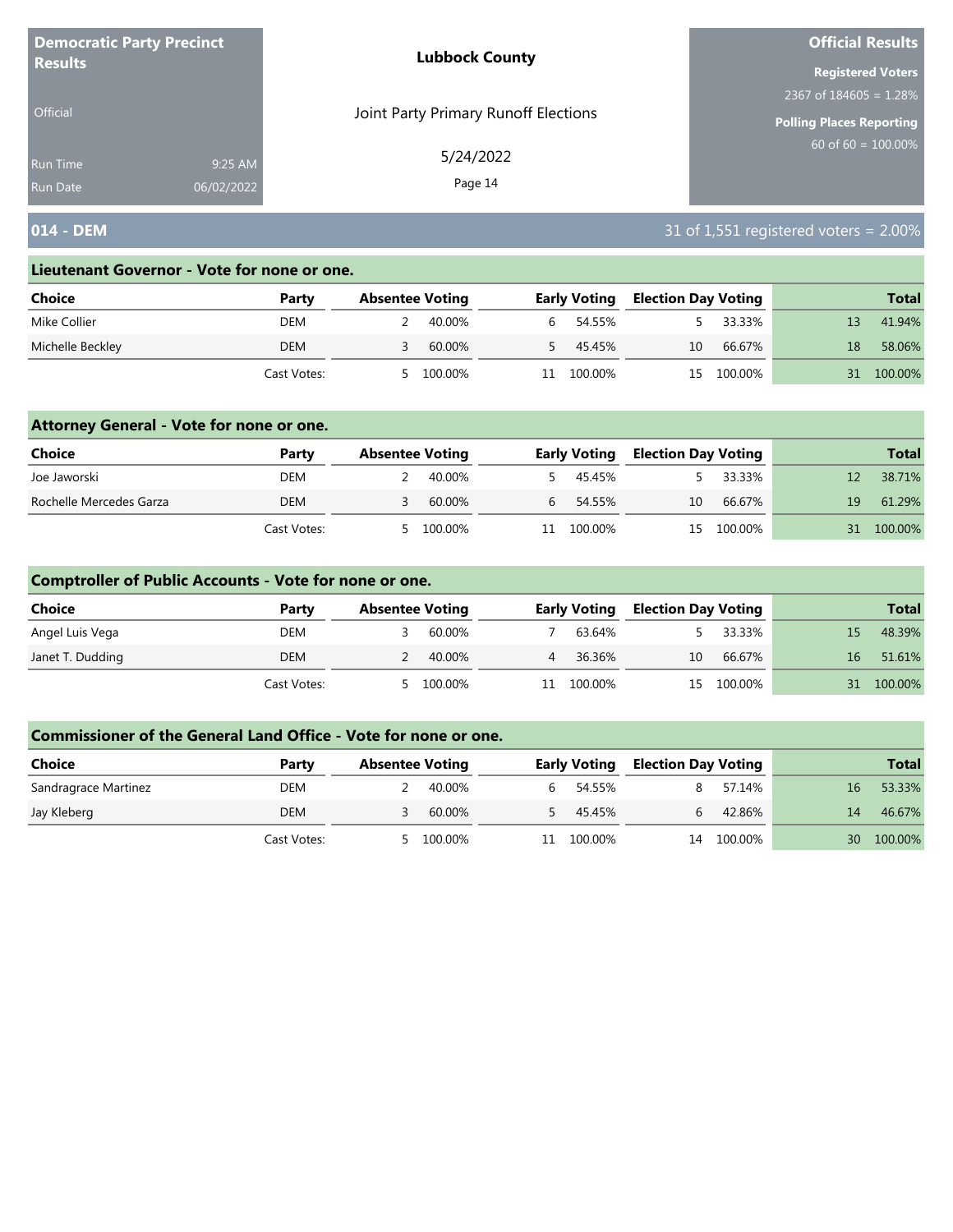| <b>Democratic Party Precinct</b> |            | <b>Lubbock County</b>                | <b>Official Results</b>         |
|----------------------------------|------------|--------------------------------------|---------------------------------|
| <b>Results</b>                   |            |                                      | <b>Registered Voters</b>        |
|                                  |            |                                      | 2367 of $184605 = 1.28\%$       |
| <b>Official</b>                  |            | Joint Party Primary Runoff Elections | <b>Polling Places Reporting</b> |
| <b>Run Time</b>                  | 9:25 AM    | 5/24/2022                            | $60$ of 60 = $100.00\%$         |
| <b>Run Date</b>                  | 06/02/2022 | Page 14                              |                                 |

## **014 - DEM** 31 of 1,551 registered voters = 2.00%

#### **Lieutenant Governor - Vote for none or one.**

| Choice           | Party       | <b>Absentee Voting</b> |         |    | <b>Early Voting</b> | <b>Election Day Voting</b> |            |    | <b>Total</b> |
|------------------|-------------|------------------------|---------|----|---------------------|----------------------------|------------|----|--------------|
| Mike Collier     | DEM         |                        | 40.00%  |    | 6 54.55%            |                            | 33.33%     |    | 41.94%       |
| Michelle Beckley | <b>DEM</b>  |                        | 60.00%  |    | 45.45%              | 10                         | 66.67%     | 18 | 58.06%       |
|                  | Cast Votes: |                        | 100.00% | 11 | 100.00%             |                            | 15 100.00% | 31 | 100.00%      |

### **Attorney General - Vote for none or one.**

| Choice                  | Party       | <b>Absentee Voting</b> |         |           | <b>Early Voting</b> | <b>Election Day Voting</b> |            |    | <b>Total</b> |
|-------------------------|-------------|------------------------|---------|-----------|---------------------|----------------------------|------------|----|--------------|
| Joe Jaworski            | DEM         |                        | 40.00%  |           | 45.45%              |                            | 33.33%     |    | 38.71%       |
| Rochelle Mercedes Garza | DEM         |                        | 60.00%  | $6 \quad$ | 54.55%              | 10                         | 66.67%     | 19 | 61.29%       |
|                         | Cast Votes: | 5                      | 100.00% |           | 11 100.00%          |                            | 15 100.00% | 31 | 100.00%      |

### **Comptroller of Public Accounts - Vote for none or one.**

| Choice           | Party       | <b>Absentee Voting</b> |         |    | <b>Early Voting</b> | <b>Election Day Voting</b> |            |    | <b>Total</b> |
|------------------|-------------|------------------------|---------|----|---------------------|----------------------------|------------|----|--------------|
| Angel Luis Vega  | DEM         |                        | 60.00%  |    | 63.64%              |                            | 33.33%     |    | 48.39%       |
| Janet T. Dudding | DEM         |                        | 40.00%  | 4  | 36.36%              | 10                         | 66.67%     | 16 | 51.61%       |
|                  | Cast Votes: | - 5                    | 100.00% | 11 | 100.00%             |                            | 15 100.00% | 31 | 100.00%      |

| <b>Choice</b>        | Party       | <b>Absentee Voting</b> |         |    | <b>Early Voting</b> | <b>Election Day Voting</b> |         |    | <b>Total</b> |
|----------------------|-------------|------------------------|---------|----|---------------------|----------------------------|---------|----|--------------|
| Sandragrace Martinez | DEM         |                        | 40.00%  | h. | 54.55%              |                            | 57.14%  | 16 | 53.33%       |
| Jay Kleberg          | DEM         |                        | 60.00%  |    | 45.45%              | h                          | 42.86%  | 14 | 46.67%       |
|                      | Cast Votes: |                        | 100.00% |    | 100.00%             | 14                         | 100.00% | 30 | 100.00%      |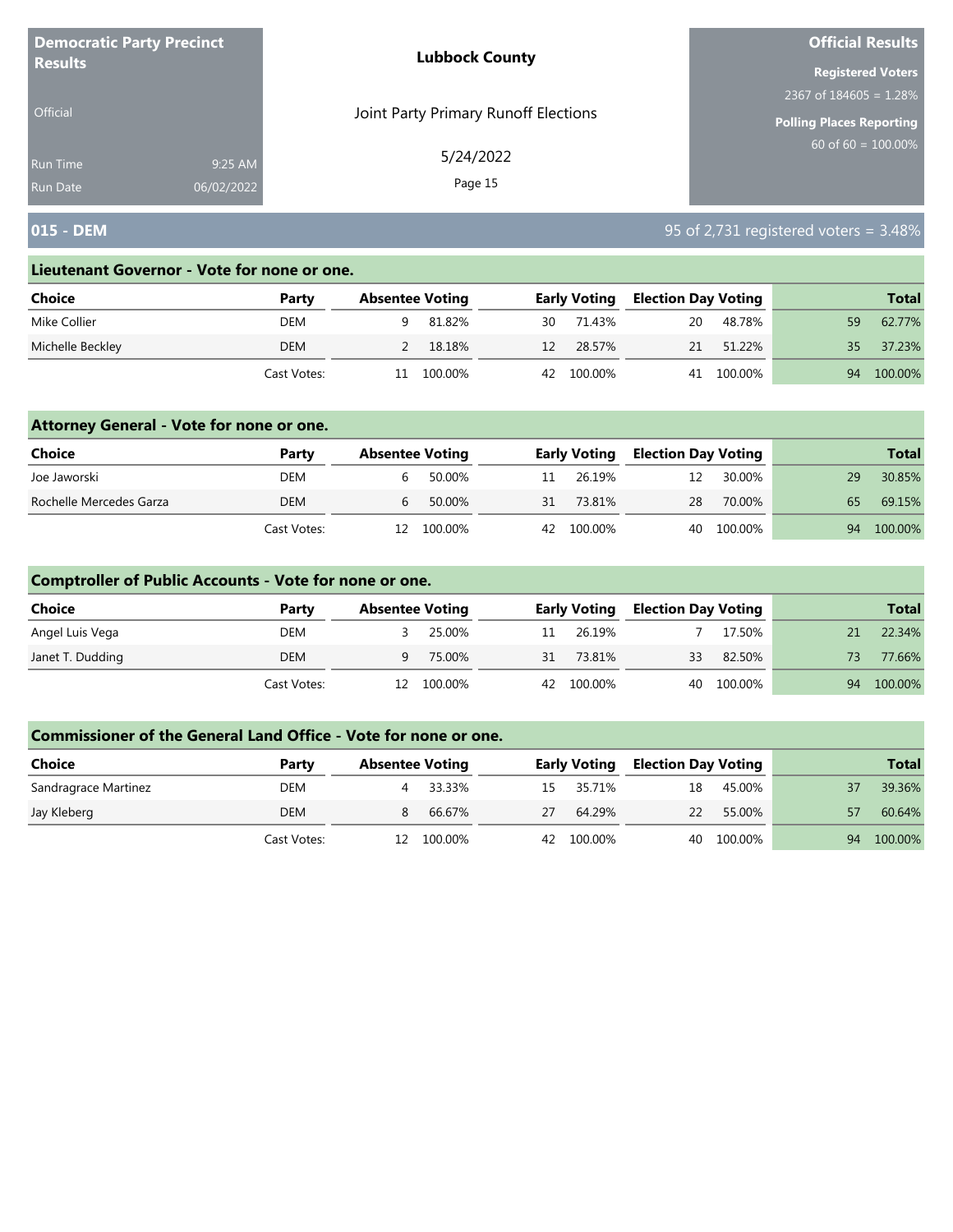| <b>Democratic Party Precinct</b> |            | <b>Lubbock County</b>                | <b>Official Results</b>         |
|----------------------------------|------------|--------------------------------------|---------------------------------|
| <b>Results</b>                   |            |                                      | <b>Registered Voters</b>        |
|                                  |            |                                      | 2367 of $184605 = 1.28\%$       |
| <b>Official</b>                  |            | Joint Party Primary Runoff Elections | <b>Polling Places Reporting</b> |
| <b>Run Time</b>                  | 9:25 AM    | 5/24/2022                            | $60$ of 60 = 100.00%            |
| <b>Run Date</b>                  | 06/02/2022 | Page 15                              |                                 |

## **015 - DEM** 95 of 2,731 registered voters = 3.48%

#### **Lieutenant Governor - Vote for none or one.**

| Choice           | Party       | <b>Absentee Voting</b> |    | <b>Early Voting</b> | Election Day Voting |            |    | <b>Total</b> |
|------------------|-------------|------------------------|----|---------------------|---------------------|------------|----|--------------|
| Mike Collier     | DEM         | 81.82%                 | 30 | 71.43%              | 20                  | 48.78%     | 59 | 62.77%       |
| Michelle Beckley | <b>DEM</b>  | 18.18%                 | 12 | 28.57%              |                     | 21 51.22%  | 35 | 37.23%       |
|                  | Cast Votes: | 100.00%<br>11          |    | 42 100.00%          |                     | 41 100.00% | 94 | 100.00%      |

### **Attorney General - Vote for none or one.**

| Choice                  | Party       | <b>Absentee Voting</b> |         |    | <b>Early Voting</b> | <b>Election Day Voting</b> |            |    | <b>Total</b> |
|-------------------------|-------------|------------------------|---------|----|---------------------|----------------------------|------------|----|--------------|
| Joe Jaworski            | DEM         |                        | 50.00%  | 11 | 26.19%              | 12                         | 30.00%     | 29 | 30.85%       |
| Rochelle Mercedes Garza | DEM         |                        | 50.00%  | 31 | 73.81%              | 28                         | 70.00%     | 65 | 69.15%       |
|                         | Cast Votes: | 12                     | 100.00% |    | 42 100.00%          |                            | 40 100.00% | 94 | 100.00%      |

### **Comptroller of Public Accounts - Vote for none or one.**

| Choice           | Party       | <b>Absentee Voting</b> |         |    | <b>Early Voting</b> | <b>Election Day Voting</b> |            |     | <b>Total</b> |
|------------------|-------------|------------------------|---------|----|---------------------|----------------------------|------------|-----|--------------|
| Angel Luis Vega  | DEM         |                        | 25.00%  | 11 | 26.19%              |                            | 17.50%     |     | 22.34%       |
| Janet T. Dudding | DEM         | a                      | 75.00%  | 31 | 73.81%              | 33                         | 82.50%     | 73. | 77.66%       |
|                  | Cast Votes: | 12.                    | 100.00% |    | 42 100.00%          |                            | 40 100.00% |     | 94 100.00%   |

| Choice               | Party       | <b>Absentee Voting</b> |         |    | <b>Early Voting</b> | <b>Election Day Voting</b> |         |    | <b>Total</b> |
|----------------------|-------------|------------------------|---------|----|---------------------|----------------------------|---------|----|--------------|
| Sandragrace Martinez | DEM         |                        | 33.33%  |    | 15 35.71%           | 18                         | 45.00%  |    | 39.36%       |
| Jay Kleberg          | <b>DEM</b>  |                        | 66.67%  | 27 | 64.29%              | <sup>22</sup>              | 55.00%  |    | 60.64%       |
|                      | Cast Votes: |                        | 100.00% |    | 42 100.00%          | 40                         | 100.00% | 94 | 100.00%      |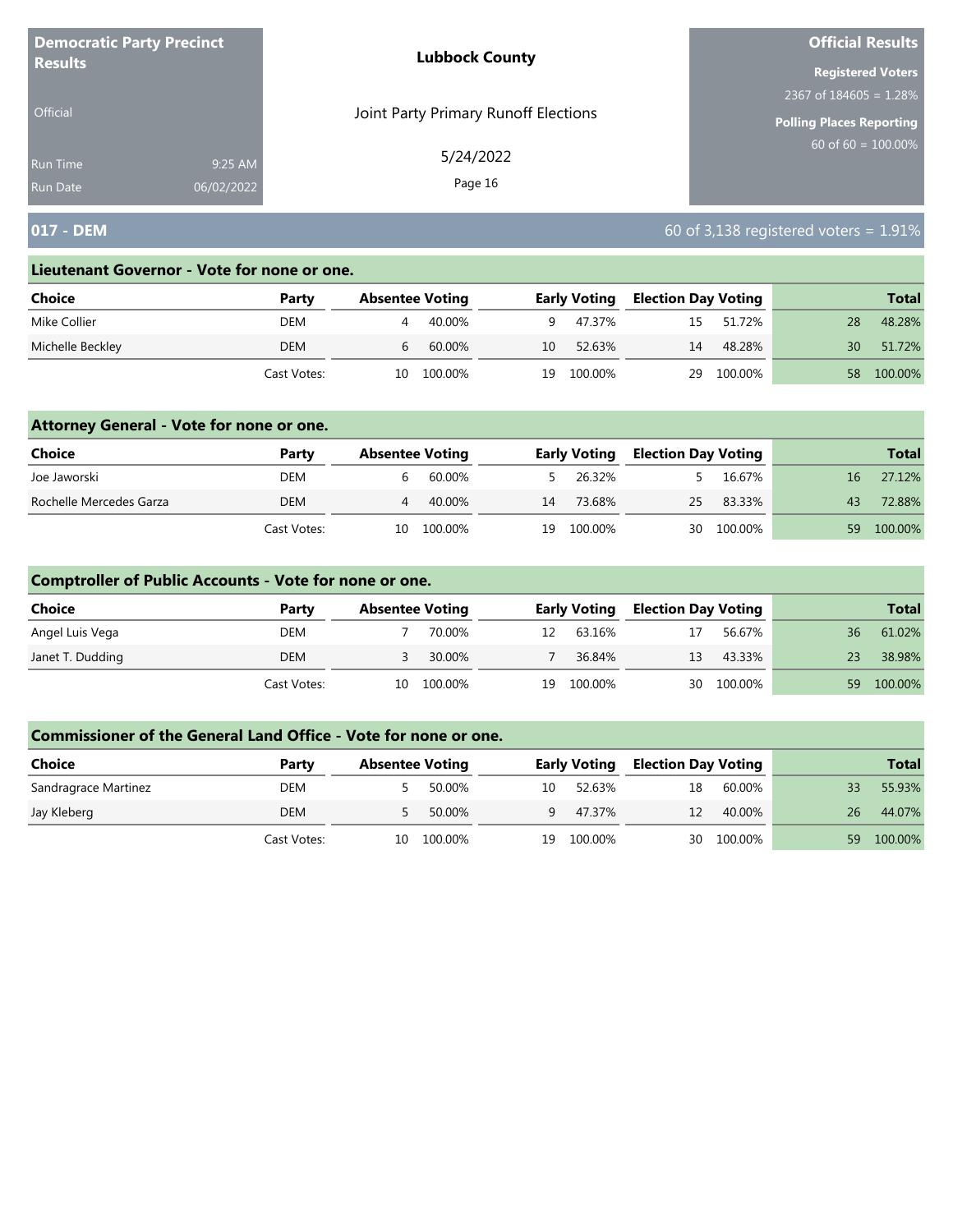| <b>Democratic Party Precinct</b> |            | <b>Lubbock County</b>                | <b>Official Results</b>         |
|----------------------------------|------------|--------------------------------------|---------------------------------|
| <b>Results</b>                   |            |                                      | <b>Registered Voters</b>        |
|                                  |            |                                      | 2367 of $184605 = 1.28\%$       |
| <b>Official</b>                  |            | Joint Party Primary Runoff Elections | <b>Polling Places Reporting</b> |
| Run Time                         | 9:25 AM    | 5/24/2022                            | $60$ of 60 = $100.00\%$         |
| <b>Run Date</b>                  | 06/02/2022 | Page 16                              |                                 |

# **017 - DEM** 60 of 3,138 registered voters = 1.91%

#### **Lieutenant Governor - Vote for none or one.**

| Choice           | Party       | <b>Absentee Voting</b> |    | <b>Early Voting</b> | <b>Election Day Voting</b> |         |    | <b>Total</b> |
|------------------|-------------|------------------------|----|---------------------|----------------------------|---------|----|--------------|
| Mike Collier     | DEM         | 40.00%                 | q, | 47.37%              | 15                         | 51.72%  | 28 | 48.28%       |
| Michelle Beckley | <b>DEM</b>  | 60.00%<br>b            | 10 | 52.63%              | 14                         | 48.28%  | 30 | 51.72%       |
|                  | Cast Votes: | 100.00%<br>10          | 19 | 100.00%             | 29                         | 100.00% | 58 | 100.00%      |

### **Attorney General - Vote for none or one.**

| Choice                  | Party       | <b>Absentee Voting</b> |         |    | <b>Early Voting</b> | <b>Election Day Voting</b> |            |    | Total   |
|-------------------------|-------------|------------------------|---------|----|---------------------|----------------------------|------------|----|---------|
| Joe Jaworski            | DEM         |                        | 60.00%  |    | 26.32%              |                            | 16.67%     | 16 | 27.12%  |
| Rochelle Mercedes Garza | DEM         | 4                      | 40.00%  | 14 | 73.68%              | 25                         | 83.33%     | 43 | 72.88%  |
|                         | Cast Votes: | 10                     | 100.00% | 19 | 100.00%             |                            | 30 100.00% | 59 | 100.00% |

### **Comptroller of Public Accounts - Vote for none or one.**

| <b>Choice</b>    | Party       | <b>Absentee Voting</b> |         |    | <b>Early Voting</b> | <b>Election Day Voting</b> |            |    | <b>Total</b> |
|------------------|-------------|------------------------|---------|----|---------------------|----------------------------|------------|----|--------------|
| Angel Luis Vega  | DEM         |                        | 70.00%  | 12 | 63.16%              |                            | 56.67%     | 36 | 61.02%       |
| Janet T. Dudding | DEM         |                        | 30.00%  |    | 36.84%              | 13                         | 43.33%     |    | 38.98%       |
|                  | Cast Votes: | 10                     | 100.00% | 19 | 100.00%             |                            | 30 100.00% | 59 | 100.00%      |

| <b>Choice</b>        | Party       | <b>Absentee Voting</b> |         |              | <b>Early Voting</b> | <b>Election Day Voting</b> |         |                 | <b>Total</b> |
|----------------------|-------------|------------------------|---------|--------------|---------------------|----------------------------|---------|-----------------|--------------|
| Sandragrace Martinez | DEM         |                        | 50.00%  | 10           | 52.63%              | 18                         | 60.00%  | 33              | 55.93%       |
| Jay Kleberg          | <b>DEM</b>  |                        | 50.00%  | $\mathsf{q}$ | 47.37%              | 12                         | 40.00%  | 26 <sup>1</sup> | 44.07%       |
|                      | Cast Votes: | 10                     | 100.00% | 19           | 100.00%             | 30                         | 100.00% | 59              | 100.00%      |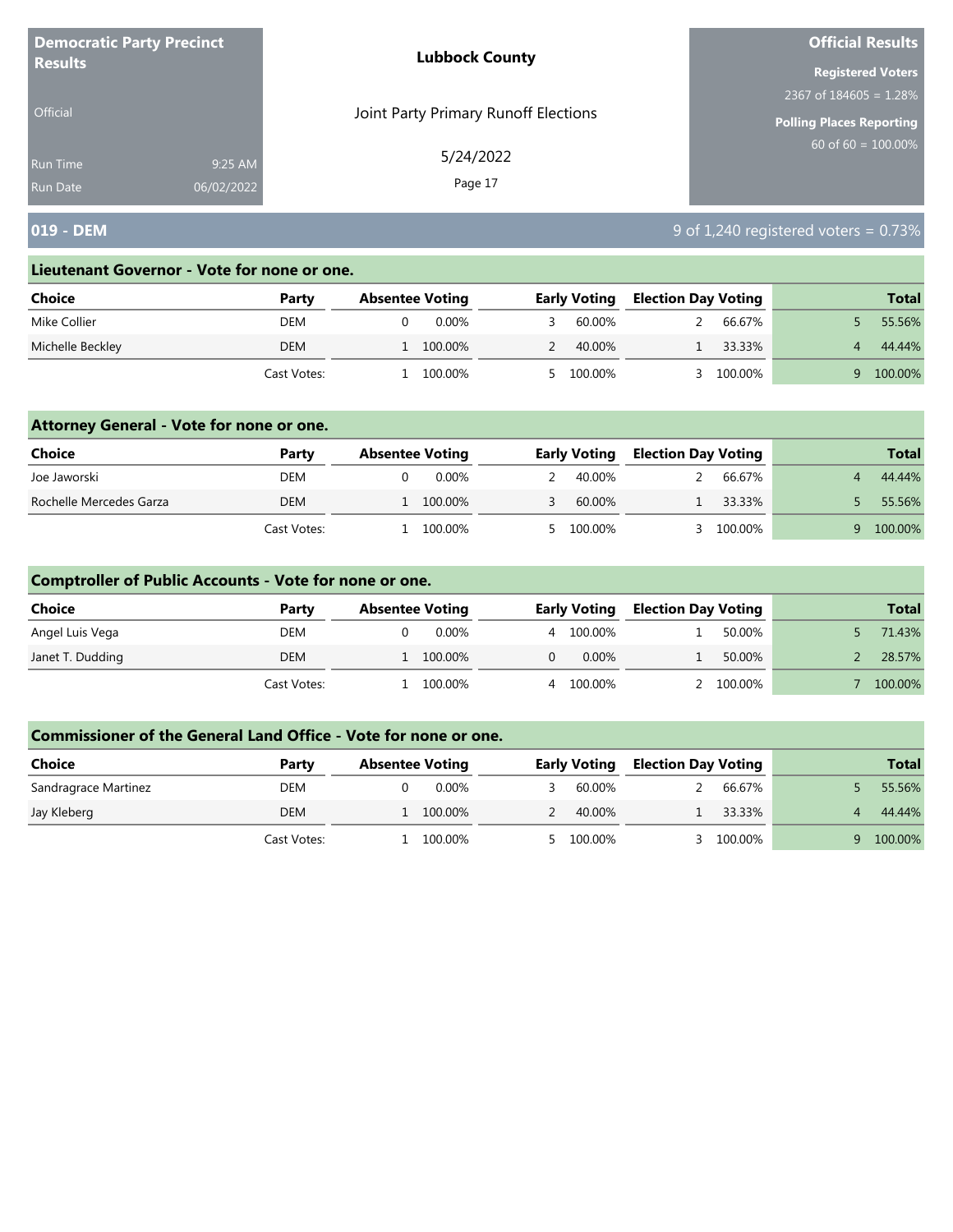| <b>Democratic Party Precinct</b> |            | <b>Lubbock County</b>                | <b>Official Results</b>         |
|----------------------------------|------------|--------------------------------------|---------------------------------|
| <b>Results</b>                   |            |                                      | <b>Registered Voters</b>        |
|                                  |            |                                      | 2367 of $184605 = 1.28\%$       |
| Official                         |            | Joint Party Primary Runoff Elections | <b>Polling Places Reporting</b> |
| <b>Run Time</b>                  | 9:25 AM    | 5/24/2022                            | $60$ of 60 = 100.00%            |
| <b>Run Date</b>                  | 06/02/2022 | Page 17                              |                                 |

## **019 - DEM** 9 of 1,240 registered voters = 0.73%

#### **Lieutenant Governor - Vote for none or one.**

| Choice           | Party       | <b>Absentee Voting</b> | <b>Early Voting</b> | <b>Election Day Voting</b> | <b>Total</b> |
|------------------|-------------|------------------------|---------------------|----------------------------|--------------|
| Mike Collier     | DEM         | $0.00\%$               | 60.00%              | 66.67%                     | 55.56%       |
| Michelle Beckley | <b>DEM</b>  | 100.00%                | 40.00%              | 33.33%                     | 44.44%       |
|                  | Cast Votes: | 100.00%                | 100.00%             | 100.00%                    | 100.00%      |

### **Attorney General - Vote for none or one.**

| Choice                  | Party       | <b>Absentee Voting</b> | <b>Early Voting</b> | <b>Election Day Voting</b> |         | <b>Total</b> |
|-------------------------|-------------|------------------------|---------------------|----------------------------|---------|--------------|
| Joe Jaworski            | DEM         | $0.00\%$               | 40.00%              |                            | 66.67%  | 44.44%       |
| Rochelle Mercedes Garza | <b>DEM</b>  | 1 100.00%              | 60.00%              |                            | 33.33%  | 55.56%       |
|                         | Cast Votes: | 100.00%                | 5 100.00%           |                            | 100.00% | 100.00%      |

### **Comptroller of Public Accounts - Vote for none or one.**

| <b>Choice</b>    | Party       | <b>Absentee Voting</b> |   | <b>Early Voting</b> | <b>Election Day Voting</b> |         | <b>Total</b> |
|------------------|-------------|------------------------|---|---------------------|----------------------------|---------|--------------|
| Angel Luis Vega  | DEM         | 0.00%                  | 4 | 100.00%             |                            | 50.00%  | 71.43%       |
| Janet T. Dudding | DEM         | 100.00%                |   | 0.00%               |                            | 50.00%  | 28.57%       |
|                  | Cast Votes: | 100.00%                | 4 | 100.00%             |                            | 100.00% | 100.00%      |

| Choice               | Party       | <b>Absentee Voting</b> | <b>Early Voting</b> |           | <b>Election Day Voting</b> |         | <b>Total</b> |
|----------------------|-------------|------------------------|---------------------|-----------|----------------------------|---------|--------------|
| Sandragrace Martinez | DEM         | $0.00\%$               |                     | 60.00%    |                            | 66.67%  | 55.56%       |
| Jay Kleberg          | DEM         | 100.00%                |                     | 40.00%    |                            | 33.33%  | 44.44%       |
|                      | Cast Votes: | 100.00%                |                     | 5 100.00% |                            | 100.00% | 100.00%      |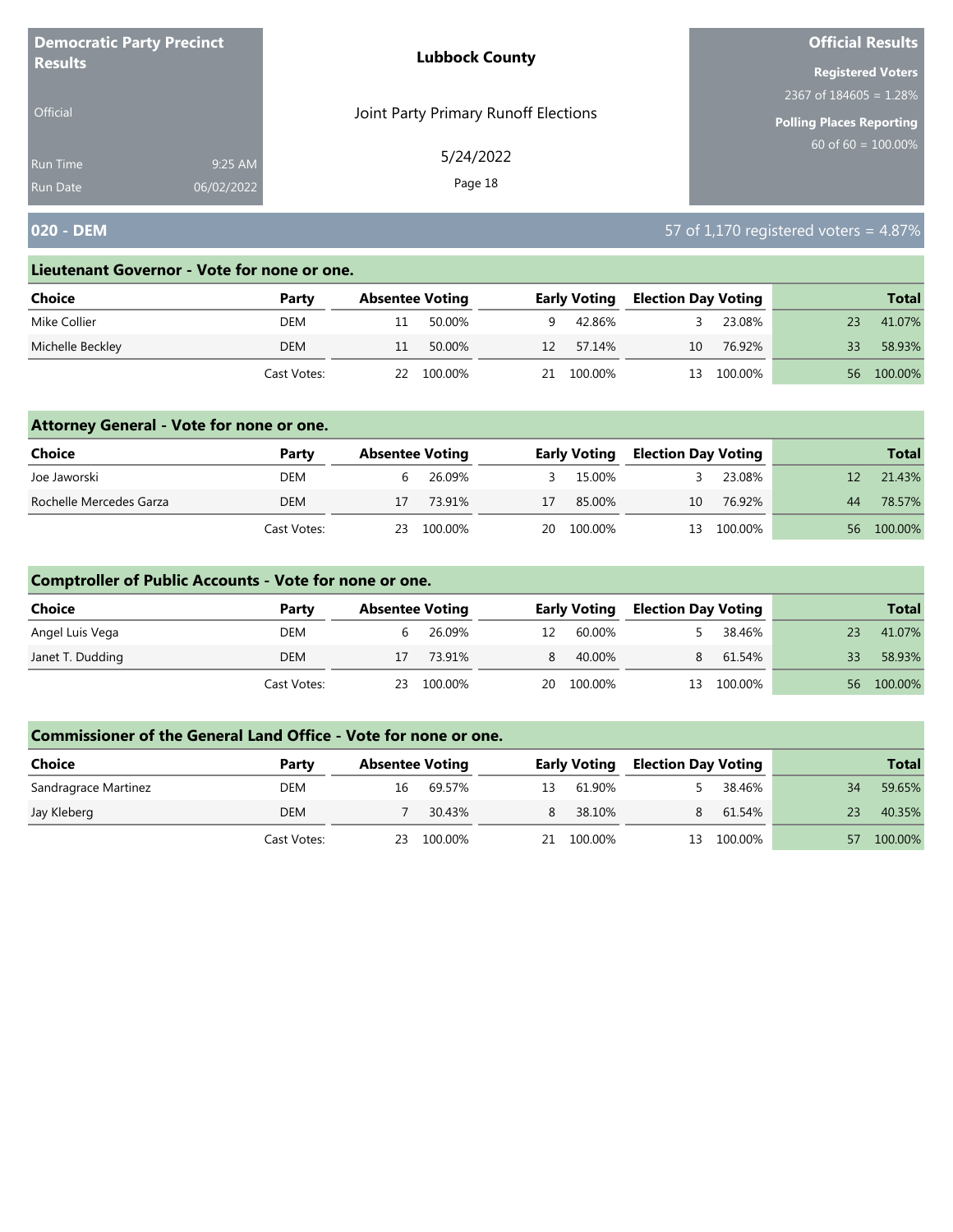| <b>Democratic Party Precinct</b><br><b>Results</b> |            | <b>Lubbock County</b>                | <b>Official Results</b><br><b>Registered Voters</b><br>2367 of $184605 = 1.28\%$<br><b>Polling Places Reporting</b><br>$60$ of 60 = $100.00\%$ |
|----------------------------------------------------|------------|--------------------------------------|------------------------------------------------------------------------------------------------------------------------------------------------|
|                                                    |            |                                      |                                                                                                                                                |
|                                                    |            |                                      |                                                                                                                                                |
| <b>Official</b>                                    |            | Joint Party Primary Runoff Elections |                                                                                                                                                |
| Run Time                                           | 9:25 AM    | 5/24/2022                            |                                                                                                                                                |
| <b>Run Date</b>                                    | 06/02/2022 | Page 18                              |                                                                                                                                                |

## **020 - DEM** 57 of 1,170 registered voters = 4.87%

#### **Lieutenant Governor - Vote for none or one.**

| Choice           | Party       |    | <b>Absentee Voting</b> |    | <b>Early Voting</b> | <b>Election Day Voting</b> |         |    | <b>Total</b> |
|------------------|-------------|----|------------------------|----|---------------------|----------------------------|---------|----|--------------|
| Mike Collier     | DEM         |    | 50.00%                 | q  | 42.86%              |                            | 23.08%  | 23 | 41.07%       |
| Michelle Beckley | <b>DEM</b>  |    | 50.00%                 | 12 | 57.14%              | 10                         | 76.92%  | 33 | 58.93%       |
|                  | Cast Votes: | 22 | 100.00%                | 21 | 100.00%             | 13                         | 100.00% | 56 | 100.00%      |

### **Attorney General - Vote for none or one.**

| Choice                  | Party       | <b>Absentee Voting</b> |            |    | <b>Early Voting</b> | <b>Election Day Voting</b> |            |    | <b>Total</b> |
|-------------------------|-------------|------------------------|------------|----|---------------------|----------------------------|------------|----|--------------|
| Joe Jaworski            | DEM         |                        | 26.09%     |    | 15.00%              |                            | 23.08%     |    | 21.43%       |
| Rochelle Mercedes Garza | DEM         | 17                     | 73.91%     | 17 | 85.00%              | 10                         | 76.92%     | 44 | 78.57%       |
|                         | Cast Votes: |                        | 23 100.00% |    | 20 100.00%          |                            | 13 100.00% |    | 56 100.00%   |

### **Comptroller of Public Accounts - Vote for none or one.**

| Choice           | Party       | <b>Absentee Voting</b> |            |    | <b>Early Voting</b> | <b>Election Day Voting</b> |            |     | <b>Total</b> |
|------------------|-------------|------------------------|------------|----|---------------------|----------------------------|------------|-----|--------------|
| Angel Luis Vega  | DEM         | b                      | 26.09%     | 12 | 60.00%              |                            | 38.46%     | 23  | 41.07%       |
| Janet T. Dudding | DEM         | 17                     | 73.91%     | 8  | 40.00%              | 8                          | 61.54%     | 33  | 58.93%       |
|                  | Cast Votes: |                        | 23 100.00% |    | 20 100.00%          |                            | 13 100.00% | 56. | 100.00%      |

| <b>Choice</b>        | Party       | <b>Absentee Voting</b> |         |    | <b>Early Voting</b> | <b>Election Day Voting</b> |         |    | <b>Total</b> |
|----------------------|-------------|------------------------|---------|----|---------------------|----------------------------|---------|----|--------------|
| Sandragrace Martinez | DEM         | 16                     | 69.57%  | 13 | 61.90%              |                            | 38.46%  | 34 | 59.65%       |
| Jay Kleberg          | DEM         |                        | 30.43%  | 8  | 38.10%              |                            | 61.54%  | 23 | 40.35%       |
|                      | Cast Votes: | 23                     | 100.00% | 21 | 100.00%             | 13                         | 100.00% | 57 | 100.00%      |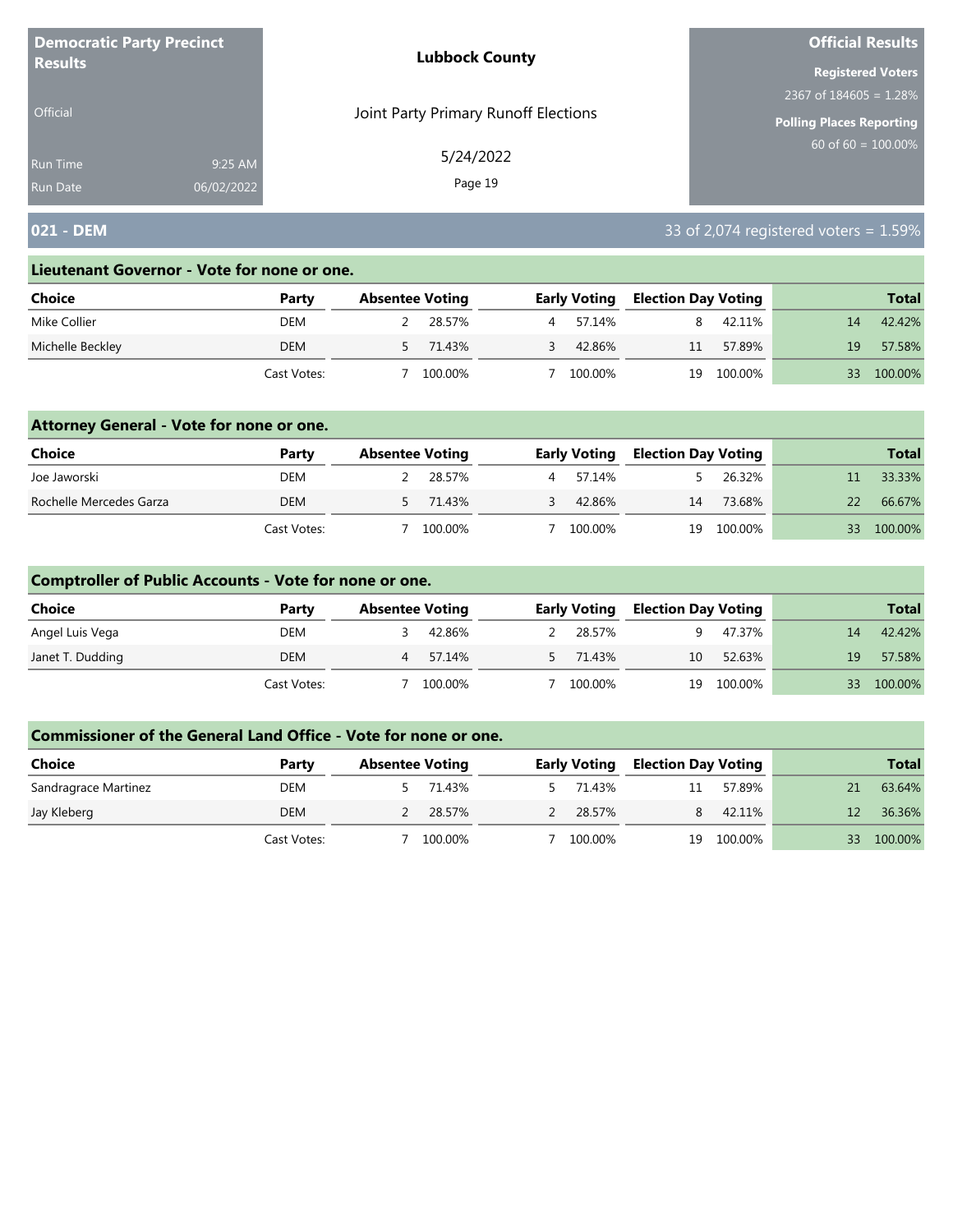| <b>Democratic Party Precinct</b><br><b>Results</b> |            | <b>Lubbock County</b>                | <b>Official Results</b><br><b>Registered Voters</b><br>2367 of $184605 = 1.28\%$<br><b>Polling Places Reporting</b><br>$60$ of 60 = 100.00% |
|----------------------------------------------------|------------|--------------------------------------|---------------------------------------------------------------------------------------------------------------------------------------------|
|                                                    |            |                                      |                                                                                                                                             |
|                                                    |            |                                      |                                                                                                                                             |
| Official                                           |            | Joint Party Primary Runoff Elections |                                                                                                                                             |
| <b>Run Time</b>                                    | 9:25 AM    | 5/24/2022                            |                                                                                                                                             |
| <b>Run Date</b>                                    | 06/02/2022 | Page 19                              |                                                                                                                                             |

## **021 - DEM** 33 of 2,074 registered voters = 1.59%

#### **Lieutenant Governor - Vote for none or one.**

| Choice           | Party       | <b>Absentee Voting</b> |          |   | <b>Early Voting</b> | <b>Election Day Voting</b> |         |    | <b>Total</b> |
|------------------|-------------|------------------------|----------|---|---------------------|----------------------------|---------|----|--------------|
| Mike Collier     | DEM         |                        | 28.57%   | 4 | 57.14%              |                            | 42.11%  | 14 | 42.42%       |
| Michelle Beckley | DEM         |                        | 5 71.43% |   | 42.86%              | 11                         | 57.89%  | 19 | 57.58%       |
|                  | Cast Votes: |                        | 100.00%  |   | 100.00%             | 19                         | 100.00% | २२ | 100.00%      |

### **Attorney General - Vote for none or one.**

| Choice                  | Party       | <b>Absentee Voting</b> |          |   | <b>Early Voting</b> | <b>Election Day Voting</b> |            |    | <b>Total</b> |
|-------------------------|-------------|------------------------|----------|---|---------------------|----------------------------|------------|----|--------------|
| Joe Jaworski            | DEM         |                        | 28.57%   | 4 | 57.14%              |                            | 26.32%     |    | 33.33%       |
| Rochelle Mercedes Garza | DEM         |                        | 5 71.43% |   | 42.86%              | 14                         | 73.68%     | 22 | 66.67%       |
|                         | Cast Votes: |                        | 100.00%  |   | 100.00%             |                            | 19 100.00% | 33 | 100.00%      |

### **Comptroller of Public Accounts - Vote for none or one.**

| Choice           | Party       | <b>Absentee Voting</b> |         | <b>Early Voting</b> | <b>Election Day Voting</b> |            |    | <b>Total</b> |
|------------------|-------------|------------------------|---------|---------------------|----------------------------|------------|----|--------------|
| Angel Luis Vega  | DEM         |                        | 42.86%  | 28.57%              |                            | 47.37%     | 14 | 42.42%       |
| Janet T. Dudding | DEM         | 4                      | 57.14%  | 5 71.43%            | 10                         | 52.63%     | 19 | 57.58%       |
|                  | Cast Votes: |                        | 100.00% | 100.00%             |                            | 19 100.00% | 33 | 100.00%      |

| <b>Choice</b>        | Party       | <b>Absentee Voting</b> |        | <b>Early Voting</b> | <b>Election Day Voting</b> |         |    | <b>Total</b> |
|----------------------|-------------|------------------------|--------|---------------------|----------------------------|---------|----|--------------|
| Sandragrace Martinez | DEM         |                        | 71.43% | 71.43%              | 11                         | 57.89%  |    | 63.64%       |
| Jay Kleberg          | DEM         | 28.57%                 |        | 28.57%              | 8.                         | 42.11%  |    | 36.36%       |
|                      | Cast Votes: | 100.00%                |        | 100.00%             | 19                         | 100.00% | 33 | 100.00%      |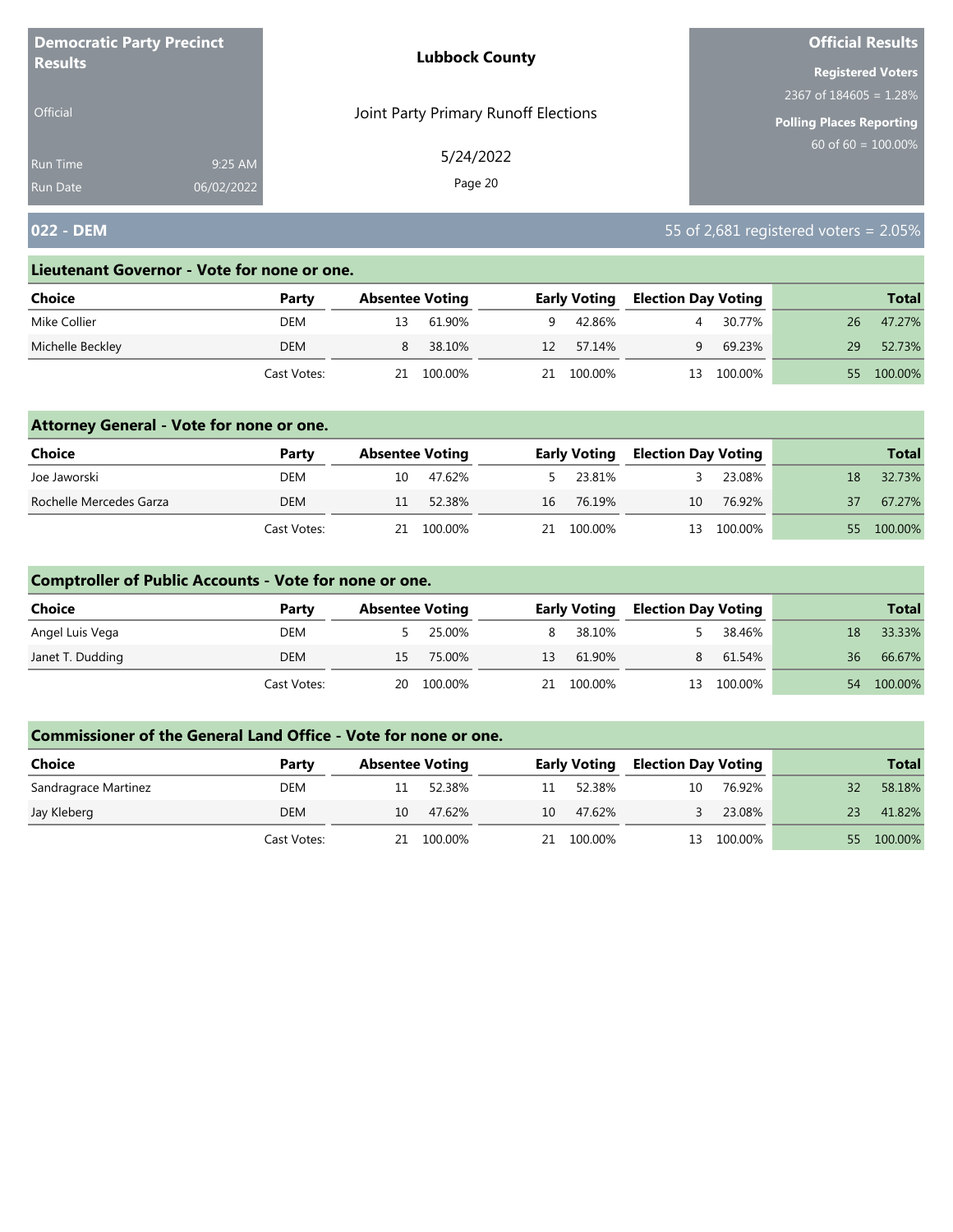| <b>Democratic Party Precinct</b> |            | <b>Lubbock County</b>                | <b>Official Results</b>   |
|----------------------------------|------------|--------------------------------------|---------------------------|
| <b>Results</b>                   |            |                                      | <b>Registered Voters</b>  |
|                                  |            |                                      | 2367 of $184605 = 1.28\%$ |
| <b>Official</b>                  |            | Joint Party Primary Runoff Elections | Polling Places Reporting  |
| <b>Run Time</b>                  | 9:25 AM    | 5/24/2022                            | 60 of $60 = 100.00\%$     |
| <b>Run Date</b>                  | 06/02/2022 | Page 20                              |                           |

## **022 - DEM** 55 of 2,681 registered voters = 2.05%

#### **Lieutenant Governor - Vote for none or one.**

| Choice           | Party       | <b>Absentee Voting</b> |         |    | <b>Early Voting</b> | <b>Election Day Voting</b> |         |     | <b>Total</b> |
|------------------|-------------|------------------------|---------|----|---------------------|----------------------------|---------|-----|--------------|
| Mike Collier     | DEM         | 13                     | 61.90%  | q. | 42.86%              |                            | 30.77%  | 26  | 47.27%       |
| Michelle Beckley | DEM         |                        | 38.10%  | 12 | 57.14%              | q                          | 69.23%  | 29. | 52.73%       |
|                  | Cast Votes: | 21                     | 100.00% | 21 | 100.00%             | 13                         | 100.00% | 55. | 100.00%      |

### **Attorney General - Vote for none or one.**

| <b>Choice</b>           | Party       | <b>Absentee Voting</b> |            |    | <b>Early Voting</b> | <b>Election Day Voting</b> |            |    | <b>Total</b> |
|-------------------------|-------------|------------------------|------------|----|---------------------|----------------------------|------------|----|--------------|
| Joe Jaworski            | DEM         | 10                     | 47.62%     |    | 5 23.81%            |                            | 23.08%     | 18 | 32.73%       |
| Rochelle Mercedes Garza | DEM         | 11                     | 52.38%     |    | 16 76.19%           | 10                         | 76.92%     | 37 | 67.27%       |
|                         | Cast Votes: |                        | 21 100.00% | 21 | 100.00%             |                            | 13 100.00% |    | 55 100.00%   |

### **Comptroller of Public Accounts - Vote for none or one.**

| Choice           | Party       | <b>Absentee Voting</b> |            |    | <b>Early Voting</b> | <b>Election Day Voting</b> |            |    | <b>Total</b> |
|------------------|-------------|------------------------|------------|----|---------------------|----------------------------|------------|----|--------------|
| Angel Luis Vega  | DEM         |                        | 25.00%     |    | 8 38.10%            |                            | 38.46%     | 18 | 33.33%       |
| Janet T. Dudding | DEM         | 15.                    | 75.00%     | 13 | 61.90%              | 8                          | 61.54%     | 36 | 66.67%       |
|                  | Cast Votes: |                        | 20 100.00% |    | 21 100.00%          |                            | 13 100.00% | 54 | 100.00%      |

| <b>Choice</b>        | Party       | <b>Absentee Voting</b> |         |    | <b>Early Voting</b> | <b>Election Day Voting</b> |         |    | <b>Total</b> |
|----------------------|-------------|------------------------|---------|----|---------------------|----------------------------|---------|----|--------------|
| Sandragrace Martinez | DEM         |                        | 52.38%  | 11 | 52.38%              | 10                         | 76.92%  | 32 | 58.18%       |
| Jay Kleberg          | DEM         | 10                     | 47.62%  | 10 | 47.62%              |                            | 23.08%  | 23 | 41.82%       |
|                      | Cast Votes: | 21.                    | 100.00% | 21 | 100.00%             | 13                         | 100.00% | 55 | 100.00%      |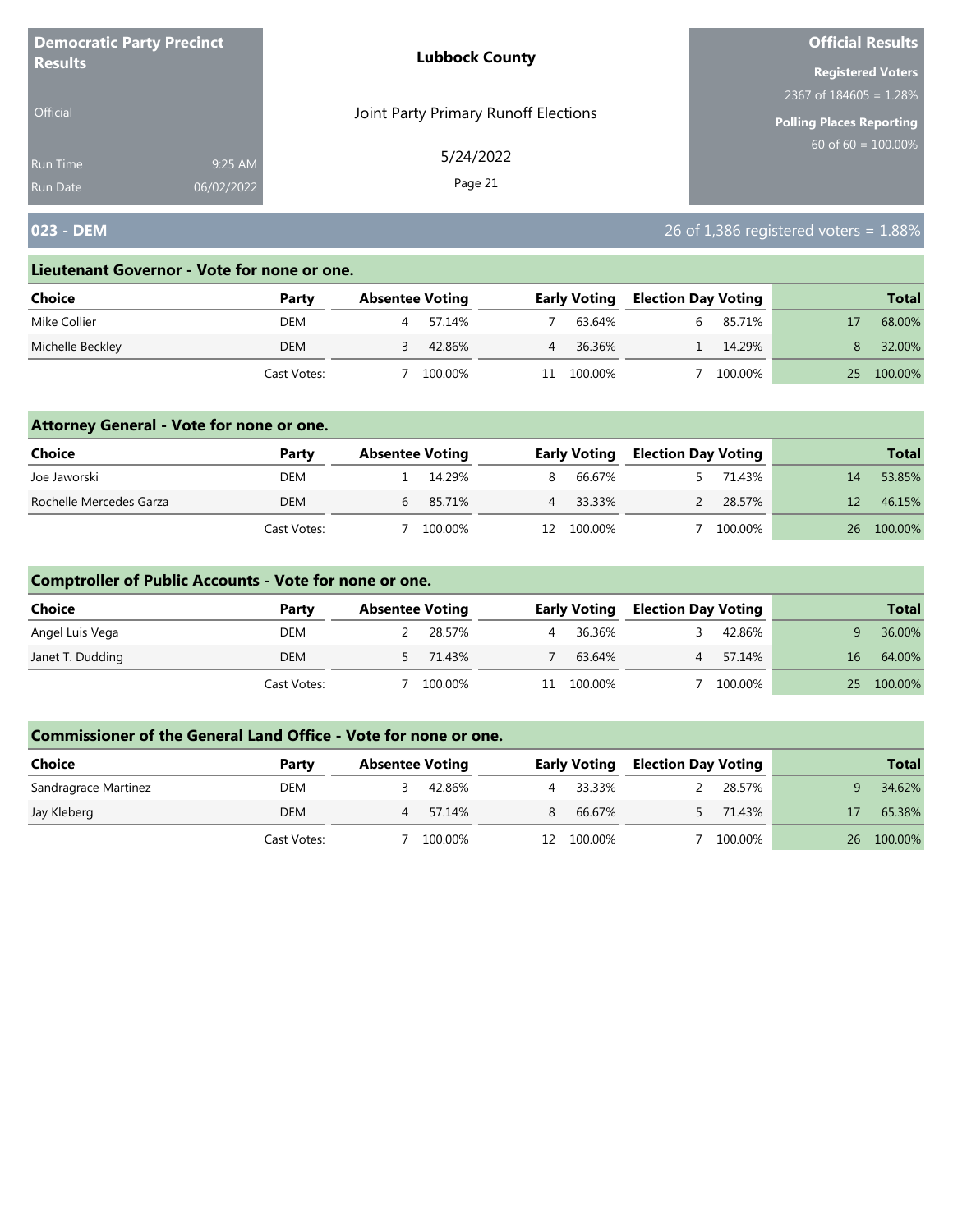| <b>Democratic Party Precinct</b> |            | <b>Lubbock County</b>                | <b>Official Results</b>         |
|----------------------------------|------------|--------------------------------------|---------------------------------|
| <b>Results</b>                   |            |                                      | <b>Registered Voters</b>        |
|                                  |            |                                      | 2367 of $184605 = 1.28\%$       |
| <b>Official</b>                  |            | Joint Party Primary Runoff Elections | <b>Polling Places Reporting</b> |
| <b>Run Time</b>                  | 9:25 AM    | 5/24/2022                            | $60$ of 60 = 100.00%            |
| <b>Run Date</b>                  | 06/02/2022 | Page 21                              |                                 |

# **023 - DEM** 26 of 1,386 registered voters = 1.88%

#### **Lieutenant Governor - Vote for none or one.**

| Choice           | Party       | <b>Absentee Voting</b> |         |                | <b>Early Voting</b> | <b>Election Day Voting</b> |         |    | <b>Total</b> |
|------------------|-------------|------------------------|---------|----------------|---------------------|----------------------------|---------|----|--------------|
| Mike Collier     | DEM         |                        | 57.14%  |                | 63.64%              |                            | 85.71%  |    | 68.00%       |
| Michelle Beckley | <b>DEM</b>  |                        | 42.86%  | $\overline{4}$ | 36.36%              |                            | 14.29%  |    | 32.00%       |
|                  | Cast Votes: |                        | 100.00% |                | 100.00%             |                            | 100.00% | 25 | 100.00%      |

### **Attorney General - Vote for none or one.**

| Choice                  | Party       | <b>Absentee Voting</b> |         |     | <b>Early Voting</b> | <b>Election Day Voting</b> |         |    | <b>Total</b> |
|-------------------------|-------------|------------------------|---------|-----|---------------------|----------------------------|---------|----|--------------|
| Joe Jaworski            | DEM         |                        | 14.29%  | 8.  | 66.67%              |                            | 71.43%  | 14 | 53.85%       |
| Rochelle Mercedes Garza | <b>DEM</b>  |                        | 85.71%  |     | 33.33%              |                            | 28.57%  | 12 | 46.15%       |
|                         | Cast Votes: |                        | 100.00% | 12. | 100.00%             |                            | 100.00% |    | 26 100.00%   |

### **Comptroller of Public Accounts - Vote for none or one.**

| <b>Choice</b>    | Party       | <b>Absentee Voting</b> |          |    | <b>Early Voting</b> | <b>Election Day Voting</b> |         |    | <b>Total</b> |
|------------------|-------------|------------------------|----------|----|---------------------|----------------------------|---------|----|--------------|
| Angel Luis Vega  | DEM         |                        | 28.57%   | 4  | 36.36%              |                            | 42.86%  |    | 36.00%       |
| Janet T. Dudding | DEM         |                        | 5 71.43% |    | 63.64%              | 4                          | 57.14%  | 16 | 64.00%       |
|                  | Cast Votes: |                        | 100.00%  | 11 | 100.00%             |                            | 100.00% |    | 25 100.00%   |

| <b>Choice</b>        | Party       | <b>Absentee Voting</b> |         |    | <b>Early Voting</b> | <b>Election Day Voting</b> |         |    | <b>Total</b> |
|----------------------|-------------|------------------------|---------|----|---------------------|----------------------------|---------|----|--------------|
| Sandragrace Martinez | DEM         |                        | 42.86%  |    | 4 33.33%            |                            | 28.57%  |    | 34.62%       |
| Jay Kleberg          | DEM         | 4                      | 57.14%  |    | 66.67%              |                            | 71.43%  |    | 65.38%       |
|                      | Cast Votes: |                        | 100.00% | 12 | 100.00%             |                            | 100.00% | 26 | 100.00%      |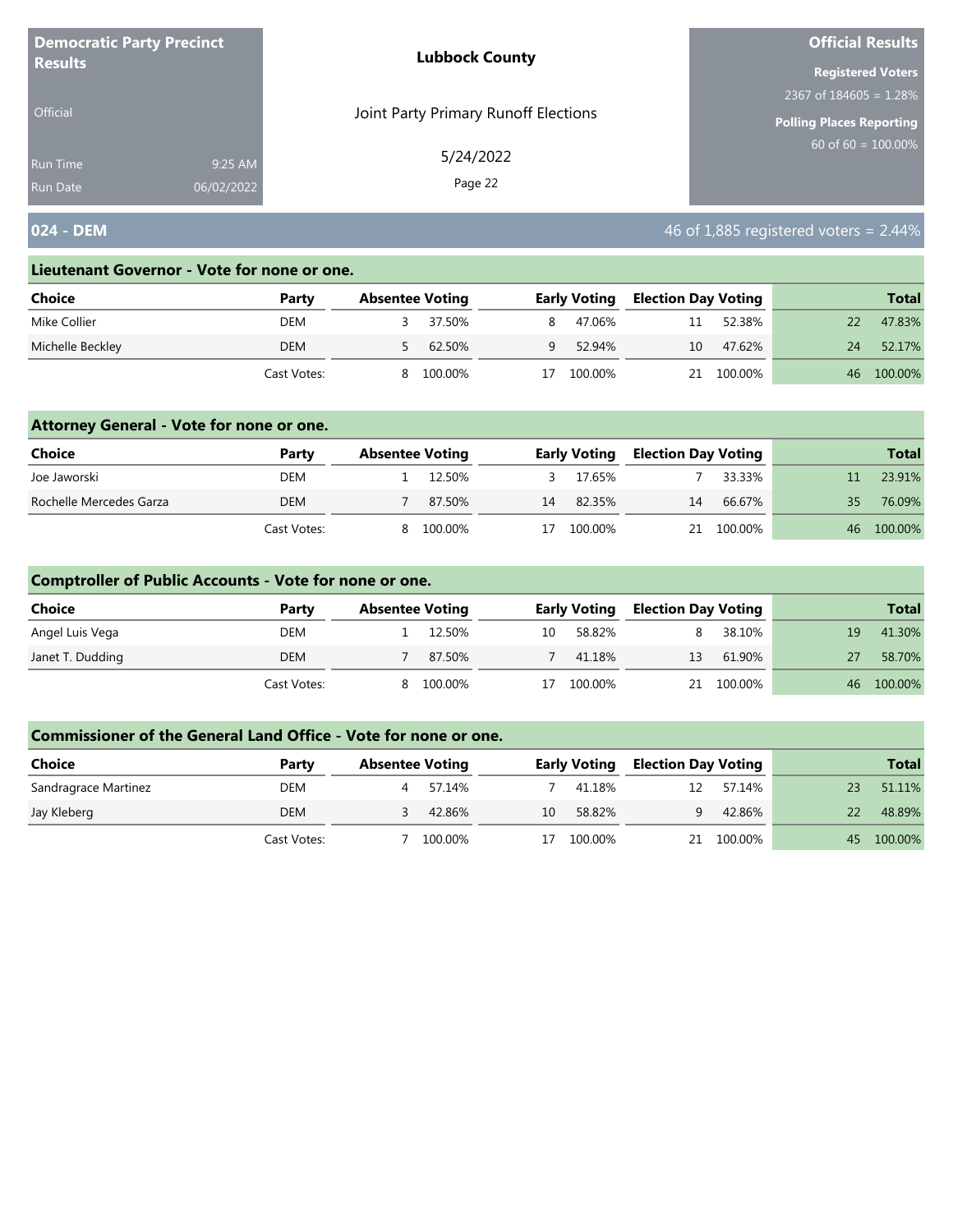| <b>Democratic Party Precinct</b> |            | <b>Lubbock County</b>                | <b>Official Results</b>         |
|----------------------------------|------------|--------------------------------------|---------------------------------|
| <b>Results</b>                   |            |                                      | <b>Registered Voters</b>        |
|                                  |            |                                      | 2367 of $184605 = 1.28\%$       |
| <b>Official</b>                  |            | Joint Party Primary Runoff Elections | <b>Polling Places Reporting</b> |
| <b>Run Time</b>                  | 9:25 AM    | 5/24/2022                            | $60$ of 60 = 100.00%            |
| <b>Run Date</b>                  | 06/02/2022 | Page 22                              |                                 |

## **024 - DEM** 46 of 1,885 registered voters = 2.44%

#### **Lieutenant Governor - Vote for none or one.**

| Choice           | Party       | <b>Absentee Voting</b> |         |    | <b>Early Voting</b> | <b>Election Day Voting</b> |         |    | <b>Total</b> |
|------------------|-------------|------------------------|---------|----|---------------------|----------------------------|---------|----|--------------|
| Mike Collier     | DEM         |                        | 37.50%  | 8. | 47.06%              | 11                         | 52.38%  |    | 47.83%       |
| Michelle Beckley | <b>DEM</b>  |                        | 62.50%  | Q  | 52.94%              | 10                         | 47.62%  | 24 | 52.17%       |
|                  | Cast Votes: | 8                      | 100.00% | 17 | 100.00%             | 21                         | 100.00% | 46 | 100.00%      |

### **Attorney General - Vote for none or one.**

| Choice                  | Party       | <b>Absentee Voting</b> |         |    | <b>Early Voting</b> | <b>Election Day Voting</b> |            |     | <b>Total</b> |
|-------------------------|-------------|------------------------|---------|----|---------------------|----------------------------|------------|-----|--------------|
| Joe Jaworski            | DEM         |                        | 12.50%  |    | 17.65%              |                            | 33.33%     |     | 23.91%       |
| Rochelle Mercedes Garza | <b>DEM</b>  |                        | 87.50%  | 14 | 82.35%              | 14                         | 66.67%     | 35. | 76.09%       |
|                         | Cast Votes: | 8.                     | 100.00% | 17 | 100.00%             |                            | 21 100.00% |     | 46 100.00%   |

## **Comptroller of Public Accounts - Vote for none or one.**

| Choice           | Party       | <b>Absentee Voting</b> |         |    | <b>Early Voting</b> | <b>Election Day Voting</b> |            |    | <b>Total</b> |
|------------------|-------------|------------------------|---------|----|---------------------|----------------------------|------------|----|--------------|
| Angel Luis Vega  | DEM         |                        | 12.50%  | 10 | 58.82%              |                            | 38.10%     | 19 | 41.30%       |
| Janet T. Dudding | DEM         |                        | 87.50%  |    | 41.18%              | 13                         | 61.90%     |    | 58.70%       |
|                  | Cast Votes: | 8.                     | 100.00% | 17 | 100.00%             |                            | 21 100.00% | 46 | 100.00%      |

| <b>Choice</b>        | Party       | <b>Absentee Voting</b> |         |    | <b>Early Voting</b> | <b>Election Day Voting</b> |         |    | <b>Total</b> |
|----------------------|-------------|------------------------|---------|----|---------------------|----------------------------|---------|----|--------------|
| Sandragrace Martinez | DEM         |                        | 57.14%  |    | 41.18%              | 12                         | 57.14%  | 23 | 51.11%       |
| Jay Kleberg          | DEM         |                        | 42.86%  | 10 | 58.82%              | q                          | 42.86%  | 22 | 48.89%       |
|                      | Cast Votes: |                        | 100.00% | 17 | 100.00%             | 21                         | 100.00% |    | 45 100.00%   |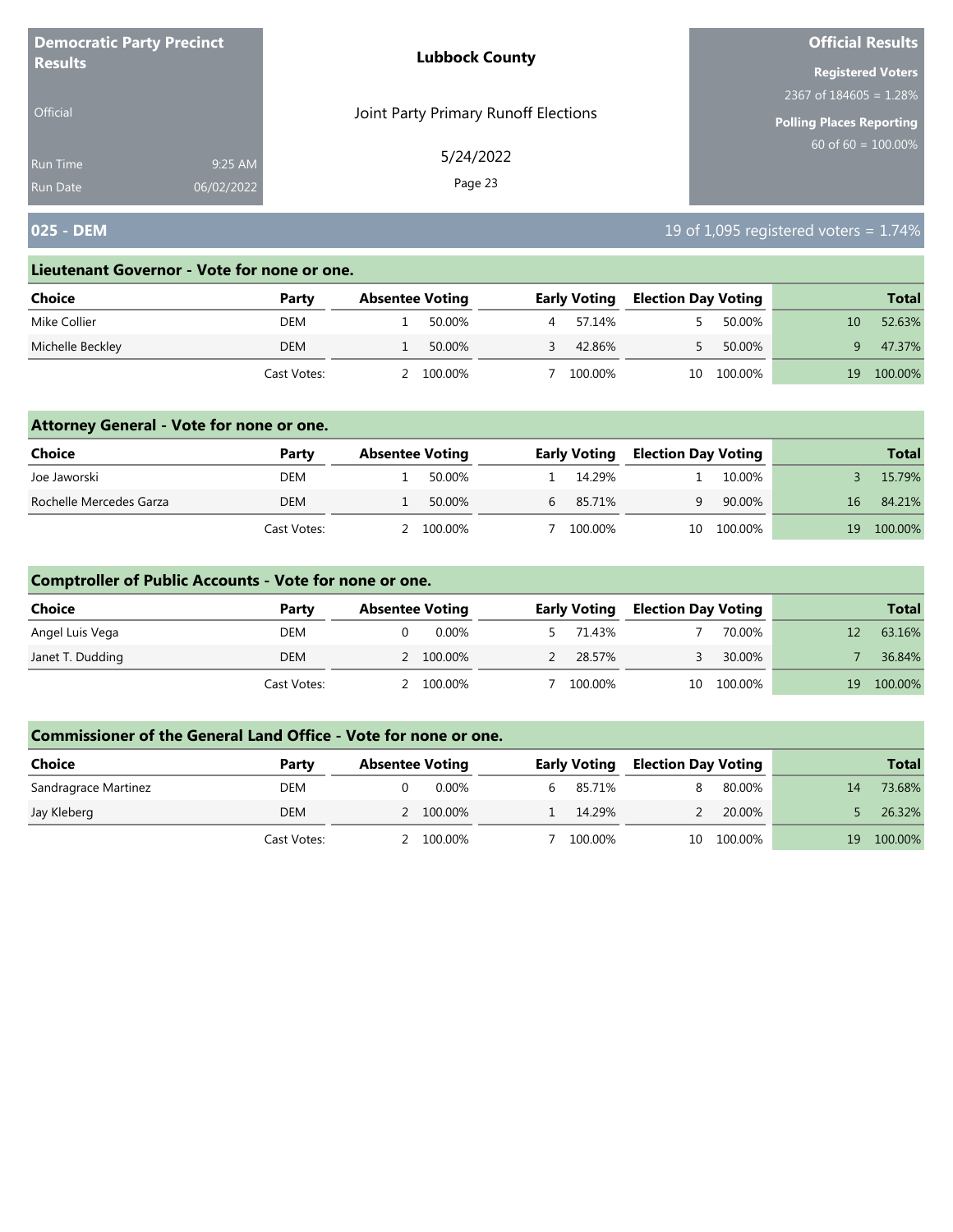| <b>Democratic Party Precinct</b><br><b>Results</b> |            | <b>Lubbock County</b>                | <b>Official Results</b>         |  |  |
|----------------------------------------------------|------------|--------------------------------------|---------------------------------|--|--|
|                                                    |            |                                      | <b>Registered Voters</b>        |  |  |
|                                                    |            |                                      | 2367 of $184605 = 1.28\%$       |  |  |
| <b>Official</b>                                    |            | Joint Party Primary Runoff Elections | <b>Polling Places Reporting</b> |  |  |
| <b>Run Time</b>                                    | 9:25 AM    | 5/24/2022                            | $60$ of 60 = 100.00%            |  |  |
| <b>Run Date</b>                                    | 06/02/2022 | Page 23                              |                                 |  |  |

# **025 - DEM 19 of 1,095 registered voters = 1.74%**

#### **Lieutenant Governor - Vote for none or one.**

| Choice           | Party       | <b>Absentee Voting</b> |         |   | <b>Early Voting</b> | <b>Election Day Voting</b> |         |    | <b>Total</b> |
|------------------|-------------|------------------------|---------|---|---------------------|----------------------------|---------|----|--------------|
| Mike Collier     | DEM         |                        | 50.00%  | 4 | 57.14%              |                            | 50.00%  |    | 52.63%       |
| Michelle Beckley | <b>DEM</b>  |                        | 50.00%  |   | 42.86%              |                            | 50.00%  |    | 47.37%       |
|                  | Cast Votes: |                        | 100.00% |   | 100.00%             | 10                         | 100.00% | 19 | 100.00%      |

### **Attorney General - Vote for none or one.**

| Choice                  | Party       | <b>Absentee Voting</b> |           | <b>Early Voting</b> | <b>Election Day Voting</b> |         |    | <b>Total</b> |
|-------------------------|-------------|------------------------|-----------|---------------------|----------------------------|---------|----|--------------|
| Joe Jaworski            | DEM         |                        | 50.00%    | 14.29%              |                            | 10.00%  |    | 15.79%       |
| Rochelle Mercedes Garza | <b>DEM</b>  |                        | 50.00%    | 85.71%              | Q                          | 90.00%  | 16 | 84.21%       |
|                         | Cast Votes: |                        | 2 100.00% | 100.00%             | 10                         | 100.00% | 19 | 100.00%      |

### **Comptroller of Public Accounts - Vote for none or one.**

| Choice           | Party       | <b>Absentee Voting</b> |  | <b>Early Voting</b> | <b>Election Day Voting</b> |            |    | <b>Total</b> |
|------------------|-------------|------------------------|--|---------------------|----------------------------|------------|----|--------------|
| Angel Luis Vega  | DEM         | 0.00%                  |  | 71.43%              |                            | 70.00%     |    | 63.16%       |
| Janet T. Dudding | DEM         | 2 100.00%              |  | 28.57%              |                            | 30.00%     |    | 36.84%       |
|                  | Cast Votes: | 100.00%                |  | 100.00%             |                            | 10 100.00% | 19 | 100.00%      |

| Choice               | Party       | <b>Absentee Voting</b> |  | <b>Early Voting</b> | <b>Election Day Voting</b> |            |    | <b>Total</b> |
|----------------------|-------------|------------------------|--|---------------------|----------------------------|------------|----|--------------|
| Sandragrace Martinez | DEM         | 0.00%                  |  | 6 85.71%            |                            | 80.00%     | 14 | 73.68%       |
| Jay Kleberg          | DEM         | 2 100.00%              |  | 14.29%              |                            | 20.00%     |    | 26.32%       |
|                      | Cast Votes: | 100.00%                |  | 100.00%             |                            | 10 100.00% | 19 | 100.00%      |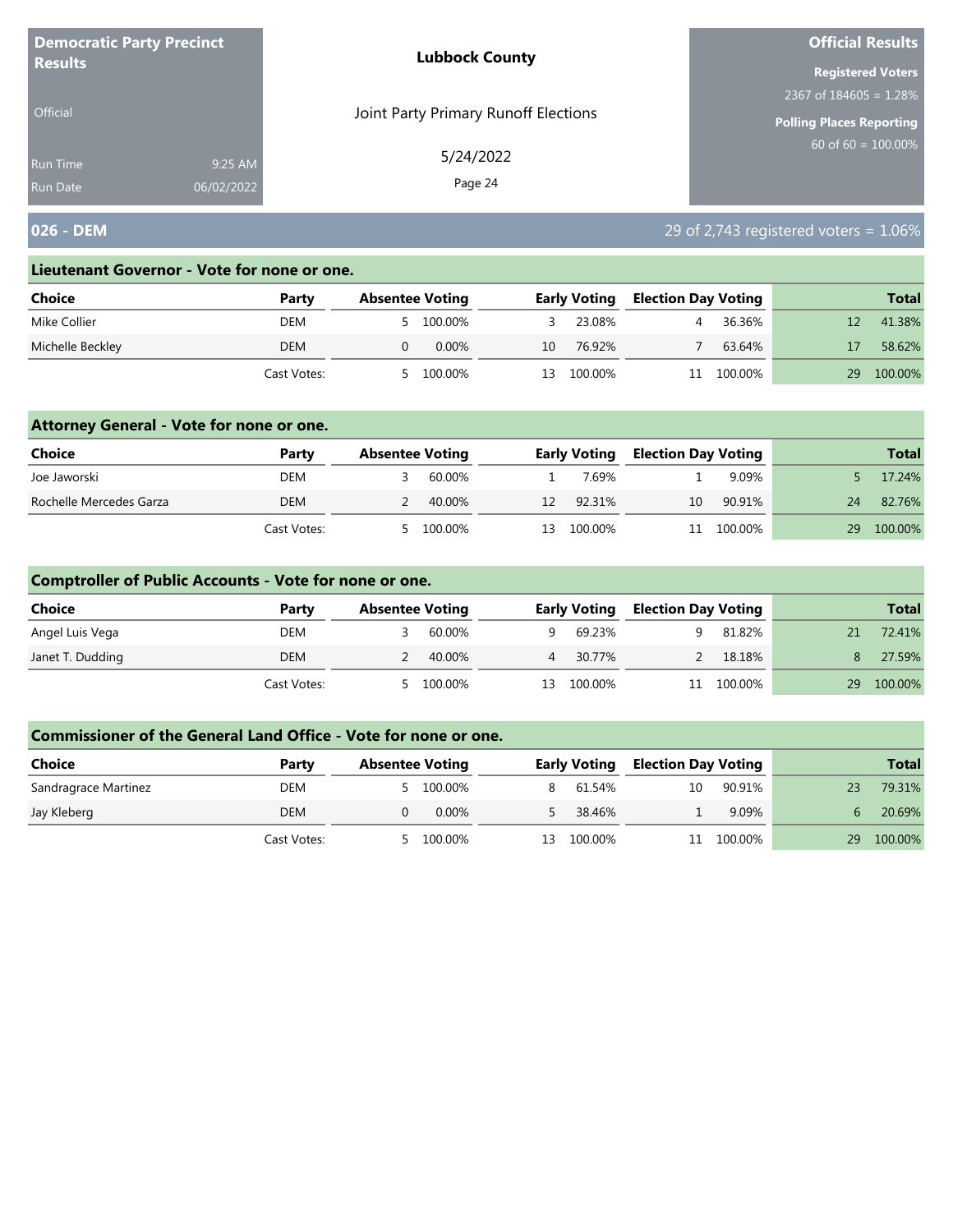| <b>Democratic Party Precinct</b><br><b>Results</b> |            | <b>Lubbock County</b>                | <b>Official Results</b><br><b>Registered Voters</b><br>2367 of $184605 = 1.28\%$<br><b>Polling Places Reporting</b><br>$60$ of 60 = 100.00% |  |  |  |
|----------------------------------------------------|------------|--------------------------------------|---------------------------------------------------------------------------------------------------------------------------------------------|--|--|--|
|                                                    |            |                                      |                                                                                                                                             |  |  |  |
|                                                    |            |                                      |                                                                                                                                             |  |  |  |
| Official                                           |            | Joint Party Primary Runoff Elections |                                                                                                                                             |  |  |  |
| <b>Run Time</b>                                    | 9:25 AM    | 5/24/2022                            |                                                                                                                                             |  |  |  |
| <b>Run Date</b>                                    | 06/02/2022 | Page 24                              |                                                                                                                                             |  |  |  |

## **026 - DEM** 29 of 2,743 registered voters = 1.06%

#### **Lieutenant Governor - Vote for none or one.**

| Choice           | Party       | <b>Absentee Voting</b> |    | <b>Early Voting</b> | <b>Election Day Voting</b> |         |    | <b>Total</b> |
|------------------|-------------|------------------------|----|---------------------|----------------------------|---------|----|--------------|
| Mike Collier     | DEM         | 100.00%                |    | 23.08%              |                            | 36.36%  |    | 41.38%       |
| Michelle Beckley | DEM         | $0.00\%$               | 10 | 76.92%              |                            | 63.64%  |    | 58.62%       |
|                  | Cast Votes: | 100.00%                | 13 | 100.00%             |                            | 100.00% | 29 | 100.00%      |

### **Attorney General - Vote for none or one.**

| Choice                  | Party       | <b>Absentee Voting</b> |         | <b>Early Voting</b> | <b>Election Day Voting</b> |            |    | <b>Total</b> |
|-------------------------|-------------|------------------------|---------|---------------------|----------------------------|------------|----|--------------|
| Joe Jaworski            | DEM         |                        | 60.00%  | 7.69%               |                            | 9.09%      |    | 17.24%       |
| Rochelle Mercedes Garza | DEM         |                        | 40.00%  | 12 92.31%           | 10                         | 90.91%     | 24 | 82.76%       |
|                         | Cast Votes: | 5                      | 100.00% | 13 100.00%          |                            | 11 100.00% | 29 | 100.00%      |

### **Comptroller of Public Accounts - Vote for none or one.**

| Choice           | Party       | <b>Absentee Voting</b> |         |    | <b>Early Voting</b> | <b>Election Day Voting</b> |            |    | <b>Total</b> |
|------------------|-------------|------------------------|---------|----|---------------------|----------------------------|------------|----|--------------|
| Angel Luis Vega  | DEM         |                        | 60.00%  | Q. | 69.23%              |                            | 81.82%     | 21 | 72.41%       |
| Janet T. Dudding | DEM         |                        | 40.00%  |    | 4 30.77%            |                            | 18.18%     |    | 27.59%       |
|                  | Cast Votes: | - 5                    | 100.00% | 13 | 100.00%             |                            | 11 100.00% | 29 | 100.00%      |

| <b>Choice</b>        | Party       | <b>Absentee Voting</b> |         |    | <b>Early Voting</b> | <b>Election Day Voting</b> |         |    | <b>Total</b> |
|----------------------|-------------|------------------------|---------|----|---------------------|----------------------------|---------|----|--------------|
| Sandragrace Martinez | DEM         |                        | 100.00% |    | 61.54%              | 10                         | 90.91%  | 23 | 79.31%       |
| Jay Kleberg          | DEM         |                        | 0.00%   |    | 38.46%              |                            | 9.09%   |    | 20.69%       |
|                      | Cast Votes: |                        | 100.00% | 13 | 100.00%             |                            | 100.00% | 29 | 100.00%      |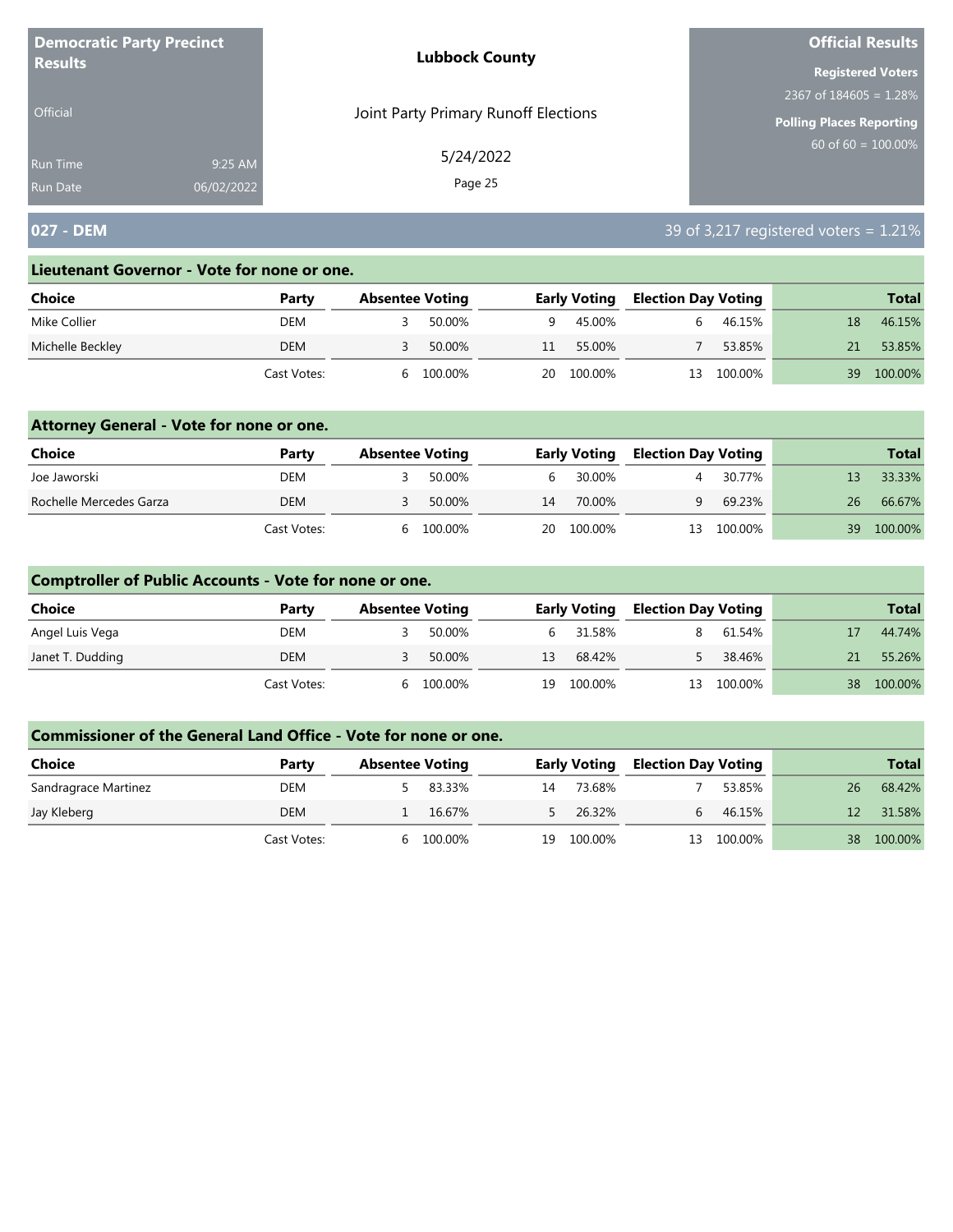| <b>Democratic Party Precinct</b> |            | <b>Lubbock County</b>                | <b>Official Results</b>   |
|----------------------------------|------------|--------------------------------------|---------------------------|
| <b>Results</b>                   |            |                                      | <b>Registered Voters</b>  |
|                                  |            |                                      | 2367 of $184605 = 1.28\%$ |
| <b>Official</b>                  |            | Joint Party Primary Runoff Elections | Polling Places Reporting  |
| Run Time                         | 9:25 AM    | 5/24/2022                            | $60$ of 60 = 100.00%      |
| <b>Run Date</b>                  | 06/02/2022 | Page 25                              |                           |

# **027 - DEM** 39 of 3,217 registered voters = 1.21%

#### **Lieutenant Governor - Vote for none or one.**

| Choice           | Party       | <b>Absentee Voting</b> |         |    | <b>Early Voting</b> | <b>Election Day Voting</b> |         |    | <b>Total</b> |
|------------------|-------------|------------------------|---------|----|---------------------|----------------------------|---------|----|--------------|
| Mike Collier     | DEM         |                        | 50.00%  | Q  | 45.00%              |                            | 46.15%  | 18 | 46.15%       |
| Michelle Beckley | <b>DEM</b>  |                        | 50.00%  | 11 | 55.00%              |                            | 53.85%  |    | 53.85%       |
|                  | Cast Votes: |                        | 100.00% | 20 | 100.00%             | 13                         | 100.00% | 39 | 100.00%      |

### **Attorney General - Vote for none or one.**

| Choice                  | Party       | <b>Absentee Voting</b> |         |       | <b>Early Voting</b> | <b>Election Day Voting</b> |         |    | <b>Total</b> |
|-------------------------|-------------|------------------------|---------|-------|---------------------|----------------------------|---------|----|--------------|
| Joe Jaworski            | DEM         |                        | 50.00%  | $b -$ | 30.00%              |                            | 30.77%  |    | 33.33%       |
| Rochelle Mercedes Garza | DEM         |                        | 50.00%  | 14    | 70.00%              | Q                          | 69.23%  | 26 | 66.67%       |
|                         | Cast Votes: | h                      | 100.00% | 20    | 100.00%             | 13                         | 100.00% | 39 | 100.00%      |

### **Comptroller of Public Accounts - Vote for none or one.**

| Choice           | Party       | <b>Absentee Voting</b> |         |    | <b>Early Voting</b> | <b>Election Day Voting</b> |         |    | <b>Total</b> |
|------------------|-------------|------------------------|---------|----|---------------------|----------------------------|---------|----|--------------|
| Angel Luis Vega  | DEM         |                        | 50.00%  |    | 6 31.58%            |                            | 61.54%  |    | 44.74%       |
| Janet T. Dudding | DEM         |                        | 50.00%  | 13 | 68.42%              |                            | 38.46%  | 21 | 55.26%       |
|                  | Cast Votes: | <sub>h</sub>           | 100.00% | 19 | 100.00%             | 13                         | 100.00% |    | 38 100.00%   |

| <b>Choice</b>        | Party       | <b>Absentee Voting</b> |         |    | <b>Early Voting</b> | <b>Election Day Voting</b> |         |    | <b>Total</b> |
|----------------------|-------------|------------------------|---------|----|---------------------|----------------------------|---------|----|--------------|
| Sandragrace Martinez | DEM         |                        | 83.33%  | 14 | 73.68%              |                            | 53.85%  | 26 | 68.42%       |
| Jay Kleberg          | DEM         |                        | 16.67%  |    | 26.32%              |                            | 46.15%  |    | 31.58%       |
|                      | Cast Votes: | h                      | 100.00% | 19 | 100.00%             | 13                         | 100.00% | 38 | 100.00%      |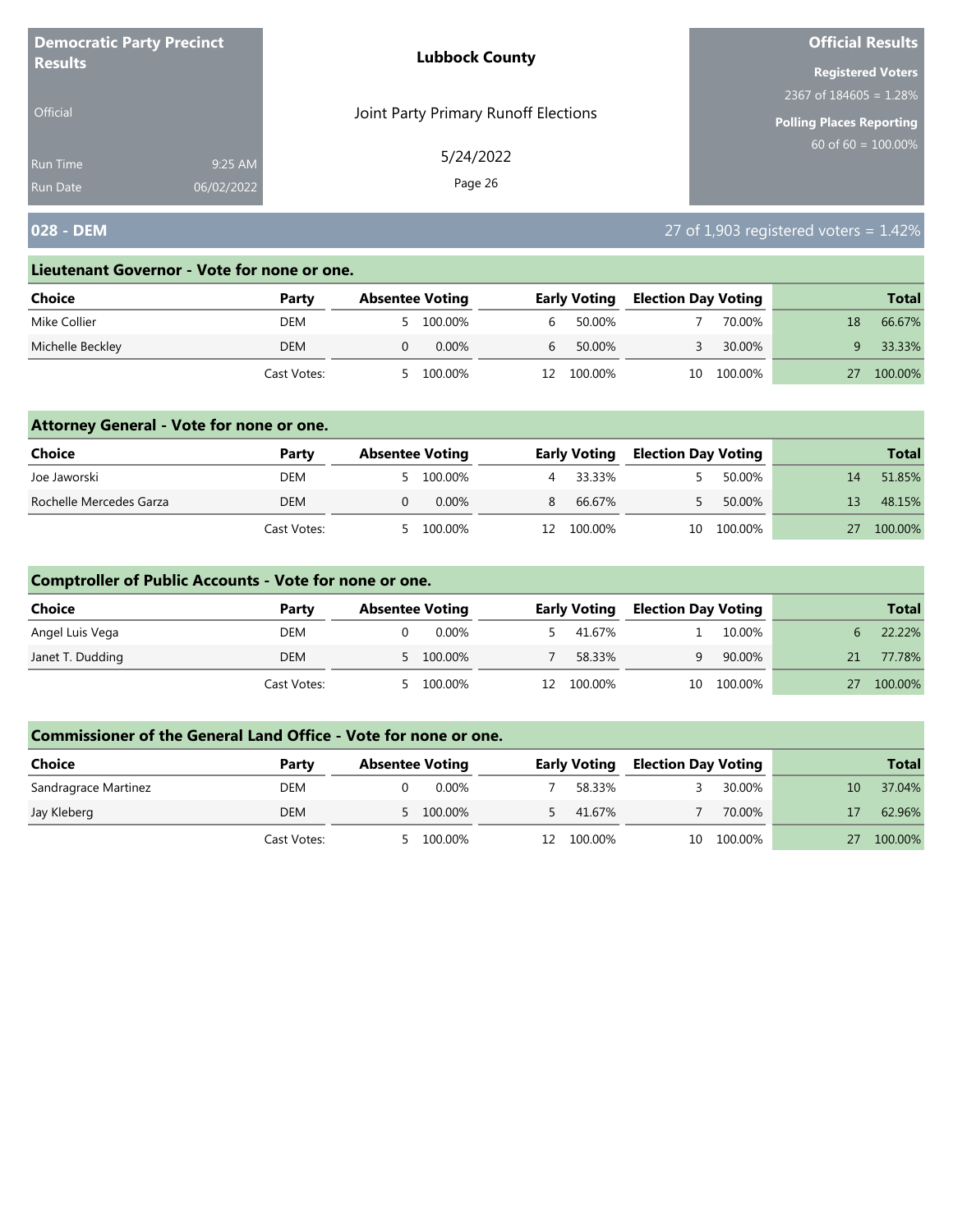| <b>Democratic Party Precinct</b> |            | <b>Lubbock County</b>                | <b>Official Results</b>   |
|----------------------------------|------------|--------------------------------------|---------------------------|
| <b>Results</b>                   |            |                                      | <b>Registered Voters</b>  |
|                                  |            |                                      | 2367 of $184605 = 1.28\%$ |
| <b>Official</b>                  |            | Joint Party Primary Runoff Elections | Polling Places Reporting  |
| Run Time                         | 9:25 AM    | 5/24/2022                            | 60 of 60 = $100.00\%$     |
| <b>Run Date</b>                  | 06/02/2022 | Page 26                              |                           |

## **028 - DEM** 27 of 1,903 registered voters = 1.42%

#### **Lieutenant Governor - Vote for none or one.**

| Choice           | Party       | <b>Absentee Voting</b> |           |     | <b>Early Voting</b> | <b>Election Day Voting</b> |         |    | <b>Total</b> |
|------------------|-------------|------------------------|-----------|-----|---------------------|----------------------------|---------|----|--------------|
| Mike Collier     | DEM         |                        | 5 100.00% | b.  | 50.00%              |                            | 70.00%  | 18 | 66.67%       |
| Michelle Beckley | DEM         |                        | 0.00%     | b   | 50.00%              |                            | 30.00%  |    | 33.33%       |
|                  | Cast Votes: |                        | 100.00%   | 12. | 100.00%             | 10                         | 100.00% |    | 100.00%      |

### **Attorney General - Vote for none or one.**

| Choice                  | Party       | <b>Absentee Voting</b> |           |   | <b>Early Voting</b> | <b>Election Day Voting</b> |            |    | <b>Total</b> |
|-------------------------|-------------|------------------------|-----------|---|---------------------|----------------------------|------------|----|--------------|
| Joe Jaworski            | DEM         |                        | 5 100.00% |   | 33.33%              |                            | 50.00%     | 14 | 51.85%       |
| Rochelle Mercedes Garza | DEM         |                        | $0.00\%$  | 8 | 66.67%              |                            | 50.00%     |    | 48.15%       |
|                         | Cast Votes: |                        | 100.00%   |   | 12 100.00%          |                            | 10 100.00% |    | 100.00%      |

### **Comptroller of Public Accounts - Vote for none or one.**

| Choice           | Party       | <b>Absentee Voting</b> |           |     | <b>Early Voting</b> | <b>Election Day Voting</b> |            |    | <b>Total</b> |
|------------------|-------------|------------------------|-----------|-----|---------------------|----------------------------|------------|----|--------------|
| Angel Luis Vega  | DEM         |                        | 0.00%     |     | 41.67%              |                            | 10.00%     |    | 22.22%       |
| Janet T. Dudding | DEM         |                        | 5 100.00% |     | 58.33%              | q                          | 90.00%     | 21 | 77.78%       |
|                  | Cast Votes: | - 5                    | 100.00%   | 12. | 100.00%             |                            | 10 100.00% | 27 | 100.00%      |

| <b>Choice</b>        | Party       | <b>Absentee Voting</b> |    | <b>Early Voting</b> | <b>Election Day Voting</b> |         |    | <b>Total</b> |
|----------------------|-------------|------------------------|----|---------------------|----------------------------|---------|----|--------------|
| Sandragrace Martinez | DEM         | 0.00%                  |    | 58.33%              |                            | 30.00%  | 10 | 37.04%       |
| Jay Kleberg          | DEM         | 5 100.00%              |    | 41.67%              |                            | 70.00%  |    | 62.96%       |
|                      | Cast Votes: | 100.00%                | 12 | 100.00%             | 10                         | 100.00% |    | 100.00%      |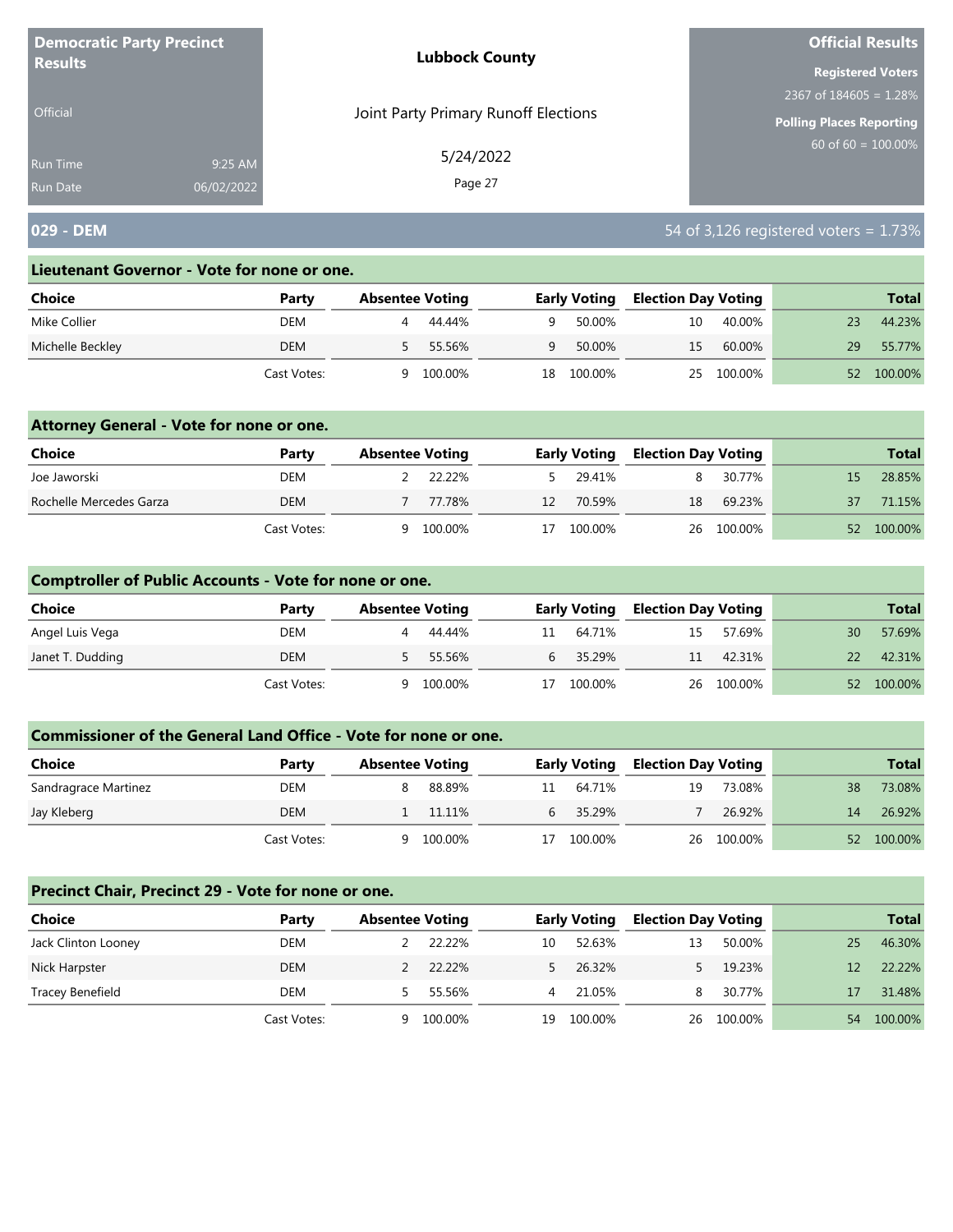| <b>Democratic Party Precinct</b> |            | <b>Lubbock County</b>                | <b>Official Results</b>   |
|----------------------------------|------------|--------------------------------------|---------------------------|
| <b>Results</b>                   |            |                                      | <b>Registered Voters</b>  |
|                                  |            |                                      | 2367 of $184605 = 1.28\%$ |
| <b>Official</b>                  |            | Joint Party Primary Runoff Elections | Polling Places Reporting  |
| Run Time                         | 9:25 AM    | 5/24/2022                            | $60$ of 60 = 100.00%      |
| <b>Run Date</b>                  | 06/02/2022 | Page 27                              |                           |

## **029 - DEM** 54 of 3,126 registered voters = 1.73%

#### **Lieutenant Governor - Vote for none or one.**

| <b>Choice</b>    | Party       | <b>Absentee Voting</b> |         |    | <b>Early Voting</b> | <b>Election Day Voting</b> |            |    | <b>Total</b> |
|------------------|-------------|------------------------|---------|----|---------------------|----------------------------|------------|----|--------------|
| Mike Collier     | DEM         |                        | 44.44%  | Q  | 50.00%              | 10                         | 40.00%     | 23 | 44.23%       |
| Michelle Beckley | DEM         |                        | 55.56%  | Q  | 50.00%              | 15                         | 60.00%     | 29 | 55.77%       |
|                  | Cast Votes: | a                      | 100.00% | 18 | 100.00%             |                            | 25 100.00% | 52 | 100.00%      |

### **Attorney General - Vote for none or one.**

| Choice                  | Party       | <b>Absentee Voting</b> |         |    | <b>Early Voting</b> | <b>Election Day Voting</b> |            |    | <b>Total</b> |
|-------------------------|-------------|------------------------|---------|----|---------------------|----------------------------|------------|----|--------------|
| Joe Jaworski            | DEM         |                        | 22 22%  |    | 29.41%              |                            | 30.77%     |    | 28.85%       |
| Rochelle Mercedes Garza | DEM         |                        | 77.78%  | 12 | 70.59%              | 18                         | 69.23%     | 37 | 71.15%       |
|                         | Cast Votes: | a                      | 100.00% | 17 | 100.00%             |                            | 26 100.00% | 52 | 100.00%      |

### **Comptroller of Public Accounts - Vote for none or one.**

| <b>Choice</b>    | Party       | <b>Absentee Voting</b> |         |    | <b>Early Voting</b> | <b>Election Day Voting</b> |            |    | <b>Total</b> |
|------------------|-------------|------------------------|---------|----|---------------------|----------------------------|------------|----|--------------|
| Angel Luis Vega  | DEM         |                        | 44.44%  | 11 | 64.71%              | 15                         | 57.69%     | 30 | 57.69%       |
| Janet T. Dudding | DEM         |                        | 55.56%  |    | 6 35.29%            |                            | 11 42.31%  | 22 | 42.31%       |
|                  | Cast Votes: | Q                      | 100.00% | 17 | 100.00%             |                            | 26 100.00% |    | 52 100.00%   |

#### **Commissioner of the General Land Office - Vote for none or one.**

| Choice               | Party       | <b>Absentee Voting</b> |         |    | <b>Early Voting</b> | <b>Election Day Voting</b> |            |    | <b>Total</b> |
|----------------------|-------------|------------------------|---------|----|---------------------|----------------------------|------------|----|--------------|
| Sandragrace Martinez | DEM         |                        | 88.89%  | 11 | 64.71%              | 19                         | 73.08%     | 38 | 73.08%       |
| Jay Kleberg          | <b>DEM</b>  |                        | 11.11%  |    | 35.29%              |                            | 26.92%     | 14 | 26.92%       |
|                      | Cast Votes: |                        | 100.00% | 17 | 100.00%             |                            | 26 100.00% | 52 | 100.00%      |

#### **Precinct Chair, Precinct 29 - Vote for none or one.**

| <b>Choice</b>       | Party       | <b>Absentee Voting</b> |         |    | <b>Early Voting</b> | <b>Election Day Voting</b> |            |    | <b>Total</b> |
|---------------------|-------------|------------------------|---------|----|---------------------|----------------------------|------------|----|--------------|
| Jack Clinton Looney | DEM         |                        | 22.22%  | 10 | 52.63%              | 13                         | 50.00%     | 25 | 46.30%       |
| Nick Harpster       | <b>DEM</b>  |                        | 22.22%  |    | 26.32%              |                            | 19.23%     |    | 22.22%       |
| Tracey Benefield    | DEM         |                        | 55.56%  | 4  | 21.05%              | 8.                         | 30.77%     |    | 31.48%       |
|                     | Cast Votes: | a                      | 100.00% | 19 | 100.00%             |                            | 26 100.00% | 54 | 100.00%      |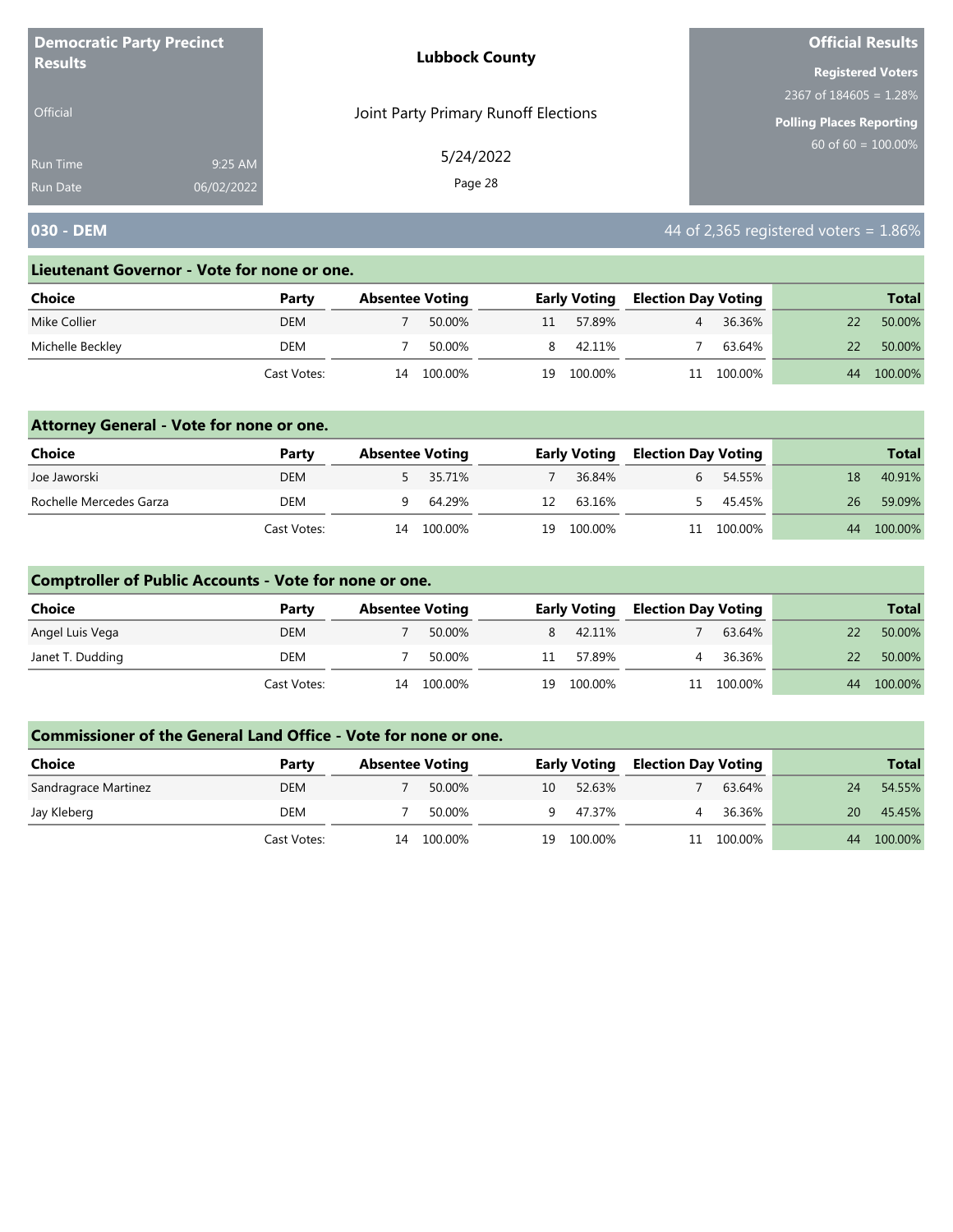| <b>Democratic Party Precinct</b><br><b>Results</b> |            | <b>Lubbock County</b>                | <b>Official Results</b>         |
|----------------------------------------------------|------------|--------------------------------------|---------------------------------|
|                                                    |            |                                      | <b>Registered Voters</b>        |
|                                                    |            |                                      | 2367 of $184605 = 1.28\%$       |
| Official                                           |            | Joint Party Primary Runoff Elections | <b>Polling Places Reporting</b> |
| <b>Run Time</b>                                    | 9:25 AM    | 5/24/2022                            | $60$ of 60 = 100.00%            |
| <b>Run Date</b>                                    | 06/02/2022 | Page 28                              |                                 |

# **030 - DEM 1.86% 030 - DEM 1.86%**

#### **Lieutenant Governor - Vote for none or one.**

| Choice           | Party       | <b>Absentee Voting</b> |         |    | <b>Early Voting</b> | Election Day Voting |         |    | <b>Total</b> |
|------------------|-------------|------------------------|---------|----|---------------------|---------------------|---------|----|--------------|
| Mike Collier     | DEM         |                        | 50.00%  | 11 | 57.89%              |                     | 36.36%  |    | 50.00%       |
| Michelle Beckley | DEM         |                        | 50.00%  |    | 42.11%              |                     | 63.64%  |    | 50.00%       |
|                  | Cast Votes: | 14                     | 100.00% | 19 | 100.00%             |                     | 100.00% | 44 | 100.00%      |

### **Attorney General - Vote for none or one.**

| Choice                  | Party       | <b>Absentee Voting</b> |          |    | <b>Early Voting</b> | <b>Election Day Voting</b> |            |    | <b>Total</b> |
|-------------------------|-------------|------------------------|----------|----|---------------------|----------------------------|------------|----|--------------|
| Joe Jaworski            | <b>DEM</b>  |                        | 5 35.71% |    | 36.84%              |                            | 54.55%     | 18 | 40.91%       |
| Rochelle Mercedes Garza | DEM         |                        | 64.29%   | 12 | 63.16%              |                            | 45.45%     | 26 | 59.09%       |
|                         | Cast Votes: | 14                     | 100.00%  | 19 | 100.00%             |                            | 11 100.00% | 44 | 100.00%      |

### **Comptroller of Public Accounts - Vote for none or one.**

| <b>Choice</b>    | Party       | <b>Absentee Voting</b> |         |    | <b>Early Voting</b> | <b>Election Day Voting</b> |            |    | <b>Total</b> |
|------------------|-------------|------------------------|---------|----|---------------------|----------------------------|------------|----|--------------|
| Angel Luis Vega  | DEM         |                        | 50.00%  | 8  | 42.11%              |                            | 63.64%     |    | 50.00%       |
| Janet T. Dudding | DEM         |                        | 50.00%  | 11 | 57.89%              | 4                          | 36.36%     | 22 | 50.00%       |
|                  | Cast Votes: | 14                     | 100.00% | 19 | 100.00%             |                            | 11 100.00% | 44 | 100.00%      |

| <b>Choice</b>        | Party       | <b>Absentee Voting</b> |         |     | <b>Early Voting</b> | <b>Election Day Voting</b> |         |    | <b>Total</b> |
|----------------------|-------------|------------------------|---------|-----|---------------------|----------------------------|---------|----|--------------|
| Sandragrace Martinez | DEM         |                        | 50.00%  | 10  | 52.63%              |                            | 63.64%  | 24 | 54.55%       |
| Jay Kleberg          | DEM         |                        | 50.00%  | – q | 47.37%              |                            | 36.36%  | 20 | 45.45%       |
|                      | Cast Votes: | 14                     | 100.00% | 19  | 100.00%             |                            | 100.00% | 44 | 100.00%      |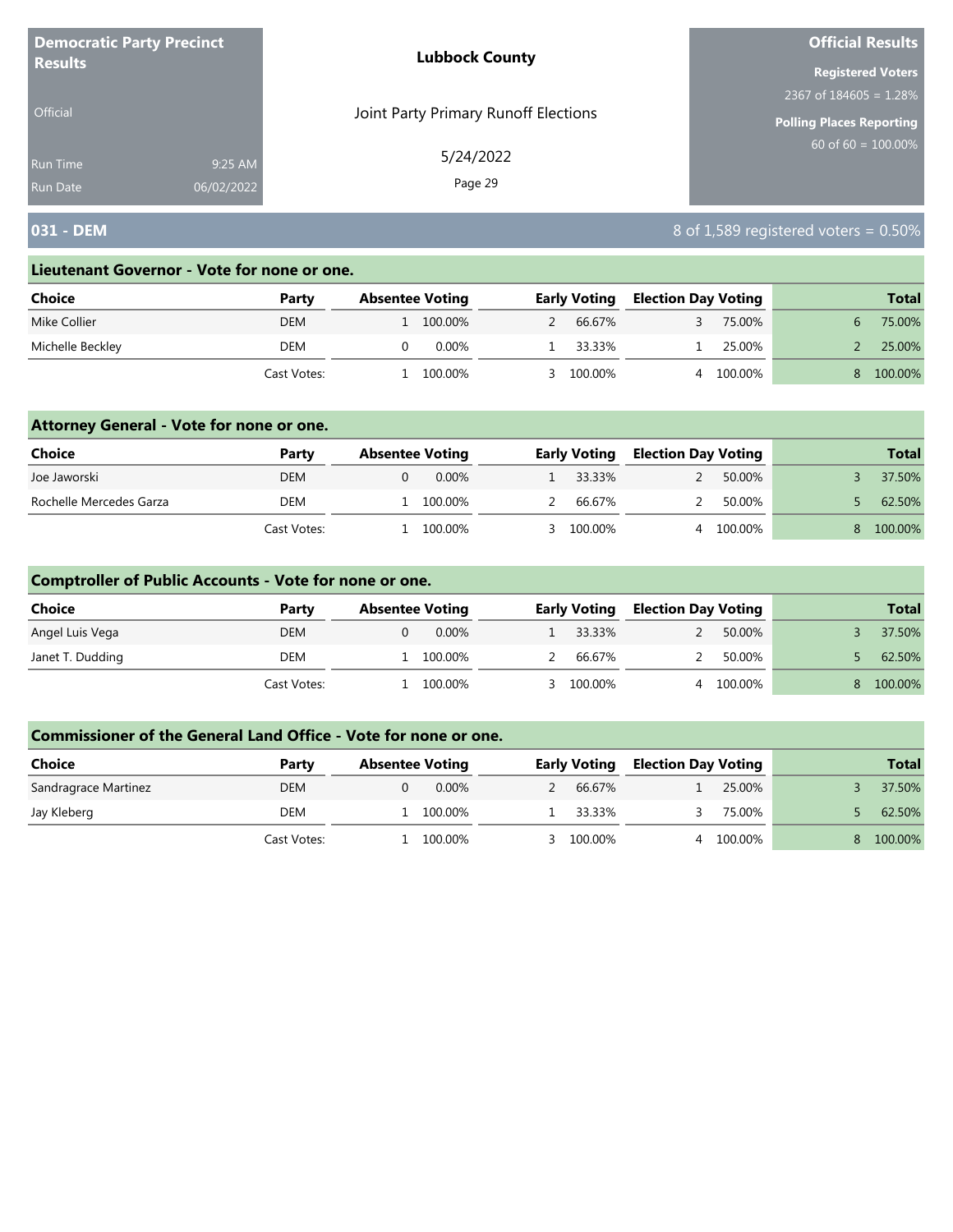| <b>Democratic Party Precinct</b> |            | <b>Lubbock County</b>                | <b>Official Results</b>  |
|----------------------------------|------------|--------------------------------------|--------------------------|
| <b>Results</b>                   |            |                                      | <b>Registered Voters</b> |
|                                  |            |                                      | 2367 of $184605 = 1.28%$ |
| <b>Official</b>                  |            | Joint Party Primary Runoff Elections | Polling Places Reporting |
| <b>Run Time</b>                  | 9:25 AM    | 5/24/2022                            | 60 of $60 = 100.00\%$    |
| <b>Run Date</b>                  | 06/02/2022 | Page 29                              |                          |

## **031 - DEM** 8 of 1,589 registered voters = 0.50%

#### **Lieutenant Governor - Vote for none or one.**

| Choice           | Party       | <b>Absentee Voting</b> |         | <b>Early Voting</b> | <b>Election Day Voting</b> |         | <b>Total</b> |
|------------------|-------------|------------------------|---------|---------------------|----------------------------|---------|--------------|
| Mike Collier     | DEM         |                        | 100.00% | 66.67%              |                            | 75.00%  | 75.00%       |
| Michelle Beckley | DEM         |                        | 0.00%   | 33.33%              |                            | 25.00%  | 25.00%       |
|                  | Cast Votes: |                        | 100.00% | 100.00%             |                            | 100.00% | 100.00%      |

### **Attorney General - Vote for none or one.**

| Choice                  | Party       | <b>Absentee Voting</b> |  |  | <b>Early Voting</b> | <b>Election Day Voting</b> |           |  | <b>Total</b> |
|-------------------------|-------------|------------------------|--|--|---------------------|----------------------------|-----------|--|--------------|
| Joe Jaworski            | DEM         | 0.00%                  |  |  | 1 33.33%            | $\mathcal{P}$              | 50.00%    |  | 37.50%       |
| Rochelle Mercedes Garza | DEM         | 100.00%                |  |  | 2 66.67%            | $\mathcal{L}$              | 50.00%    |  | 62.50%       |
|                         | Cast Votes: | 100.00%                |  |  | 3 100.00%           |                            | 4 100.00% |  | 100.00%      |

### **Comptroller of Public Accounts - Vote for none or one.**

| Choice           | Party       | <b>Absentee Voting</b> | <b>Early Voting</b> | <b>Election Day Voting</b> |         | <b>Total</b> |
|------------------|-------------|------------------------|---------------------|----------------------------|---------|--------------|
| Angel Luis Vega  | DEM         | $0.00\%$               | 33.33%              |                            | 50.00%  | 37.50%       |
| Janet T. Dudding | DEM         | 100.00%                | 66.67%              | $\mathcal{D}$              | 50.00%  | 62.50%       |
|                  | Cast Votes: | 100.00%                | 3 100.00%           | 4                          | 100.00% | 100.00%      |

| Choice               | Party       | <b>Absentee Voting</b> | <b>Early Voting</b> |        | <b>Election Day Voting</b> |         | <b>Total</b> |
|----------------------|-------------|------------------------|---------------------|--------|----------------------------|---------|--------------|
| Sandragrace Martinez | DEM         | $0.00\%$               |                     | 66.67% |                            | 25.00%  | 37.50%       |
| Jay Kleberg          | DEM         | 100.00%                |                     | 33.33% |                            | 75.00%  | 62.50%       |
|                      | Cast Votes: | 100.00%                | 3 100.00%           |        |                            | 100.00% | 100.00%      |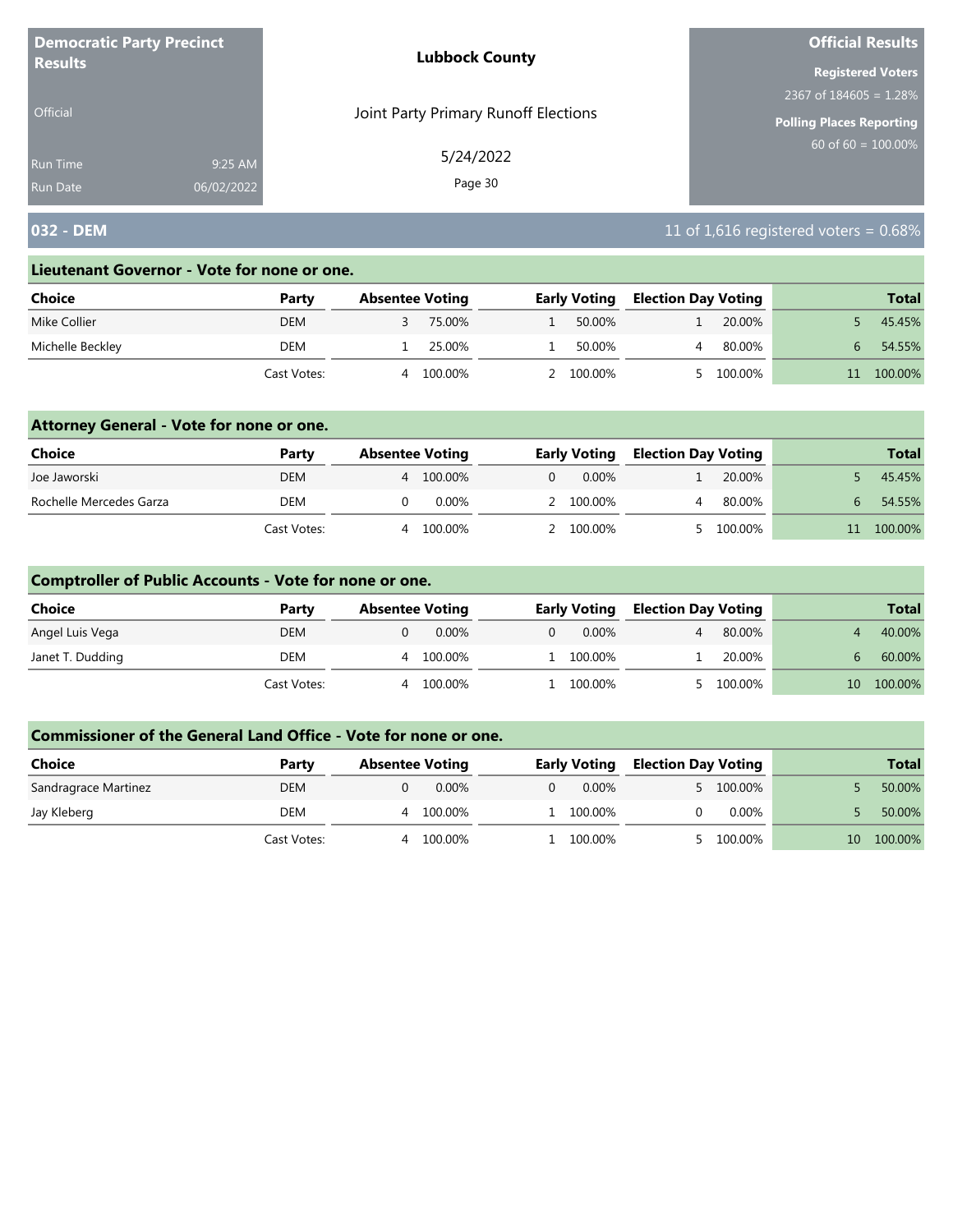| <b>Democratic Party Precinct</b><br><b>Results</b> |            | <b>Lubbock County</b>                | <b>Official Results</b>  |  |  |
|----------------------------------------------------|------------|--------------------------------------|--------------------------|--|--|
|                                                    |            |                                      | <b>Registered Voters</b> |  |  |
|                                                    |            |                                      | 2367 of $184605 = 1.28%$ |  |  |
| <b>Official</b>                                    |            | Joint Party Primary Runoff Elections | Polling Places Reporting |  |  |
| <b>Run Time</b>                                    | 9:25 AM    | 5/24/2022                            | 60 of $60 = 100.00\%$    |  |  |
| <b>Run Date</b>                                    | 06/02/2022 | Page 30                              |                          |  |  |

## **032 - DEM** 11 of 1,616 registered voters = 0.68%

#### **Lieutenant Governor - Vote for none or one.**

| Choice           | Party       | <b>Absentee Voting</b> |         | <b>Early Voting</b> |         | <b>Election Day Voting</b> |         |   | <b>Total</b> |
|------------------|-------------|------------------------|---------|---------------------|---------|----------------------------|---------|---|--------------|
| Mike Collier     | DEM         |                        | 75.00%  |                     | 50.00%  |                            | 20.00%  |   | 45.45%       |
| Michelle Beckley | DEM         |                        | 25.00%  |                     | 50.00%  |                            | 80.00%  | 6 | 54.55%       |
|                  | Cast Votes: | 4                      | 100.00% |                     | 100.00% |                            | 100.00% |   | 100.00%      |

### **Attorney General - Vote for none or one.**

| Choice                  | Party       | <b>Absentee Voting</b> |          | <b>Early Voting</b> |           | <b>Election Day Voting</b> |           | <b>Total</b> |
|-------------------------|-------------|------------------------|----------|---------------------|-----------|----------------------------|-----------|--------------|
| Joe Jaworski            | <b>DEM</b>  | 4                      | 100.00%  |                     | 0.00%     |                            | 20.00%    | 45.45%       |
| Rochelle Mercedes Garza | <b>DEM</b>  |                        | $0.00\%$ |                     | 2 100.00% |                            | 80.00%    | 54.55%       |
|                         | Cast Votes: |                        | 100.00%  |                     | 2 100.00% |                            | 5 100.00% | 100.00%      |

### **Comptroller of Public Accounts - Vote for none or one.**

| <b>Choice</b>    | Party       | <b>Absentee Voting</b> |          | <b>Early Voting</b> | <b>Election Day Voting</b> |         |                 | <b>Total</b> |
|------------------|-------------|------------------------|----------|---------------------|----------------------------|---------|-----------------|--------------|
| Angel Luis Vega  | DEM         | 0.00%                  | $\Omega$ | 0.00%               |                            | 80.00%  |                 | 40.00%       |
| Janet T. Dudding | DEM         | 100.00%<br>4           |          | 1 100.00%           |                            | 20.00%  | 6               | 60.00%       |
|                  | Cast Votes: | 100.00%<br>4           |          | 100.00%             |                            | 100.00% | 10 <sup>1</sup> | 100.00%      |

| <b>Choice</b>        | Party       | <b>Absentee Voting</b> | <b>Early Voting</b> | <b>Election Day Voting</b> | <b>Total</b>  |
|----------------------|-------------|------------------------|---------------------|----------------------------|---------------|
| Sandragrace Martinez | DEM         | $0.00\%$               | $0.00\%$            | 5 100.00%                  | 50.00%        |
| Jay Kleberg          | DEM         | 100.00%<br>4           | 1 100.00%           | $0.00\%$                   | 50.00%        |
|                      | Cast Votes: | 100.00%                | 100.00%             | 100.00%                    | 100.00%<br>10 |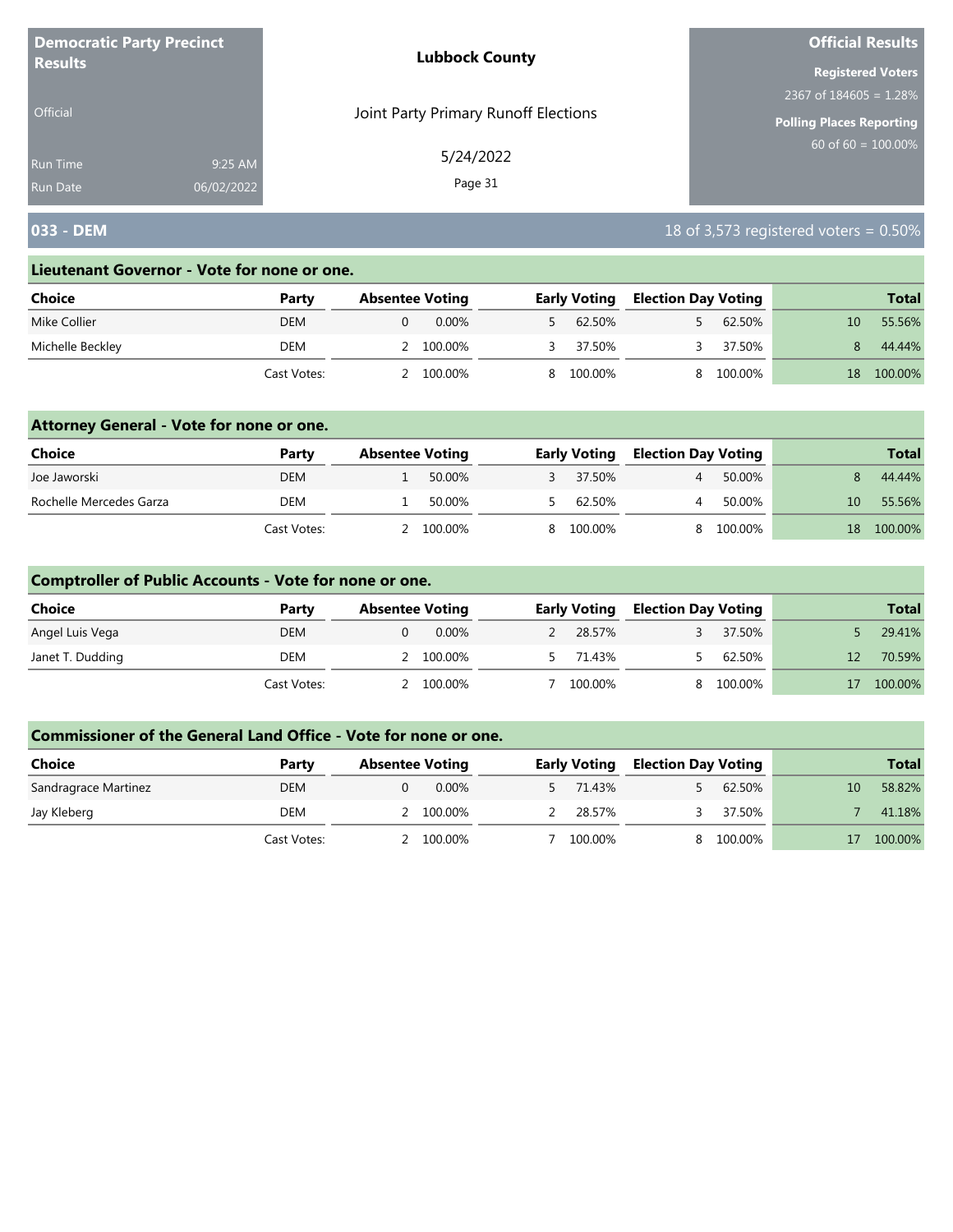| <b>Democratic Party Precinct</b><br><b>Results</b> |            | <b>Lubbock County</b>                | <b>Official Results</b>     |
|----------------------------------------------------|------------|--------------------------------------|-----------------------------|
|                                                    |            |                                      | <b>Registered Voters</b>    |
|                                                    |            |                                      | $2367$ of $184605 = 1.28\%$ |
| Official                                           |            | Joint Party Primary Runoff Elections | Polling Places Reporting    |
| <b>Run Time</b>                                    | 9:25 AM    | 5/24/2022                            | $60$ of 60 = 100.00%        |
| <b>Run Date</b>                                    | 06/02/2022 | Page 31                              |                             |

## **033 - DEM** 18 of 3,573 registered voters = 0.50%

#### **Lieutenant Governor - Vote for none or one.**

| Choice           | Party       | <b>Absentee Voting</b> | <b>Early Voting</b> | <b>Election Day Voting</b> | <b>Total</b>              |
|------------------|-------------|------------------------|---------------------|----------------------------|---------------------------|
| Mike Collier     | DEM         | $0.00\%$               | 62.50%              | 62.50%                     | 55.56%<br>10 <sup>1</sup> |
| Michelle Beckley | DEM         | 2 100.00%              | 37.50%              | 37.50%                     | 44.44%                    |
|                  | Cast Votes: | 100.00%                | 8 100.00%           | 100.00%                    | 100.00%<br>18             |

### **Attorney General - Vote for none or one.**

| Choice                  | Party       | <b>Absentee Voting</b> |           | <b>Early Voting</b> |                | <b>Election Day Voting</b> |    | <b>Total</b> |
|-------------------------|-------------|------------------------|-----------|---------------------|----------------|----------------------------|----|--------------|
| Joe Jaworski            | <b>DEM</b>  |                        | 50.00%    | 37.50%              | $\overline{4}$ | 50.00%                     |    | 44.44%       |
| Rochelle Mercedes Garza | DEM         |                        | 50.00%    | 62.50%              |                | 50.00%                     | 10 | 55.56%       |
|                         | Cast Votes: |                        | 2 100.00% | 8 100.00%           |                | 8 100.00%                  | 18 | 100.00%      |

### **Comptroller of Public Accounts - Vote for none or one.**

| <b>Choice</b>    | Party       | <b>Absentee Voting</b> | <b>Early Voting</b> |    | <b>Election Day Voting</b> |                 | <b>Total</b> |
|------------------|-------------|------------------------|---------------------|----|----------------------------|-----------------|--------------|
| Angel Luis Vega  | <b>DEM</b>  | 0.00%                  | 28.57%              |    | 37.50%                     |                 | 29.41%       |
| Janet T. Dudding | DEM         | 2 100.00%              | 5 71.43%            |    | 62.50%                     | 12 <sup>°</sup> | 70.59%       |
|                  | Cast Votes: | 100.00%                | 100.00%             | R. | 100.00%                    |                 | 100.00%      |

| <b>Choice</b>        | Party       | <b>Absentee Voting</b> | <b>Early Voting</b> | <b>Election Day Voting</b> |         |    | <b>Total</b> |
|----------------------|-------------|------------------------|---------------------|----------------------------|---------|----|--------------|
| Sandragrace Martinez | DEM         | $0.00\%$               | 71.43%              |                            | 62.50%  | 10 | 58.82%       |
| Jay Kleberg          | DEM         | 100.00%                | 28.57%              |                            | 37.50%  |    | 41.18%       |
|                      | Cast Votes: | 100.00%                | 100.00%             |                            | 100.00% |    | 100.00%      |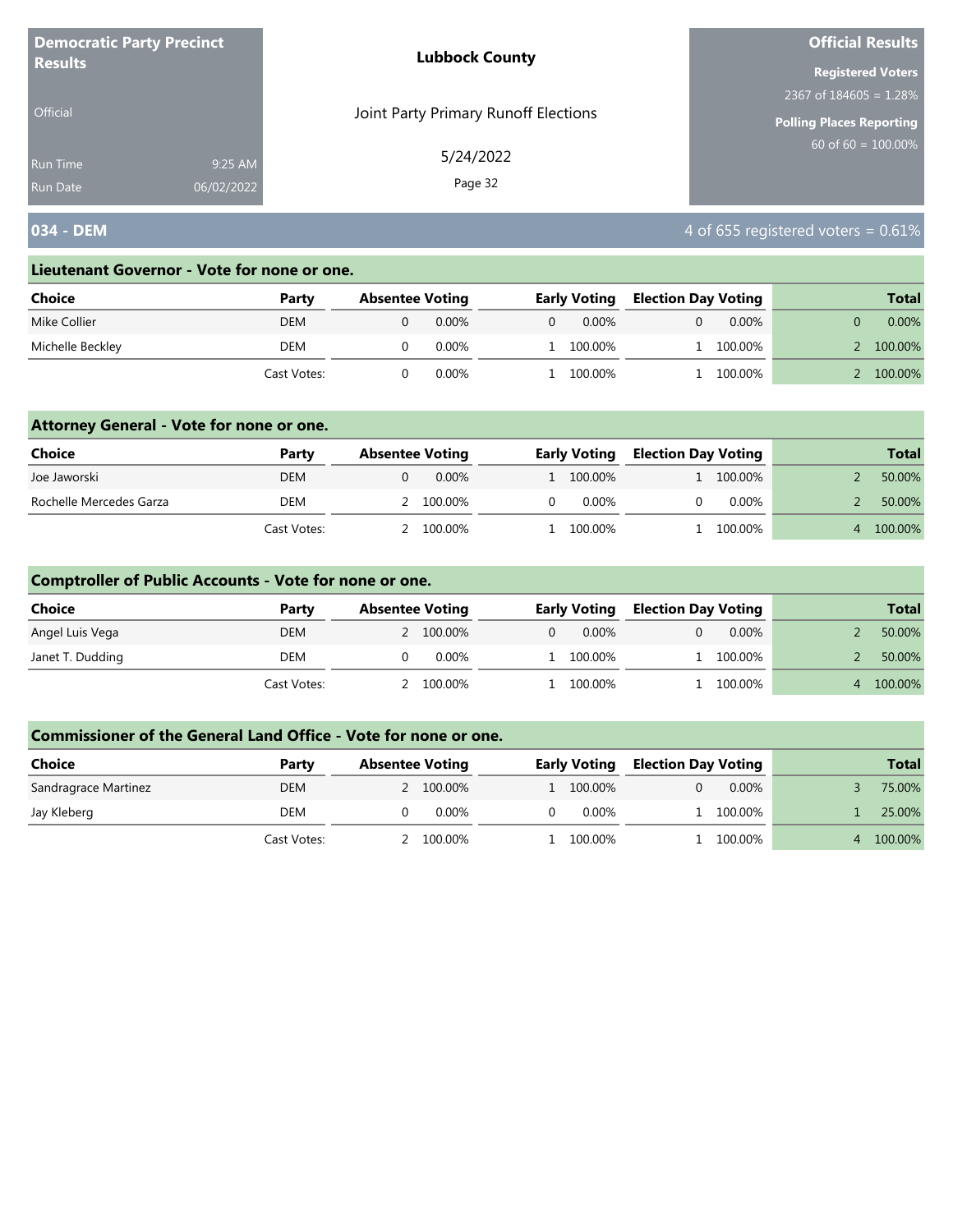| <b>Democratic Party Precinct</b> |            | <b>Lubbock County</b>                | <b>Official Results</b>         |  |  |
|----------------------------------|------------|--------------------------------------|---------------------------------|--|--|
| <b>Results</b>                   |            |                                      | <b>Registered Voters</b>        |  |  |
|                                  |            |                                      | 2367 of $184605 = 1.28\%$       |  |  |
| <b>Official</b>                  |            | Joint Party Primary Runoff Elections | <b>Polling Places Reporting</b> |  |  |
| <b>Run Time</b>                  | 9:25 AM    | 5/24/2022                            | $60$ of 60 = 100.00%            |  |  |
| <b>Run Date</b>                  | 06/02/2022 | Page 32                              |                                 |  |  |

## **034 - DEM 1034 - DEM 1034 - DEM 1034 - DEM 1034 - DEM 1034 - DEM 1034 - DEM 1034 - DEM 1036 - 1036 - 1036 - 1036 - 1036 - 1036 - 1037 - 1038 - 1039 - 1039 - 1039 - 1039 - 1039 - 1039 - 1039 - 1039 - 1039 -**

#### **Lieutenant Governor - Vote for none or one.**

| Choice           | Party       | <b>Absentee Voting</b> |          |   | <b>Early Voting</b> | <b>Election Day Voting</b> |          | <b>Total</b> |
|------------------|-------------|------------------------|----------|---|---------------------|----------------------------|----------|--------------|
| Mike Collier     | DEM         |                        | $0.00\%$ | 0 | $0.00\%$            |                            | $0.00\%$ | $0.00\%$     |
| Michelle Beckley | DEM         |                        | 0.00%    |   | 100.00%             |                            | 100.00%  | 100.00%      |
|                  | Cast Votes: |                        | 0.00%    |   | 100.00%             |                            | 100.00%  | 100.00%      |

### **Attorney General - Vote for none or one.**

| Choice                  | Party       | <b>Absentee Voting</b> | <b>Early Voting</b> | <b>Election Day Voting</b> |           | <b>Total</b> |
|-------------------------|-------------|------------------------|---------------------|----------------------------|-----------|--------------|
| Joe Jaworski            | <b>DEM</b>  | 0.00%                  | 1 100.00%           |                            | 1 100.00% | 50.00%       |
| Rochelle Mercedes Garza | <b>DEM</b>  | 2 100.00%              | 0.00%               |                            | $0.00\%$  | 50.00%       |
|                         | Cast Votes: | 2 100.00%              | 1 100.00%           |                            | 100.00%   | 100.00%      |

## **Comptroller of Public Accounts - Vote for none or one.**

| <b>Choice</b>    | Party       | <b>Absentee Voting</b> |          | <b>Early Voting</b> | <b>Election Day Voting</b> |          | <b>Total</b> |
|------------------|-------------|------------------------|----------|---------------------|----------------------------|----------|--------------|
| Angel Luis Vega  | <b>DEM</b>  | 2 100.00%              | $\Omega$ | $0.00\%$            |                            | $0.00\%$ | 50.00%       |
| Janet T. Dudding | DEM         | 0.00%                  |          | 1 100.00%           |                            | 100.00%  | 50.00%       |
|                  | Cast Votes: | 100.00%                |          | 100.00%             |                            | 100.00%  | 100.00%      |

| Choice               | Party       | <b>Absentee Voting</b> | <b>Early Voting</b> | <b>Election Day Voting</b> |          | <b>Total</b> |
|----------------------|-------------|------------------------|---------------------|----------------------------|----------|--------------|
| Sandragrace Martinez | <b>DEM</b>  | 2 100.00%              | 1 100.00%           |                            | $0.00\%$ | 75.00%       |
| Jay Kleberg          | DEM         | $0.00\%$               | 0.00%               |                            | 100.00%  | 25.00%       |
|                      | Cast Votes: | 100.00%                | 100.00%             |                            | 100.00%  | 100.00%      |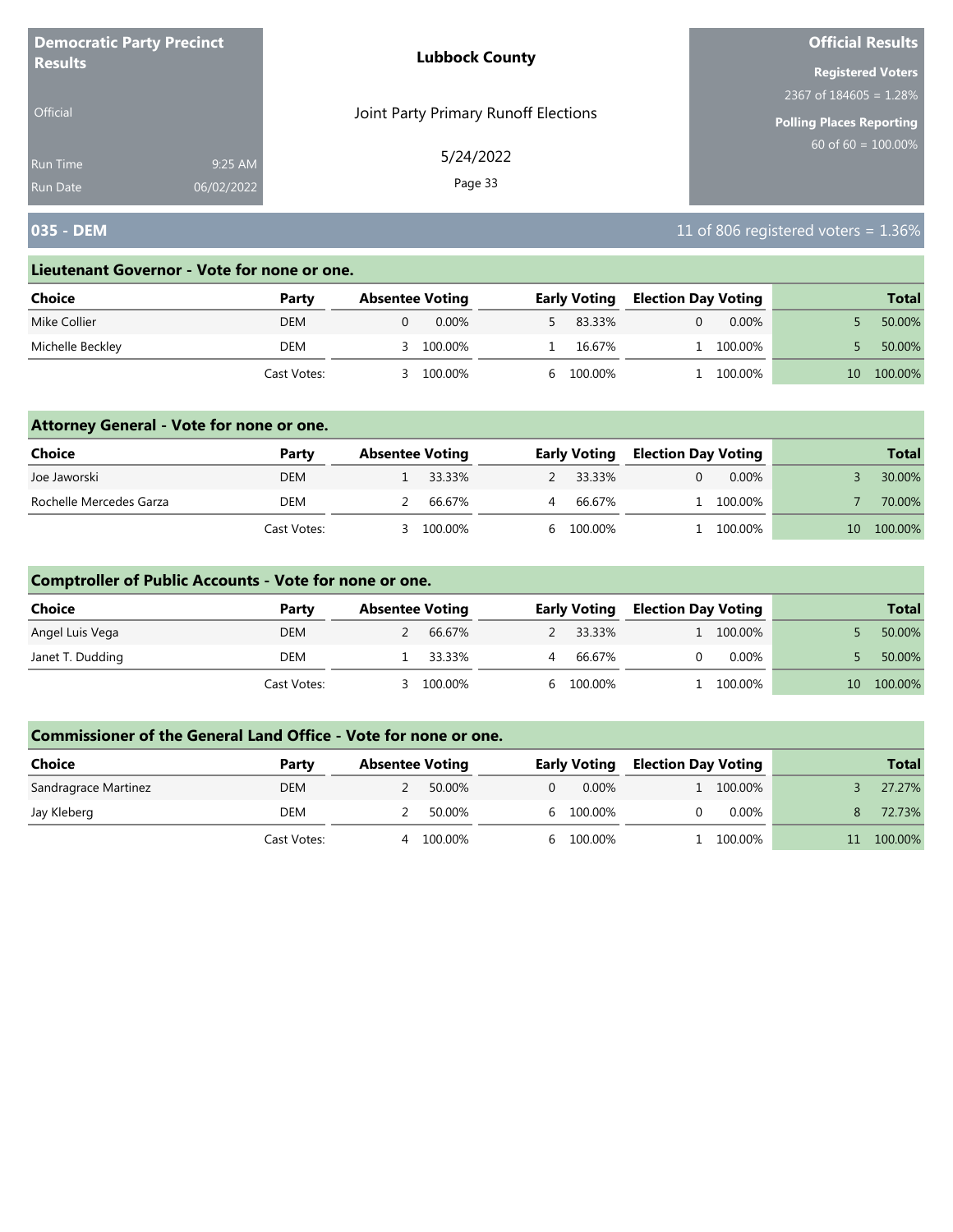| <b>Democratic Party Precinct</b> |            | <b>Lubbock County</b>                | <b>Official Results</b>         |
|----------------------------------|------------|--------------------------------------|---------------------------------|
| <b>Results</b>                   |            |                                      | <b>Registered Voters</b>        |
|                                  |            |                                      | 2367 of $184605 = 1.28\%$       |
| <b>Official</b>                  |            | Joint Party Primary Runoff Elections | <b>Polling Places Reporting</b> |
| <b>Run Time</b>                  | 9:25 AM    | 5/24/2022                            | $60$ of 60 = 100.00%            |
| <b>Run Date</b>                  | 06/02/2022 | Page 33                              |                                 |

## **035 - DEM** 11 of 806 registered voters = 1.36%

#### **Lieutenant Governor - Vote for none or one.**

| Choice           | Party       | <b>Absentee Voting</b> | <b>Early Voting</b> | <b>Election Day Voting</b> | <b>Total</b>  |
|------------------|-------------|------------------------|---------------------|----------------------------|---------------|
| Mike Collier     | <b>DEM</b>  | $0.00\%$               | 83.33%              | $0.00\%$                   | 50.00%        |
| Michelle Beckley | DEM         | 100.00%<br>≺           | 16.67%              | 1 100.00%                  | 50.00%        |
|                  | Cast Votes: | 100.00%                | 6 100.00%           | 100.00%                    | 100.00%<br>10 |

### **Attorney General - Vote for none or one.**

| Choice                  | Party       | <b>Absentee Voting</b> |         | <b>Early Voting</b> | <b>Election Day Voting</b> |           |                 | <b>Total</b> |
|-------------------------|-------------|------------------------|---------|---------------------|----------------------------|-----------|-----------------|--------------|
| Joe Jaworski            | <b>DEM</b>  |                        | 33.33%  | 2 33.33%            |                            | $0.00\%$  |                 | 30.00%       |
| Rochelle Mercedes Garza | DEM         |                        | 66.67%  | 66.67%              |                            | 1 100.00% |                 | 70.00%       |
|                         | Cast Votes: |                        | 100.00% | 6 100.00%           |                            | . 100.00% | 10 <sup>°</sup> | 100.00%      |

### **Comptroller of Public Accounts - Vote for none or one.**

| <b>Choice</b>    | Party       | <b>Absentee Voting</b> |          |   | <b>Early Voting</b> | <b>Election Day Voting</b> |           |                 | <b>Total</b> |
|------------------|-------------|------------------------|----------|---|---------------------|----------------------------|-----------|-----------------|--------------|
| Angel Luis Vega  | <b>DEM</b>  |                        | 66.67%   |   | 2 33.33%            |                            | 1 100.00% |                 | 50.00%       |
| Janet T. Dudding | DEM         |                        | 1 33.33% | 4 | 66.67%              |                            | $0.00\%$  |                 | 50.00%       |
|                  | Cast Votes: |                        | 100.00%  |   | 6 100.00%           |                            | 100.00%   | 10 <sup>1</sup> | 100.00%      |

| <b>Choice</b>        | Party       | <b>Absentee Voting</b> |         |    | <b>Early Voting</b> | <b>Election Day Voting</b> |          | <b>Total</b> |
|----------------------|-------------|------------------------|---------|----|---------------------|----------------------------|----------|--------------|
| Sandragrace Martinez | <b>DEM</b>  |                        | 50.00%  |    | $0.00\%$            |                            | 100.00%  | 27.27%       |
| Jay Kleberg          | DEM         |                        | 50.00%  |    | 6 100.00%           |                            | $0.00\%$ | 72.73%       |
|                      | Cast Votes: |                        | 100.00% | h. | 100.00%             |                            | 100.00%  | 100.00%      |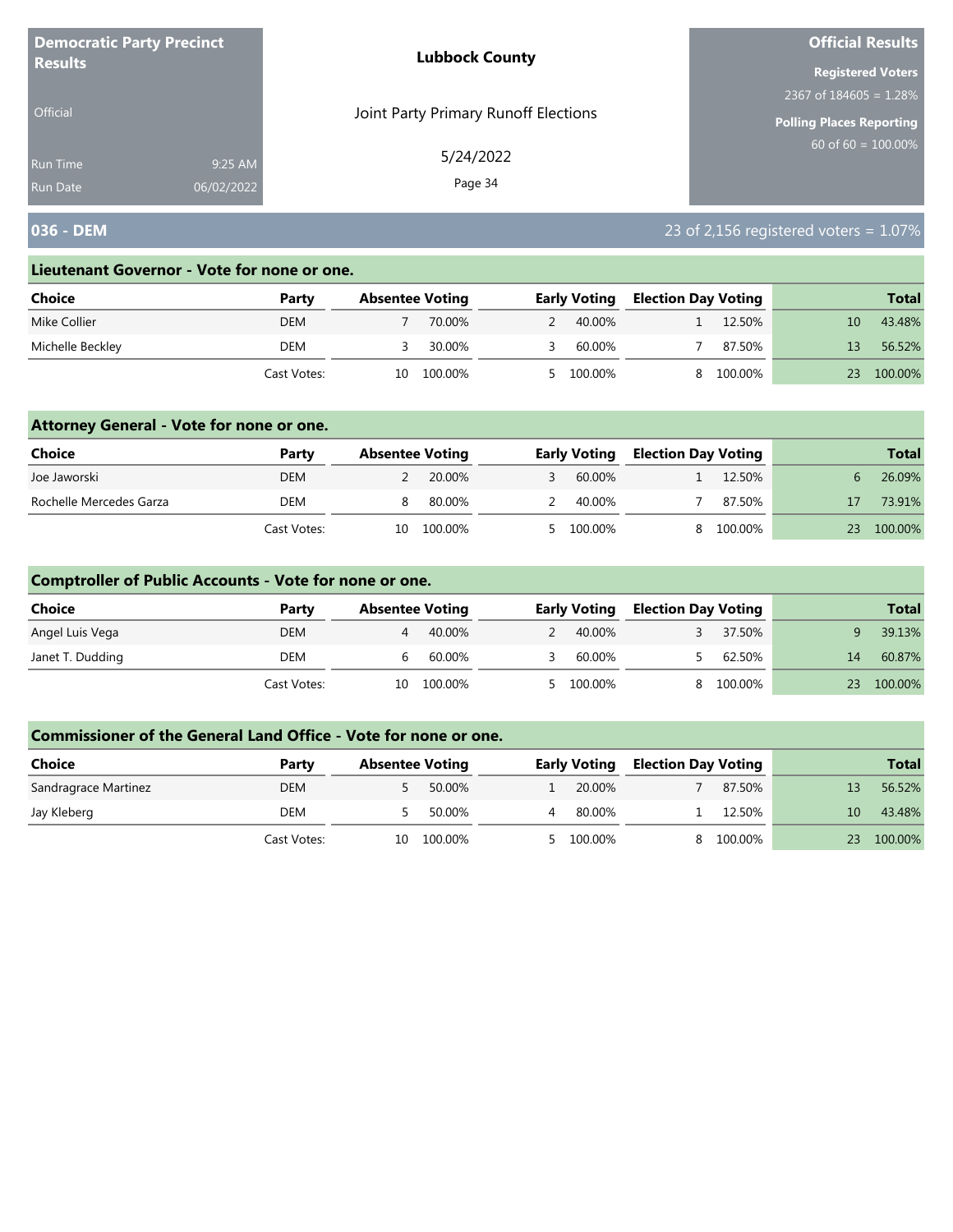| <b>Democratic Party Precinct</b> |            | <b>Lubbock County</b>                | <b>Official Results</b>         |
|----------------------------------|------------|--------------------------------------|---------------------------------|
| <b>Results</b>                   |            |                                      | <b>Registered Voters</b>        |
|                                  |            |                                      | 2367 of $184605 = 1.28\%$       |
| <b>Official</b>                  |            | Joint Party Primary Runoff Elections | <b>Polling Places Reporting</b> |
| Run Time                         | 9:25 AM    | 5/24/2022                            | $60$ of 60 = $100.00\%$         |
| <b>Run Date</b>                  | 06/02/2022 | Page 34                              |                                 |

## **036 - DEM** 23 of 2,156 registered voters = 1.07%

#### **Lieutenant Governor - Vote for none or one.**

| Choice           | Party       | <b>Absentee Voting</b> |         | <b>Early Voting</b> |           | <b>Election Day Voting</b> |         |    | <b>Total</b> |
|------------------|-------------|------------------------|---------|---------------------|-----------|----------------------------|---------|----|--------------|
| Mike Collier     | DEM         |                        | 70.00%  |                     | 40.00%    |                            | 12.50%  |    | 43.48%       |
| Michelle Beckley | DEM         |                        | 30.00%  |                     | 60.00%    |                            | 87.50%  |    | 56.52%       |
|                  | Cast Votes: | 10                     | 100.00% |                     | 5 100.00% |                            | 100.00% | 23 | 100.00%      |

### **Attorney General - Vote for none or one.**

| Choice                  | Party       | <b>Absentee Voting</b> |         | <b>Early Voting</b> |  | <b>Election Day Voting</b> |    | <b>Total</b> |
|-------------------------|-------------|------------------------|---------|---------------------|--|----------------------------|----|--------------|
| Joe Jaworski            | <b>DEM</b>  |                        | 20.00%  | 60.00%              |  | 12.50%                     |    | 26.09%       |
| Rochelle Mercedes Garza | DEM         |                        | 80.00%  | 40.00%              |  | 87.50%                     |    | 73.91%       |
|                         | Cast Votes: | 10                     | 100.00% | 5 100.00%           |  | 8 100.00%                  | 23 | 100.00%      |

### **Comptroller of Public Accounts - Vote for none or one.**

| <b>Choice</b>    | Party       | <b>Absentee Voting</b> |         | <b>Early Voting</b> |  | <b>Election Day Voting</b> |    | <b>Total</b> |
|------------------|-------------|------------------------|---------|---------------------|--|----------------------------|----|--------------|
| Angel Luis Vega  | <b>DEM</b>  | 4                      | 40.00%  | 40.00%              |  | 37.50%                     |    | 39.13%       |
| Janet T. Dudding | DEM         | b                      | 60.00%  | 60.00%              |  | 62.50%                     | 14 | 60.87%       |
|                  | Cast Votes: | 10                     | 100.00% | 5 100.00%           |  | 100.00%                    | 23 | 100.00%      |

| <b>Choice</b>        | Party       | <b>Absentee Voting</b> |         | <b>Early Voting</b> |  | <b>Election Day Voting</b> |    | <b>Total</b> |
|----------------------|-------------|------------------------|---------|---------------------|--|----------------------------|----|--------------|
| Sandragrace Martinez | <b>DEM</b>  |                        | 50.00%  | 20.00%              |  | 87.50%                     |    | 56.52%       |
| Jay Kleberg          | DEM         |                        | 50.00%  | 80.00%              |  | 12.50%                     | 10 | 43.48%       |
|                      | Cast Votes: | 10                     | 100.00% | 5 100.00%           |  | 100.00%                    | 23 | 100.00%      |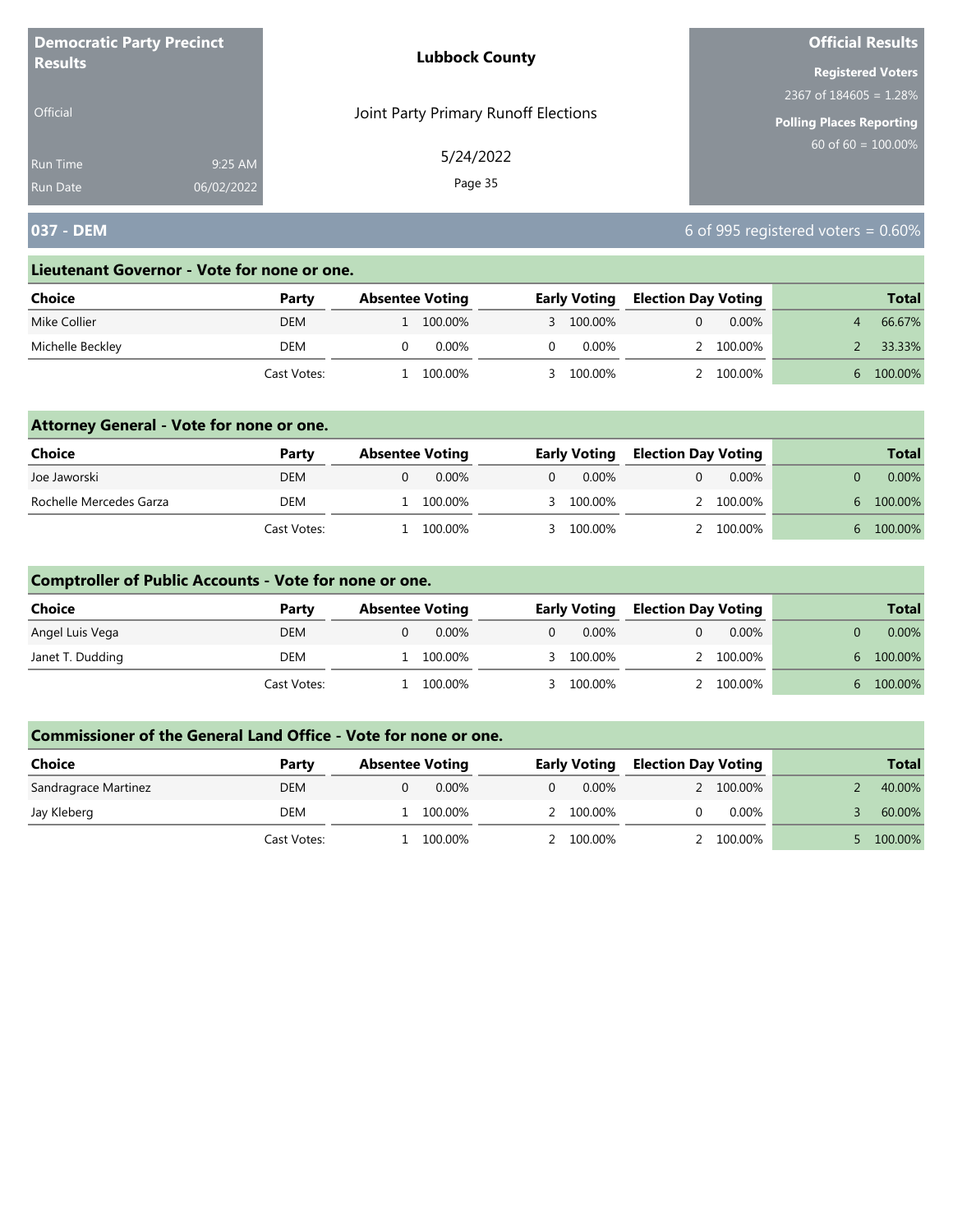| <b>Democratic Party Precinct</b> |            | <b>Lubbock County</b>                | <b>Official Results</b>         |
|----------------------------------|------------|--------------------------------------|---------------------------------|
| <b>Results</b>                   |            |                                      | <b>Registered Voters</b>        |
|                                  |            |                                      | 2367 of $184605 = 1.28\%$       |
| <b>Official</b>                  |            | Joint Party Primary Runoff Elections | <b>Polling Places Reporting</b> |
| <b>Run Time</b>                  | 9:25 AM    | 5/24/2022                            | $60$ of 60 = 100.00%            |
| <b>Run Date</b>                  | 06/02/2022 | Page 35                              |                                 |

# **037 - DEM** 6 of 995 registered voters = 0.60%

#### **Lieutenant Governor - Vote for none or one.**

| Choice           | Party       | <b>Absentee Voting</b> | <b>Early Voting</b> |  | <b>Election Day Voting</b> |  | <b>Total</b> |
|------------------|-------------|------------------------|---------------------|--|----------------------------|--|--------------|
| Mike Collier     | <b>DEM</b>  | 100.00%                | 3 100.00%           |  | $0.00\%$                   |  | 66.67%       |
| Michelle Beckley | DEM         | 0.00%                  | 0.00%               |  | 2 100.00%                  |  | 33.33%       |
|                  | Cast Votes: | 100.00%                | 100.00%             |  | 100.00%                    |  | 100.00%      |

### **Attorney General - Vote for none or one.**

| Choice                  | Party       | <b>Absentee Voting</b> |          | <b>Early Voting</b> |  | <b>Election Day Voting</b> |              |          |  | <b>Total</b> |
|-------------------------|-------------|------------------------|----------|---------------------|--|----------------------------|--------------|----------|--|--------------|
| Joe Jaworski            | <b>DEM</b>  | 0.00%                  | $\Omega$ | $0.00\%$            |  | $0.00\%$                   |              | $0.00\%$ |  |              |
| Rochelle Mercedes Garza | <b>DEM</b>  | 100.00%                |          | 3 100.00%           |  | 2 100.00%                  | h            | 100.00%  |  |              |
|                         | Cast Votes: | 100.00%                |          | 3 100.00%           |  | 2 100,00%                  | $\mathsf{h}$ | 100.00%  |  |              |

### **Comptroller of Public Accounts - Vote for none or one.**

| <b>Choice</b>    | Party       | <b>Absentee Voting</b> |          | <b>Early Voting</b> |  | <b>Election Day Voting</b> |    | <b>Total</b> |
|------------------|-------------|------------------------|----------|---------------------|--|----------------------------|----|--------------|
| Angel Luis Vega  | <b>DEM</b>  | $0.00\%$               | $\Omega$ | $0.00\%$            |  | $0.00\%$                   |    | $0.00\%$     |
| Janet T. Dudding | DEM         | 100.00%                |          | 3 100.00%           |  | 100.00%                    | h. | 100.00%      |
|                  | Cast Votes: | 100.00%                |          | 3 100.00%           |  | 100.00%                    | 6. | 100.00%      |

| Choice               | Party       | <b>Absentee Voting</b> | <b>Early Voting</b> | <b>Election Day Voting</b> |           | <b>Total</b> |
|----------------------|-------------|------------------------|---------------------|----------------------------|-----------|--------------|
| Sandragrace Martinez | <b>DEM</b>  | $0.00\%$               | $0.00\%$            |                            | 2 100.00% | 40.00%       |
| Jay Kleberg          | DEM         | 100.00%                | 2 100.00%           |                            | $0.00\%$  | 60.00%       |
|                      | Cast Votes: | 100.00%                | 2 100.00%           |                            | 100.00%   | 100.00%      |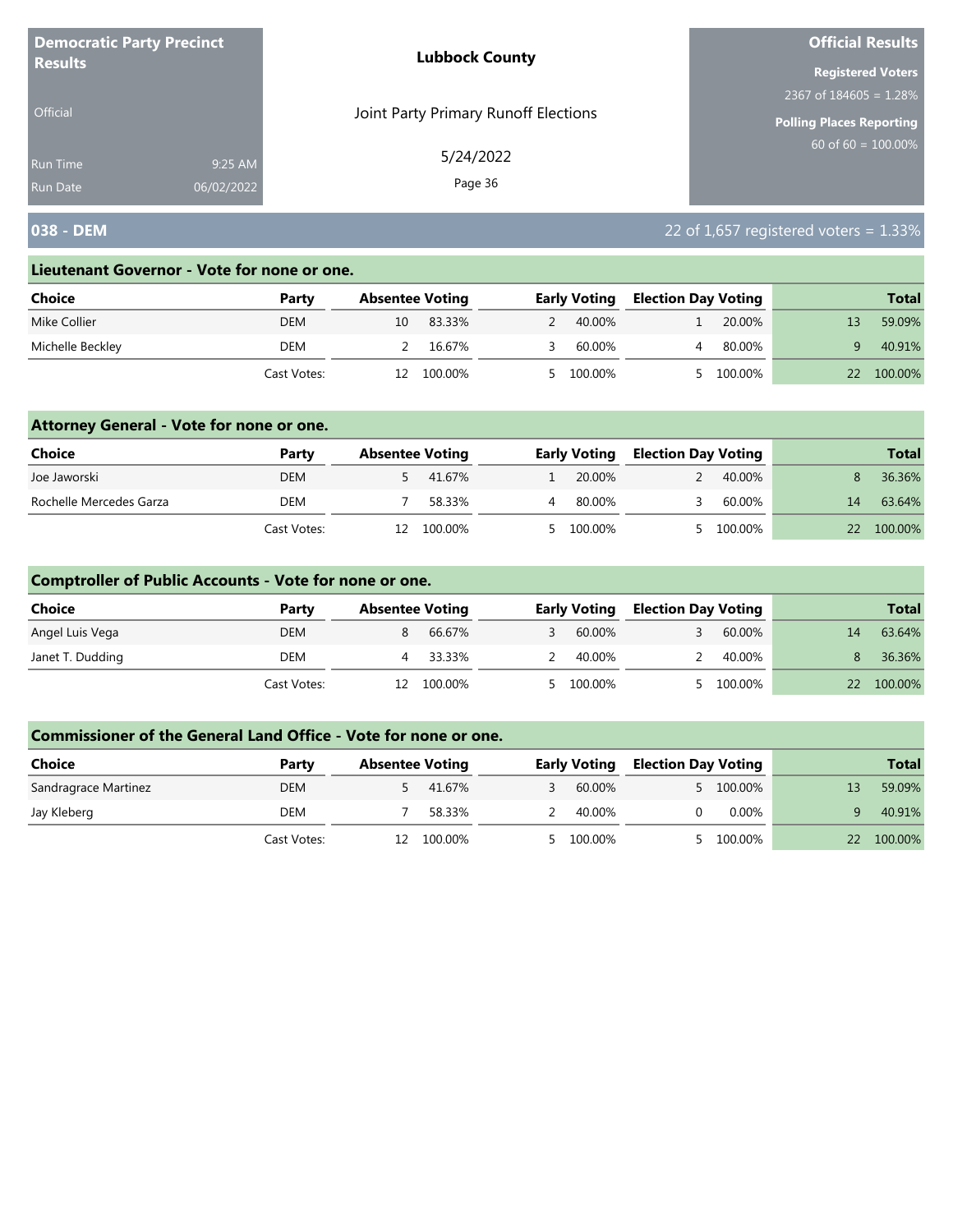| <b>Democratic Party Precinct</b><br><b>Results</b> |            | <b>Lubbock County</b>                | <b>Official Results</b>  |  |  |
|----------------------------------------------------|------------|--------------------------------------|--------------------------|--|--|
|                                                    |            |                                      | <b>Registered Voters</b> |  |  |
|                                                    |            |                                      | 2367 of $184605 = 1.28%$ |  |  |
| <b>Official</b>                                    |            | Joint Party Primary Runoff Elections | Polling Places Reporting |  |  |
| <b>Run Time</b>                                    | 9:25 AM    | 5/24/2022                            | 60 of $60 = 100.00\%$    |  |  |
| <b>Run Date</b>                                    | 06/02/2022 | Page 36                              |                          |  |  |

## **038 - DEM** 22 of 1,657 registered voters = 1.33%

#### **Lieutenant Governor - Vote for none or one.**

| Choice           | Party       | <b>Absentee Voting</b> |         | <b>Early Voting</b> |         | <b>Election Day Voting</b> |         | <b>Total</b> |
|------------------|-------------|------------------------|---------|---------------------|---------|----------------------------|---------|--------------|
| Mike Collier     | <b>DEM</b>  | 10                     | 83.33%  |                     | 40.00%  |                            | 20.00%  | 59.09%       |
| Michelle Beckley | DEM         |                        | 16.67%  |                     | 60.00%  |                            | 80.00%  | 40.91%       |
|                  | Cast Votes: |                        | 100.00% |                     | 100.00% |                            | 100.00% | 100.00%      |

### **Attorney General - Vote for none or one.**

| Choice                  | Party       |     | <b>Absentee Voting</b> |  | <b>Early Voting</b> | <b>Election Day Voting</b> |           |    | <b>Total</b> |
|-------------------------|-------------|-----|------------------------|--|---------------------|----------------------------|-----------|----|--------------|
| Joe Jaworski            | <b>DEM</b>  |     | 5 41.67%               |  | 20.00%              |                            | 40.00%    |    | 36.36%       |
| Rochelle Mercedes Garza | DEM         |     | 58.33%                 |  | 80.00%              |                            | 60.00%    | 14 | 63.64%       |
|                         | Cast Votes: | 12. | 100.00%                |  | 5 100.00%           |                            | 5 100.00% | 22 | 100.00%      |

### **Comptroller of Public Accounts - Vote for none or one.**

| Choice           | Party       | <b>Absentee Voting</b> |         | <b>Early Voting</b> |           | <b>Election Day Voting</b> |         | <b>Total</b>    |         |
|------------------|-------------|------------------------|---------|---------------------|-----------|----------------------------|---------|-----------------|---------|
| Angel Luis Vega  | <b>DEM</b>  |                        | 66.67%  |                     | 60.00%    |                            | 60.00%  | 14              | 63.64%  |
| Janet T. Dudding | DEM         |                        | 33.33%  |                     | 40.00%    |                            | 40.00%  |                 | 36.36%  |
|                  | Cast Votes: | 12.                    | 100.00% |                     | 5 100.00% |                            | 100.00% | 22 <sub>2</sub> | 100.00% |

| <b>Choice</b>        | Party       | <b>Absentee Voting</b> |         | <b>Early Voting</b> |           | <b>Election Day Voting</b> |           | <b>Total</b> |         |
|----------------------|-------------|------------------------|---------|---------------------|-----------|----------------------------|-----------|--------------|---------|
| Sandragrace Martinez | <b>DEM</b>  |                        | 41.67%  |                     | 60.00%    |                            | 5 100.00% |              | 59.09%  |
| Jay Kleberg          | DEM         |                        | 58.33%  |                     | 40.00%    |                            | $0.00\%$  |              | 40.91%  |
|                      | Cast Votes: | 12                     | 100.00% |                     | 5 100.00% |                            | 100.00%   | 22           | 100.00% |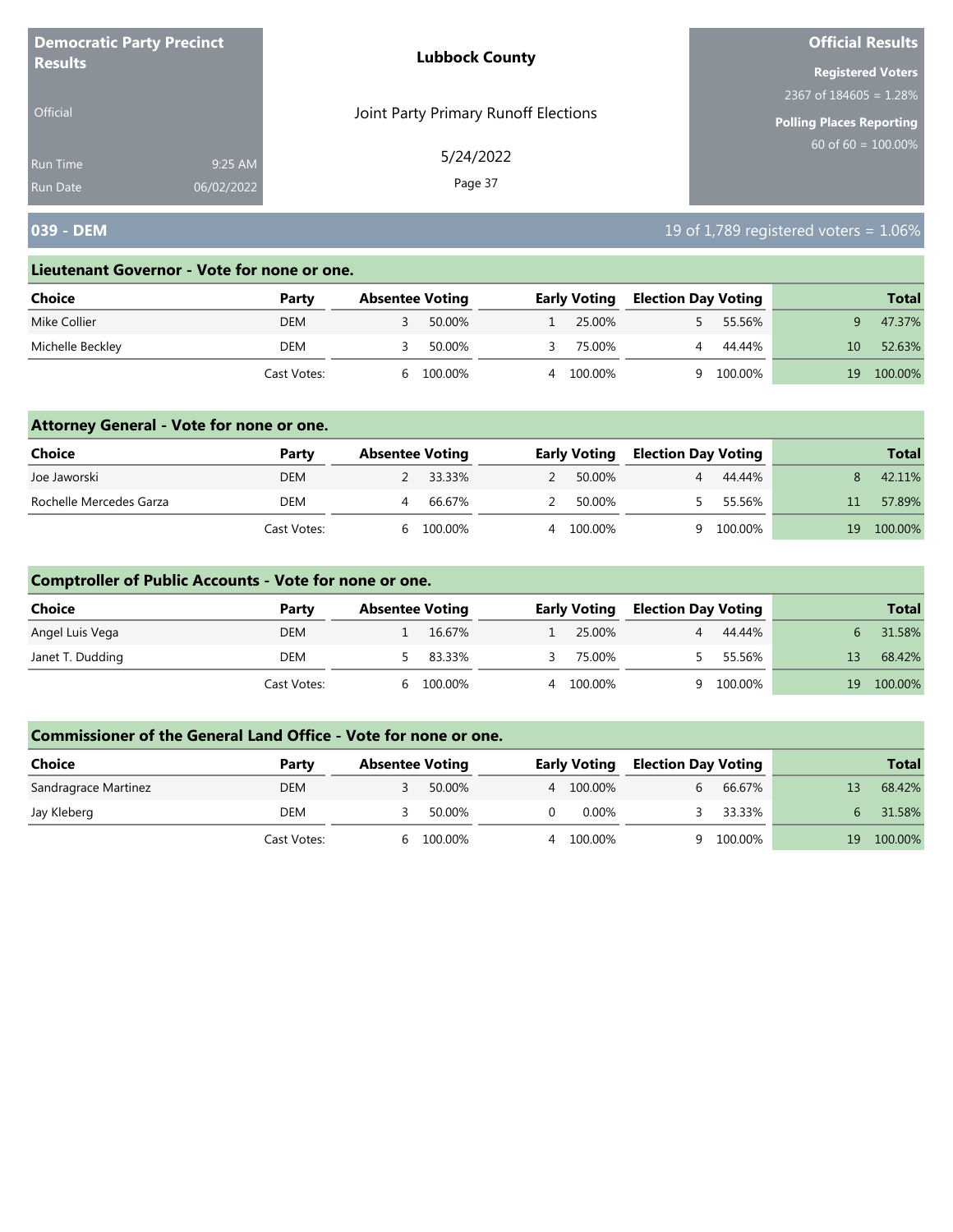| <b>Democratic Party Precinct</b> |            | <b>Lubbock County</b>                | <b>Official Results</b>   |
|----------------------------------|------------|--------------------------------------|---------------------------|
| <b>Results</b>                   |            |                                      | <b>Registered Voters</b>  |
|                                  |            |                                      | 2367 of $184605 = 1.28\%$ |
| <b>Official</b>                  |            | Joint Party Primary Runoff Elections | Polling Places Reporting  |
| Run Time                         | 9:25 AM    | 5/24/2022                            | $60$ of 60 = 100.00%      |
| Run Date                         | 06/02/2022 | Page 37                              |                           |

# **039 - DEM** 19 of 1,789 registered voters = 1.06%

#### **Lieutenant Governor - Vote for none or one.**

| Choice           | Party       | <b>Absentee Voting</b> |         |   | <b>Early Voting</b> | <b>Election Day Voting</b> |         |    | <b>Total</b> |
|------------------|-------------|------------------------|---------|---|---------------------|----------------------------|---------|----|--------------|
| Mike Collier     | DEM         |                        | 50.00%  |   | 25.00%              |                            | 55.56%  |    | 47.37%       |
| Michelle Beckley | DEM         |                        | 50.00%  |   | 75.00%              |                            | 44.44%  |    | 52.63%       |
|                  | Cast Votes: | h                      | 100.00% | 4 | 100.00%             |                            | 100.00% | 19 | 100.00%      |

### **Attorney General - Vote for none or one.**

| Choice                  | Party       | <b>Absentee Voting</b> |  | <b>Early Voting</b> | <b>Election Day Voting</b> |         |    | <b>Total</b> |
|-------------------------|-------------|------------------------|--|---------------------|----------------------------|---------|----|--------------|
| Joe Jaworski            | <b>DEM</b>  | 2 33.33%               |  | 50.00%              |                            | 44.44%  |    | 42.11%       |
| Rochelle Mercedes Garza | DEM         | 66.67%                 |  | 50.00%              |                            | 55.56%  |    | 57.89%       |
|                         | Cast Votes: | 100.00%                |  | 100.00%             | Q                          | 100.00% | 19 | 100.00%      |

### **Comptroller of Public Accounts - Vote for none or one.**

| Choice           | Party       | <b>Absentee Voting</b> |         |   | <b>Early Voting</b> | <b>Election Day Voting</b> |         |    | <b>Total</b> |
|------------------|-------------|------------------------|---------|---|---------------------|----------------------------|---------|----|--------------|
| Angel Luis Vega  | DEM         |                        | 16.67%  |   | 25.00%              | $\overline{4}$             | 44.44%  |    | 31.58%       |
| Janet T. Dudding | DEM         |                        | 83.33%  |   | 75.00%              |                            | 55.56%  | 13 | 68.42%       |
|                  | Cast Votes: | <sub>h</sub>           | 100.00% | 4 | 100.00%             | a                          | 100.00% | 19 | 100.00%      |

| <b>Choice</b>        | Party       | <b>Absentee Voting</b> |         | <b>Early Voting</b> | <b>Election Day Voting</b> |         |    | <b>Total</b> |
|----------------------|-------------|------------------------|---------|---------------------|----------------------------|---------|----|--------------|
| Sandragrace Martinez | <b>DEM</b>  |                        | 50.00%  | 4 100.00%           | 6                          | 66.67%  |    | 68.42%       |
| Jay Kleberg          | DEM         |                        | 50.00%  | 0.00%               |                            | 33.33%  |    | 31.58%       |
|                      | Cast Votes: | h                      | 100.00% | 100.00%             |                            | 100.00% | 19 | 100.00%      |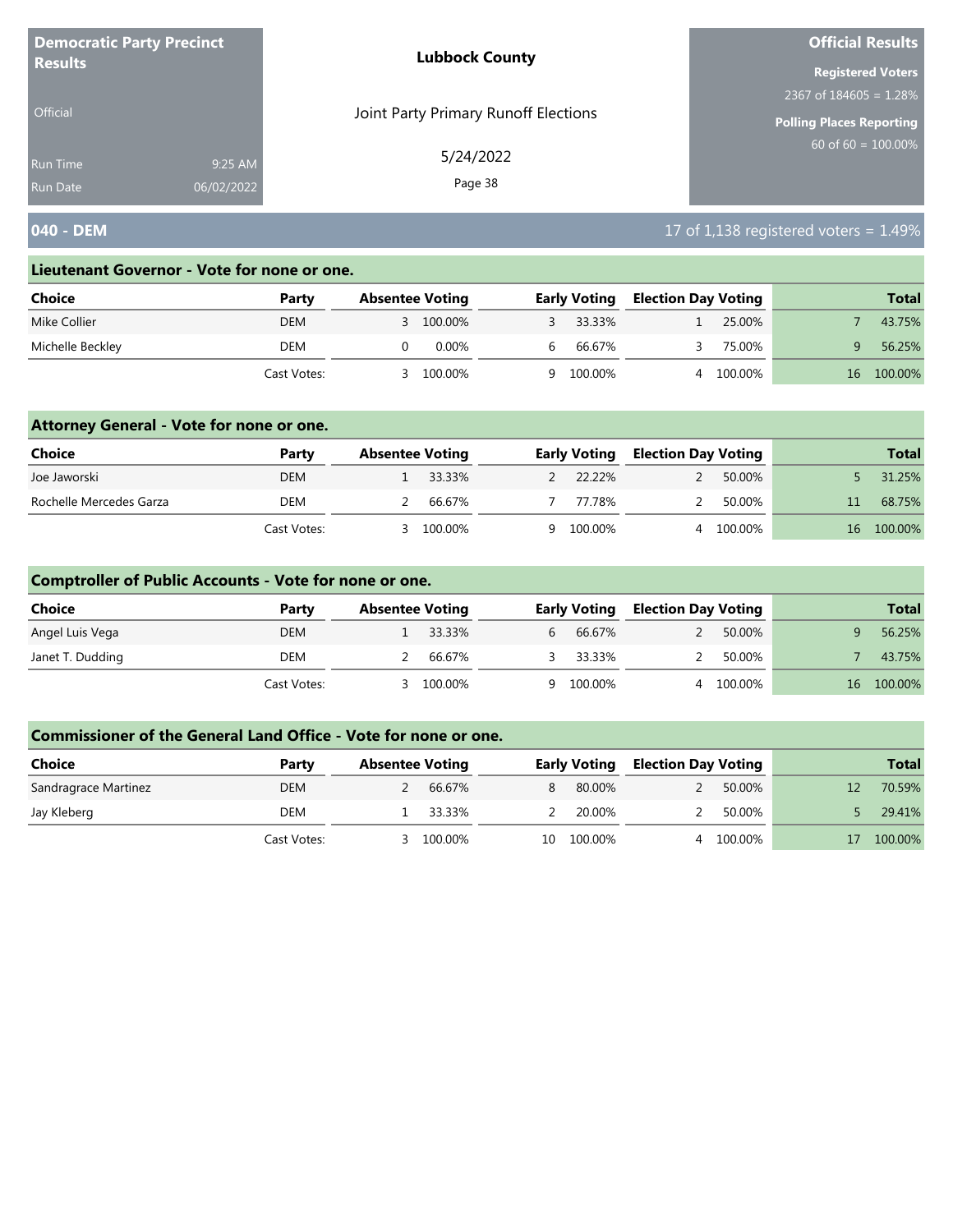| <b>Democratic Party Precinct</b> |            | <b>Lubbock County</b>                | <b>Official Results</b>     |
|----------------------------------|------------|--------------------------------------|-----------------------------|
| <b>Results</b>                   |            |                                      | <b>Registered Voters</b>    |
|                                  |            |                                      | $2367$ of $184605 = 1.28\%$ |
| <b>Official</b>                  |            | Joint Party Primary Runoff Elections | Polling Places Reporting    |
| <b>Run Time</b>                  | 9:25 AM    | 5/24/2022                            | $60$ of 60 = 100.00%        |
| <b>Run Date</b>                  | 06/02/2022 | Page 38                              |                             |

# **040 - DEM 17 of 1,138 registered voters = 1.49%**

#### **Lieutenant Governor - Vote for none or one.**

| Choice           | Party       | <b>Absentee Voting</b> |           |   | <b>Early Voting</b> | <b>Election Day Voting</b> |         |     | <b>Total</b> |
|------------------|-------------|------------------------|-----------|---|---------------------|----------------------------|---------|-----|--------------|
| Mike Collier     | DEM         |                        | 3 100.00% |   | 33.33%              |                            | 25.00%  |     | 43.75%       |
| Michelle Beckley | DEM         |                        | 0.00%     | h | 66.67%              |                            | 75.00%  |     | 56.25%       |
|                  | Cast Votes: |                        | 100.00%   | Q | 100.00%             |                            | 100.00% | 16. | 100.00%      |

### **Attorney General - Vote for none or one.**

| Choice                  | Party       | <b>Absentee Voting</b> |          | <b>Early Voting</b> | <b>Election Day Voting</b> |           |    | <b>Total</b> |
|-------------------------|-------------|------------------------|----------|---------------------|----------------------------|-----------|----|--------------|
| Joe Jaworski            | <b>DEM</b>  |                        | 1 33.33% | 2 22.22%            | $\mathcal{P}$              | 50.00%    |    | 31.25%       |
| Rochelle Mercedes Garza | <b>DEM</b>  |                        | 66.67%   | 77.78%              | $\mathcal{P}$              | 50.00%    | 11 | 68.75%       |
|                         | Cast Votes: |                        | 100.00%  | 9 100.00%           |                            | 4 100.00% | 16 | 100.00%      |

### **Comptroller of Public Accounts - Vote for none or one.**

| <b>Choice</b>    | Party       | <b>Absentee Voting</b> | <b>Early Voting</b> |        | <b>Election Day Voting</b> |         | <b>Total</b> |
|------------------|-------------|------------------------|---------------------|--------|----------------------------|---------|--------------|
| Angel Luis Vega  | <b>DEM</b>  | 1 33.33%               | $6 \quad$           | 66.67% |                            | 50.00%  | 56.25%       |
| Janet T. Dudding | DEM         | 66.67%                 | 3 33.33%            |        |                            | 50.00%  | 43.75%       |
|                  | Cast Votes: | 100.00%                | 9 100.00%           |        | 4                          | 100.00% | 16 100.00%   |

| <b>Choice</b>        | Party       | <b>Absentee Voting</b> |          |    | <b>Early Voting</b> | <b>Election Day Voting</b> |         | <b>Total</b> |
|----------------------|-------------|------------------------|----------|----|---------------------|----------------------------|---------|--------------|
| Sandragrace Martinez | <b>DEM</b>  |                        | 66.67%   | 8  | 80.00%              |                            | 50.00%  | 70.59%       |
| Jay Kleberg          | DEM         |                        | 1 33.33% |    | 20.00%              |                            | 50.00%  | 29.41%       |
|                      | Cast Votes: |                        | 100.00%  | 10 | 100.00%             |                            | 100.00% | 100.00%      |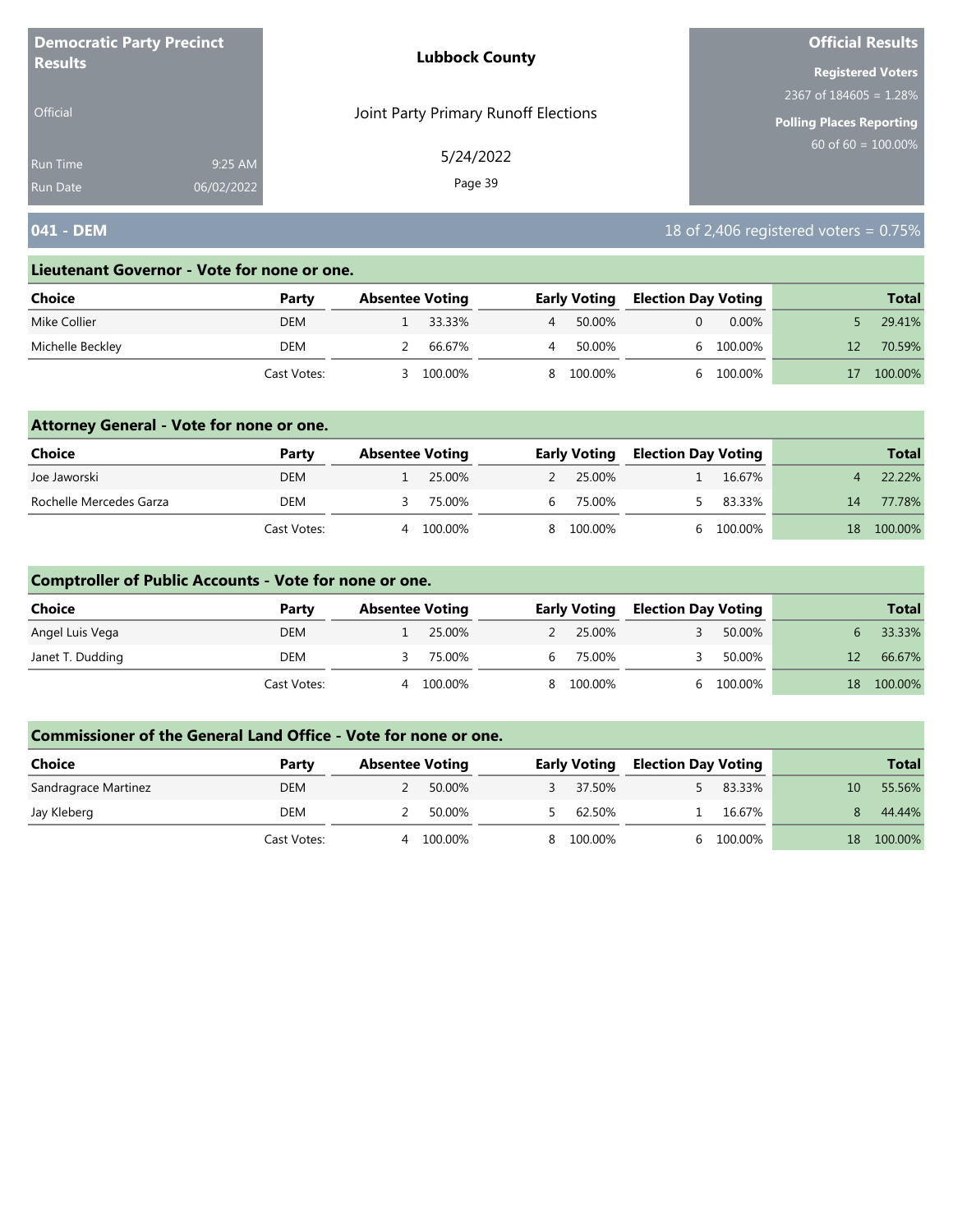| <b>Democratic Party Precinct</b> |            | <b>Lubbock County</b>                | <b>Official Results</b>   |
|----------------------------------|------------|--------------------------------------|---------------------------|
| <b>Results</b>                   |            |                                      | <b>Registered Voters</b>  |
|                                  |            |                                      | 2367 of $184605 = 1.28\%$ |
| <b>Official</b>                  |            | Joint Party Primary Runoff Elections | Polling Places Reporting  |
| Run Time                         | 9:25 AM    | 5/24/2022                            | $60$ of 60 = 100.00%      |
| <b>Run Date</b>                  | 06/02/2022 | Page 39                              |                           |

# **041 - DEM** 18 of 2,406 registered voters = 0.75%

#### **Lieutenant Governor - Vote for none or one.**

| Choice           | Party       | <b>Absentee Voting</b> |         |   | <b>Early Voting</b> | <b>Election Day Voting</b> |          | <b>Total</b> |
|------------------|-------------|------------------------|---------|---|---------------------|----------------------------|----------|--------------|
| Mike Collier     | <b>DEM</b>  |                        | 33.33%  | 4 | 50.00%              |                            | $0.00\%$ | 29.41%       |
| Michelle Beckley | DEM         |                        | 66.67%  | 4 | 50.00%              |                            | 100.00%  | 70.59%       |
|                  | Cast Votes: |                        | 100.00% |   | 8 100.00%           |                            | 100.00%  | 100.00%      |

### **Attorney General - Vote for none or one.**

| Choice                  | Party       | <b>Absentee Voting</b> |         |    | <b>Early Voting</b> | <b>Election Day Voting</b> |           |    | <b>Total</b> |
|-------------------------|-------------|------------------------|---------|----|---------------------|----------------------------|-----------|----|--------------|
| Joe Jaworski            | <b>DEM</b>  |                        | 25.00%  |    | 2 25.00%            |                            | 16.67%    |    | 22.22%       |
| Rochelle Mercedes Garza | DEM         |                        | 75.00%  | 6. | 75.00%              |                            | 83.33%    | 14 | 77.78%       |
|                         | Cast Votes: | 4                      | 100.00% |    | 8 100.00%           |                            | 6 100.00% | 18 | 100.00%      |

### **Comptroller of Public Accounts - Vote for none or one.**

| Choice           | Party       | <b>Absentee Voting</b> |         |    | <b>Early Voting</b> |  | <b>Election Day Voting</b> |    | <b>Total</b> |
|------------------|-------------|------------------------|---------|----|---------------------|--|----------------------------|----|--------------|
| Angel Luis Vega  | <b>DEM</b>  |                        | 25.00%  |    | 25.00%              |  | 50.00%                     |    | 33.33%       |
| Janet T. Dudding | DEM         |                        | 75.00%  | h. | 75.00%              |  | 50.00%                     | 12 | 66.67%       |
|                  | Cast Votes: | 4                      | 100.00% |    | 8 100.00%           |  | 100.00%                    |    | 18 100.00%   |

| <b>Choice</b>        | Party       | <b>Absentee Voting</b> | <b>Early Voting</b> |  | <b>Election Day Voting</b> |    | <b>Total</b> |
|----------------------|-------------|------------------------|---------------------|--|----------------------------|----|--------------|
| Sandragrace Martinez | <b>DEM</b>  | 50.00%                 | 37.50%              |  | 83.33%                     | 10 | 55.56%       |
| Jay Kleberg          | DEM         | 50.00%                 | 62.50%              |  | 16.67%                     |    | 44.44%       |
|                      | Cast Votes: | 100.00%<br>Δ           | 100.00%             |  | 100.00%                    | 18 | 100.00%      |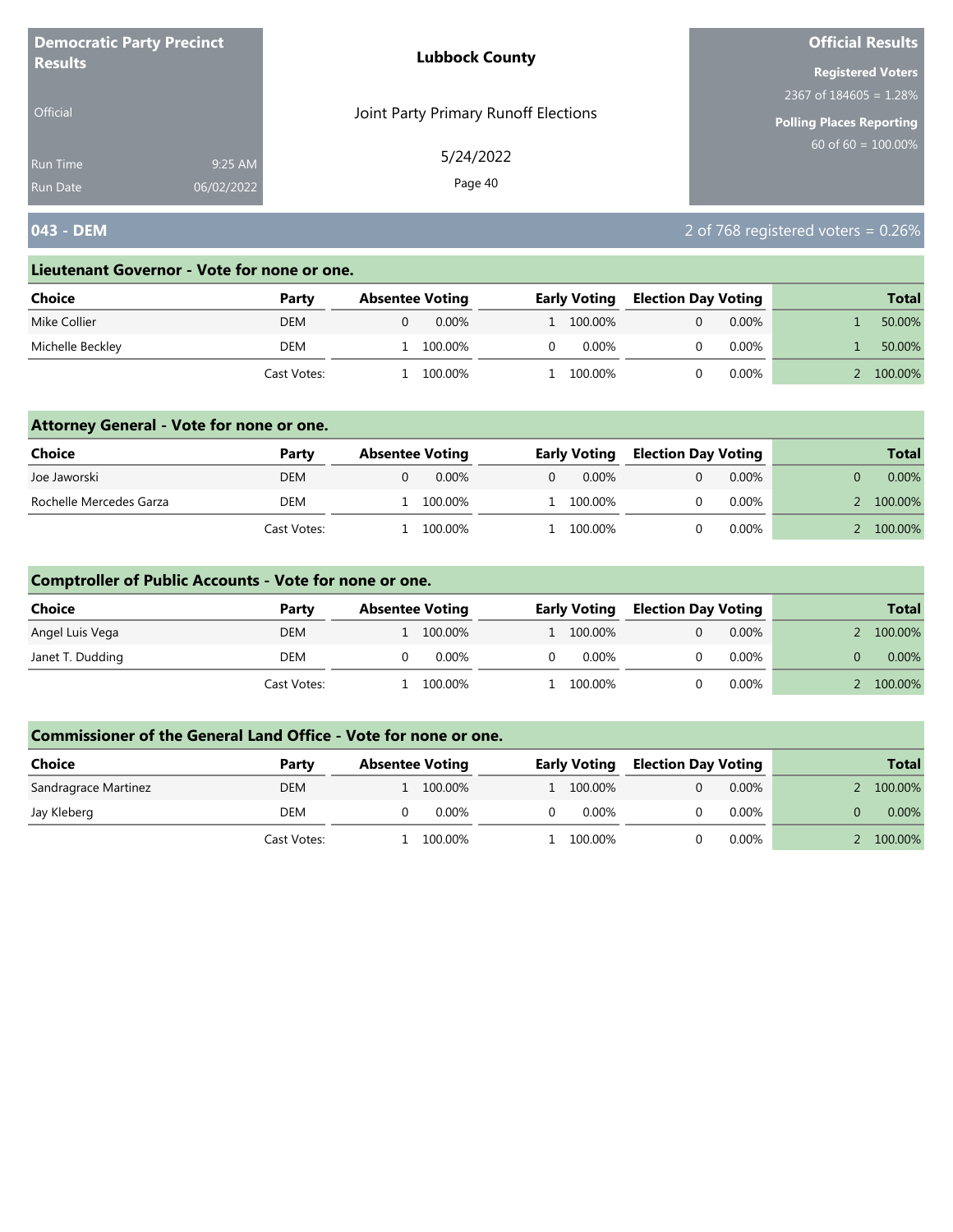| <b>Democratic Party Precinct</b><br><b>Results</b> |            | <b>Lubbock County</b>                | <b>Official Results</b>   |  |  |
|----------------------------------------------------|------------|--------------------------------------|---------------------------|--|--|
|                                                    |            |                                      | <b>Registered Voters</b>  |  |  |
|                                                    |            |                                      | 2367 of $184605 = 1.28\%$ |  |  |
| <b>Official</b>                                    |            | Joint Party Primary Runoff Elections | Polling Places Reporting  |  |  |
| <b>Run Time</b>                                    | 9:25 AM    | 5/24/2022                            | 60 of $60 = 100.00\%$     |  |  |
| <b>Run Date</b>                                    | 06/02/2022 | Page 40                              |                           |  |  |

# **043 - DEM** 2 of 768 registered voters = 0.26%

#### **Lieutenant Governor - Vote for none or one.**

| Choice           | Party       | <b>Absentee Voting</b> | <b>Early Voting</b> | <b>Election Day Voting</b> |          | <b>Total</b> |
|------------------|-------------|------------------------|---------------------|----------------------------|----------|--------------|
| Mike Collier     | <b>DEM</b>  | $0.00\%$               | 1 100.00%           |                            | $0.00\%$ | 50.00%       |
| Michelle Beckley | DEM         | 100.00%                |                     | $0.00\%$                   | $0.00\%$ | 50.00%       |
|                  | Cast Votes: | 100.00%                |                     | 100.00%                    | $0.00\%$ | 100.00%      |

### **Attorney General - Vote for none or one.**

| Choice                  | Party       | <b>Absentee Voting</b> |          | <b>Early Voting</b> |  | <b>Election Day Voting</b> |  | <b>Total</b> |
|-------------------------|-------------|------------------------|----------|---------------------|--|----------------------------|--|--------------|
| Joe Jaworski            | <b>DEM</b>  | $0.00\%$               | $\Omega$ | $0.00\%$            |  | $0.00\%$                   |  | $0.00\%$     |
| Rochelle Mercedes Garza | <b>DEM</b>  | 100.00%                |          | 1 100.00%           |  | $0.00\%$                   |  | 100.00%      |
|                         | Cast Votes: | 100.00%                |          | l 100.00%           |  | $0.00\%$                   |  | 100.00%      |

### **Comptroller of Public Accounts - Vote for none or one.**

| <b>Choice</b>    | Party       | <b>Absentee Voting</b> | <b>Early Voting</b> | <b>Election Day Voting</b> | <b>Total</b> |
|------------------|-------------|------------------------|---------------------|----------------------------|--------------|
| Angel Luis Vega  | <b>DEM</b>  | 100.00%                | 1 100.00%           | $0.00\%$                   | 100.00%      |
| Janet T. Dudding | DEM         | 0.00%                  | 0.00%               | $0.00\%$                   | $0.00\%$     |
|                  | Cast Votes: | 100.00%                | 100.00%             | $0.00\%$                   | 100.00%      |

| Choice               | Party       | <b>Absentee Voting</b> |  | <b>Early Voting</b> | <b>Election Day Voting</b> |          | <b>Total</b> |
|----------------------|-------------|------------------------|--|---------------------|----------------------------|----------|--------------|
| Sandragrace Martinez | <b>DEM</b>  | 100.00%                |  | 1 100.00%           |                            | $0.00\%$ | 100.00%      |
| Jay Kleberg          | DEM         | $0.00\%$               |  | $0.00\%$            |                            | $0.00\%$ | $0.00\%$     |
|                      | Cast Votes: | 100.00%                |  | . 100.00%           |                            | $0.00\%$ | 100.00%      |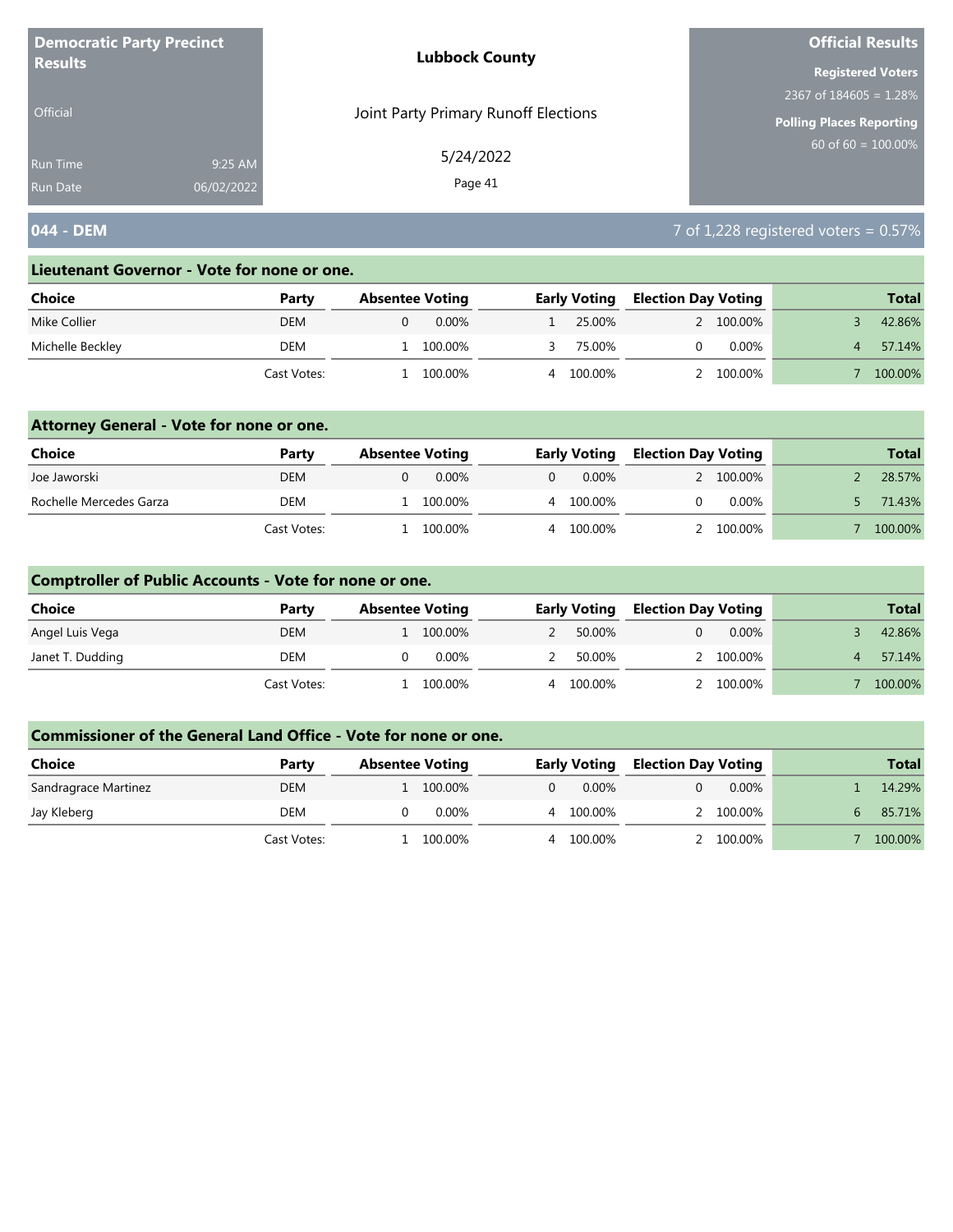| <b>Democratic Party Precinct</b><br><b>Results</b> |            | <b>Lubbock County</b>                | <b>Official Results</b>         |
|----------------------------------------------------|------------|--------------------------------------|---------------------------------|
|                                                    |            |                                      | <b>Registered Voters</b>        |
|                                                    |            |                                      | 2367 of $184605 = 1.28\%$       |
| <b>Official</b>                                    |            | Joint Party Primary Runoff Elections | <b>Polling Places Reporting</b> |
| Run Time                                           | 9:25 AM    | 5/24/2022                            | 60 of 60 = $100.00\%$           |
| <b>Run Date</b>                                    | 06/02/2022 | Page 41                              |                                 |

# **044 - DEM** 7 of 1,228 registered voters = 0.57%

#### **Lieutenant Governor - Vote for none or one.**

| Choice           | Party       | <b>Absentee Voting</b> | <b>Early Voting</b> | <b>Election Day Voting</b> | <b>Total</b> |
|------------------|-------------|------------------------|---------------------|----------------------------|--------------|
| Mike Collier     | <b>DEM</b>  | $0.00\%$               | 25.00%              | 2 100,00%                  | 42.86%       |
| Michelle Beckley | DEM         | 100.00%                | 75.00%              | $0.00\%$                   | 57.14%       |
|                  | Cast Votes: | 100.00%                | 100.00%<br>4        | 100.00%                    | 100.00%      |

### **Attorney General - Vote for none or one.**

| Choice                  | Party       | <b>Absentee Voting</b> | <b>Early Voting</b> |           | <b>Election Day Voting</b> |           |  | <b>Total</b> |
|-------------------------|-------------|------------------------|---------------------|-----------|----------------------------|-----------|--|--------------|
| Joe Jaworski            | <b>DEM</b>  | 0.00%                  |                     | $0.00\%$  |                            | 2 100.00% |  | 28.57%       |
| Rochelle Mercedes Garza | DEM         | 100.00%                |                     | 4 100.00% |                            | $0.00\%$  |  | 71.43%       |
|                         | Cast Votes: | 100.00%                |                     | 100.00%   |                            | 2 100.00% |  | 100.00%      |

### **Comptroller of Public Accounts - Vote for none or one.**

| <b>Choice</b>    | Party       | <b>Absentee Voting</b> |          |   | <b>Early Voting</b> | <b>Election Day Voting</b> |          | <b>Total</b> |
|------------------|-------------|------------------------|----------|---|---------------------|----------------------------|----------|--------------|
| Angel Luis Vega  | <b>DEM</b>  | 100.00%                |          |   | 50.00%              |                            | $0.00\%$ | 42.86%       |
| Janet T. Dudding | DEM         |                        | $0.00\%$ |   | 50.00%              |                            | 100.00%  | 57.14%       |
|                  | Cast Votes: | 100.00%                |          | 4 | 100.00%             |                            | 100.00%  | 100.00%      |

| Choice               | Party       | <b>Absentee Voting</b> |   | <b>Early Voting</b> | <b>Election Day Voting</b> |           | <b>Total</b> |
|----------------------|-------------|------------------------|---|---------------------|----------------------------|-----------|--------------|
| Sandragrace Martinez | <b>DEM</b>  | 100.00%                | 0 | $0.00\%$            |                            | $0.00\%$  | 14.29%       |
| Jay Kleberg          | DEM         | 0.00%                  |   | 4 100.00%           |                            | 2 100.00% | 85.71%       |
|                      | Cast Votes: | 100.00%                | 4 | 100.00%             |                            | 2 100,00% | 100.00%      |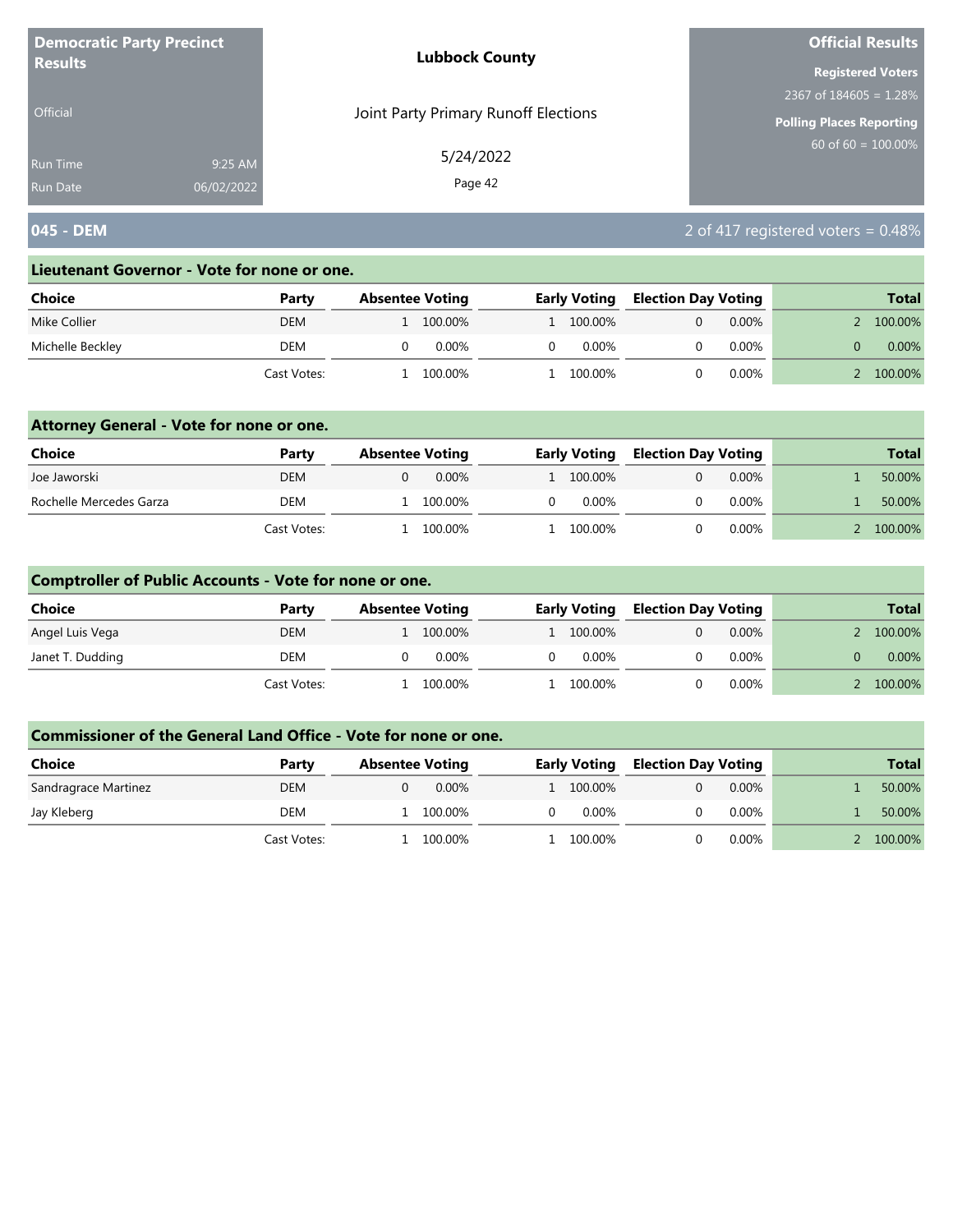| <b>Democratic Party Precinct</b> |            | <b>Lubbock County</b>                | <b>Official Results</b>         |
|----------------------------------|------------|--------------------------------------|---------------------------------|
| <b>Results</b>                   |            |                                      | <b>Registered Voters</b>        |
|                                  |            |                                      | 2367 of $184605 = 1.28\%$       |
| <b>Official</b>                  |            | Joint Party Primary Runoff Elections | <b>Polling Places Reporting</b> |
| <b>Run Time</b>                  | 9:25 AM    | 5/24/2022                            | $60$ of 60 = $100.00\%$         |
| <b>Run Date</b>                  | 06/02/2022 | Page 42                              |                                 |

# **045 - DEM** 2 of 417 registered voters = 0.48%

#### **Lieutenant Governor - Vote for none or one.**

| Choice           | Party       | <b>Absentee Voting</b> |         |   | <b>Early Voting</b> | <b>Election Day Voting</b> |          | <b>Total</b> |
|------------------|-------------|------------------------|---------|---|---------------------|----------------------------|----------|--------------|
| Mike Collier     | <b>DEM</b>  |                        | 100.00% |   | 1 100,00%           |                            | $0.00\%$ | 100.00%      |
| Michelle Beckley | DEM         |                        | 0.00%   | 0 | 0.00%               |                            | $0.00\%$ | $0.00\%$     |
|                  | Cast Votes: |                        | 100.00% |   | 100.00%             |                            | $0.00\%$ | 100.00%      |

### **Attorney General - Vote for none or one.**

| Choice                  | Party       | <b>Absentee Voting</b> | <b>Early Voting</b> | <b>Election Day Voting</b> |          | <b>Total</b> |
|-------------------------|-------------|------------------------|---------------------|----------------------------|----------|--------------|
| Joe Jaworski            | <b>DEM</b>  | $0.00\%$               | 1 100,00%           |                            | $0.00\%$ | 50.00%       |
| Rochelle Mercedes Garza | DEM         | 100.00%                | 0.00%               |                            | $0.00\%$ | 50.00%       |
|                         | Cast Votes: | 100.00%                | L 100.00%           |                            | 0.00%    | 100.00%      |

### **Comptroller of Public Accounts - Vote for none or one.**

| <b>Choice</b>    | Party       | <b>Absentee Voting</b> | <b>Early Voting</b> | <b>Election Day Voting</b> |          | <b>Total</b> |
|------------------|-------------|------------------------|---------------------|----------------------------|----------|--------------|
| Angel Luis Vega  | <b>DEM</b>  | 100.00%                | 1 100.00%           |                            | $0.00\%$ | 100.00%      |
| Janet T. Dudding | DEM         | 0.00%                  | $0.00\%$            |                            | $0.00\%$ | $0.00\%$     |
|                  | Cast Votes: | 100.00%                | l 100.00%           |                            | $0.00\%$ | 100.00%      |

| Choice               | Party       | <b>Absentee Voting</b> | <b>Early Voting</b> | <b>Election Day Voting</b> |          | <b>Total</b> |
|----------------------|-------------|------------------------|---------------------|----------------------------|----------|--------------|
| Sandragrace Martinez | <b>DEM</b>  | $0.00\%$               | 1 100.00%           |                            | $0.00\%$ | 50.00%       |
| Jay Kleberg          | DEM         | 100.00%                | 0.00%               |                            | $0.00\%$ | 50.00%       |
|                      | Cast Votes: | 100.00%                | 100.00%             |                            | 0.00%    | 100.00%      |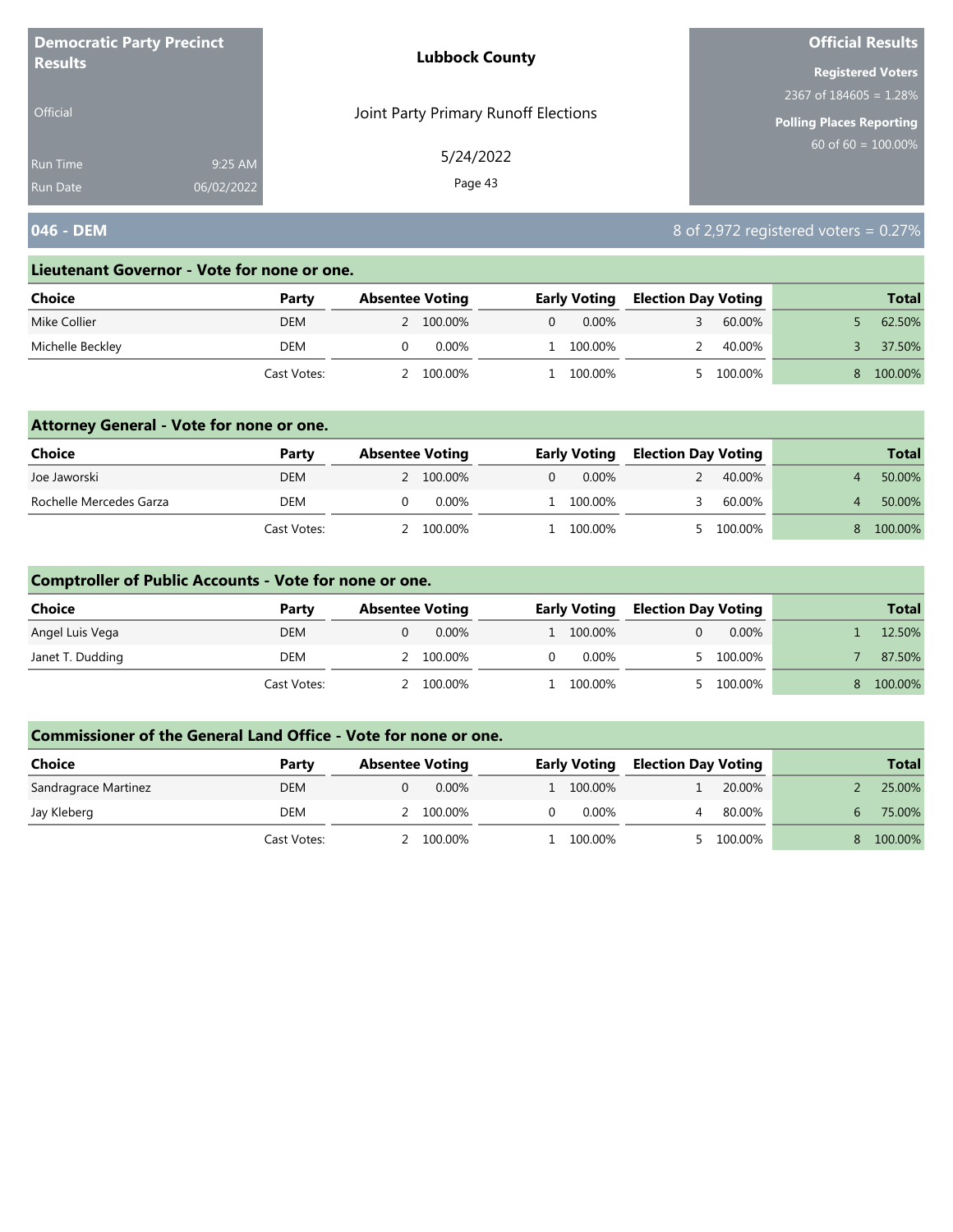| <b>Democratic Party Precinct</b> |            | <b>Lubbock County</b>                | <b>Official Results</b>   |  |  |
|----------------------------------|------------|--------------------------------------|---------------------------|--|--|
| <b>Results</b>                   |            |                                      | <b>Registered Voters</b>  |  |  |
|                                  |            |                                      | 2367 of $184605 = 1.28\%$ |  |  |
| <b>Official</b>                  |            | Joint Party Primary Runoff Elections | Polling Places Reporting  |  |  |
| Run Time                         | 9:25 AM    | 5/24/2022                            | $60$ of 60 = 100.00%      |  |  |
| Run Date                         | 06/02/2022 | Page 43                              |                           |  |  |

# **046 - DEM** 8 of 2,972 registered voters = 0.27%

#### **Lieutenant Governor - Vote for none or one.**

| Choice           | Party       | <b>Absentee Voting</b> |           |   | <b>Early Voting</b> | <b>Election Day Voting</b> |         | <b>Total</b> |
|------------------|-------------|------------------------|-----------|---|---------------------|----------------------------|---------|--------------|
| Mike Collier     | <b>DEM</b>  |                        | 2 100.00% | 0 | $0.00\%$            |                            | 60.00%  | 62.50%       |
| Michelle Beckley | DEM         |                        | 0.00%     |   | 100.00%             |                            | 40.00%  | 37.50%       |
|                  | Cast Votes: |                        | 100.00%   |   | 100.00%             |                            | 100.00% | 100.00%      |

### **Attorney General - Vote for none or one.**

| Choice                  | Party       | <b>Absentee Voting</b> |          | <b>Early Voting</b> | <b>Election Day Voting</b> |           | <b>Total</b> |
|-------------------------|-------------|------------------------|----------|---------------------|----------------------------|-----------|--------------|
| Joe Jaworski            | <b>DEM</b>  | 2 100.00%              |          | $0.00\%$            |                            | 40.00%    | 50.00%       |
| Rochelle Mercedes Garza | <b>DEM</b>  |                        | $0.00\%$ | 1 100.00%           |                            | 60.00%    | 50.00%       |
|                         | Cast Votes: | 2 100.00%              |          | l 100.00%           |                            | 5 100.00% | 100.00%      |

### **Comptroller of Public Accounts - Vote for none or one.**

| <b>Choice</b>    | Party       | <b>Absentee Voting</b> | <b>Early Voting</b> |           | <b>Election Day Voting</b> |          | <b>Total</b> |
|------------------|-------------|------------------------|---------------------|-----------|----------------------------|----------|--------------|
| Angel Luis Vega  | <b>DEM</b>  | $0.00\%$               |                     | 1 100.00% |                            | $0.00\%$ | 12.50%       |
| Janet T. Dudding | DEM         | 100.00%                |                     | 0.00%     |                            | 100.00%  | 87.50%       |
|                  | Cast Votes: | 100.00%                |                     | 100.00%   |                            | 100.00%  | 100.00%      |

| Choice               | Party       | <b>Absentee Voting</b> | <b>Early Voting</b> |           | <b>Election Day Voting</b> |         |   | <b>Total</b> |
|----------------------|-------------|------------------------|---------------------|-----------|----------------------------|---------|---|--------------|
| Sandragrace Martinez | <b>DEM</b>  | $0.00\%$               |                     | 1 100.00% |                            | 20.00%  |   | 25.00%       |
| Jay Kleberg          | DEM         | 100.00%                |                     | 0.00%     |                            | 80.00%  | h | 75.00%       |
|                      | Cast Votes: | 100.00%                |                     | 100.00%   |                            | 100.00% |   | 100.00%      |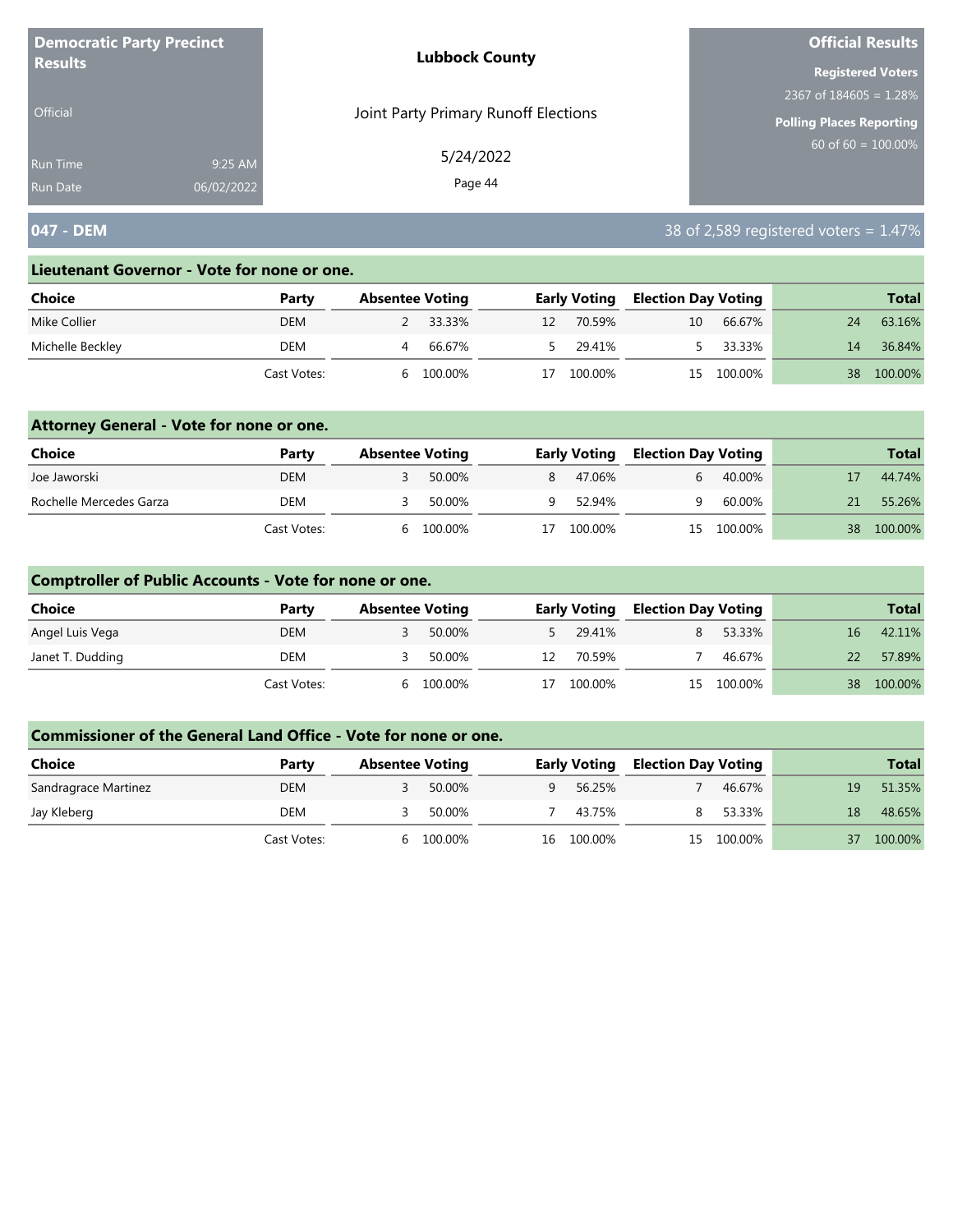| <b>Democratic Party Precinct</b> |            | <b>Lubbock County</b>                | <b>Official Results</b>         |  |  |
|----------------------------------|------------|--------------------------------------|---------------------------------|--|--|
| <b>Results</b>                   |            |                                      | <b>Registered Voters</b>        |  |  |
|                                  |            |                                      | 2367 of $184605 = 1.28\%$       |  |  |
| <b>Official</b>                  |            | Joint Party Primary Runoff Elections | <b>Polling Places Reporting</b> |  |  |
| Run Time                         | 9:25 AM    | 5/24/2022                            | $60$ of 60 = $100.00\%$         |  |  |
| <b>Run Date</b>                  | 06/02/2022 | Page 44                              |                                 |  |  |

# **047 - DEM** 38 of 2,589 registered voters = 1.47%

#### **Lieutenant Governor - Vote for none or one.**

| Choice           | Party       | <b>Absentee Voting</b> |          |    | <b>Early Voting</b> |    | <b>Election Day Voting</b> |    | <b>Total</b> |
|------------------|-------------|------------------------|----------|----|---------------------|----|----------------------------|----|--------------|
| Mike Collier     | <b>DEM</b>  |                        | 2 33.33% | 12 | 70.59%              | 10 | 66.67%                     | 24 | 63.16%       |
| Michelle Beckley | DEM         |                        | 66.67%   |    | 29.41%              |    | 33.33%                     | 14 | 36.84%       |
|                  | Cast Votes: |                        | 100.00%  |    | 100.00%             |    | 15 100.00%                 | 38 | 100.00%      |

### **Attorney General - Vote for none or one.**

| <b>Choice</b>           | Party       | <b>Absentee Voting</b> |         |    | <b>Early Voting</b> |   | <b>Election Day Voting</b> |    | <b>Total</b> |
|-------------------------|-------------|------------------------|---------|----|---------------------|---|----------------------------|----|--------------|
| Joe Jaworski            | <b>DEM</b>  |                        | 50.00%  | 8  | 47.06%              |   | 40.00%                     |    | 44.74%       |
| Rochelle Mercedes Garza | DEM         |                        | 50.00%  | Q  | 52.94%              | u | 60.00%                     | 21 | 55.26%       |
|                         | Cast Votes: | h                      | 100.00% | 17 | 100.00%             |   | 15 100.00%                 | 38 | 100.00%      |

### **Comptroller of Public Accounts - Vote for none or one.**

| Choice           | Party       | <b>Absentee Voting</b> |         | <b>Early Voting</b> |         | <b>Election Day Voting</b> |            |    | <b>Total</b> |
|------------------|-------------|------------------------|---------|---------------------|---------|----------------------------|------------|----|--------------|
| Angel Luis Vega  | <b>DEM</b>  |                        | 50.00%  |                     | 29.41%  |                            | 53.33%     | 16 | 42.11%       |
| Janet T. Dudding | DEM         |                        | 50.00%  | 12                  | 70.59%  |                            | 46.67%     | 22 | 57.89%       |
|                  | Cast Votes: | <sub>h</sub>           | 100.00% | 17                  | 100.00% |                            | 15 100.00% |    | 38 100.00%   |

| <b>Choice</b>        | Party       | <b>Absentee Voting</b> |         | <b>Early Voting</b> |         | <b>Election Day Voting</b> |         |    | <b>Total</b> |
|----------------------|-------------|------------------------|---------|---------------------|---------|----------------------------|---------|----|--------------|
| Sandragrace Martinez | <b>DEM</b>  |                        | 50.00%  | Q.                  | 56.25%  |                            | 46.67%  | 19 | 51.35%       |
| Jay Kleberg          | DEM         |                        | 50.00%  |                     | 43.75%  |                            | 53.33%  | 18 | 48.65%       |
|                      | Cast Votes: | h                      | 100.00% | 16                  | 100.00% | 15                         | 100.00% |    | 100.00%      |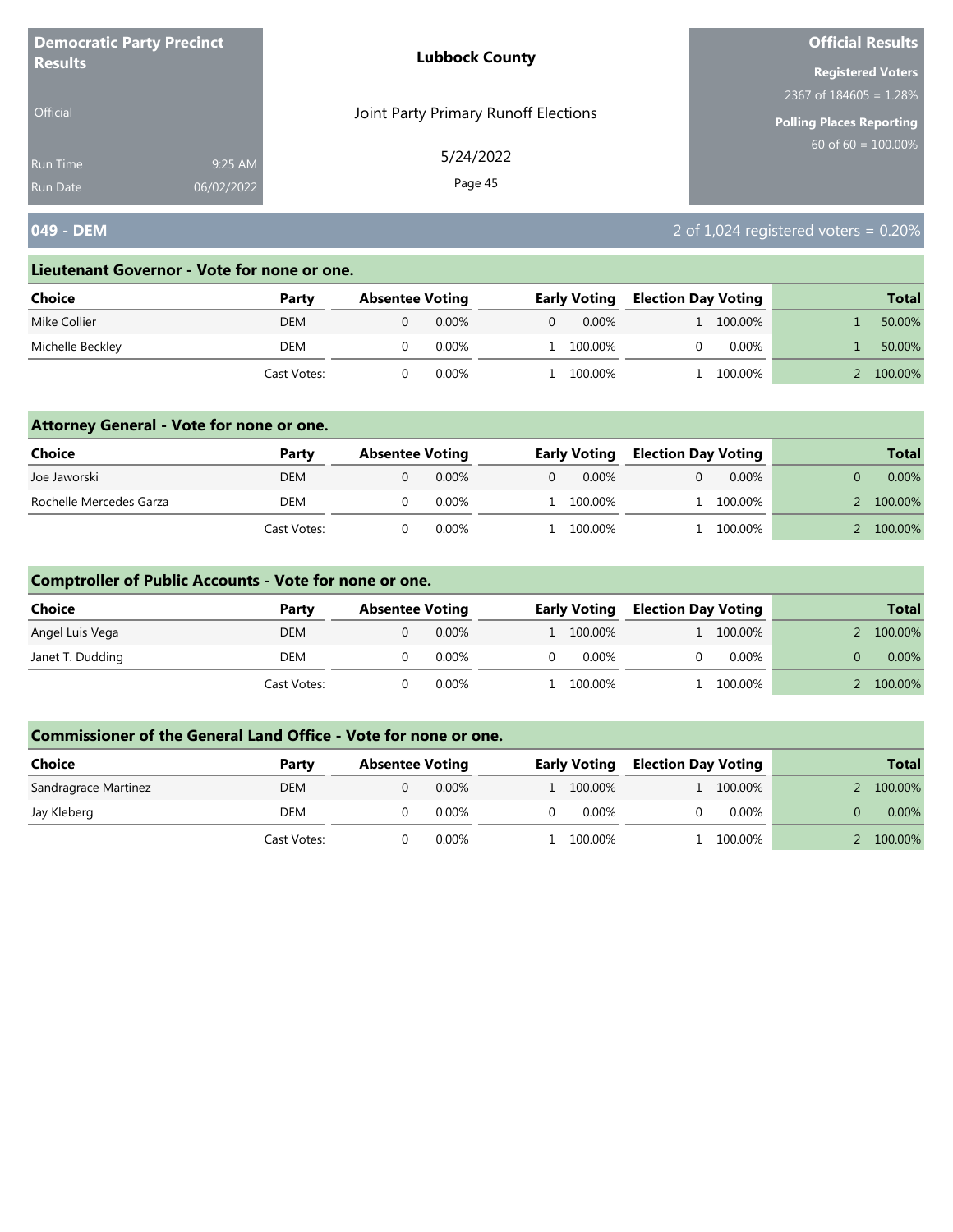| <b>Democratic Party Precinct</b><br><b>Results</b> |            | <b>Lubbock County</b>                | <b>Official Results</b>   |
|----------------------------------------------------|------------|--------------------------------------|---------------------------|
|                                                    |            |                                      | <b>Registered Voters</b>  |
|                                                    |            |                                      | 2367 of $184605 = 1.28\%$ |
| <b>Official</b>                                    |            | Joint Party Primary Runoff Elections | Polling Places Reporting  |
| <b>Run Time</b>                                    | 9:25 AM    | 5/24/2022                            | 60 of $60 = 100.00\%$     |
| <b>Run Date</b>                                    | 06/02/2022 | Page 45                              |                           |

# **049 - DEM** 2 of 1,024 registered voters = 0.20%

#### **Lieutenant Governor - Vote for none or one.**

| Choice           | Party       | <b>Absentee Voting</b> |          | <b>Early Voting</b> |          | <b>Election Day Voting</b> |           |  | <b>Total</b> |
|------------------|-------------|------------------------|----------|---------------------|----------|----------------------------|-----------|--|--------------|
| Mike Collier     | <b>DEM</b>  |                        | 0.00%    |                     | $0.00\%$ |                            | L 100.00% |  | 50.00%       |
| Michelle Beckley | DEM         |                        | $0.00\%$ |                     | 100.00%  |                            | $0.00\%$  |  | 50.00%       |
|                  | Cast Votes: |                        | 0.00%    |                     | 100.00%  |                            | 100.00%   |  | 100.00%      |

### **Attorney General - Vote for none or one.**

| <b>Choice</b>           | Party       | <b>Absentee Voting</b> |          | <b>Early Voting</b> |           | <b>Election Day Voting</b> |           | <b>Total</b> |
|-------------------------|-------------|------------------------|----------|---------------------|-----------|----------------------------|-----------|--------------|
| Joe Jaworski            | DEM         |                        | 0.00%    |                     | $0.00\%$  |                            | $0.00\%$  | $0.00\%$     |
| Rochelle Mercedes Garza | <b>DEM</b>  |                        | $0.00\%$ |                     | 1 100.00% |                            | 1 100.00% | 100.00%      |
|                         | Cast Votes: |                        | 0.00%    |                     | 100.00%   |                            | 100.00%   | 100.00%      |

### **Comptroller of Public Accounts - Vote for none or one.**

| <b>Choice</b>    | Party       | <b>Absentee Voting</b> |          | <b>Early Voting</b> |  | <b>Election Day Voting</b> | <b>Total</b> |
|------------------|-------------|------------------------|----------|---------------------|--|----------------------------|--------------|
| Angel Luis Vega  | <b>DEM</b>  |                        | $0.00\%$ | 1 100.00%           |  | 1 100.00%                  | 100.00%      |
| Janet T. Dudding | DEM         |                        | 0.00%    | $0.00\%$            |  | $0.00\%$                   | $0.00\%$     |
|                  | Cast Votes: |                        | $0.00\%$ | l 100.00%           |  | 100.00%                    | 100.00%      |

| Choice               | Party       | <b>Absentee Voting</b> |          | <b>Early Voting</b> |           | <b>Election Day Voting</b> |           | <b>Total</b> |
|----------------------|-------------|------------------------|----------|---------------------|-----------|----------------------------|-----------|--------------|
| Sandragrace Martinez | DEM         |                        | $0.00\%$ |                     | L 100.00% |                            | 1 100.00% | 100.00%      |
| Jay Kleberg          | DEM         |                        | $0.00\%$ | O                   | $0.00\%$  |                            | $0.00\%$  | $0.00\%$     |
|                      | Cast Votes: |                        | $0.00\%$ |                     | 100.00%   |                            | 100.00%   | 100.00%      |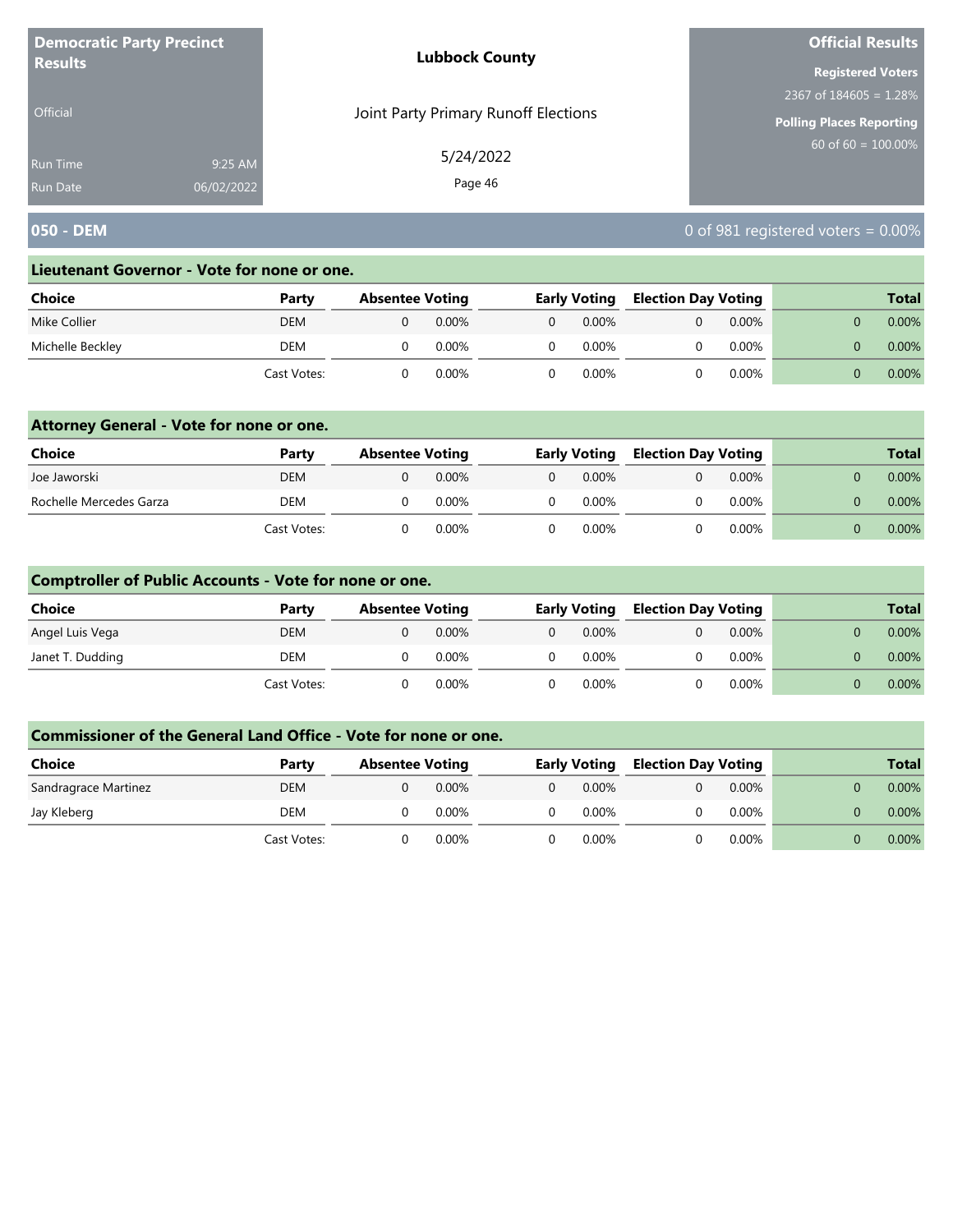| <b>Democratic Party Precinct</b><br><b>Results</b> |            | <b>Lubbock County</b>                | <b>Official Results</b>   |
|----------------------------------------------------|------------|--------------------------------------|---------------------------|
|                                                    |            |                                      | <b>Registered Voters</b>  |
|                                                    |            |                                      | 2367 of $184605 = 1.28\%$ |
| <b>Official</b>                                    |            | Joint Party Primary Runoff Elections | Polling Places Reporting  |
| <b>Run Time</b>                                    | 9:25 AM    | 5/24/2022                            | 60 of $60 = 100.00\%$     |
| <b>Run Date</b>                                    | 06/02/2022 | Page 46                              |                           |

# **050 - DEM** 0 of 981 registered voters = 0.00%

#### **Lieutenant Governor - Vote for none or one.**

| <b>Choice</b>    | Party       | <b>Absentee Voting</b> |       | <b>Early Voting</b> |          | <b>Election Day Voting</b> |          |  | <b>Total</b> |
|------------------|-------------|------------------------|-------|---------------------|----------|----------------------------|----------|--|--------------|
| Mike Collier     | <b>DEM</b>  |                        | 0.00% |                     | $0.00\%$ |                            | $0.00\%$ |  | $0.00\%$     |
| Michelle Beckley | DEM         |                        | 0.00% |                     | $0.00\%$ |                            | $0.00\%$ |  | $0.00\%$     |
|                  | Cast Votes: |                        | 0.00% |                     | 0.00%    |                            | 0.00%    |  | $0.00\%$     |

### **Attorney General - Vote for none or one.**

| Choice                  | Party       | <b>Absentee Voting</b> |          | <b>Early Voting</b> |  | <b>Election Day Voting</b> |  | <b>Total</b> |
|-------------------------|-------------|------------------------|----------|---------------------|--|----------------------------|--|--------------|
| Joe Jaworski            | DEM         |                        | 0.00%    | $0.00\%$            |  | $0.00\%$                   |  | $0.00\%$     |
| Rochelle Mercedes Garza | <b>DEM</b>  |                        | $0.00\%$ | 0.00%               |  | $0.00\%$                   |  | $0.00\%$     |
|                         | Cast Votes: |                        | 0.00%    | $0.00\%$            |  | 0.00%                      |  | $0.00\%$     |

### **Comptroller of Public Accounts - Vote for none or one.**

| <b>Choice</b>    | Party       | <b>Absentee Voting</b> |          |    | <b>Early Voting</b> | <b>Election Day Voting</b> |          |  | <b>Total</b> |
|------------------|-------------|------------------------|----------|----|---------------------|----------------------------|----------|--|--------------|
| Angel Luis Vega  | DEM         |                        | 0.00%    | 0  | $0.00\%$            |                            | 0.00%    |  | $0.00\%$     |
| Janet T. Dudding | DEM         |                        | $0.00\%$ | 0. | $0.00\%$            |                            | $0.00\%$ |  | 0.00%        |
|                  | Cast Votes: |                        | $0.00\%$ |    | $0.00\%$            |                            | 0.00%    |  | $0.00\%$     |

| Choice               | Party       | <b>Absentee Voting</b> |          |   | <b>Early Voting</b> | <b>Election Day Voting</b> |          |  | <b>Total</b> |
|----------------------|-------------|------------------------|----------|---|---------------------|----------------------------|----------|--|--------------|
| Sandragrace Martinez | DEM         |                        | $0.00\%$ | 0 | $0.00\%$            |                            | $0.00\%$ |  | $0.00\%$     |
| Jay Kleberg          | DEM         |                        | $0.00\%$ |   | $0.00\%$            |                            | 0.00%    |  | 0.00%        |
|                      | Cast Votes: |                        | 0.00%    |   | $0.00\%$            |                            | $0.00\%$ |  | $0.00\%$     |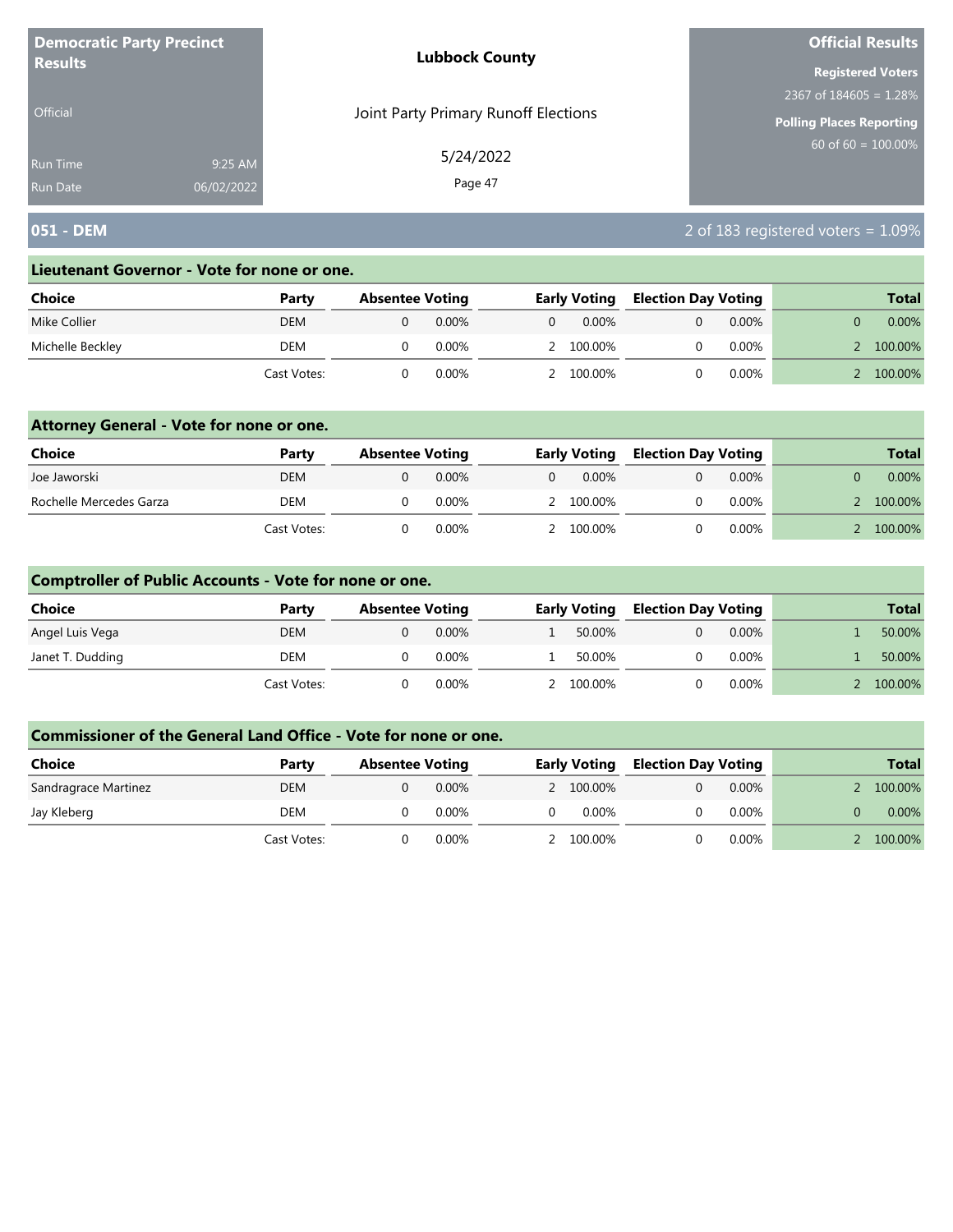| <b>Democratic Party Precinct</b><br><b>Results</b> |            | <b>Lubbock County</b>                | <b>Official Results</b>         |  |  |
|----------------------------------------------------|------------|--------------------------------------|---------------------------------|--|--|
|                                                    |            |                                      | <b>Registered Voters</b>        |  |  |
|                                                    |            |                                      | 2367 of $184605 = 1.28\%$       |  |  |
| <b>Official</b>                                    |            | Joint Party Primary Runoff Elections | <b>Polling Places Reporting</b> |  |  |
| <b>Run Time</b>                                    | 9:25 AM    | 5/24/2022                            | $60$ of 60 = $100.00\%$         |  |  |
| <b>Run Date</b>                                    | 06/02/2022 | Page 47                              |                                 |  |  |

# **051 - DEM** 2 of 183 registered voters = 1.09%

#### **Lieutenant Governor - Vote for none or one.**

| Choice           | Party       | <b>Absentee Voting</b> |          |   | <b>Early Voting</b> |  | <b>Election Day Voting</b> |  | <b>Total</b> |
|------------------|-------------|------------------------|----------|---|---------------------|--|----------------------------|--|--------------|
| Mike Collier     | <b>DEM</b>  |                        | $0.00\%$ | 0 | $0.00\%$            |  | $0.00\%$                   |  | $0.00\%$     |
| Michelle Beckley | DEM         |                        | 0.00%    |   | 2 100.00%           |  | $0.00\%$                   |  | 100.00%      |
|                  | Cast Votes: |                        | 0.00%    |   | 100.00%             |  | $0.00\%$                   |  | 100.00%      |

### **Attorney General - Vote for none or one.**

| Choice                  | Party       | <b>Absentee Voting</b> |          |          | <b>Early Voting</b> |  | <b>Election Day Voting</b> | <b>Total</b> |
|-------------------------|-------------|------------------------|----------|----------|---------------------|--|----------------------------|--------------|
| Joe Jaworski            | DEM         |                        | $0.00\%$ | $\Omega$ | 0.00%               |  | $0.00\%$                   | $0.00\%$     |
| Rochelle Mercedes Garza | <b>DEM</b>  |                        | $0.00\%$ |          | 2 100.00%           |  | $0.00\%$                   | 100.00%      |
|                         | Cast Votes: |                        | 0.00%    |          | 2 100.00%           |  | $0.00\%$                   | 100.00%      |

### **Comptroller of Public Accounts - Vote for none or one.**

| <b>Choice</b>    | Party       | <b>Absentee Voting</b> |          | <b>Early Voting</b> |  | <b>Election Day Voting</b> |  | <b>Total</b> |
|------------------|-------------|------------------------|----------|---------------------|--|----------------------------|--|--------------|
| Angel Luis Vega  | <b>DEM</b>  |                        | $0.00\%$ | 50.00%              |  | $0.00\%$                   |  | 50.00%       |
| Janet T. Dudding | DEM         |                        | $0.00\%$ | 50.00%              |  | $0.00\%$                   |  | 50.00%       |
|                  | Cast Votes: |                        | $0.00\%$ | 2 100.00%           |  | $0.00\%$                   |  | 100.00%      |

| Choice               | Party       | <b>Absentee Voting</b> |          | <b>Early Voting</b> |           | <b>Election Day Voting</b> |          | <b>Total</b> |
|----------------------|-------------|------------------------|----------|---------------------|-----------|----------------------------|----------|--------------|
| Sandragrace Martinez | <b>DEM</b>  |                        | $0.00\%$ |                     | 2 100.00% |                            | $0.00\%$ | 100.00%      |
| Jay Kleberg          | DEM         |                        | $0.00\%$ |                     | $0.00\%$  |                            | $0.00\%$ | 0.00%        |
|                      | Cast Votes: |                        | 0.00%    |                     | 2 100.00% |                            | $0.00\%$ | 100.00%      |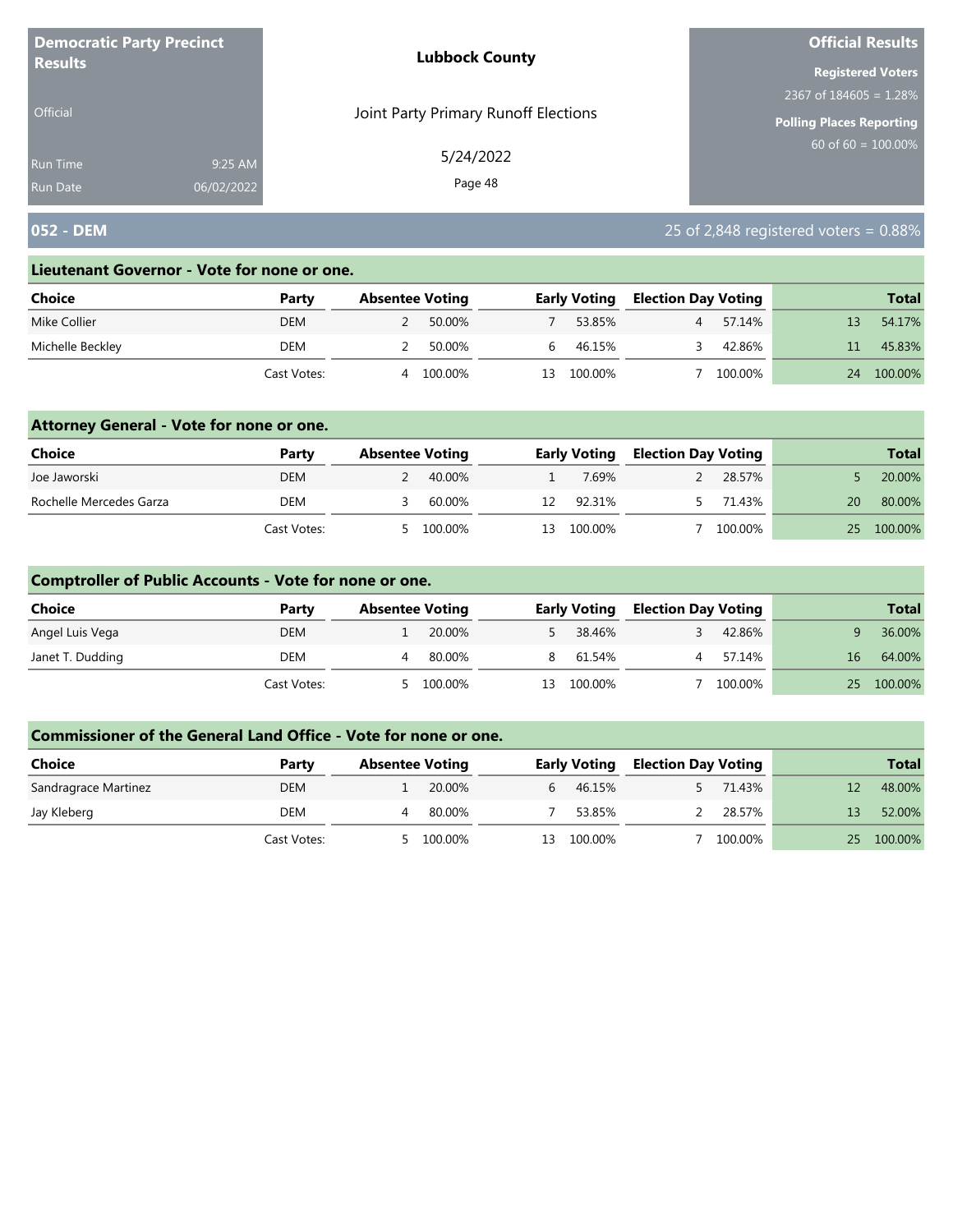| <b>Democratic Party Precinct</b><br><b>Results</b> |            | <b>Lubbock County</b>                | <b>Official Results</b>   |
|----------------------------------------------------|------------|--------------------------------------|---------------------------|
|                                                    |            |                                      | <b>Registered Voters</b>  |
|                                                    |            |                                      | 2367 of $184605 = 1.28\%$ |
| <b>Official</b>                                    |            | Joint Party Primary Runoff Elections | Polling Places Reporting  |
| <b>Run Time</b>                                    | 9:25 AM    | 5/24/2022                            | 60 of $60 = 100.00\%$     |
| <b>Run Date</b>                                    | 06/02/2022 | Page 48                              |                           |

# **052 - DEM** 25 of 2,848 registered voters = 0.88%

#### **Lieutenant Governor - Vote for none or one.**

| Choice           | Party       | <b>Absentee Voting</b> |         |     | <b>Early Voting</b> |  | <b>Election Day Voting</b> |    | <b>Total</b> |
|------------------|-------------|------------------------|---------|-----|---------------------|--|----------------------------|----|--------------|
| Mike Collier     | <b>DEM</b>  |                        | 50.00%  |     | 53.85%              |  | 57.14%                     |    | 54.17%       |
| Michelle Beckley | DEM         |                        | 50.00%  |     | 46.15%              |  | 42.86%                     |    | 45.83%       |
|                  | Cast Votes: | 4                      | 100.00% | 13. | 100.00%             |  | 100.00%                    | 24 | 100.00%      |

### **Attorney General - Vote for none or one.**

| Choice                  | Party       | <b>Absentee Voting</b> |           |     | <b>Early Voting</b> |  | <b>Election Day Voting</b> |    | <b>Total</b> |
|-------------------------|-------------|------------------------|-----------|-----|---------------------|--|----------------------------|----|--------------|
| Joe Jaworski            | DEM         |                        | - 40.00%  |     | 7.69%               |  | 28.57%                     |    | 20.00%       |
| Rochelle Mercedes Garza | DEM         |                        | 60.00%    | 12  | 92.31%              |  | 71.43%                     | 20 | 80.00%       |
|                         | Cast Votes: |                        | 5 100.00% | 13. | 100.00%             |  | 100.00%                    | 25 | 100.00%      |

### **Comptroller of Public Accounts - Vote for none or one.**

| <b>Choice</b>    | Party       | <b>Absentee Voting</b> |         |    | <b>Early Voting</b> |    | <b>Election Day Voting</b> |    | <b>Total</b> |
|------------------|-------------|------------------------|---------|----|---------------------|----|----------------------------|----|--------------|
| Angel Luis Vega  | <b>DEM</b>  |                        | 20.00%  |    | 38.46%              |    | 42.86%                     |    | 36.00%       |
| Janet T. Dudding | DEM         |                        | 80.00%  |    | 8 61.54%            | Δ. | 57.14%                     | 16 | 64.00%       |
|                  | Cast Votes: |                        | 100.00% | 13 | 100.00%             |    | 100.00%                    |    | 25 100.00%   |

| <b>Choice</b>        | Party       | <b>Absentee Voting</b> |         | <b>Election Day Voting</b><br><b>Early Voting</b> |         |  |         | <b>Total</b> |         |
|----------------------|-------------|------------------------|---------|---------------------------------------------------|---------|--|---------|--------------|---------|
| Sandragrace Martinez | <b>DEM</b>  |                        | 20.00%  | h.                                                | 46.15%  |  | 71.43%  |              | 48.00%  |
| Jay Kleberg          | DEM         |                        | 80.00%  |                                                   | 53.85%  |  | 28.57%  | 13           | 52.00%  |
|                      | Cast Votes: |                        | 100.00% | 13                                                | 100.00% |  | 100.00% | 25           | 100.00% |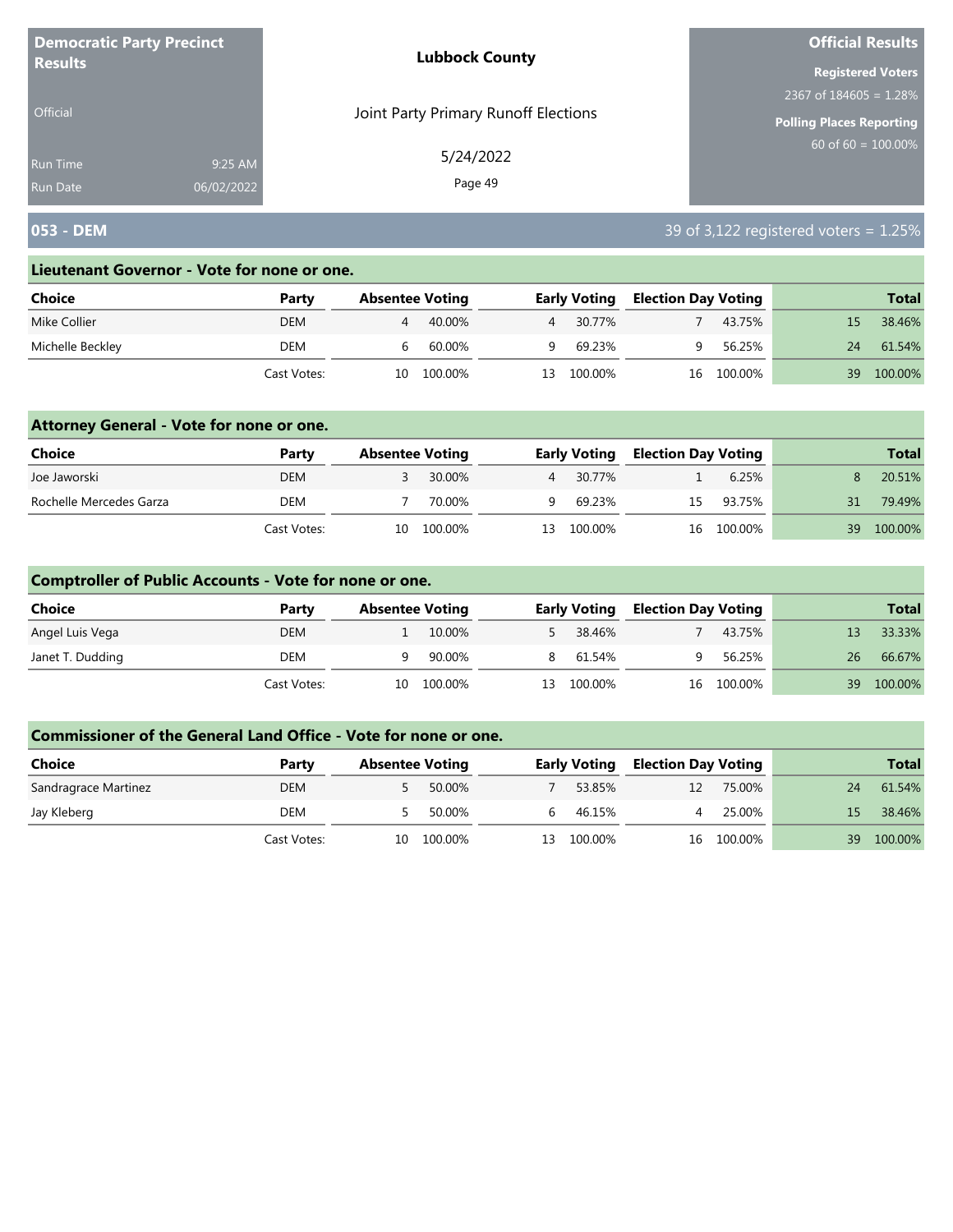| <b>Democratic Party Precinct</b> |            | <b>Lubbock County</b>                | <b>Official Results</b>   |
|----------------------------------|------------|--------------------------------------|---------------------------|
| <b>Results</b>                   |            |                                      | <b>Registered Voters</b>  |
|                                  |            |                                      | 2367 of $184605 = 1.28\%$ |
| <b>Official</b>                  |            | Joint Party Primary Runoff Elections | Polling Places Reporting  |
| <b>Run Time</b>                  | 9:25 AM    | 5/24/2022                            | 60 of $60 = 100.00\%$     |
| <b>Run Date</b>                  | 06/02/2022 | Page 49                              |                           |

# **053 - DEM** 39 of 3,122 registered voters = 1.25%

#### **Lieutenant Governor - Vote for none or one.**

| Choice           | Party       | <b>Absentee Voting</b> |         |    | <b>Early Voting</b> | <b>Election Day Voting</b> |            |    | <b>Total</b> |
|------------------|-------------|------------------------|---------|----|---------------------|----------------------------|------------|----|--------------|
| Mike Collier     | <b>DEM</b>  | 4                      | 40.00%  |    | 4 30.77%            |                            | 43.75%     |    | 38.46%       |
| Michelle Beckley | DEM         |                        | 60.00%  | a  | 69.23%              |                            | 56.25%     | 24 | 61.54%       |
|                  | Cast Votes: | 10                     | 100.00% | 13 | 100.00%             |                            | 16 100.00% | 39 | 100.00%      |

### **Attorney General - Vote for none or one.**

| Choice                  | Party       | <b>Absentee Voting</b> |            |     | <b>Early Voting</b> | <b>Election Day Voting</b> |            |    | <b>Total</b> |
|-------------------------|-------------|------------------------|------------|-----|---------------------|----------------------------|------------|----|--------------|
| Joe Jaworski            | <b>DEM</b>  |                        | 30.00%     |     | 4 30.77%            |                            | 6.25%      |    | 20.51%       |
| Rochelle Mercedes Garza | DEM         |                        | 70.00%     | q.  | 69.23%              |                            | 15 93.75%  | 31 | 79.49%       |
|                         | Cast Votes: |                        | 10 100.00% | 13. | 100.00%             |                            | 16 100.00% | 39 | 100.00%      |

### **Comptroller of Public Accounts - Vote for none or one.**

| Choice           | Party       | <b>Absentee Voting</b> |            |    | <b>Early Voting</b> | <b>Election Day Voting</b> |            |     | <b>Total</b> |
|------------------|-------------|------------------------|------------|----|---------------------|----------------------------|------------|-----|--------------|
| Angel Luis Vega  | <b>DEM</b>  |                        | 10.00%     |    | 5 38.46%            |                            | 43.75%     |     | 33.33%       |
| Janet T. Dudding | DEM         |                        | 90.00%     |    | 8 61.54%            |                            | 56.25%     | 26  | 66.67%       |
|                  | Cast Votes: |                        | 10 100.00% | 13 | 100.00%             |                            | 16 100.00% | 39. | 100.00%      |

| <b>Choice</b>        | Party       | <b>Absentee Voting</b> |         |    | <b>Early Voting</b> | <b>Election Day Voting</b> |            |     | <b>Total</b> |
|----------------------|-------------|------------------------|---------|----|---------------------|----------------------------|------------|-----|--------------|
| Sandragrace Martinez | <b>DEM</b>  |                        | 50.00%  |    | 53.85%              | 12                         | 75.00%     | 24  | 61.54%       |
| Jay Kleberg          | DEM         |                        | 50.00%  | h  | 46.15%              |                            | 25.00%     | 15. | 38.46%       |
|                      | Cast Votes: | 10                     | 100.00% | 13 | 100.00%             |                            | 16 100.00% | 39  | 100.00%      |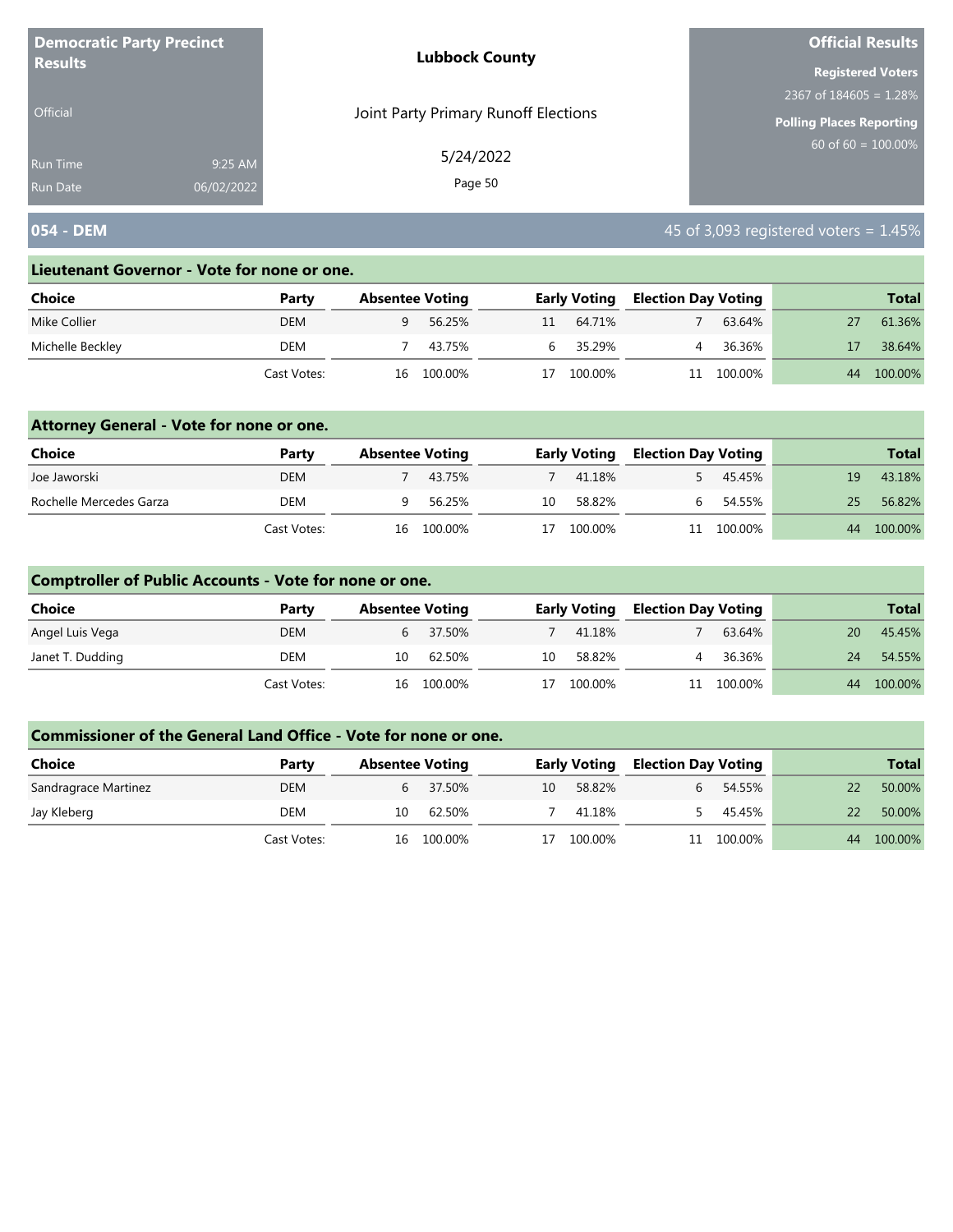| <b>Democratic Party Precinct</b> |            | <b>Lubbock County</b>                | <b>Official Results</b>         |
|----------------------------------|------------|--------------------------------------|---------------------------------|
| <b>Results</b>                   |            |                                      | <b>Registered Voters</b>        |
|                                  |            |                                      | 2367 of $184605 = 1.28\%$       |
| <b>Official</b>                  |            | Joint Party Primary Runoff Elections | <b>Polling Places Reporting</b> |
| Run Time                         | 9:25 AM    | 5/24/2022                            | $60$ of 60 = $100.00\%$         |
| <b>Run Date</b>                  | 06/02/2022 | Page 50                              |                                 |

# **054 - DEM** 45 of 3,093 registered voters = 1.45%

#### **Lieutenant Governor - Vote for none or one.**

| Choice           | Party       |    | <b>Absentee Voting</b> |    | <b>Early Voting</b> | <b>Election Day Voting</b> |         |    | <b>Total</b> |
|------------------|-------------|----|------------------------|----|---------------------|----------------------------|---------|----|--------------|
| Mike Collier     | <b>DEM</b>  |    | 56.25%                 | 11 | 64.71%              |                            | 63.64%  |    | 61.36%       |
| Michelle Beckley | DEM         |    | 43.75%                 | h  | 35.29%              |                            | 36.36%  |    | 38.64%       |
|                  | Cast Votes: | 16 | 100.00%                |    | 100.00%             | 11                         | 100.00% | 44 | 100.00%      |

### **Attorney General - Vote for none or one.**

| <b>Choice</b>           | Party       | <b>Absentee Voting</b> |            |    | <b>Early Voting</b> | <b>Election Day Voting</b> |            |    | <b>Total</b> |
|-------------------------|-------------|------------------------|------------|----|---------------------|----------------------------|------------|----|--------------|
| Joe Jaworski            | <b>DEM</b>  |                        | 43.75%     |    | 41.18%              |                            | 45.45%     | 19 | 43.18%       |
| Rochelle Mercedes Garza | DEM         |                        | 56.25%     | 10 | 58.82%              |                            | 54.55%     | 25 | 56.82%       |
|                         | Cast Votes: |                        | 16 100.00% | 17 | 100.00%             |                            | 11 100.00% | 44 | 100.00%      |

### **Comptroller of Public Accounts - Vote for none or one.**

| Choice           | Party       | <b>Absentee Voting</b> |            |    | <b>Early Voting</b> | <b>Election Day Voting</b> |            |    | <b>Total</b> |
|------------------|-------------|------------------------|------------|----|---------------------|----------------------------|------------|----|--------------|
| Angel Luis Vega  | <b>DEM</b>  |                        | 6 37.50%   |    | 41.18%              |                            | 63.64%     | 20 | 45.45%       |
| Janet T. Dudding | DEM         | 10                     | 62.50%     | 10 | 58.82%              | 4                          | 36.36%     | 24 | 54.55%       |
|                  | Cast Votes: |                        | 16 100.00% | 17 | 100.00%             |                            | 11 100.00% | 44 | 100.00%      |

| <b>Choice</b>        | Party       | <b>Absentee Voting</b> |          |    | <b>Early Voting</b> | <b>Election Day Voting</b> |         |    | <b>Total</b> |
|----------------------|-------------|------------------------|----------|----|---------------------|----------------------------|---------|----|--------------|
| Sandragrace Martinez | <b>DEM</b>  |                        | 6 37.50% | 10 | 58.82%              | b.                         | 54.55%  |    | 50.00%       |
| Jay Kleberg          | DEM         | 10                     | 62.50%   |    | 41.18%              |                            | 45.45%  |    | 50.00%       |
|                      | Cast Votes: | 16                     | 100.00%  | 17 | 100.00%             |                            | 100.00% | 44 | 100.00%      |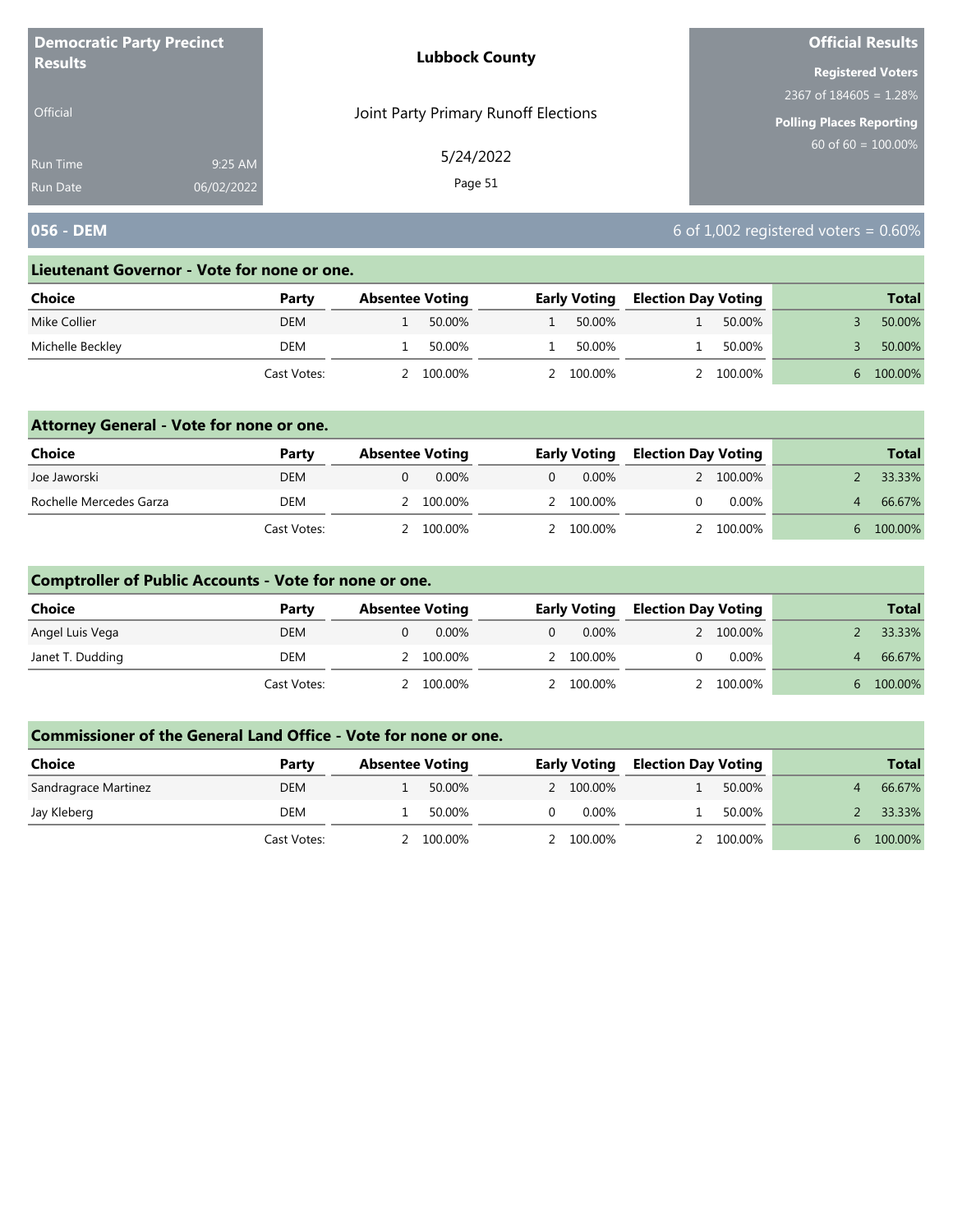| <b>Democratic Party Precinct</b> |            | <b>Lubbock County</b>                | <b>Official Results</b>         |
|----------------------------------|------------|--------------------------------------|---------------------------------|
| <b>Results</b>                   |            |                                      | <b>Registered Voters</b>        |
|                                  |            |                                      | 2367 of $184605 = 1.28\%$       |
| Official                         |            | Joint Party Primary Runoff Elections | <b>Polling Places Reporting</b> |
| <b>Run Time</b>                  | 9:25 AM    | 5/24/2022                            | $60$ of 60 = 100.00%            |
| <b>Run Date</b>                  | 06/02/2022 | Page 51                              |                                 |

# **056 - DEM** 6 of 1,002 registered voters = 0.60%

#### **Lieutenant Governor - Vote for none or one.**

| Choice           | Party       | <b>Absentee Voting</b> |         | <b>Early Voting</b> | <b>Election Day Voting</b> |         | <b>Total</b> |
|------------------|-------------|------------------------|---------|---------------------|----------------------------|---------|--------------|
| Mike Collier     | DEM         |                        | 50.00%  | 50.00%              |                            | 50.00%  | 50.00%       |
| Michelle Beckley | DEM         |                        | 50.00%  | 50.00%              |                            | 50.00%  | 50.00%       |
|                  | Cast Votes: |                        | 100.00% | 100.00%             |                            | 100.00% | 100.00%      |

### **Attorney General - Vote for none or one.**

| Choice                  | Party       | <b>Absentee Voting</b> | <b>Early Voting</b> |  | <b>Election Day Voting</b> |              | <b>Total</b> |
|-------------------------|-------------|------------------------|---------------------|--|----------------------------|--------------|--------------|
| Joe Jaworski            | DEM         | 0.00%                  | 0.00%               |  | 2 100.00%                  |              | 33.33%       |
| Rochelle Mercedes Garza | DEM         | 2 100.00%              | 2 100.00%           |  | $0.00\%$                   |              | 66.67%       |
|                         | Cast Votes: | 2 100.00%              | 2 100.00%           |  | 2 100.00%                  | $\mathsf{h}$ | 100.00%      |

### **Comptroller of Public Accounts - Vote for none or one.**

| <b>Choice</b>    | Party       | <b>Absentee Voting</b> | <b>Early Voting</b> |          | <b>Election Day Voting</b> |    | <b>Total</b> |
|------------------|-------------|------------------------|---------------------|----------|----------------------------|----|--------------|
| Angel Luis Vega  | <b>DEM</b>  | $0.00\%$               | $\Omega$            | $0.00\%$ | 2 100.00%                  |    | 33.33%       |
| Janet T. Dudding | DEM         | 100.00%                | 2 100.00%           |          | $0.00\%$                   |    | 66.67%       |
|                  | Cast Votes: | 100.00%                | 2 100.00%           |          | 100.00%                    | 6. | 100.00%      |

| Choice               | Party       | <b>Absentee Voting</b> |  | <b>Early Voting</b> | <b>Election Day Voting</b> |           |              | <b>Total</b> |
|----------------------|-------------|------------------------|--|---------------------|----------------------------|-----------|--------------|--------------|
| Sandragrace Martinez | <b>DEM</b>  | 50.00%                 |  | 2 100.00%           |                            | 50.00%    |              | 66.67%       |
| Jay Kleberg          | DEM         | 50.00%                 |  | $0.00\%$            |                            | 50.00%    |              | 33.33%       |
|                      | Cast Votes: | 100.00%                |  | 2 100.00%           |                            | 2 100,00% | $\mathsf{h}$ | 100.00%      |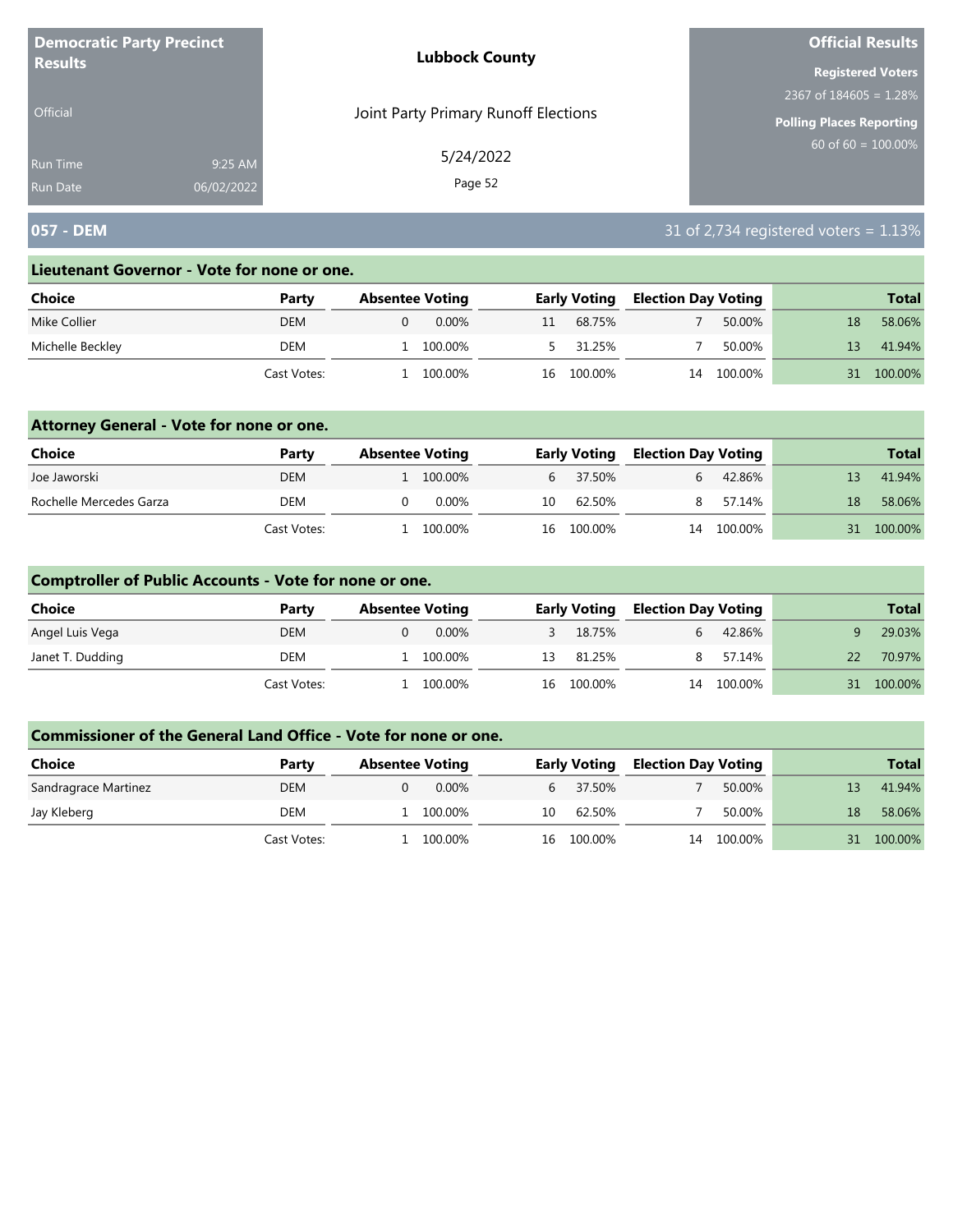| <b>Democratic Party Precinct</b> |            | <b>Lubbock County</b>                | <b>Official Results</b>         |
|----------------------------------|------------|--------------------------------------|---------------------------------|
| <b>Results</b>                   |            |                                      | <b>Registered Voters</b>        |
|                                  |            |                                      | 2367 of $184605 = 1.28\%$       |
| Official                         |            | Joint Party Primary Runoff Elections | <b>Polling Places Reporting</b> |
| <b>Run Time</b>                  | 9:25 AM    | 5/24/2022                            | $60$ of 60 = 100.00%            |
| <b>Run Date</b>                  | 06/02/2022 | Page 52                              |                                 |

# **057 - DEM** 31 of 2,734 registered voters = 1.13%

#### **Lieutenant Governor - Vote for none or one.**

| Choice           | Party       | <b>Absentee Voting</b> |          |    | <b>Early Voting</b> |    | <b>Election Day Voting</b> |    | <b>Total</b> |
|------------------|-------------|------------------------|----------|----|---------------------|----|----------------------------|----|--------------|
| Mike Collier     | DEM         |                        | $0.00\%$ |    | 68.75%              |    | 50.00%                     |    | 58.06%       |
| Michelle Beckley | DEM         |                        | 100.00%  |    | 31.25%              |    | 50.00%                     | 13 | 41.94%       |
|                  | Cast Votes: |                        | 100.00%  | 16 | 100.00%             | 14 | 100.00%                    |    | 100.00%      |

### **Attorney General - Vote for none or one.**

| Choice                  | Party       | <b>Absentee Voting</b> |    | <b>Early Voting</b> | <b>Election Day Voting</b> |            |    | <b>Total</b> |
|-------------------------|-------------|------------------------|----|---------------------|----------------------------|------------|----|--------------|
| Joe Jaworski            | DEM         | 1 100,00%              |    | 6 37.50%            |                            | 42.86%     |    | 41.94%       |
| Rochelle Mercedes Garza | DEM         | $0.00\%$               | 10 | 62.50%              |                            | 57.14%     | 18 | 58.06%       |
|                         | Cast Votes: | 100.00%                |    | 16 100.00%          |                            | 14 100.00% | 31 | 100.00%      |

### **Comptroller of Public Accounts - Vote for none or one.**

| <b>Choice</b>    | Party       | <b>Absentee Voting</b> | <b>Early Voting</b> |   | <b>Election Day Voting</b> |    | <b>Total</b> |
|------------------|-------------|------------------------|---------------------|---|----------------------------|----|--------------|
| Angel Luis Vega  | <b>DEM</b>  | 0.00%                  | 3 18.75%            |   | 42.86%                     |    | 29.03%       |
| Janet T. Dudding | DEM         | 100.00%                | 13 81.25%           | 8 | 57.14%                     | 22 | 70.97%       |
|                  | Cast Votes: | 100.00%                | 16 100.00%          |   | 14 100.00%                 |    | 31 100.00%   |

| Choice               | Party       | <b>Absentee Voting</b> |    | <b>Early Voting</b> | <b>Election Day Voting</b> |         |     | <b>Total</b> |
|----------------------|-------------|------------------------|----|---------------------|----------------------------|---------|-----|--------------|
| Sandragrace Martinez | <b>DEM</b>  | $0.00\%$               |    | 6 37.50%            |                            | 50.00%  |     | 41.94%       |
| Jay Kleberg          | DEM         | 100.00%                | 10 | 62.50%              |                            | 50.00%  | 18  | 58.06%       |
|                      | Cast Votes: | 100.00%                |    | 100.00%<br>16       | 14                         | 100.00% | 31. | 100.00%      |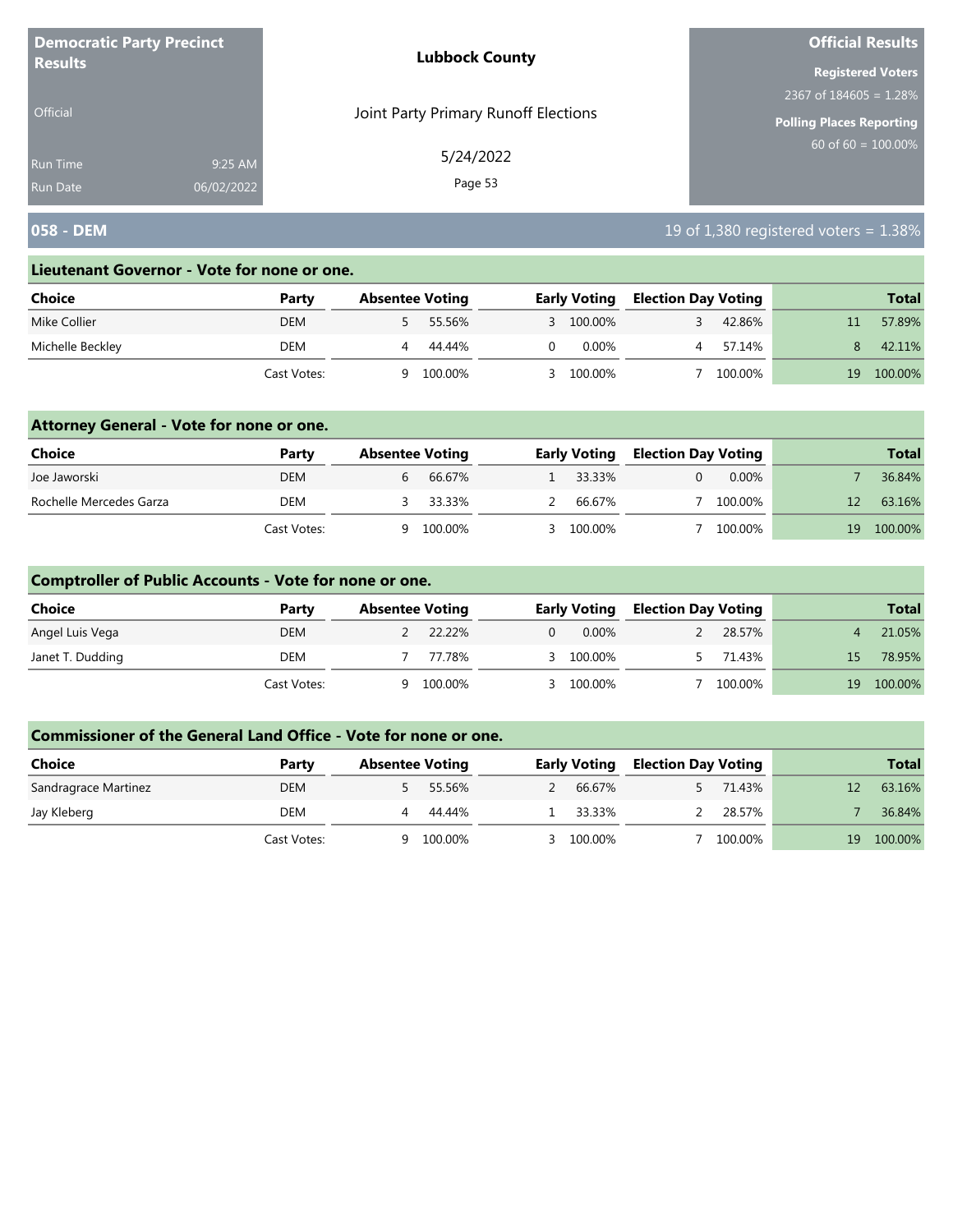| <b>Democratic Party Precinct</b> |            | <b>Lubbock County</b>                | <b>Official Results</b>         |
|----------------------------------|------------|--------------------------------------|---------------------------------|
| <b>Results</b>                   |            |                                      | <b>Registered Voters</b>        |
|                                  |            |                                      | 2367 of $184605 = 1.28\%$       |
| Official                         |            | Joint Party Primary Runoff Elections | <b>Polling Places Reporting</b> |
| <b>Run Time</b>                  | 9:25 AM    | 5/24/2022                            | $60$ of 60 = 100.00%            |
| <b>Run Date</b>                  | 06/02/2022 | Page 53                              |                                 |

# **058 - DEM** 19 of 1,380 registered voters = 1.38%

#### **Lieutenant Governor - Vote for none or one.**

| Choice           | Party       |   | <b>Absentee Voting</b> |    | <b>Early Voting</b> |  | <b>Election Day Voting</b> |    | <b>Total</b> |
|------------------|-------------|---|------------------------|----|---------------------|--|----------------------------|----|--------------|
| Mike Collier     | <b>DEM</b>  |   | 55.56%                 |    | 3 100.00%           |  | 42.86%                     |    | 57.89%       |
| Michelle Beckley | DEM         |   | 44.44%                 | 0. | $0.00\%$            |  | 57.14%                     |    | 42.11%       |
|                  | Cast Votes: | a | 100.00%                |    | 100.00%             |  | 100.00%                    | 19 | 100.00%      |

### **Attorney General - Vote for none or one.**

| Choice                  | Party       | <b>Absentee Voting</b> |         | <b>Early Voting</b> |  | <b>Election Day Voting</b> |    | <b>Total</b> |
|-------------------------|-------------|------------------------|---------|---------------------|--|----------------------------|----|--------------|
| Joe Jaworski            | DEM         |                        | 66.67%  | 1 33.33%            |  | $0.00\%$                   |    | 36.84%       |
| Rochelle Mercedes Garza | DEM         |                        | 33.33%  | 66.67%              |  | 100.00%                    |    | 63.16%       |
|                         | Cast Votes: | ч                      | 100.00% | 3 100.00%           |  | 100.00%                    | 19 | 100.00%      |

### **Comptroller of Public Accounts - Vote for none or one.**

| Choice           | Party       |   | <b>Absentee Voting</b> |          | <b>Early Voting</b> |  | <b>Election Day Voting</b> |     | <b>Total</b> |
|------------------|-------------|---|------------------------|----------|---------------------|--|----------------------------|-----|--------------|
| Angel Luis Vega  | <b>DEM</b>  |   | 22.22%                 | $\Omega$ | $0.00\%$            |  | 28.57%                     |     | 21.05%       |
| Janet T. Dudding | DEM         |   | 77.78%                 |          | 3 100.00%           |  | 71.43%                     | 15. | 78.95%       |
|                  | Cast Votes: | Q | 100.00%                |          | 3 100.00%           |  | 100.00%                    | 19  | 100.00%      |

| <b>Choice</b>        | Party       | <b>Absentee Voting</b> |  | <b>Early Voting</b> | <b>Election Day Voting</b> |         |    | <b>Total</b> |
|----------------------|-------------|------------------------|--|---------------------|----------------------------|---------|----|--------------|
| Sandragrace Martinez | <b>DEM</b>  | 55.56%                 |  | 66.67%              |                            | 71.43%  |    | 63.16%       |
| Jay Kleberg          | DEM         | 44.44%                 |  | 33.33%              |                            | 28.57%  |    | 36.84%       |
|                      | Cast Votes: | 100.00%                |  | 3 100.00%           |                            | 100.00% | 19 | 100.00%      |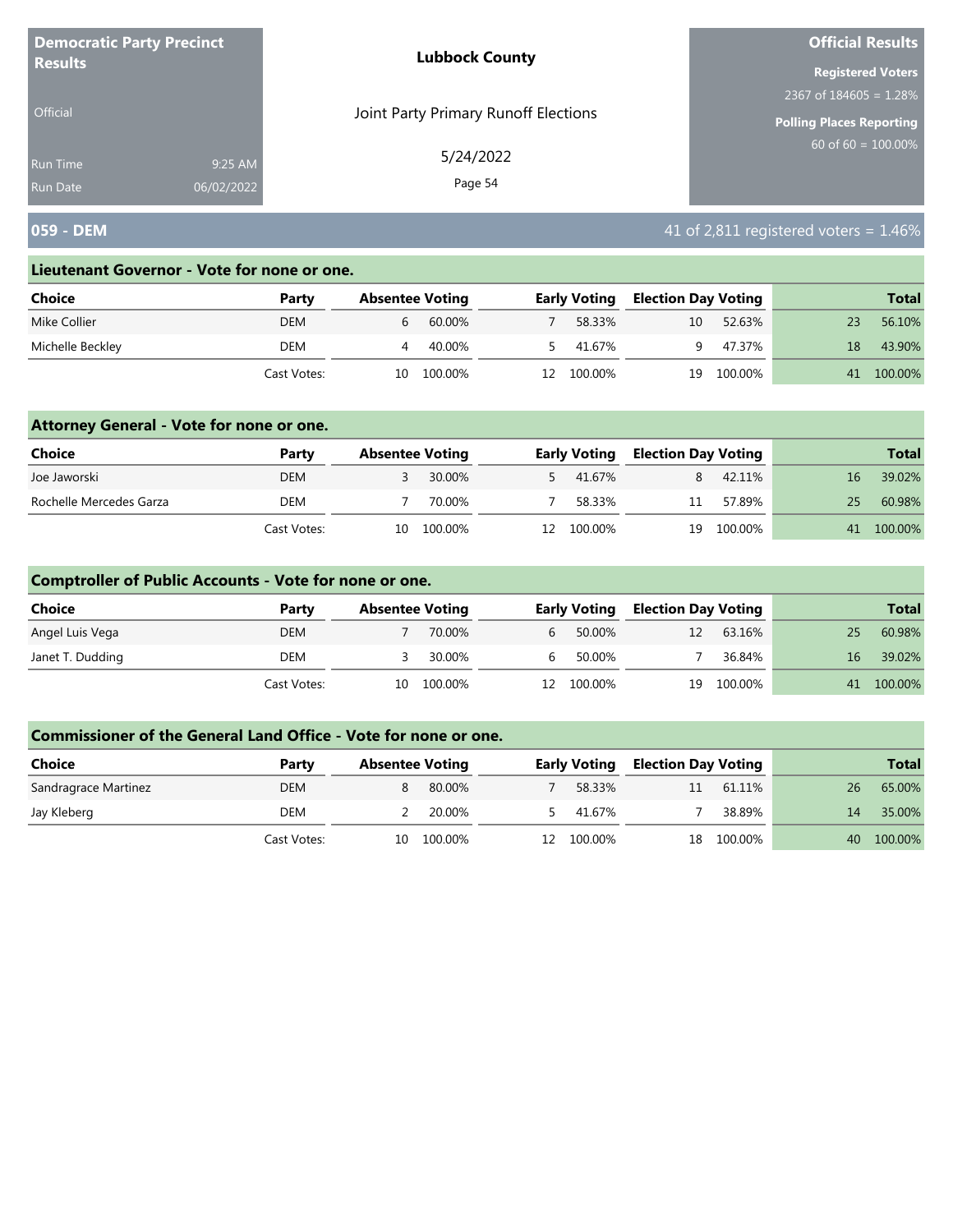| <b>Democratic Party Precinct</b> |            | <b>Lubbock County</b>                | <b>Official Results</b>         |
|----------------------------------|------------|--------------------------------------|---------------------------------|
| <b>Results</b>                   |            |                                      | <b>Registered Voters</b>        |
|                                  |            |                                      | 2367 of $184605 = 1.28\%$       |
| Official                         |            | Joint Party Primary Runoff Elections | <b>Polling Places Reporting</b> |
| <b>Run Time</b>                  | 9:25 AM    | 5/24/2022                            | $60$ of 60 = 100.00%            |
| <b>Run Date</b>                  | 06/02/2022 | Page 54                              |                                 |

# **059 - DEM 1.46% 1.46% 1.46% 1.46% 41 of 2,811 registered voters = 1.46%**

#### **Lieutenant Governor - Vote for none or one.**

| Choice           | Party       | <b>Absentee Voting</b> |         |    | <b>Early Voting</b> | <b>Election Day Voting</b> |         |    | <b>Total</b> |
|------------------|-------------|------------------------|---------|----|---------------------|----------------------------|---------|----|--------------|
| Mike Collier     | DEM         | b                      | 60.00%  |    | 58.33%              | 10                         | 52.63%  |    | 56.10%       |
| Michelle Beckley | DEM         |                        | 40.00%  |    | 41.67%              |                            | 47.37%  | 18 | 43.90%       |
|                  | Cast Votes: | 10                     | 100.00% | 12 | 100.00%             | 19                         | 100.00% | 41 | 100.00%      |

### **Attorney General - Vote for none or one.**

| Choice                  | Party       | <b>Absentee Voting</b> |            | <b>Early Voting</b> | <b>Election Day Voting</b> |            |    | <b>Total</b> |
|-------------------------|-------------|------------------------|------------|---------------------|----------------------------|------------|----|--------------|
| Joe Jaworski            | DEM         |                        | 30.00%     | 5 41.67%            |                            | 42.11%     | 16 | 39.02%       |
| Rochelle Mercedes Garza | DEM         |                        | 70.00%     | 58.33%              | 11                         | 57.89%     | 25 | 60.98%       |
|                         | Cast Votes: |                        | 10 100.00% | 12 100.00%          |                            | 19 100.00% | 41 | $100.00\%$   |

### **Comptroller of Public Accounts - Vote for none or one.**

| <b>Choice</b>    | Party       | <b>Absentee Voting</b> |            |           | <b>Early Voting</b> | <b>Election Day Voting</b> |            |    | <b>Total</b> |
|------------------|-------------|------------------------|------------|-----------|---------------------|----------------------------|------------|----|--------------|
| Angel Luis Vega  | <b>DEM</b>  |                        | 70.00%     | $6 \quad$ | 50.00%              | 12                         | 63.16%     | 25 | 60.98%       |
| Janet T. Dudding | DEM         |                        | 30.00%     | b.        | 50.00%              |                            | 36.84%     | 16 | 39.02%       |
|                  | Cast Votes: |                        | 10 100.00% |           | 12 100.00%          |                            | 19 100.00% |    | 41 100.00%   |

| <b>Choice</b>        | Party       | <b>Absentee Voting</b> |         |    | <b>Early Voting</b> | <b>Election Day Voting</b> |         |    | <b>Total</b> |
|----------------------|-------------|------------------------|---------|----|---------------------|----------------------------|---------|----|--------------|
| Sandragrace Martinez | <b>DEM</b>  |                        | 80.00%  |    | 58.33%              | 11                         | 61.11%  | 26 | 65.00%       |
| Jay Kleberg          | DEM         |                        | 20.00%  |    | 41.67%              |                            | 38.89%  | 14 | 35.00%       |
|                      | Cast Votes: | 10                     | 100.00% | 12 | 100.00%             | 18                         | 100.00% | 40 | 100.00%      |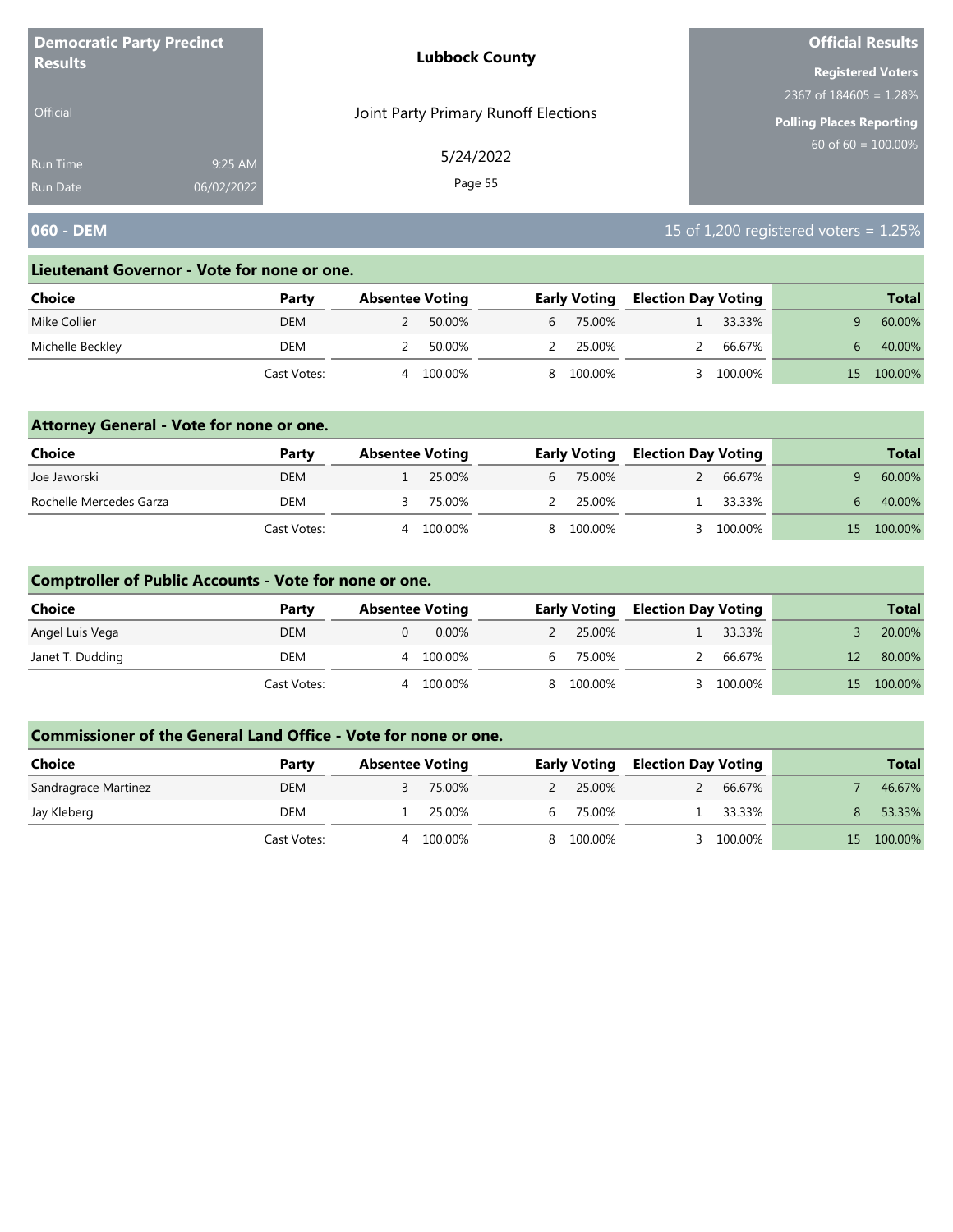| <b>Democratic Party Precinct</b> |            | <b>Lubbock County</b>                | <b>Official Results</b>         |
|----------------------------------|------------|--------------------------------------|---------------------------------|
| <b>Results</b>                   |            |                                      | <b>Registered Voters</b>        |
|                                  |            |                                      | 2367 of $184605 = 1.28\%$       |
| <b>Official</b>                  |            | Joint Party Primary Runoff Elections | <b>Polling Places Reporting</b> |
| Run Time                         | 9:25 AM    | 5/24/2022                            | $60$ of 60 = $100.00\%$         |
| <b>Run Date</b>                  | 06/02/2022 | Page 55                              |                                 |

# **060 - DEM** 15 of 1,200 registered voters = 1.25%

#### **Lieutenant Governor - Vote for none or one.**

| Choice           | Party       | <b>Absentee Voting</b> |         |    | <b>Early Voting</b> | <b>Election Day Voting</b> |         |     | <b>Total</b> |
|------------------|-------------|------------------------|---------|----|---------------------|----------------------------|---------|-----|--------------|
| Mike Collier     | DEM         |                        | 50.00%  | b  | 75.00%              |                            | 33.33%  |     | 60.00%       |
| Michelle Beckley | DEM         |                        | 50.00%  |    | 25.00%              |                            | 66.67%  |     | 40.00%       |
|                  | Cast Votes: | 4                      | 100.00% | 8. | 100.00%             |                            | 100.00% | 157 | 100.00%      |

### **Attorney General - Vote for none or one.**

| Choice                  | Party       | <b>Absentee Voting</b> |         | <b>Early Voting</b> | <b>Election Day Voting</b> |         |    | <b>Total</b> |
|-------------------------|-------------|------------------------|---------|---------------------|----------------------------|---------|----|--------------|
| Joe Jaworski            | DEM         |                        | 25.00%  | 6 75.00%            |                            | 66.67%  |    | 60.00%       |
| Rochelle Mercedes Garza | DEM         |                        | 75.00%  | 2 25.00%            |                            | 33.33%  |    | 40.00%       |
|                         | Cast Votes: | 4                      | 100.00% | 8 100.00%           |                            | 100.00% | 15 | 100.00%      |

### **Comptroller of Public Accounts - Vote for none or one.**

| <b>Choice</b>    | Party       | <b>Absentee Voting</b> |    | <b>Early Voting</b> | <b>Election Day Voting</b> |         |     | <b>Total</b> |
|------------------|-------------|------------------------|----|---------------------|----------------------------|---------|-----|--------------|
| Angel Luis Vega  | <b>DEM</b>  | $0.00\%$               |    | 25.00%              |                            | 33.33%  |     | 20.00%       |
| Janet T. Dudding | DEM         | 100.00%<br>4           | h. | 75.00%              |                            | 66.67%  |     | 80.00%       |
|                  | Cast Votes: | 100.00%<br>4           |    | 8 100.00%           |                            | 100.00% | 15. | 100.00%      |

| <b>Choice</b>        | Party       | <b>Absentee Voting</b> |    | <b>Early Voting</b> | <b>Election Day Voting</b> |         |     | <b>Total</b> |
|----------------------|-------------|------------------------|----|---------------------|----------------------------|---------|-----|--------------|
| Sandragrace Martinez | <b>DEM</b>  | 75.00%                 |    | 25.00%              |                            | 66.67%  |     | 46.67%       |
| Jay Kleberg          | DEM         | 25.00%                 | h. | 75.00%              |                            | 33.33%  |     | 53.33%       |
|                      | Cast Votes: | 100.00%<br>Д           |    | 100.00%             |                            | 100.00% | 15. | 100.00%      |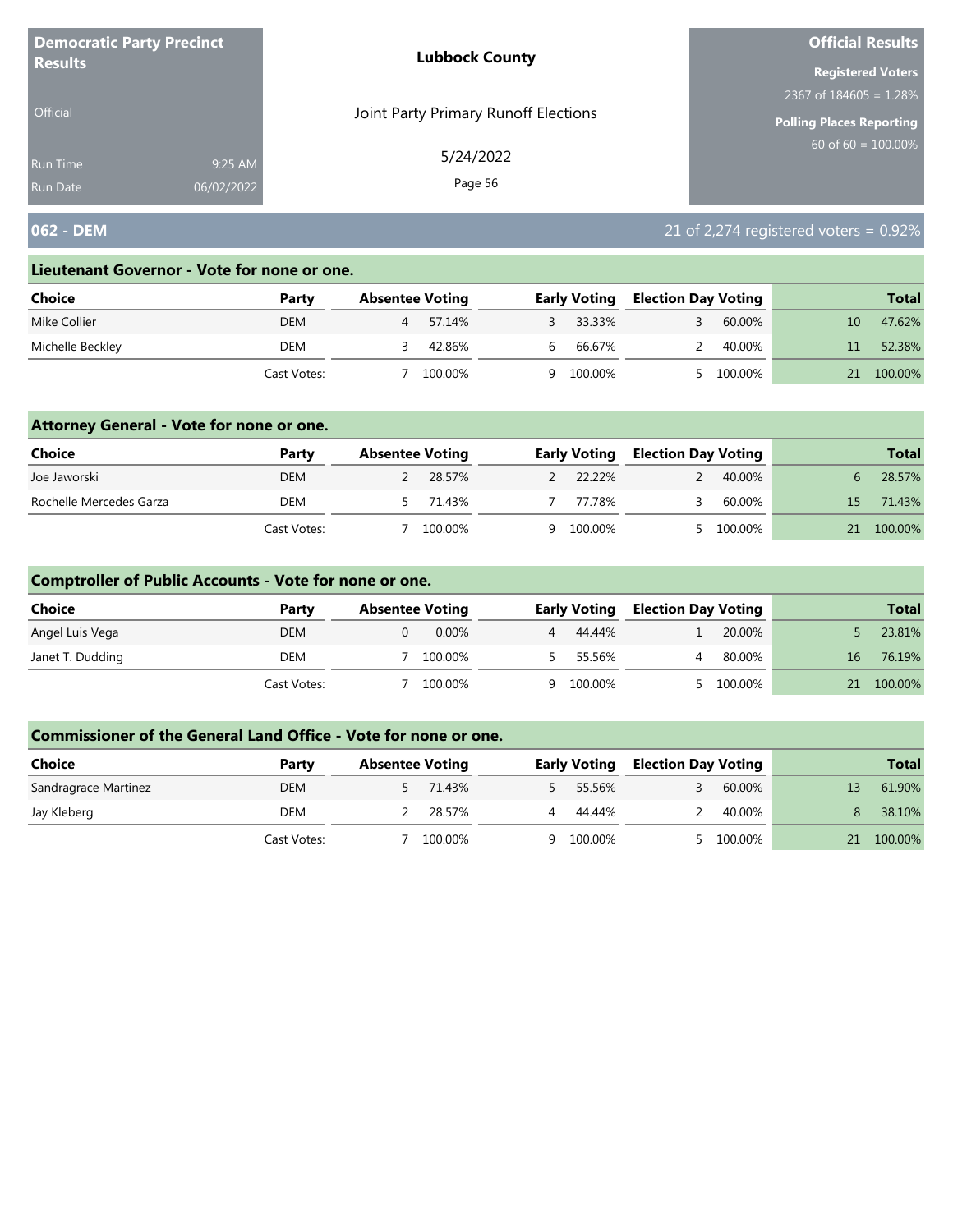| <b>Democratic Party Precinct</b> |            | <b>Lubbock County</b>                | <b>Official Results</b>   |
|----------------------------------|------------|--------------------------------------|---------------------------|
| <b>Results</b>                   |            |                                      | <b>Registered Voters</b>  |
|                                  |            |                                      | 2367 of $184605 = 1.28\%$ |
| <b>Official</b>                  |            | Joint Party Primary Runoff Elections | Polling Places Reporting  |
| <b>Run Time</b>                  | 9:25 AM    | 5/24/2022                            | 60 of $60 = 100.00\%$     |
| <b>Run Date</b>                  | 06/02/2022 | Page 56                              |                           |

# **062 - DEM** 21 of 2,274 registered voters = 0.92%

#### **Lieutenant Governor - Vote for none or one.**

| Choice           | Party       | <b>Absentee Voting</b> |         |   | <b>Early Voting</b> | <b>Election Day Voting</b> |         |    | <b>Total</b> |
|------------------|-------------|------------------------|---------|---|---------------------|----------------------------|---------|----|--------------|
| Mike Collier     | <b>DEM</b>  |                        | 57.14%  |   | 33.33%              |                            | 60.00%  | 10 | 47.62%       |
| Michelle Beckley | DEM         |                        | 42.86%  | b | 66.67%              |                            | 40.00%  |    | 52.38%       |
|                  | Cast Votes: |                        | 100.00% | Q | 100.00%             |                            | 100.00% |    | 100.00%      |

### **Attorney General - Vote for none or one.**

| Choice                  | Party       | <b>Absentee Voting</b> |          | <b>Early Voting</b> | <b>Election Day Voting</b> |           |     | <b>Total</b> |
|-------------------------|-------------|------------------------|----------|---------------------|----------------------------|-----------|-----|--------------|
| Joe Jaworski            | <b>DEM</b>  |                        | 2 28.57% | 2 22.22%            | $\mathcal{P}$              | 40.00%    |     | 28.57%       |
| Rochelle Mercedes Garza | DEM         |                        | 5 71.43% | 77.78%              |                            | 60.00%    | 15. | 71.43%       |
|                         | Cast Votes: |                        | 100.00%  | 9 100.00%           |                            | 5 100.00% | 21  | 100.00%      |

### **Comptroller of Public Accounts - Vote for none or one.**

| <b>Choice</b>    | Party       | <b>Absentee Voting</b> | <b>Early Voting</b> | <b>Election Day Voting</b> |         |    | <b>Total</b> |
|------------------|-------------|------------------------|---------------------|----------------------------|---------|----|--------------|
| Angel Luis Vega  | <b>DEM</b>  | $0.00\%$               | 4 44.44%            |                            | 20.00%  |    | 23.81%       |
| Janet T. Dudding | DEM         | 100.00%                |                     | 55.56%<br>4                | 80.00%  | 16 | 76.19%       |
|                  | Cast Votes: | 100.00%                | 9 100.00%           |                            | 100.00% | 21 | 100.00%      |

| <b>Choice</b>        | Party       | <b>Absentee Voting</b> | <b>Early Voting</b> | <b>Election Day Voting</b> | <b>Total</b>  |
|----------------------|-------------|------------------------|---------------------|----------------------------|---------------|
| Sandragrace Martinez | <b>DEM</b>  | 71.43%                 | 55.56%              | 60.00%                     | 61.90%<br>13  |
| Jay Kleberg          | DEM         | 28.57%                 | 44.44%<br>4         | 40.00%                     | 38.10%        |
|                      | Cast Votes: | 100.00%                | 100.00%<br>Q        | 100.00%                    | 100.00%<br>21 |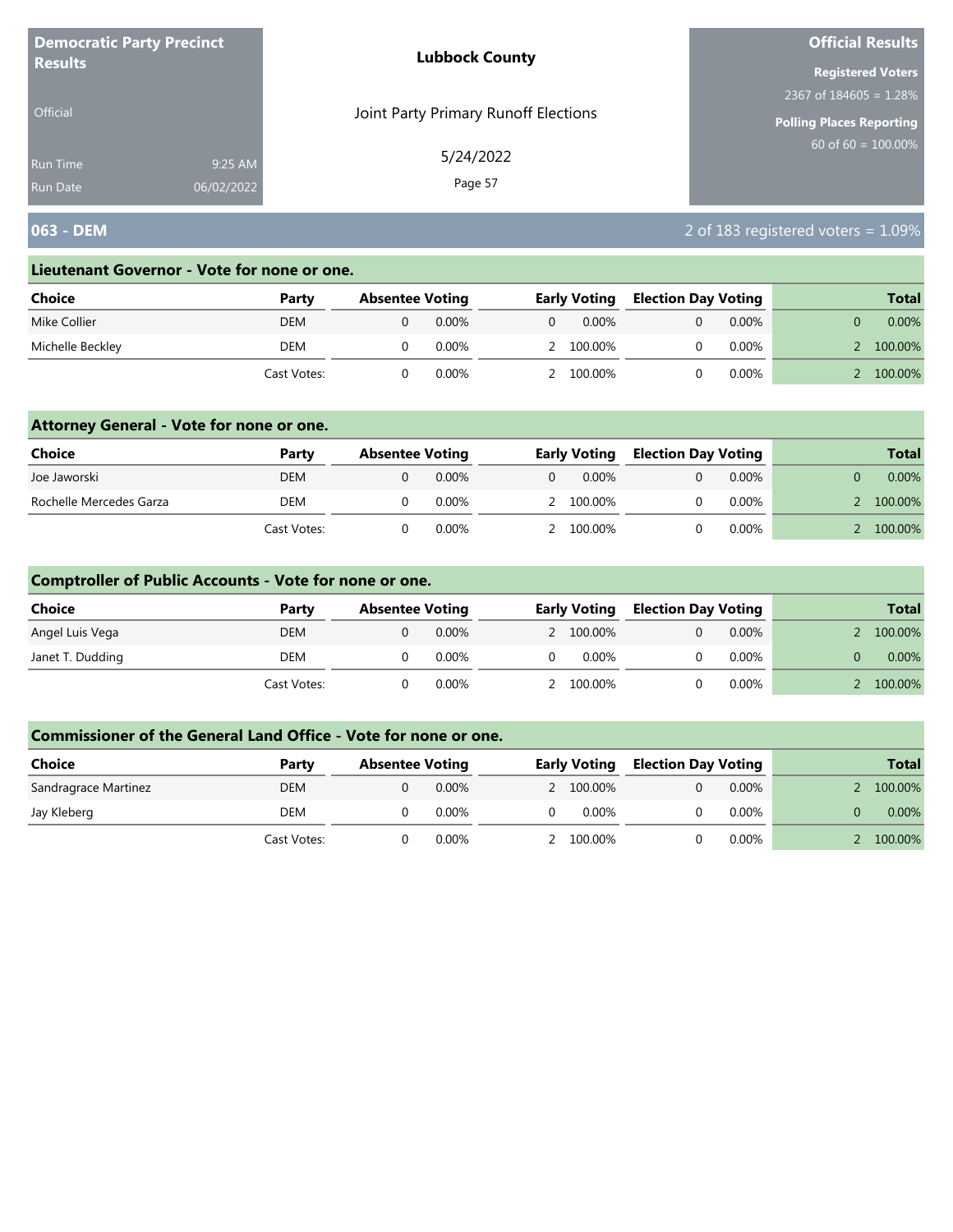| <b>Democratic Party Precinct</b> |            | <b>Lubbock County</b>                | <b>Official Results</b>         |
|----------------------------------|------------|--------------------------------------|---------------------------------|
| <b>Results</b>                   |            |                                      | <b>Registered Voters</b>        |
|                                  |            |                                      | 2367 of $184605 = 1.28\%$       |
| <b>Official</b>                  |            | Joint Party Primary Runoff Elections | <b>Polling Places Reporting</b> |
| <b>Run Time</b>                  | 9:25 AM    | 5/24/2022                            | $60$ of 60 = 100.00%            |
| <b>Run Date</b>                  | 06/02/2022 | Page 57                              |                                 |

# **063 - DEM** 2 of 183 registered voters = 1.09%

#### **Lieutenant Governor - Vote for none or one.**

| Choice           | Party       | <b>Absentee Voting</b> |          |   | <b>Early Voting</b> | <b>Election Day Voting</b> |          | <b>Total</b> |
|------------------|-------------|------------------------|----------|---|---------------------|----------------------------|----------|--------------|
| Mike Collier     | <b>DEM</b>  |                        | $0.00\%$ | 0 | $0.00\%$            |                            | $0.00\%$ | $0.00\%$     |
| Michelle Beckley | DEM         |                        | 0.00%    |   | 2 100.00%           |                            | $0.00\%$ | 100.00%      |
|                  | Cast Votes: |                        | 0.00%    |   | 100.00%             |                            | $0.00\%$ | 100.00%      |

### **Attorney General - Vote for none or one.**

| <b>Choice</b>           | Party       | <b>Absentee Voting</b> |          | <b>Early Voting</b> | <b>Election Day Voting</b> |          | <b>Total</b> |
|-------------------------|-------------|------------------------|----------|---------------------|----------------------------|----------|--------------|
| Joe Jaworski            | DEM         |                        | $0.00\%$ | $0.00\%$            |                            | $0.00\%$ | $0.00\%$     |
| Rochelle Mercedes Garza | <b>DEM</b>  |                        | $0.00\%$ | 2 100.00%           |                            | $0.00\%$ | 100.00%      |
|                         | Cast Votes: |                        | 0.00%    | 2 100.00%           |                            | $0.00\%$ | 100.00%      |

### **Comptroller of Public Accounts - Vote for none or one.**

| <b>Choice</b>    | Party       | <b>Absentee Voting</b> |          | <b>Early Voting</b> | <b>Election Day Voting</b> |          | <b>Total</b> |
|------------------|-------------|------------------------|----------|---------------------|----------------------------|----------|--------------|
| Angel Luis Vega  | <b>DEM</b>  |                        | $0.00\%$ | 2 100.00%           |                            | $0.00\%$ | 100.00%      |
| Janet T. Dudding | DEM         |                        | $0.00\%$ | $0.00\%$            |                            | $0.00\%$ | $0.00\%$     |
|                  | Cast Votes: |                        | $0.00\%$ | 2 100.00%           |                            | $0.00\%$ | 100.00%      |

| Choice               | Party       | <b>Absentee Voting</b> |          | <b>Early Voting</b> | <b>Election Day Voting</b> |          | <b>Total</b> |
|----------------------|-------------|------------------------|----------|---------------------|----------------------------|----------|--------------|
| Sandragrace Martinez | <b>DEM</b>  |                        | $0.00\%$ | 2 100.00%           |                            | $0.00\%$ | 100.00%      |
| Jay Kleberg          | DEM         |                        | $0.00\%$ | $0.00\%$            |                            | $0.00\%$ | 0.00%        |
|                      | Cast Votes: |                        | 0.00%    | 2 100.00%           |                            | $0.00\%$ | 100.00%      |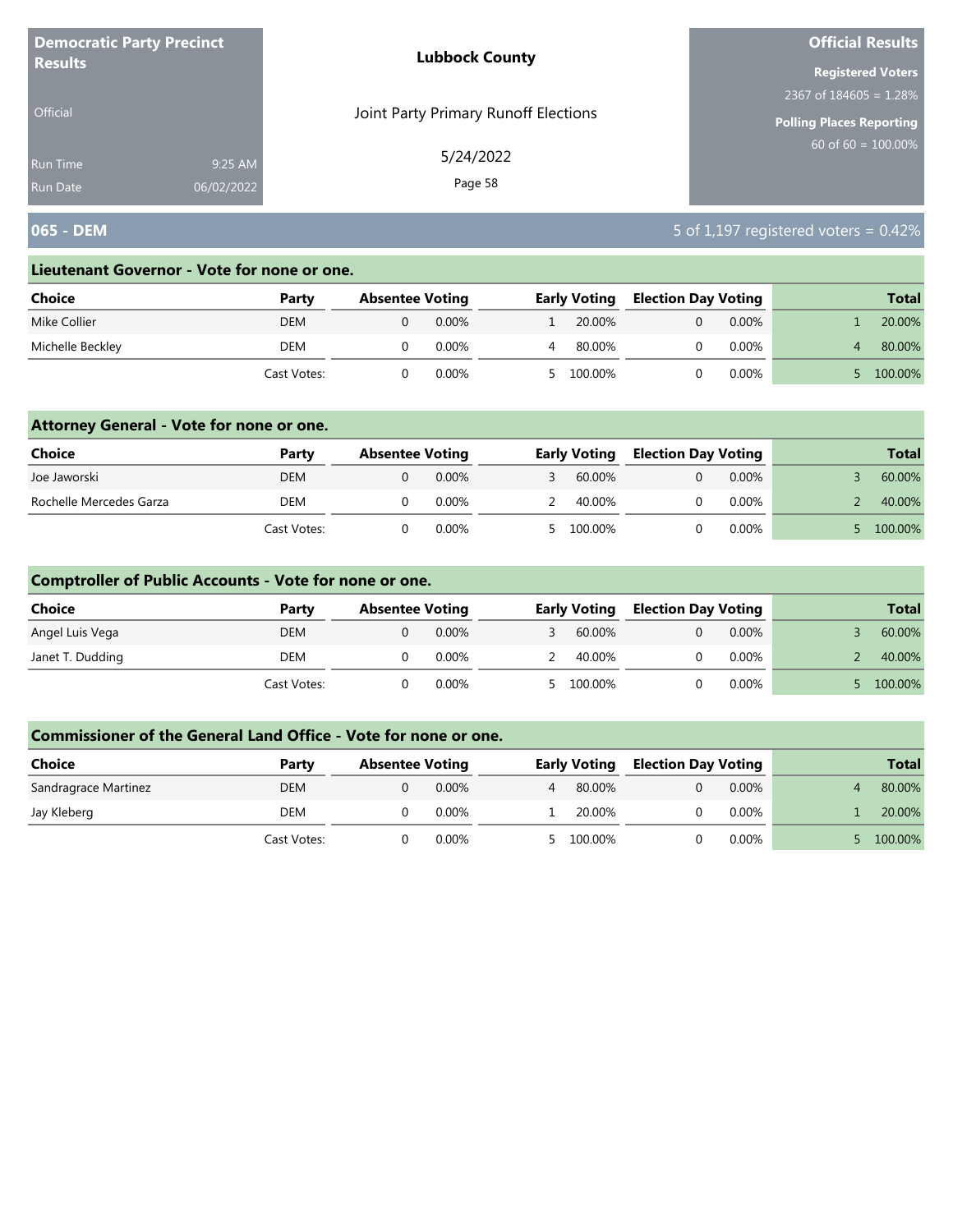| <b>Democratic Party Precinct</b> |            | <b>Lubbock County</b>                | <b>Official Results</b>   |
|----------------------------------|------------|--------------------------------------|---------------------------|
| <b>Results</b>                   |            |                                      | <b>Registered Voters</b>  |
|                                  |            |                                      | 2367 of $184605 = 1.28\%$ |
| <b>Official</b>                  |            | Joint Party Primary Runoff Elections | Polling Places Reporting  |
| <b>Run Time</b>                  | 9:25 AM    | 5/24/2022                            | 60 of $60 = 100.00\%$     |
| <b>Run Date</b>                  | 06/02/2022 | Page 58                              |                           |

# **065 - DEM** 5 of 1,197 registered voters = 0.42%

#### **Lieutenant Governor - Vote for none or one.**

| Choice           | Party       | <b>Absentee Voting</b> |       | <b>Early Voting</b> | <b>Election Day Voting</b> |          | <b>Total</b> |
|------------------|-------------|------------------------|-------|---------------------|----------------------------|----------|--------------|
| Mike Collier     | <b>DEM</b>  |                        | 0.00% | 20.00%              |                            | $0.00\%$ | 20.00%       |
| Michelle Beckley | DEM         |                        | 0.00% | 80.00%              |                            | $0.00\%$ | 80.00%       |
|                  | Cast Votes: |                        | 0.00% | 100.00%             |                            | $0.00\%$ | 100.00%      |

### **Attorney General - Vote for none or one.**

| <b>Choice</b>           | Party       | <b>Absentee Voting</b> |          | <b>Early Voting</b> | <b>Election Day Voting</b> |          | <b>Total</b> |
|-------------------------|-------------|------------------------|----------|---------------------|----------------------------|----------|--------------|
| Joe Jaworski            | <b>DEM</b>  |                        | 0.00%    | 60.00%              |                            | $0.00\%$ | 60.00%       |
| Rochelle Mercedes Garza | <b>DEM</b>  |                        | $0.00\%$ | 40.00%              |                            | $0.00\%$ | 40.00%       |
|                         | Cast Votes: |                        | 0.00%    | 5 100.00%           |                            | $0.00\%$ | 100.00%      |

### **Comptroller of Public Accounts - Vote for none or one.**

| <b>Choice</b>    | Party       | <b>Absentee Voting</b> |          | <b>Early Voting</b> | <b>Election Day Voting</b> |          | <b>Total</b> |
|------------------|-------------|------------------------|----------|---------------------|----------------------------|----------|--------------|
| Angel Luis Vega  | <b>DEM</b>  |                        | $0.00\%$ | 60.00%              |                            | $0.00\%$ | 60.00%       |
| Janet T. Dudding | DEM         |                        | 0.00%    | 40.00%              |                            | 0.00%    | 40.00%       |
|                  | Cast Votes: |                        | $0.00\%$ | 5 100.00%           |                            | $0.00\%$ | 100.00%      |

| Choice               | Party       | <b>Absentee Voting</b> |          |                | <b>Early Voting</b> | <b>Election Day Voting</b> |          | <b>Total</b> |  |
|----------------------|-------------|------------------------|----------|----------------|---------------------|----------------------------|----------|--------------|--|
| Sandragrace Martinez | <b>DEM</b>  |                        | $0.00\%$ | $\overline{4}$ | 80.00%              |                            | $0.00\%$ | 80.00%       |  |
| Jay Kleberg          | DEM         |                        | 0.00%    |                | 20.00%              |                            | $0.00\%$ | 20.00%       |  |
|                      | Cast Votes: |                        | 0.00%    |                | 5 100.00%           |                            | $0.00\%$ | 100.00%      |  |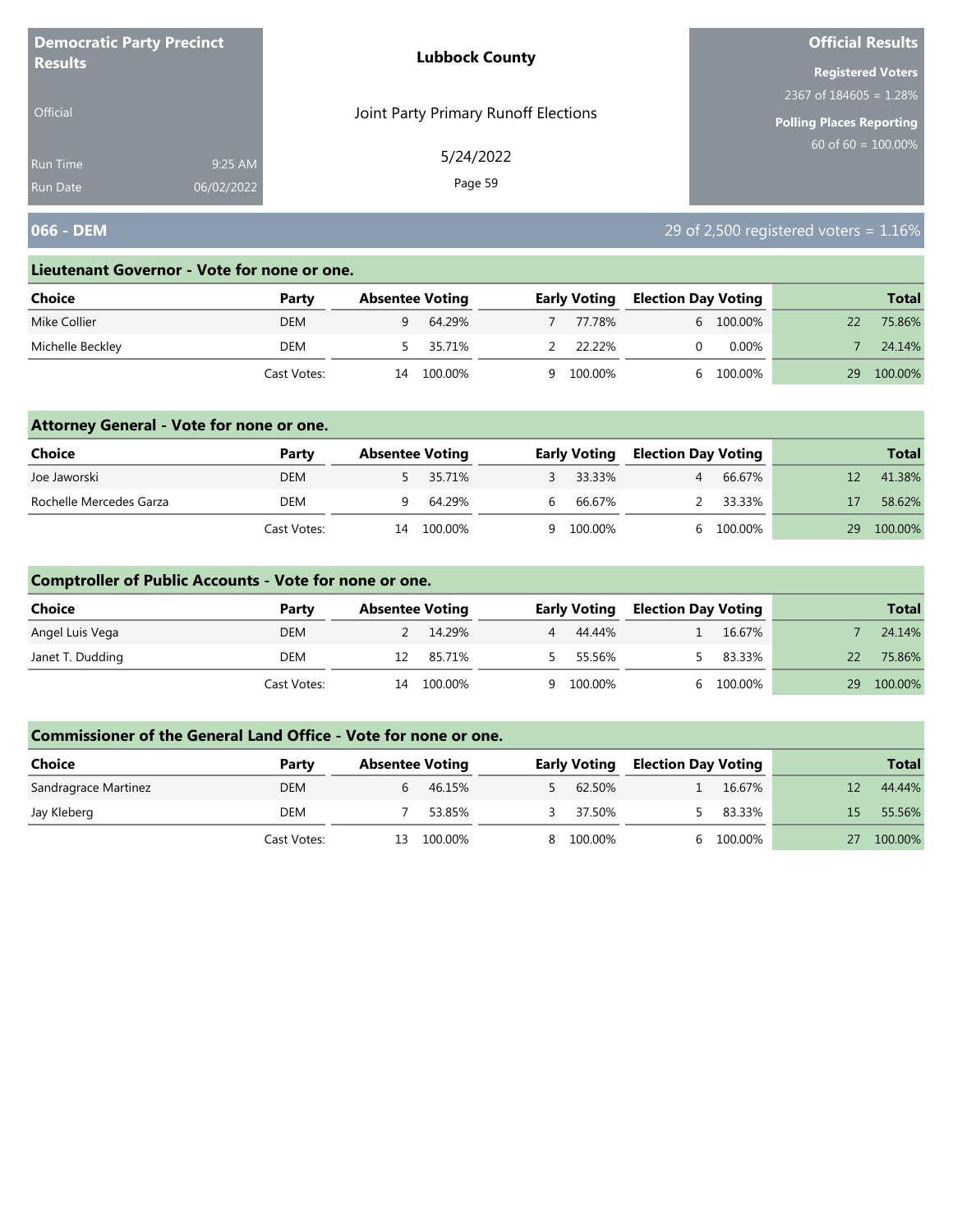| <b>Democratic Party Precinct</b><br><b>Results</b> |            | <b>Lubbock County</b>                | <b>Official Results</b>   |
|----------------------------------------------------|------------|--------------------------------------|---------------------------|
|                                                    |            |                                      | <b>Registered Voters</b>  |
|                                                    |            |                                      | 2367 of $184605 = 1.28\%$ |
| <b>Official</b>                                    |            | Joint Party Primary Runoff Elections | Polling Places Reporting  |
| Run Time                                           | 9:25 AM    | 5/24/2022                            | $60$ of 60 = 100.00%      |
| Run Date                                           | 06/02/2022 | Page 59                              |                           |

# **066 - DEM** 29 of 2,500 registered voters = 1.16%

#### **Lieutenant Governor - Vote for none or one.**

| Choice           | Party       | <b>Absentee Voting</b> |         |   | <b>Early Voting</b> | <b>Election Day Voting</b> |           |    | <b>Total</b> |
|------------------|-------------|------------------------|---------|---|---------------------|----------------------------|-----------|----|--------------|
| Mike Collier     | <b>DEM</b>  |                        | 64.29%  |   | 77.78%              |                            | 6 100.00% |    | 75.86%       |
| Michelle Beckley | DEM         |                        | 35.71%  |   | 22.22%              |                            | $0.00\%$  |    | 24.14%       |
|                  | Cast Votes: | 14                     | 100.00% | Q | 100.00%             |                            | 100.00%   | 29 | 100.00%      |

### **Attorney General - Vote for none or one.**

| <b>Choice</b>           | Party       | <b>Absentee Voting</b> |          |     | <b>Early Voting</b> | <b>Election Day Voting</b> |           |    | <b>Total</b> |
|-------------------------|-------------|------------------------|----------|-----|---------------------|----------------------------|-----------|----|--------------|
| Joe Jaworski            | <b>DEM</b>  |                        | 5 35.71% |     | 3 33.33%            |                            | 66.67%    |    | 41.38%       |
| Rochelle Mercedes Garza | DEM         |                        | 64.29%   | . ხ | 66.67%              |                            | 2 33.33%  |    | 58.62%       |
|                         | Cast Votes: | 14                     | 100.00%  |     | 9 100.00%           |                            | 6 100.00% | 29 | 100.00%      |

### **Comptroller of Public Accounts - Vote for none or one.**

| Choice           | Party       | <b>Absentee Voting</b> |         | <b>Early Voting</b> | <b>Election Day Voting</b> |         |    | <b>Total</b> |
|------------------|-------------|------------------------|---------|---------------------|----------------------------|---------|----|--------------|
| Angel Luis Vega  | <b>DEM</b>  |                        | 14.29%  | 4 44.44%            |                            | 16.67%  |    | 24.14%       |
| Janet T. Dudding | DEM         |                        | 85.71%  | 55.56%              |                            | 83.33%  | 22 | 75.86%       |
|                  | Cast Votes: | 14                     | 100.00% | 9 100.00%           |                            | 100.00% | 29 | 100.00%      |

| <b>Choice</b>        | Party       | <b>Absentee Voting</b> |         | <b>Early Voting</b> | <b>Election Day Voting</b> |         |    | <b>Total</b> |
|----------------------|-------------|------------------------|---------|---------------------|----------------------------|---------|----|--------------|
| Sandragrace Martinez | <b>DEM</b>  |                        | 46.15%  | 62.50%              |                            | 16.67%  |    | 44.44%       |
| Jay Kleberg          | DEM         |                        | 53.85%  | 37.50%              |                            | 83.33%  | 15 | 55.56%       |
|                      | Cast Votes: | 13.                    | 100.00% | 100.00%             |                            | 100.00% |    | 100.00%      |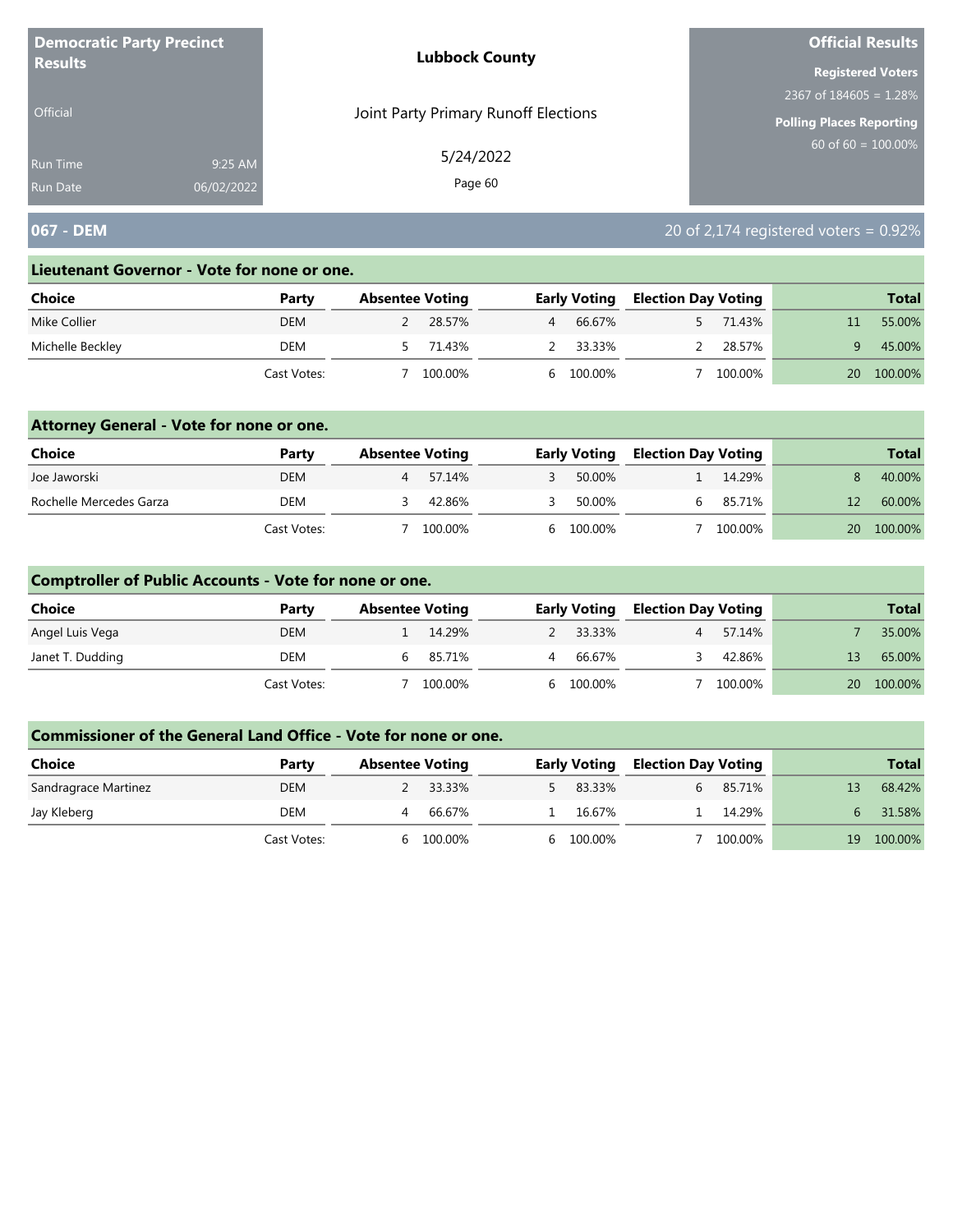| <b>Democratic Party Precinct</b><br><b>Results</b> |            | <b>Lubbock County</b>                | <b>Official Results</b>   |  |  |
|----------------------------------------------------|------------|--------------------------------------|---------------------------|--|--|
|                                                    |            |                                      | <b>Registered Voters</b>  |  |  |
|                                                    |            |                                      | 2367 of $184605 = 1.28\%$ |  |  |
| <b>Official</b>                                    |            | Joint Party Primary Runoff Elections | Polling Places Reporting  |  |  |
| <b>Run Time</b>                                    | 9:25 AM    | 5/24/2022                            | $60$ of 60 = 100.00%      |  |  |
| <b>Run Date</b>                                    | 06/02/2022 | Page 60                              |                           |  |  |

# **067 - DEM** 20 of 2,174 registered voters = 0.92%

#### **Lieutenant Governor - Vote for none or one.**

| Choice           | Party       | <b>Absentee Voting</b> |         |                | <b>Early Voting</b> | <b>Election Day Voting</b> |         |    | <b>Total</b> |
|------------------|-------------|------------------------|---------|----------------|---------------------|----------------------------|---------|----|--------------|
| Mike Collier     | <b>DEM</b>  |                        | 28.57%  | $\overline{4}$ | 66.67%              |                            | 71.43%  |    | 55.00%       |
| Michelle Beckley | DEM         |                        | 71.43%  |                | 33.33%              |                            | 28.57%  |    | 45.00%       |
|                  | Cast Votes: |                        | 100.00% |                | 6 100.00%           |                            | 100.00% | 20 | 100.00%      |

### **Attorney General - Vote for none or one.**

| Choice                  | Party       | <b>Absentee Voting</b> |         | <b>Early Voting</b> | <b>Election Day Voting</b> |         |           | <b>Total</b> |
|-------------------------|-------------|------------------------|---------|---------------------|----------------------------|---------|-----------|--------------|
| Joe Jaworski            | <b>DEM</b>  |                        | 57.14%  | 50.00%              |                            | 14.29%  |           | 40.00%       |
| Rochelle Mercedes Garza | DEM         |                        | 42.86%  | 50.00%              |                            | 85.71%  |           | 60.00%       |
|                         | Cast Votes: |                        | 100.00% | 6 100.00%           |                            | 100.00% | <b>20</b> | 100.00%      |

### **Comptroller of Public Accounts - Vote for none or one.**

| Choice           | Party       | <b>Absentee Voting</b> |         |                | <b>Early Voting</b> | <b>Election Day Voting</b> |         |    | <b>Total</b> |
|------------------|-------------|------------------------|---------|----------------|---------------------|----------------------------|---------|----|--------------|
| Angel Luis Vega  | <b>DEM</b>  |                        | 14.29%  |                | 2 33.33%            |                            | 57.14%  |    | 35.00%       |
| Janet T. Dudding | DEM         |                        | 85.71%  | $\overline{4}$ | 66.67%              |                            | 42.86%  |    | 65.00%       |
|                  | Cast Votes: |                        | 100.00% |                | 6 100.00%           |                            | 100.00% | 20 | 100.00%      |

| <b>Choice</b>        | Party       | <b>Absentee Voting</b> | <b>Early Voting</b> | <b>Election Day Voting</b> |         |    | <b>Total</b> |
|----------------------|-------------|------------------------|---------------------|----------------------------|---------|----|--------------|
| Sandragrace Martinez | <b>DEM</b>  | 2 33.33%               | 83.33%              |                            | 85.71%  |    | 68.42%       |
| Jay Kleberg          | DEM         | 66.67%                 | 16.67%              |                            | 14.29%  |    | 31.58%       |
|                      | Cast Votes: | 100.00%<br>h           | 6 100.00%           |                            | 100.00% | 19 | 100.00%      |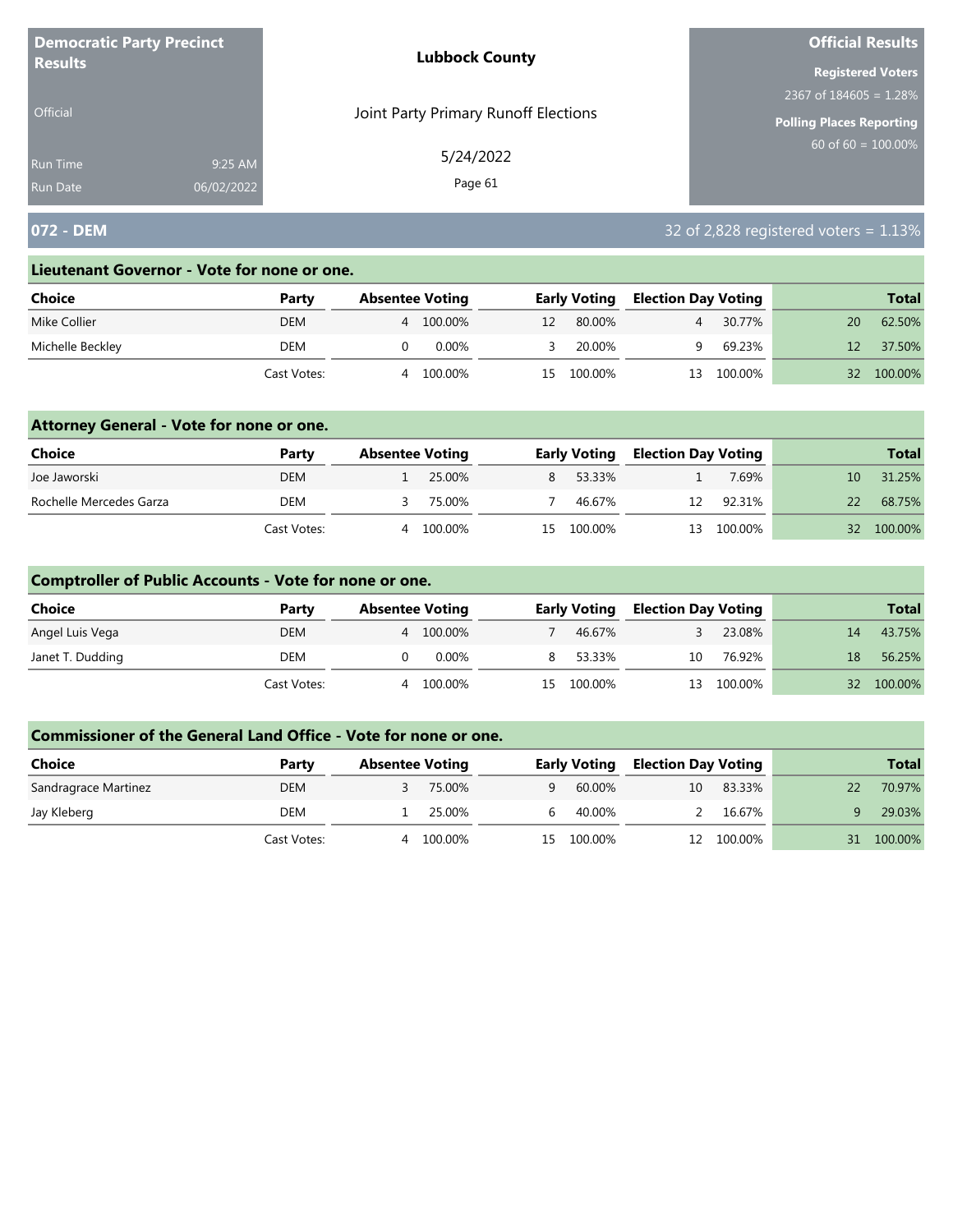| <b>Democratic Party Precinct</b><br><b>Results</b> |            | <b>Lubbock County</b>                | <b>Official Results</b>   |
|----------------------------------------------------|------------|--------------------------------------|---------------------------|
|                                                    |            |                                      | <b>Registered Voters</b>  |
|                                                    |            |                                      | 2367 of $184605 = 1.28\%$ |
| <b>Official</b>                                    |            | Joint Party Primary Runoff Elections | Polling Places Reporting  |
| Run Time                                           | 9:25 AM    | 5/24/2022                            | $60$ of 60 = 100.00%      |
| <b>Run Date</b>                                    | 06/02/2022 | Page 61                              |                           |

# **072 - DEM** 32 of 2,828 registered voters = 1.13%

#### **Lieutenant Governor - Vote for none or one.**

| Choice           | Party       | <b>Absentee Voting</b> |         |    | <b>Early Voting</b> | <b>Election Day Voting</b> |         |    | <b>Total</b> |
|------------------|-------------|------------------------|---------|----|---------------------|----------------------------|---------|----|--------------|
| Mike Collier     | DEM         | 4                      | 100.00% | 12 | 80.00%              | $\overline{4}$             | 30.77%  | 20 | 62.50%       |
| Michelle Beckley | DEM         |                        | 0.00%   |    | 20.00%              | a                          | 69.23%  |    | 37.50%       |
|                  | Cast Votes: | Δ                      | 100.00% | 15 | 100.00%             | 13                         | 100.00% | 32 | 100.00%      |

### **Attorney General - Vote for none or one.**

| Choice                  | Party       | <b>Absentee Voting</b> |         | <b>Early Voting</b> | <b>Election Day Voting</b> |            |                 | <b>Total</b> |
|-------------------------|-------------|------------------------|---------|---------------------|----------------------------|------------|-----------------|--------------|
| Joe Jaworski            | <b>DEM</b>  |                        | 25.00%  | 8 53.33%            |                            | 7.69%      | 10.             | 31.25%       |
| Rochelle Mercedes Garza | DEM         |                        | 75.00%  | 46.67%              | 12                         | 92.31%     | 22              | 68.75%       |
|                         | Cast Votes: | 4                      | 100.00% | 15 100.00%          |                            | 13 100.00% | 32 <sup>2</sup> | 100.00%      |

### **Comptroller of Public Accounts - Vote for none or one.**

| Choice           | Party       | <b>Absentee Voting</b> |         |    | <b>Early Voting</b> | <b>Election Day Voting</b> |         |    | <b>Total</b> |
|------------------|-------------|------------------------|---------|----|---------------------|----------------------------|---------|----|--------------|
| Angel Luis Vega  | <b>DEM</b>  | 4                      | 100.00% |    | 46.67%              |                            | 23.08%  | 14 | 43.75%       |
| Janet T. Dudding | DEM         |                        | 0.00%   | 8. | 53.33%              | 10                         | 76.92%  | 18 | 56.25%       |
|                  | Cast Votes: | 4                      | 100.00% |    | 15 100.00%          | 13                         | 100.00% |    | 32 100.00%   |

| <b>Choice</b>        | Party       | <b>Absentee Voting</b> |         |          | <b>Early Voting</b> | <b>Election Day Voting</b> |         |    | <b>Total</b> |
|----------------------|-------------|------------------------|---------|----------|---------------------|----------------------------|---------|----|--------------|
| Sandragrace Martinez | <b>DEM</b>  |                        | 75.00%  | $\alpha$ | 60.00%              | 10                         | 83.33%  | 22 | 70.97%       |
| Jay Kleberg          | DEM         |                        | 25.00%  | h        | 40.00%              |                            | 16.67%  |    | 29.03%       |
|                      | Cast Votes: | 4                      | 100.00% |          | 15 100.00%          |                            | 100.00% | 31 | 100.00%      |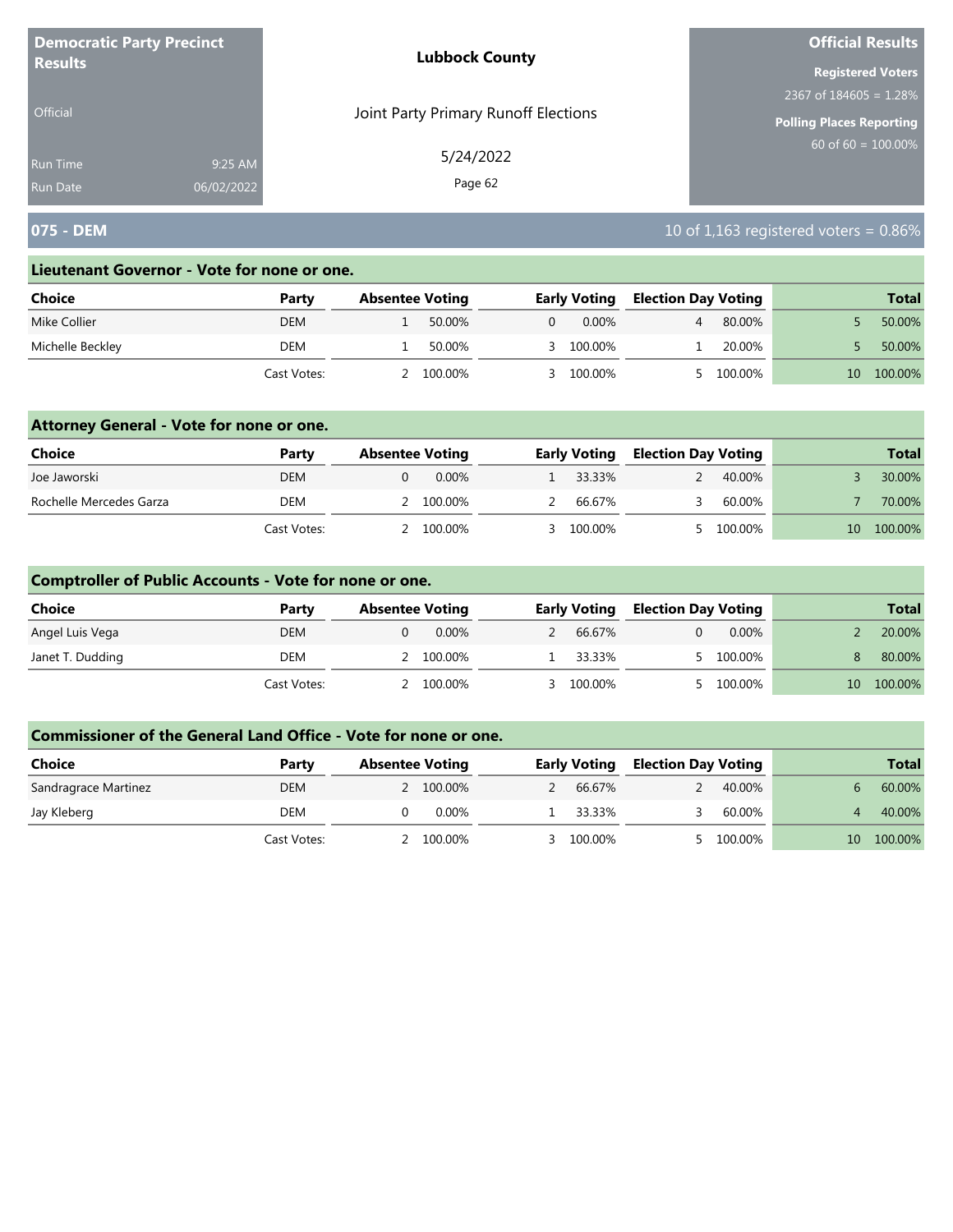| <b>Democratic Party Precinct</b><br><b>Results</b> |            | <b>Lubbock County</b>                | <b>Official Results</b>  |
|----------------------------------------------------|------------|--------------------------------------|--------------------------|
|                                                    |            |                                      | <b>Registered Voters</b> |
|                                                    |            |                                      | 2367 of $184605 = 1.28%$ |
| <b>Official</b>                                    |            | Joint Party Primary Runoff Elections | Polling Places Reporting |
| <b>Run Time</b>                                    | 9:25 AM    | 5/24/2022                            | 60 of $60 = 100.00\%$    |
| <b>Run Date</b>                                    | 06/02/2022 | Page 62                              |                          |

# **075 - DEM** 10 of 1,163 registered voters = 0.86%

#### **Lieutenant Governor - Vote for none or one.**

| Choice           | Party       | <b>Absentee Voting</b> |         |   | <b>Early Voting</b> | <b>Election Day Voting</b> |         |              | <b>Total</b> |
|------------------|-------------|------------------------|---------|---|---------------------|----------------------------|---------|--------------|--------------|
| Mike Collier     | <b>DEM</b>  |                        | 50.00%  | 0 | $0.00\%$            |                            | 80.00%  |              | 50.00%       |
| Michelle Beckley | DEM         |                        | 50.00%  |   | 3 100.00%           |                            | 20.00%  |              | 50.00%       |
|                  | Cast Votes: |                        | 100.00% |   | 100.00%             |                            | 100.00% | $10^{\circ}$ | 100.00%      |

### **Attorney General - Vote for none or one.**

| Choice                  | Party       | <b>Absentee Voting</b> | <b>Early Voting</b> | <b>Election Day Voting</b> |           |    | <b>Total</b> |
|-------------------------|-------------|------------------------|---------------------|----------------------------|-----------|----|--------------|
| Joe Jaworski            | <b>DEM</b>  | 0.00%                  | 1 33.33%            |                            | 40.00%    |    | 30.00%       |
| Rochelle Mercedes Garza | DEM         | 2 100.00%              | 2 66.67%            |                            | 60.00%    |    | 70.00%       |
|                         | Cast Votes: | 2 100.00%              | 3 100.00%           |                            | 5 100.00% | 10 | 100.00%      |

### **Comptroller of Public Accounts - Vote for none or one.**

| <b>Choice</b>    | Party       | <b>Absentee Voting</b> | <b>Early Voting</b> | <b>Election Day Voting</b> |          |                 | <b>Total</b> |
|------------------|-------------|------------------------|---------------------|----------------------------|----------|-----------------|--------------|
| Angel Luis Vega  | <b>DEM</b>  | $0.00\%$               | 66.67%              |                            | $0.00\%$ |                 | 20.00%       |
| Janet T. Dudding | DEM         | 100.00%                | 33.33%              |                            | 100.00%  |                 | 80.00%       |
|                  | Cast Votes: | 100.00%                | 3 100.00%           |                            | 100.00%  | 10 <sup>1</sup> | 100.00%      |

| <b>Choice</b>        | Party       | <b>Absentee Voting</b> | <b>Early Voting</b> | <b>Election Day Voting</b> |         |              | <b>Total</b> |
|----------------------|-------------|------------------------|---------------------|----------------------------|---------|--------------|--------------|
| Sandragrace Martinez | <b>DEM</b>  | 2 100.00%              | 66.67%              |                            | 40.00%  |              | 60.00%       |
| Jay Kleberg          | DEM         | 0.00%                  | 33.33%              |                            | 60.00%  |              | 40.00%       |
|                      | Cast Votes: | 100.00%                | 100.00%             |                            | 100.00% | $10^{\circ}$ | 100.00%      |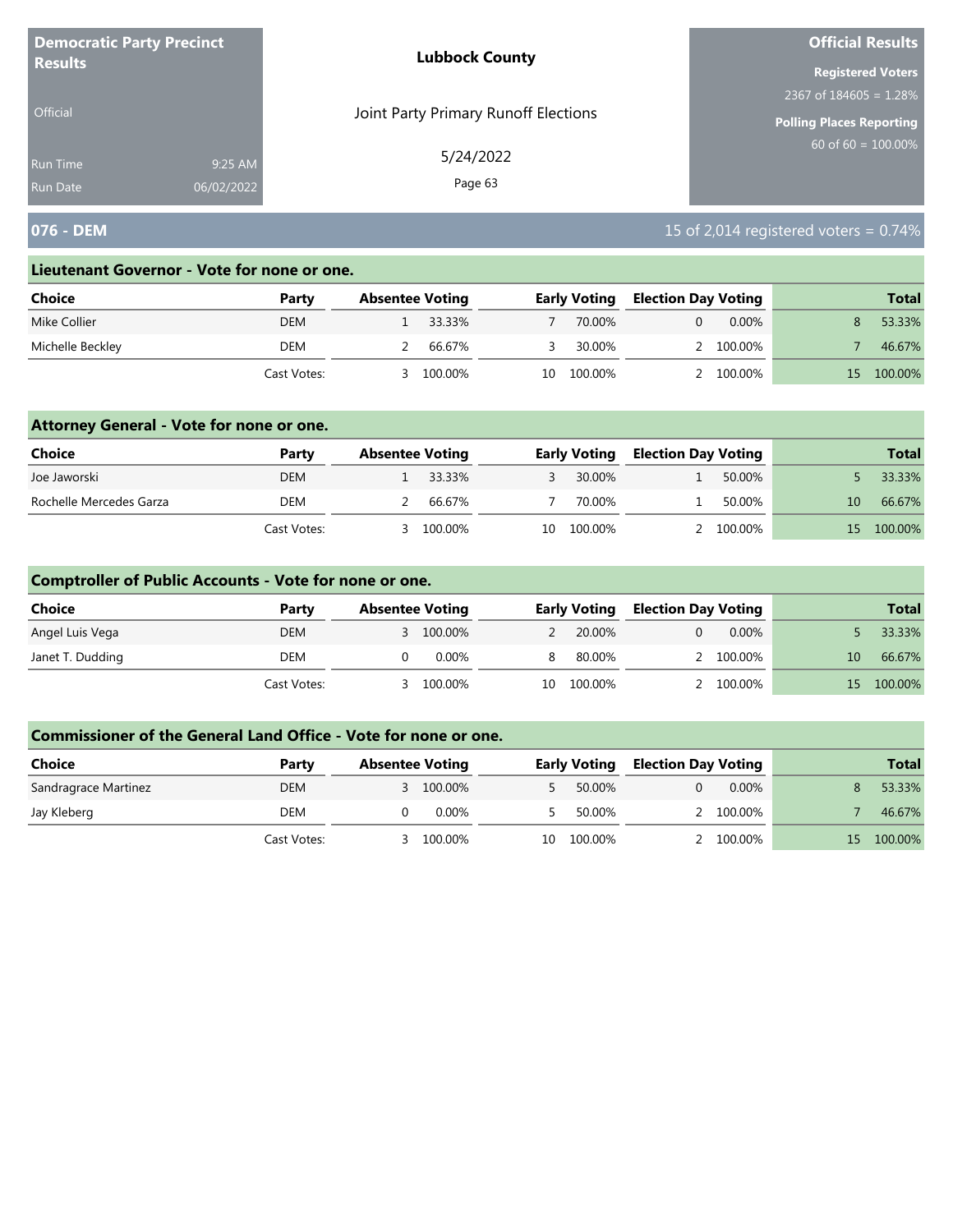| <b>Democratic Party Precinct</b><br><b>Results</b> |            | <b>Lubbock County</b>                | <b>Official Results</b>  |
|----------------------------------------------------|------------|--------------------------------------|--------------------------|
|                                                    |            |                                      | <b>Registered Voters</b> |
|                                                    |            |                                      | 2367 of $184605 = 1.28%$ |
| <b>Official</b>                                    |            | Joint Party Primary Runoff Elections | Polling Places Reporting |
| <b>Run Time</b>                                    | 9:25 AM    | 5/24/2022                            | 60 of $60 = 100.00\%$    |
| <b>Run Date</b>                                    | 06/02/2022 | Page 63                              |                          |

# **076 - DEM** 15 of 2,014 registered voters = 0.74%

#### **Lieutenant Governor - Vote for none or one.**

| Choice           | Party       | <b>Absentee Voting</b> |         |    | <b>Early Voting</b> | <b>Election Day Voting</b> |           | <b>Total</b> |
|------------------|-------------|------------------------|---------|----|---------------------|----------------------------|-----------|--------------|
| Mike Collier     | <b>DEM</b>  |                        | 33.33%  |    | 70.00%              |                            | $0.00\%$  | 53.33%       |
| Michelle Beckley | DEM         |                        | 66.67%  |    | 30.00%              |                            | 2 100.00% | 46.67%       |
|                  | Cast Votes: |                        | 100.00% | 10 | 100.00%             |                            | 100.00%   | 100.00%      |

### **Attorney General - Vote for none or one.**

| Choice                  | Party       | <b>Absentee Voting</b> |         |    | <b>Early Voting</b> | <b>Election Day Voting</b> |           |    | <b>Total</b> |
|-------------------------|-------------|------------------------|---------|----|---------------------|----------------------------|-----------|----|--------------|
| Joe Jaworski            | DEM         |                        | 33.33%  |    | 30.00%              |                            | 50.00%    |    | 33.33%       |
| Rochelle Mercedes Garza | DEM         |                        | 66.67%  |    | 70.00%              |                            | 50.00%    | 10 | 66.67%       |
|                         | Cast Votes: |                        | 100.00% | 10 | 100.00%             |                            | 2 100.00% | 15 | 100.00%      |

### **Comptroller of Public Accounts - Vote for none or one.**

| <b>Choice</b>    | Party       | <b>Absentee Voting</b> |         |    | <b>Early Voting</b> | <b>Election Day Voting</b> |           |                 | <b>Total</b> |
|------------------|-------------|------------------------|---------|----|---------------------|----------------------------|-----------|-----------------|--------------|
| Angel Luis Vega  | <b>DEM</b>  |                        | 100.00% |    | 20.00%              |                            | $0.00\%$  |                 | 33.33%       |
| Janet T. Dudding | DEM         |                        | 0.00%   |    | 80.00%              |                            | 2 100.00% | 10 <sup>1</sup> | 66.67%       |
|                  | Cast Votes: |                        | 100.00% | 10 | 100.00%             |                            | 100.00%   | 15.             | 100.00%      |

| Choice               | Party       | <b>Absentee Voting</b> |           |    | <b>Early Voting</b> | <b>Election Day Voting</b> |           |     | <b>Total</b> |
|----------------------|-------------|------------------------|-----------|----|---------------------|----------------------------|-----------|-----|--------------|
| Sandragrace Martinez | <b>DEM</b>  |                        | 3 100.00% |    | 50.00%              |                            | $0.00\%$  |     | 53.33%       |
| Jay Kleberg          | DEM         |                        | $0.00\%$  |    | 50.00%              |                            | 2 100.00% |     | 46.67%       |
|                      | Cast Votes: |                        | 100.00%   | 10 | 100.00%             |                            | 100.00%   | 15. | 100.00%      |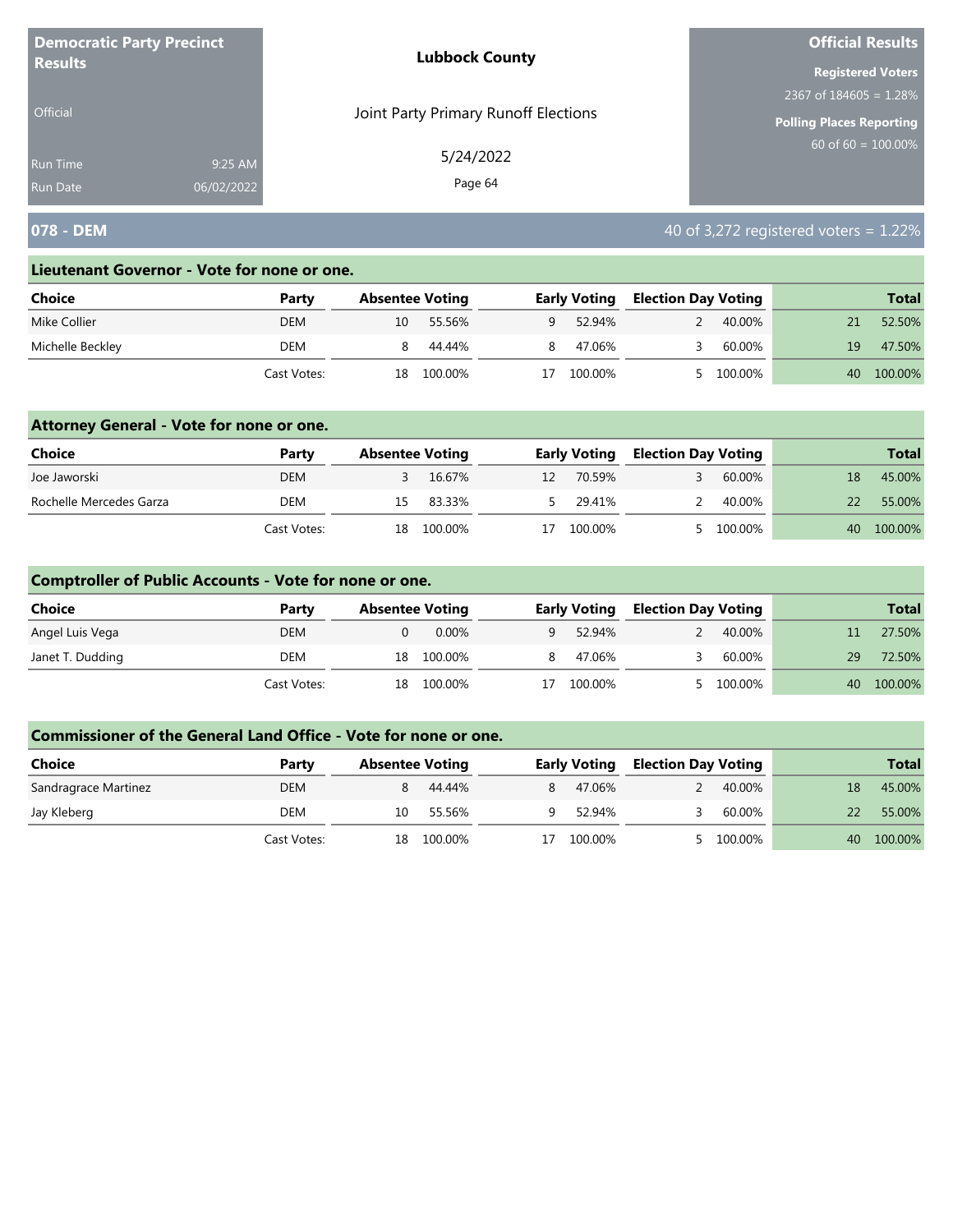| <b>Democratic Party Precinct</b> |            | <b>Lubbock County</b>                | <b>Official Results</b>  |
|----------------------------------|------------|--------------------------------------|--------------------------|
| <b>Results</b>                   |            |                                      | <b>Registered Voters</b> |
|                                  |            |                                      | 2367 of $184605 = 1.28%$ |
| <b>Official</b>                  |            | Joint Party Primary Runoff Elections | Polling Places Reporting |
| <b>Run Time</b>                  | 9:25 AM    | 5/24/2022                            | 60 of $60 = 100.00\%$    |
| <b>Run Date</b>                  | 06/02/2022 | Page 64                              |                          |

# **078 - DEM** 40 of 3,272 registered voters = 1.22%

#### **Lieutenant Governor - Vote for none or one.**

| Choice           | Party       | <b>Absentee Voting</b> |         |          | <b>Early Voting</b> |  | <b>Election Day Voting</b> |    | <b>Total</b> |  |
|------------------|-------------|------------------------|---------|----------|---------------------|--|----------------------------|----|--------------|--|
| Mike Collier     | <b>DEM</b>  | 10                     | 55.56%  | <b>q</b> | 52.94%              |  | 40.00%                     |    | 52.50%       |  |
| Michelle Beckley | DEM         |                        | 44.44%  |          | 47.06%              |  | 60.00%                     | 19 | 47.50%       |  |
|                  | Cast Votes: | 18                     | 100.00% |          | 100.00%             |  | 100.00%                    | 40 | 100.00%      |  |

### **Attorney General - Vote for none or one.**

| Choice                  | Party       | <b>Absentee Voting</b> |            |    | <b>Early Voting</b> | <b>Election Day Voting</b> |           |    | <b>Total</b> |
|-------------------------|-------------|------------------------|------------|----|---------------------|----------------------------|-----------|----|--------------|
| Joe Jaworski            | DEM         |                        | 16.67%     | 12 | 70.59%              |                            | 60.00%    | 18 | 45.00%       |
| Rochelle Mercedes Garza | DEM         |                        | 15 83.33%  |    | 5 29.41%            | $\mathcal{L}$              | 40.00%    | 22 | 55.00%       |
|                         | Cast Votes: |                        | 18 100.00% | 17 | 100.00%             |                            | 5 100.00% | 40 | 100.00%      |

### **Comptroller of Public Accounts - Vote for none or one.**

| <b>Choice</b>    | Party       | <b>Absentee Voting</b> | <b>Early Voting</b> |         | <b>Election Day Voting</b> |         |    | <b>Total</b> |
|------------------|-------------|------------------------|---------------------|---------|----------------------------|---------|----|--------------|
| Angel Luis Vega  | DEM         | $0.00\%$               | <b>Q</b>            | 52.94%  |                            | 40.00%  |    | 27.50%       |
| Janet T. Dudding | DEM         | 18 100.00%             |                     | 47.06%  |                            | 60.00%  | 29 | 72.50%       |
|                  | Cast Votes: | 18 100.00%             | 17                  | 100.00% |                            | 100.00% | 40 | 100.00%      |

| Choice               | Party       | <b>Absentee Voting</b> |         | <b>Early Voting</b> |         | <b>Election Day Voting</b> |         |    | <b>Total</b> |
|----------------------|-------------|------------------------|---------|---------------------|---------|----------------------------|---------|----|--------------|
| Sandragrace Martinez | DEM         |                        | 44.44%  |                     | 47.06%  |                            | 40.00%  |    | 45.00%       |
| Jay Kleberg          | DEM         | 10                     | 55.56%  | a                   | 52.94%  |                            | 60.00%  | 22 | 55.00%       |
|                      | Cast Votes: | 18                     | 100.00% |                     | 100.00% |                            | 100.00% | 40 | 100.00%      |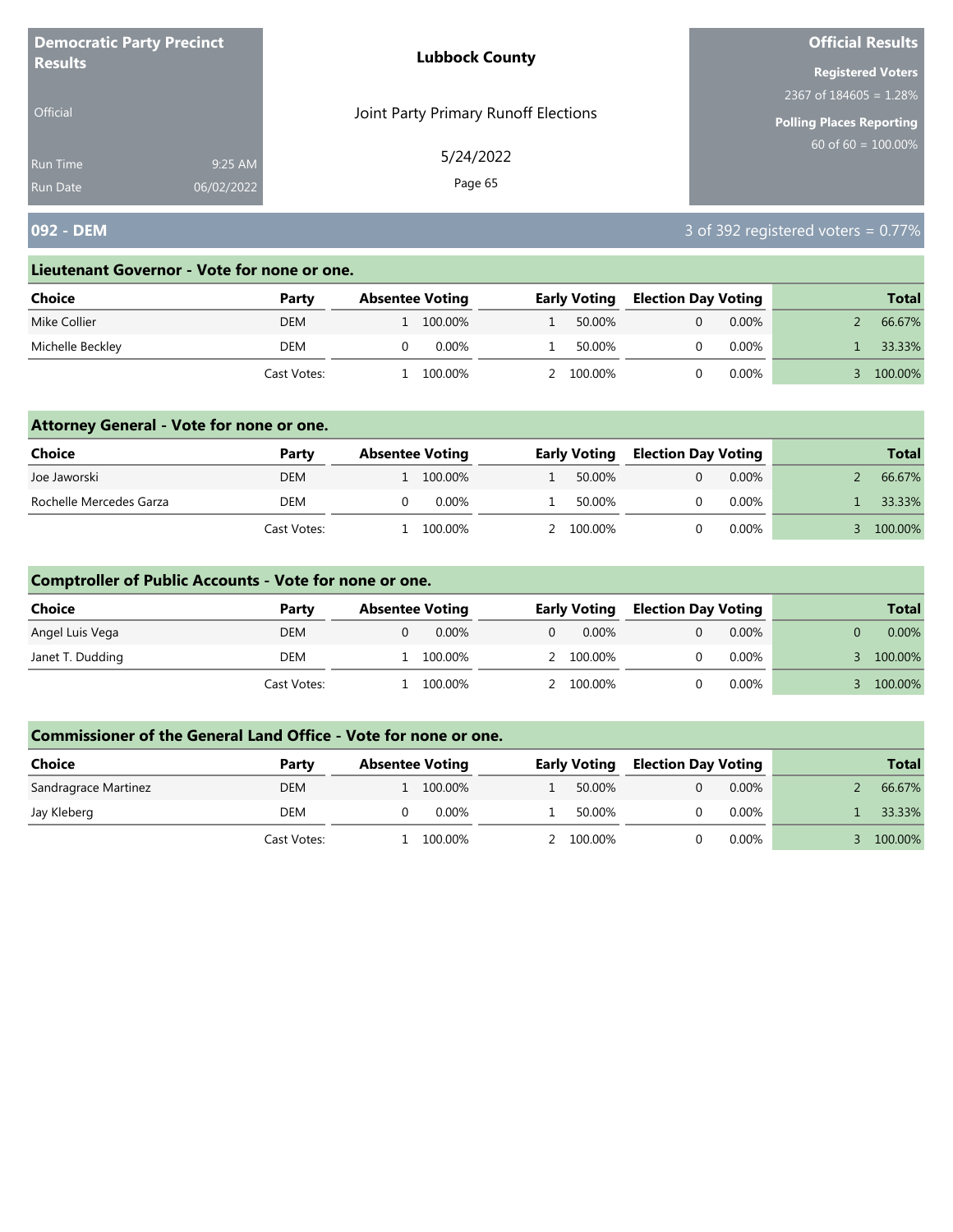| <b>Democratic Party Precinct</b><br><b>Lubbock County</b><br><b>Results</b> |            |                                      | <b>Official Results</b>         |
|-----------------------------------------------------------------------------|------------|--------------------------------------|---------------------------------|
|                                                                             |            |                                      | <b>Registered Voters</b>        |
|                                                                             |            |                                      | 2367 of $184605 = 1.28\%$       |
| <b>Official</b>                                                             |            | Joint Party Primary Runoff Elections | <b>Polling Places Reporting</b> |
| Run Time                                                                    | 9:25 AM    | 5/24/2022                            | $60$ of 60 = $100.00\%$         |
| <b>Run Date</b>                                                             | 06/02/2022 | Page 65                              |                                 |

# **092 - DEM** 3 of 392 registered voters = 0.77%

#### **Lieutenant Governor - Vote for none or one.**

| Choice           | Party       | <b>Absentee Voting</b> |         | <b>Early Voting</b> |                     | <b>Election Day Voting</b> |          | <b>Total</b> |         |
|------------------|-------------|------------------------|---------|---------------------|---------------------|----------------------------|----------|--------------|---------|
| Mike Collier     | DEM         |                        | 100.00% |                     | 50.00%              |                            | $0.00\%$ |              | 66.67%  |
| Michelle Beckley | DEM         |                        | 0.00%   |                     | 50.00%              |                            | $0.00\%$ |              | 33.33%  |
|                  | Cast Votes: |                        | 100.00% |                     | $^{\prime}$ 100.00% |                            | $0.00\%$ |              | 100.00% |

### **Attorney General - Vote for none or one.**

| Choice                  | Party       | <b>Absentee Voting</b> |          | <b>Early Voting</b> |  | <b>Election Day Voting</b> |  | <b>Total</b> |
|-------------------------|-------------|------------------------|----------|---------------------|--|----------------------------|--|--------------|
| Joe Jaworski            | <b>DEM</b>  | 1 100.00%              |          | 50.00%              |  | $0.00\%$                   |  | 66.67%       |
| Rochelle Mercedes Garza | DEM         |                        | $0.00\%$ | 50.00%              |  | $0.00\%$                   |  | 33.33%       |
|                         | Cast Votes: |                        | 100.00%  | 2 100.00%           |  | 0.00%                      |  | 100.00%      |

### **Comptroller of Public Accounts - Vote for none or one.**

| <b>Choice</b>    | Party       | <b>Absentee Voting</b> |   | <b>Early Voting</b> |  | <b>Election Day Voting</b> | <b>Total</b> |
|------------------|-------------|------------------------|---|---------------------|--|----------------------------|--------------|
| Angel Luis Vega  | DEM         | 0.00%                  | 0 | 0.00%               |  | 0.00%                      | $0.00\%$     |
| Janet T. Dudding | DEM         | 100.00%                |   | 2 100.00%           |  | $0.00\%$                   | 100.00%      |
|                  | Cast Votes: | 100.00%                |   | 2 100.00%           |  | $0.00\%$                   | 100.00%      |

| Choice               | Party       | <b>Absentee Voting</b> | <b>Early Voting</b> |        | <b>Election Day Voting</b> |          | <b>Total</b> |  |
|----------------------|-------------|------------------------|---------------------|--------|----------------------------|----------|--------------|--|
| Sandragrace Martinez | DEM         | 100.00%                |                     | 50.00% |                            | $0.00\%$ | 66.67%       |  |
| Jay Kleberg          | DEM         | $0.00\%$               |                     | 50.00% |                            | $0.00\%$ | 33.33%       |  |
|                      | Cast Votes: | 100.00%                | 2 100.00%           |        |                            | $0.00\%$ | 100.00%      |  |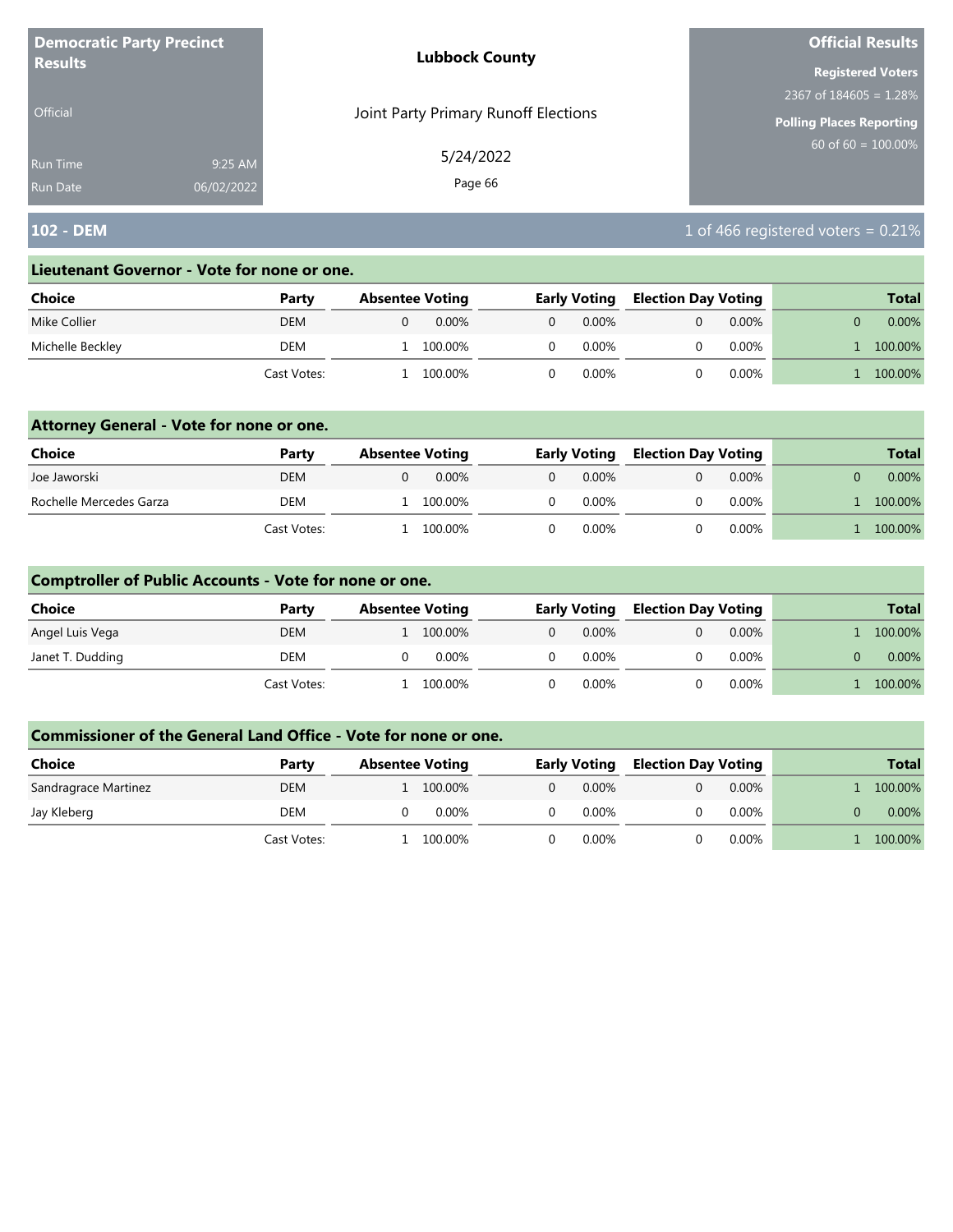| <b>Democratic Party Precinct</b> |            | <b>Lubbock County</b>                | <b>Official Results</b>   |  |  |
|----------------------------------|------------|--------------------------------------|---------------------------|--|--|
| <b>Results</b>                   |            |                                      | <b>Registered Voters</b>  |  |  |
|                                  |            |                                      | 2367 of $184605 = 1.28\%$ |  |  |
| <b>Official</b>                  |            | Joint Party Primary Runoff Elections | Polling Places Reporting  |  |  |
| Run Time                         | 9:25 AM    | 5/24/2022                            | 60 of 60 = $100.00\%$     |  |  |
| <b>Run Date</b>                  | 06/02/2022 | Page 66                              |                           |  |  |

# **102 - DEM** 102 - DEM **102 - DEM** 102 - DEM 102 - DEM 102 - DEM 102 - DEM 102 - DEM 102 - DEM 102 - DEM 102 - DEM 102 - DEM 102 - DEM 102 - DEM 102 - DEM 102 - DEM 102 - DEM 102 - DEM 102 - DEM 102 - DEM 102 - DEM 102 - DE

#### **Lieutenant Governor - Vote for none or one.**

| Choice           | Party       | <b>Absentee Voting</b> |          |   | <b>Early Voting</b> | <b>Election Day Voting</b> |          | <b>Total</b> |
|------------------|-------------|------------------------|----------|---|---------------------|----------------------------|----------|--------------|
| Mike Collier     | DEM         |                        | $0.00\%$ | 0 | $0.00\%$            |                            | $0.00\%$ | $0.00\%$     |
| Michelle Beckley | DEM         |                        | 100.00%  |   | 0.00%               |                            | $0.00\%$ | 100.00%      |
|                  | Cast Votes: |                        | 100.00%  |   | $0.00\%$            |                            | $0.00\%$ | 100.00%      |

### **Attorney General - Vote for none or one.**

| Choice                  | Party       | <b>Absentee Voting</b> | <b>Early Voting</b>  | <b>Election Day Voting</b> | <b>Total</b> |
|-------------------------|-------------|------------------------|----------------------|----------------------------|--------------|
| Joe Jaworski            | <b>DEM</b>  | $0.00\%$               | $0.00\%$<br>$\Omega$ | $0.00\%$                   | $0.00\%$     |
| Rochelle Mercedes Garza | <b>DEM</b>  | 100.00%                | 0.00%                | $0.00\%$                   | 100.00%      |
|                         | Cast Votes: | 100.00%                | 0.00%                | $0.00\%$                   | 100.00%      |

### **Comptroller of Public Accounts - Vote for none or one.**

| <b>Choice</b>    | Party       | <b>Absentee Voting</b> | <b>Early Voting</b>  | <b>Election Day Voting</b> | <b>Total</b> |
|------------------|-------------|------------------------|----------------------|----------------------------|--------------|
| Angel Luis Vega  | DEM         | 100.00%                | $0.00\%$<br>$\Omega$ | $0.00\%$                   | 100.00%      |
| Janet T. Dudding | DEM         | 0.00%                  | $0.00\%$             | $0.00\%$                   | $0.00\%$     |
|                  | Cast Votes: | 100.00%                | 0.00%                | $0.00\%$                   | 100.00%      |

| <b>Choice</b>        | Party       | <b>Absentee Voting</b> | <b>Early Voting</b> | <b>Election Day Voting</b> | <b>Total</b> |
|----------------------|-------------|------------------------|---------------------|----------------------------|--------------|
| Sandragrace Martinez | DEM         | 100.00%                | $0.00\%$            | $0.00\%$                   | 100.00%      |
| Jay Kleberg          | DEM         | $0.00\%$               | $0.00\%$            | $0.00\%$                   | $0.00\%$     |
|                      | Cast Votes: | 100.00%                | 0.00%               | 0.00%                      | 100.00%      |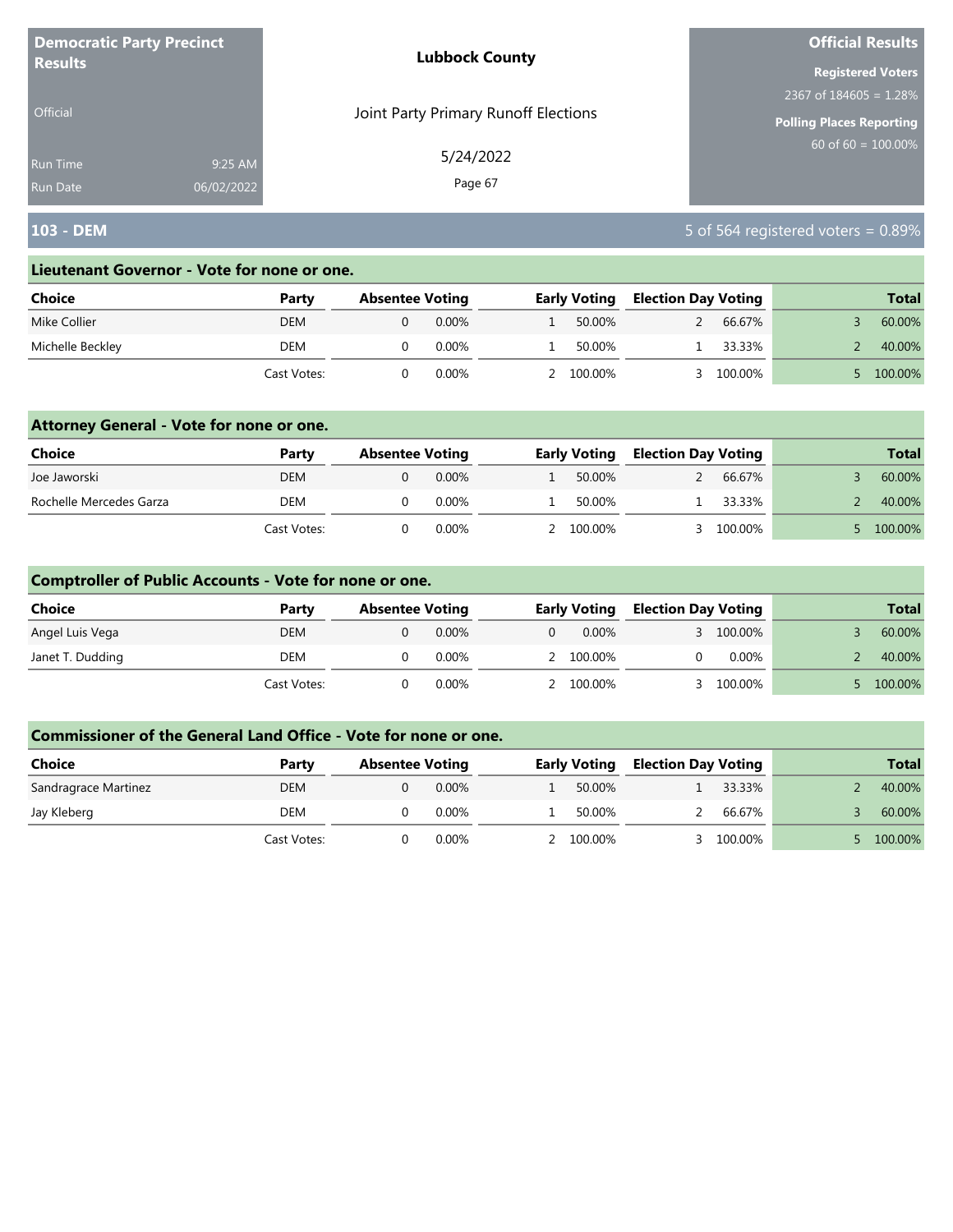| <b>Democratic Party Precinct</b> |            | <b>Lubbock County</b>                | <b>Official Results</b>         |  |
|----------------------------------|------------|--------------------------------------|---------------------------------|--|
| <b>Results</b>                   |            |                                      | <b>Registered Voters</b>        |  |
|                                  |            |                                      | 2367 of $184605 = 1.28\%$       |  |
| <b>Official</b>                  |            | Joint Party Primary Runoff Elections | <b>Polling Places Reporting</b> |  |
| <b>Run Time</b>                  | 9:25 AM    | 5/24/2022                            | $60$ of 60 = $100.00\%$         |  |
| <b>Run Date</b>                  | 06/02/2022 | Page 67                              |                                 |  |

# **103 - DEM** 5 of 564 registered voters = 0.89%

#### **Lieutenant Governor - Vote for none or one.**

| Choice           | Party       | <b>Absentee Voting</b> |          | <b>Early Voting</b> | <b>Election Day Voting</b> |         | <b>Total</b> |
|------------------|-------------|------------------------|----------|---------------------|----------------------------|---------|--------------|
| Mike Collier     | DEM         |                        | $0.00\%$ | 50.00%              |                            | 66.67%  | 60.00%       |
| Michelle Beckley | DEM         |                        | 0.00%    | 50.00%              |                            | 33.33%  | 40.00%       |
|                  | Cast Votes: |                        | 0.00%    | 100.00%             |                            | 100.00% | 100.00%      |

### **Attorney General - Vote for none or one.**

| <b>Choice</b>           | Party       | <b>Absentee Voting</b> |          | <b>Early Voting</b> | <b>Election Day Voting</b> |         | <b>Total</b> |
|-------------------------|-------------|------------------------|----------|---------------------|----------------------------|---------|--------------|
| Joe Jaworski            | DEM         |                        | $0.00\%$ | 50.00%              |                            | 66.67%  | 60.00%       |
| Rochelle Mercedes Garza | DEM         |                        | 0.00%    | 50.00%              |                            | 33.33%  | 40.00%       |
|                         | Cast Votes: |                        | $0.00\%$ | 100.00%             |                            | 100.00% | 100.00%      |

### **Comptroller of Public Accounts - Vote for none or one.**

| <b>Choice</b>    | Party       | <b>Absentee Voting</b> |       |          | <b>Early Voting</b> | <b>Election Day Voting</b> |          | <b>Total</b> |
|------------------|-------------|------------------------|-------|----------|---------------------|----------------------------|----------|--------------|
| Angel Luis Vega  | DEM         |                        | 0.00% | $\Omega$ | 0.00%               |                            | 100.00%  | 60.00%       |
| Janet T. Dudding | DEM         |                        | 0.00% |          | 2 100.00%           |                            | $0.00\%$ | 40.00%       |
|                  | Cast Votes: |                        | 0.00% |          | 2 100.00%           |                            | 100.00%  | 100.00%      |

| Choice               | Party       | <b>Absentee Voting</b> |          | <b>Early Voting</b> | <b>Election Day Voting</b> |         | <b>Total</b> |
|----------------------|-------------|------------------------|----------|---------------------|----------------------------|---------|--------------|
| Sandragrace Martinez | DEM         |                        | $0.00\%$ | 50.00%              |                            | 33.33%  | 40.00%       |
| Jay Kleberg          | DEM         |                        | $0.00\%$ | 50.00%              |                            | 66.67%  | 60.00%       |
|                      | Cast Votes: |                        | 0.00%    | 2 100.00%           |                            | 100.00% | 100.00%      |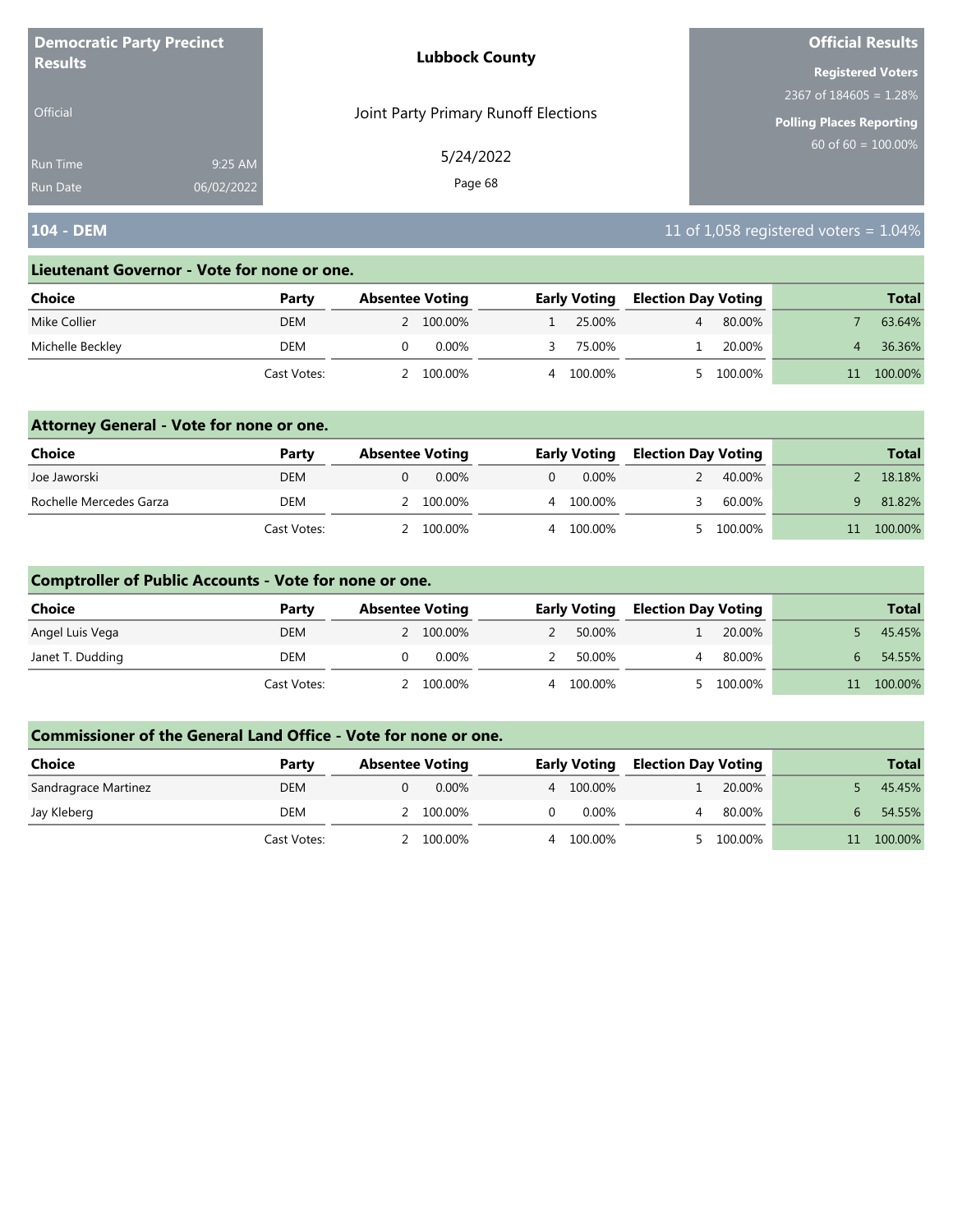| <b>Democratic Party Precinct</b> |            | <b>Lubbock County</b>                | <b>Official Results</b>   |  |  |
|----------------------------------|------------|--------------------------------------|---------------------------|--|--|
| <b>Results</b>                   |            |                                      | <b>Registered Voters</b>  |  |  |
|                                  |            |                                      | 2367 of $184605 = 1.28\%$ |  |  |
| <b>Official</b>                  |            | Joint Party Primary Runoff Elections | Polling Places Reporting  |  |  |
| <b>Run Time</b>                  | 9:25 AM    | 5/24/2022                            | 60 of $60 = 100.00\%$     |  |  |
| <b>Run Date</b>                  | 06/02/2022 | Page 68                              |                           |  |  |

# **104 - DEM** 11 of 1,058 registered voters = 1.04%

#### **Lieutenant Governor - Vote for none or one.**

| Choice           | Party       | <b>Absentee Voting</b> | <b>Early Voting</b> | <b>Election Day Voting</b> | <b>Total</b> |
|------------------|-------------|------------------------|---------------------|----------------------------|--------------|
| Mike Collier     | DEM         | 2 100.00%              | 25.00%              | 80.00%                     | 63.64%       |
| Michelle Beckley | DEM         | 0.00%                  | 75.00%              | 20.00%                     | 36.36%       |
|                  | Cast Votes: | 100.00%                | 100.00%<br>Δ.       | 100.00%                    | 100.00%      |

### **Attorney General - Vote for none or one.**

| Choice                  | Party       | <b>Absentee Voting</b> |       |          | <b>Early Voting</b> | <b>Election Day Voting</b> |         | <b>Total</b> |
|-------------------------|-------------|------------------------|-------|----------|---------------------|----------------------------|---------|--------------|
| Joe Jaworski            | DEM         |                        | 0.00% | $\Omega$ | 0.00%               |                            | 40.00%  | 18.18%       |
| Rochelle Mercedes Garza | DEM         | 2 100.00%              |       |          | 4 100.00%           |                            | 60.00%  | 81.82%       |
|                         | Cast Votes: | 2 100.00%              |       |          | 4 100.00%           |                            | 100.00% | 100.00%      |

### **Comptroller of Public Accounts - Vote for none or one.**

| <b>Choice</b>    | Party       | <b>Absentee Voting</b> | <b>Early Voting</b> | <b>Election Day Voting</b> |         | <b>Total</b> |
|------------------|-------------|------------------------|---------------------|----------------------------|---------|--------------|
| Angel Luis Vega  | <b>DEM</b>  | 2 100.00%              | 50.00%              |                            | 20.00%  | 45.45%       |
| Janet T. Dudding | DEM         | 0.00%                  | 50.00%              |                            | 80.00%  | 54.55%       |
|                  | Cast Votes: | 100.00%                | 4 100.00%           |                            | 100.00% | 100.00%      |

| <b>Choice</b>        | Party       | <b>Absentee Voting</b> | <b>Early Voting</b> | <b>Election Day Voting</b> |         | <b>Total</b> |
|----------------------|-------------|------------------------|---------------------|----------------------------|---------|--------------|
| Sandragrace Martinez | DEM         | 0.00%                  | 4 100.00%           |                            | 20.00%  | 45.45%       |
| Jay Kleberg          | DEM         | 2 100.00%              | 0.00%               |                            | 80.00%  | 54.55%       |
|                      | Cast Votes: | 100.00%                | 100.00%             |                            | 100.00% | 100.00%      |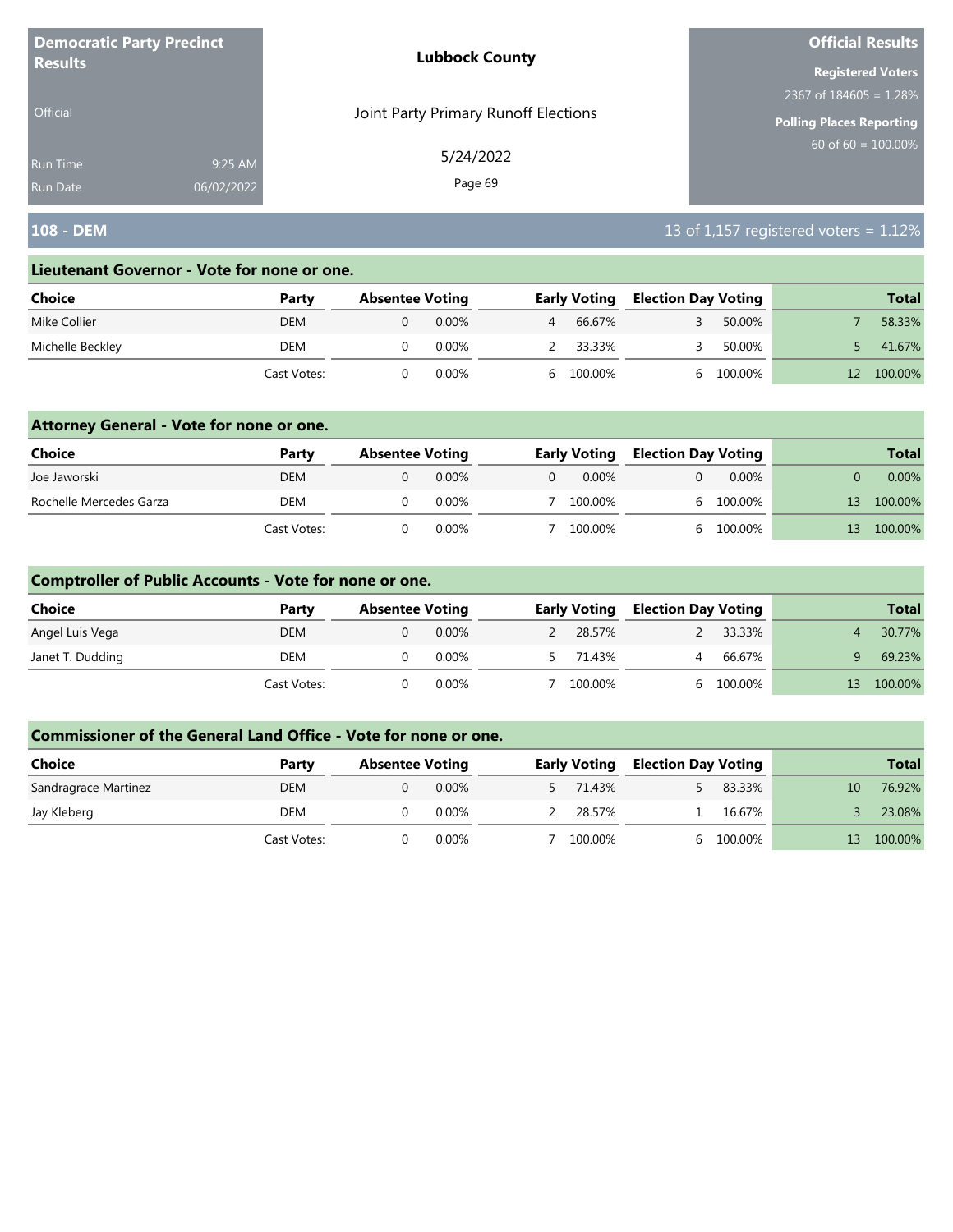| <b>Democratic Party Precinct</b> |            | <b>Lubbock County</b>                | <b>Official Results</b>         |
|----------------------------------|------------|--------------------------------------|---------------------------------|
| <b>Results</b>                   |            |                                      | <b>Registered Voters</b>        |
|                                  |            |                                      | $2367$ of 184605 = 1.28%        |
| <b>Official</b>                  |            | Joint Party Primary Runoff Elections | <b>Polling Places Reporting</b> |
| <b>Run Time</b>                  | 9:25 AM    | 5/24/2022                            | 60 of 60 = $100.00\%$           |
| <b>Run Date</b>                  | 06/02/2022 | Page 69                              |                                 |

# **108 - DEM 108 - DEM 13 of 1,157 registered voters = 1.12%**

#### **Lieutenant Governor - Vote for none or one.**

| Choice           | Party       | <b>Absentee Voting</b> |          |              | <b>Early Voting</b> | <b>Election Day Voting</b> |         | <b>Total</b> |
|------------------|-------------|------------------------|----------|--------------|---------------------|----------------------------|---------|--------------|
| Mike Collier     | DEM         |                        | $0.00\%$ | 4            | 66.67%              |                            | 50.00%  | 58.33%       |
| Michelle Beckley | DEM         |                        | 0.00%    |              | 33.33%              |                            | 50.00%  | 41.67%       |
|                  | Cast Votes: |                        | 0.00%    | <sub>b</sub> | 100.00%             |                            | 100.00% | 100.00%      |

### **Attorney General - Vote for none or one.**

| Choice                  | Party       | <b>Absentee Voting</b> |          |          | <b>Early Voting</b> | <b>Election Day Voting</b> |           |    | <b>Total</b> |
|-------------------------|-------------|------------------------|----------|----------|---------------------|----------------------------|-----------|----|--------------|
| Joe Jaworski            | <b>DEM</b>  |                        | $0.00\%$ | $\Omega$ | 0.00%               |                            | $0.00\%$  |    | $0.00\%$     |
| Rochelle Mercedes Garza | DEM         |                        | $0.00\%$ |          | 100.00%             |                            | 6 100.00% | 13 | 100.00%      |
|                         | Cast Votes: |                        | 0.00%    |          | 100.00%             |                            | 6 100.00% | 13 | 100.00%      |

### **Comptroller of Public Accounts - Vote for none or one.**

| <b>Choice</b>    | Party       | <b>Absentee Voting</b> |       | <b>Early Voting</b> | <b>Election Day Voting</b> |         |    | <b>Total</b> |
|------------------|-------------|------------------------|-------|---------------------|----------------------------|---------|----|--------------|
| Angel Luis Vega  | DEM         |                        | 0.00% | 28.57%              |                            | 33.33%  |    | 30.77%       |
| Janet T. Dudding | DEM         |                        | 0.00% | 71.43%              |                            | 66.67%  |    | 69.23%       |
|                  | Cast Votes: |                        | 0.00% | 100.00%             |                            | 100.00% | 13 | 100.00%      |

| <b>Choice</b>        | Party       | <b>Absentee Voting</b> |       | <b>Early Voting</b> | <b>Election Day Voting</b> |         |    | <b>Total</b> |
|----------------------|-------------|------------------------|-------|---------------------|----------------------------|---------|----|--------------|
| Sandragrace Martinez | DEM         |                        | 0.00% | 5 71.43%            |                            | 83.33%  | 10 | 76.92%       |
| Jay Kleberg          | DEM         |                        | 0.00% | 28.57%              |                            | 16.67%  |    | 23.08%       |
|                      | Cast Votes: |                        | 0.00% | 100.00%             |                            | 100.00% | 13 | 100.00%      |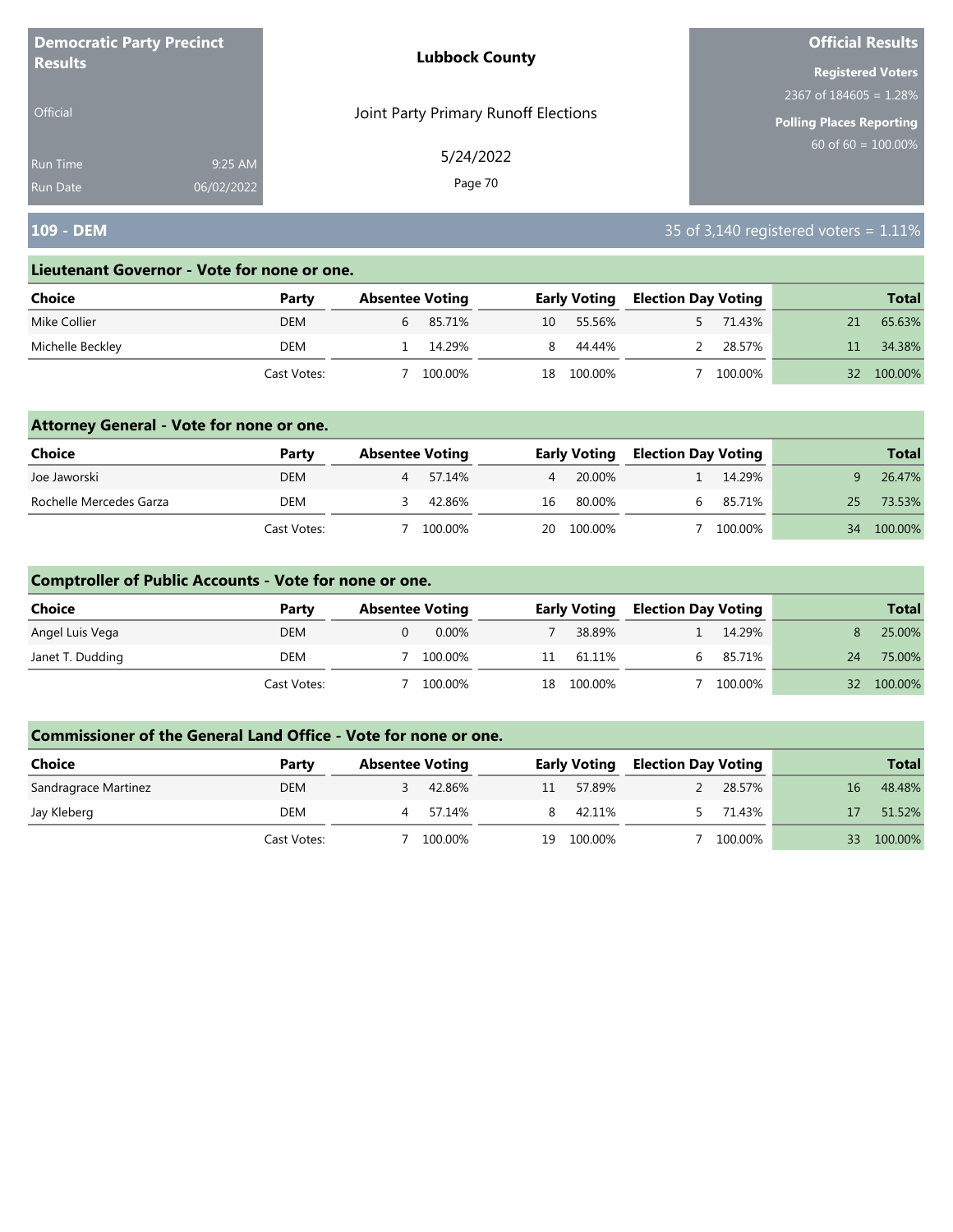| <b>Democratic Party Precinct</b> |            | <b>Lubbock County</b>                | <b>Official Results</b>         |
|----------------------------------|------------|--------------------------------------|---------------------------------|
| <b>Results</b>                   |            |                                      | <b>Registered Voters</b>        |
|                                  |            |                                      | 2367 of $184605 = 1.28\%$       |
| <b>Official</b>                  |            | Joint Party Primary Runoff Elections | <b>Polling Places Reporting</b> |
| Run Time                         | 9:25 AM    | 5/24/2022                            | 60 of 60 = $100.00\%$           |
| <b>Run Date</b>                  | 06/02/2022 | Page 70                              |                                 |

# **109 - DEM** 35 of 3,140 registered voters = 1.11%

#### **Lieutenant Governor - Vote for none or one.**

| Choice           | Party       | <b>Absentee Voting</b> |         |    | <b>Early Voting</b> | <b>Election Day Voting</b> |         |     | <b>Total</b> |
|------------------|-------------|------------------------|---------|----|---------------------|----------------------------|---------|-----|--------------|
| Mike Collier     | <b>DEM</b>  |                        | 85.71%  | 10 | 55.56%              |                            | 71.43%  |     | 65.63%       |
| Michelle Beckley | DEM         |                        | 14.29%  |    | 44.44%              |                            | 28.57%  |     | 34.38%       |
|                  | Cast Votes: |                        | 100.00% | 18 | 100.00%             |                            | 100.00% | 32. | 100.00%      |

### **Attorney General - Vote for none or one.**

| Choice                  | Party       | <b>Absentee Voting</b> |         |                | <b>Early Voting</b> | <b>Election Day Voting</b> |         |    | <b>Total</b> |
|-------------------------|-------------|------------------------|---------|----------------|---------------------|----------------------------|---------|----|--------------|
| Joe Jaworski            | <b>DEM</b>  |                        | 57.14%  | $\overline{4}$ | 20.00%              |                            | 14.29%  |    | 26.47%       |
| Rochelle Mercedes Garza | DEM         |                        | 42.86%  | 16             | 80.00%              |                            | 85.71%  | 25 | 73.53%       |
|                         | Cast Votes: |                        | 100.00% |                | 20 100.00%          |                            | 100.00% | 34 | 100.00%      |

### **Comptroller of Public Accounts - Vote for none or one.**

| <b>Choice</b>    | Party       | <b>Absentee Voting</b> |     | <b>Early Voting</b> | <b>Election Day Voting</b> |         |    | <b>Total</b> |
|------------------|-------------|------------------------|-----|---------------------|----------------------------|---------|----|--------------|
| Angel Luis Vega  | <b>DEM</b>  | $0.00\%$               |     | 38.89%              |                            | 14.29%  |    | 25.00%       |
| Janet T. Dudding | DEM         | 100.00%                | 11  | 61.11%              |                            | 85.71%  | 24 | 75.00%       |
|                  | Cast Votes: | 100.00%                | 18. | 100.00%             |                            | 100.00% |    | 32 100.00%   |

| Choice               | Party       | <b>Absentee Voting</b> |         |    | <b>Early Voting</b> | <b>Election Day Voting</b> |         |    | <b>Total</b> |
|----------------------|-------------|------------------------|---------|----|---------------------|----------------------------|---------|----|--------------|
| Sandragrace Martinez | <b>DEM</b>  |                        | 42.86%  |    | 57.89%              |                            | 28.57%  | 16 | 48.48%       |
| Jay Kleberg          | DEM         |                        | 57.14%  |    | 42.11%              |                            | 71.43%  |    | 51.52%       |
|                      | Cast Votes: |                        | 100.00% | 19 | 100.00%             |                            | 100.00% |    | 100.00%      |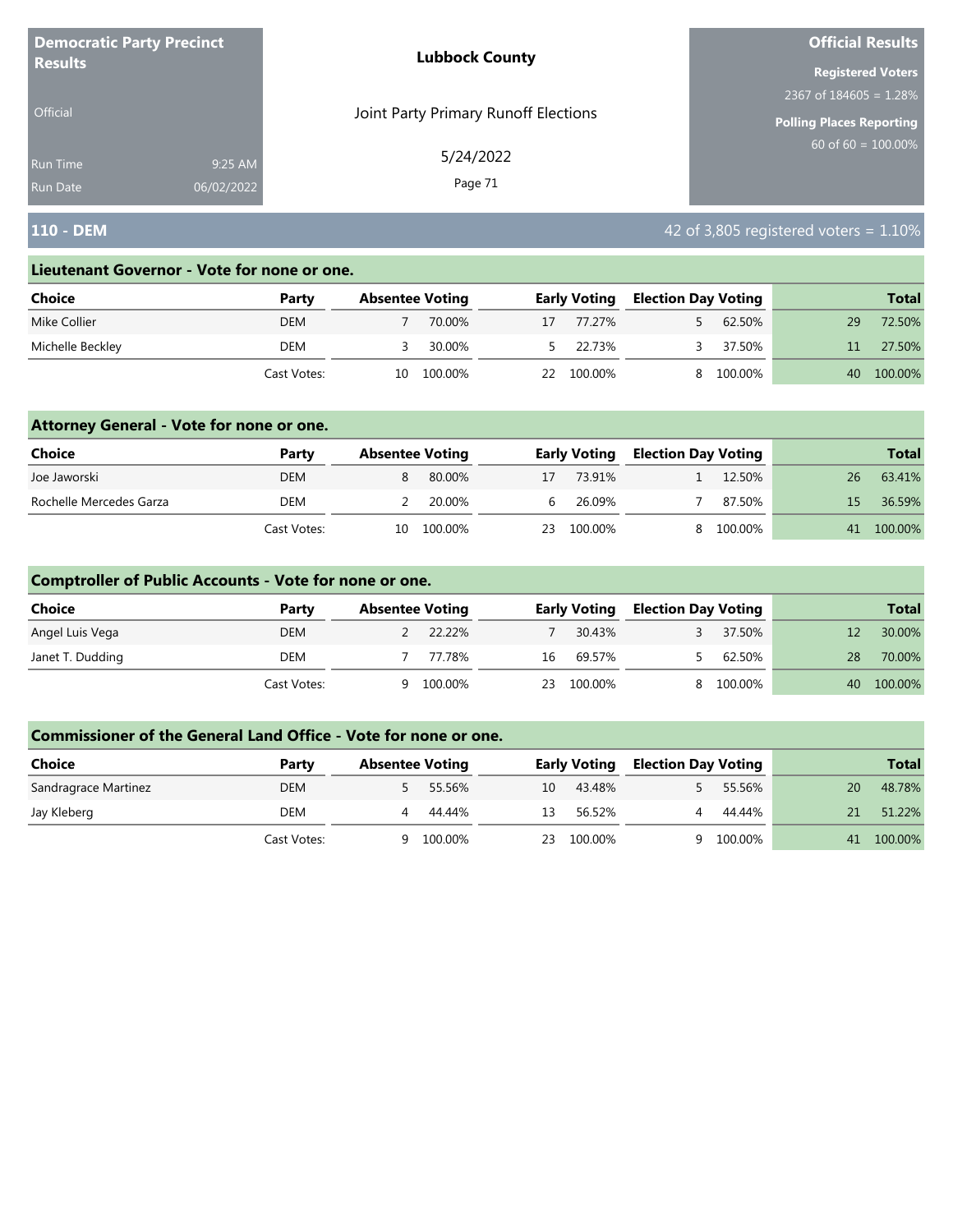| <b>Democratic Party Precinct</b><br><b>Results</b> |            | <b>Lubbock County</b>                | <b>Official Results</b><br><b>Registered Voters</b><br>2367 of $184605 = 1.28\%$<br><b>Polling Places Reporting</b><br>$60$ of 60 = 100.00% |  |  |  |
|----------------------------------------------------|------------|--------------------------------------|---------------------------------------------------------------------------------------------------------------------------------------------|--|--|--|
|                                                    |            |                                      |                                                                                                                                             |  |  |  |
|                                                    |            |                                      |                                                                                                                                             |  |  |  |
| <b>Official</b>                                    |            | Joint Party Primary Runoff Elections |                                                                                                                                             |  |  |  |
| <b>Run Time</b>                                    | 9:25 AM    | 5/24/2022                            |                                                                                                                                             |  |  |  |
| <b>Run Date</b>                                    | 06/02/2022 | Page 71                              |                                                                                                                                             |  |  |  |

# **110 - DEM** 42 of 3,805 registered voters = 1.10%

#### **Lieutenant Governor - Vote for none or one.**

| Choice           | Party       | <b>Absentee Voting</b> |         |    | <b>Early Voting</b> | <b>Election Day Voting</b> |         |    | <b>Total</b> |
|------------------|-------------|------------------------|---------|----|---------------------|----------------------------|---------|----|--------------|
| Mike Collier     | <b>DEM</b>  |                        | 70.00%  | 17 | 77.27%              |                            | 62.50%  | 29 | 72.50%       |
| Michelle Beckley | DEM         |                        | 30.00%  |    | 5 22.73%            |                            | 37.50%  |    | 27.50%       |
|                  | Cast Votes: | 10                     | 100.00% | 22 | 100.00%             |                            | 100.00% | 40 | 100.00%      |

### **Attorney General - Vote for none or one.**

| Choice                  | Party       | <b>Absentee Voting</b> |         |    | <b>Early Voting</b> | <b>Election Day Voting</b> |           |     | <b>Total</b> |
|-------------------------|-------------|------------------------|---------|----|---------------------|----------------------------|-----------|-----|--------------|
| Joe Jaworski            | <b>DEM</b>  |                        | 80.00%  | 17 | 73.91%              |                            | 12.50%    | 26  | 63.41%       |
| Rochelle Mercedes Garza | DEM         |                        | 20.00%  | 6  | 26.09%              |                            | 87.50%    | 15. | 36.59%       |
|                         | Cast Votes: | 10.                    | 100.00% | 23 | 100.00%             |                            | 8 100.00% |     | 41 100.00%   |

### **Comptroller of Public Accounts - Vote for none or one.**

| Choice           | Party       | <b>Absentee Voting</b> |         |    | <b>Early Voting</b> | <b>Election Day Voting</b> |         |    | <b>Total</b> |
|------------------|-------------|------------------------|---------|----|---------------------|----------------------------|---------|----|--------------|
| Angel Luis Vega  | <b>DEM</b>  |                        | 22.22%  |    | 30.43%              |                            | 37.50%  |    | 30.00%       |
| Janet T. Dudding | DEM         |                        | 77.78%  | 16 | 69.57%              |                            | 62.50%  | 28 | 70.00%       |
|                  | Cast Votes: | Q                      | 100.00% | 23 | 100.00%             |                            | 100.00% |    | 40 100.00%   |

| <b>Choice</b>        | Party       | <b>Absentee Voting</b> | <b>Early Voting</b> |        | <b>Election Day Voting</b> |         |    | <b>Total</b> |
|----------------------|-------------|------------------------|---------------------|--------|----------------------------|---------|----|--------------|
| Sandragrace Martinez | <b>DEM</b>  | 55.56%                 | 10                  | 43.48% |                            | 55.56%  | 20 | 48.78%       |
| Jay Kleberg          | DEM         | 44.44%                 | 13                  | 56.52% | Δ.                         | 44.44%  | 21 | 51.22%       |
|                      | Cast Votes: | 100.00%<br>a           | 100.00%<br>23       |        |                            | 100.00% | 41 | 100.00%      |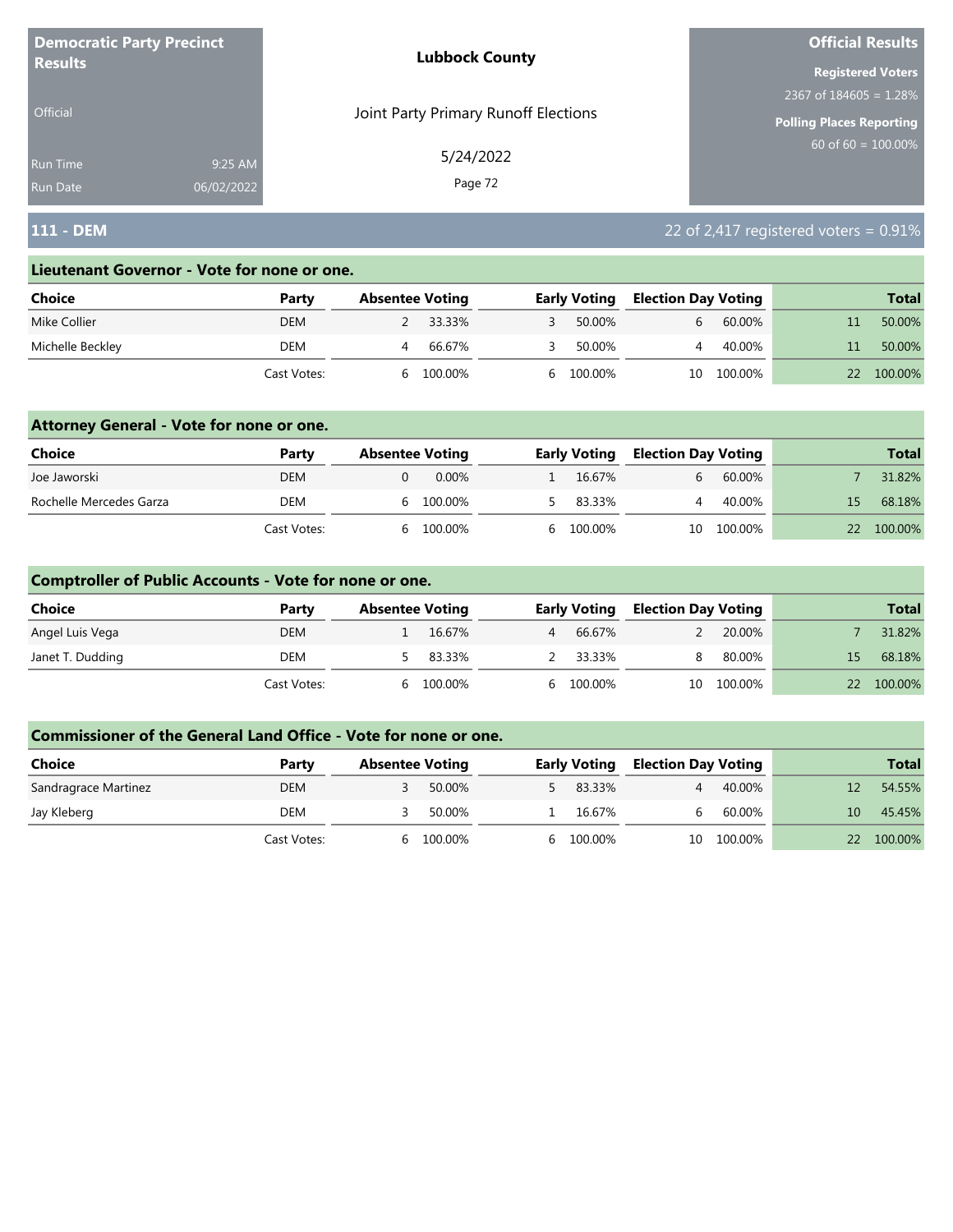| <b>Democratic Party Precinct</b><br><b>Results</b> |            | <b>Lubbock County</b>                | <b>Official Results</b><br><b>Registered Voters</b><br>2367 of $184605 = 1.28\%$<br><b>Polling Places Reporting</b><br>$60$ of 60 = 100.00% |  |  |
|----------------------------------------------------|------------|--------------------------------------|---------------------------------------------------------------------------------------------------------------------------------------------|--|--|
|                                                    |            |                                      |                                                                                                                                             |  |  |
|                                                    |            |                                      |                                                                                                                                             |  |  |
| <b>Official</b>                                    |            | Joint Party Primary Runoff Elections |                                                                                                                                             |  |  |
| <b>Run Time</b>                                    | 9:25 AM    | 5/24/2022                            |                                                                                                                                             |  |  |
| <b>Run Date</b>                                    | 06/02/2022 | Page 72                              |                                                                                                                                             |  |  |

# **111 - DEM** 22 of 2,417 registered voters = 0.91%

#### **Lieutenant Governor - Vote for none or one.**

| Choice           | Party       | <b>Absentee Voting</b> |         | <b>Early Voting</b> | <b>Election Day Voting</b> |         | <b>Total</b> |
|------------------|-------------|------------------------|---------|---------------------|----------------------------|---------|--------------|
| Mike Collier     | <b>DEM</b>  |                        | 33.33%  | 50.00%              |                            | 60.00%  | 50.00%       |
| Michelle Beckley | DEM         |                        | 66.67%  | 50.00%              |                            | 40.00%  | 50.00%       |
|                  | Cast Votes: |                        | 100.00% | 6 100.00%           | 10                         | 100.00% | 100.00%      |

### **Attorney General - Vote for none or one.**

| Choice                  | Party       | <b>Absentee Voting</b> | <b>Early Voting</b> | <b>Election Day Voting</b> |            |    | <b>Total</b> |
|-------------------------|-------------|------------------------|---------------------|----------------------------|------------|----|--------------|
| Joe Jaworski            | <b>DEM</b>  | 0.00%                  | 16.67%              |                            | 60.00%     |    | 31.82%       |
| Rochelle Mercedes Garza | DEM         | 100.00%                | 5 83.33%            |                            | 40.00%     | 15 | 68.18%       |
|                         | Cast Votes: | 100.00%                | 6 100.00%           |                            | 10 100.00% | 22 | 100.00%      |

### **Comptroller of Public Accounts - Vote for none or one.**

| Choice           | Party       | <b>Absentee Voting</b> |          |   | <b>Early Voting</b> | <b>Election Day Voting</b> |            |    | <b>Total</b> |
|------------------|-------------|------------------------|----------|---|---------------------|----------------------------|------------|----|--------------|
| Angel Luis Vega  | <b>DEM</b>  |                        | 16.67%   | 4 | 66.67%              |                            | 20.00%     |    | 31.82%       |
| Janet T. Dudding | DEM         |                        | 5 83.33% |   | 2 33.33%            | 8                          | 80.00%     | 15 | 68.18%       |
|                  | Cast Votes: | <sub>b</sub>           | 100.00%  |   | 6 100.00%           |                            | 10 100.00% |    | 22 100.00%   |

| <b>Choice</b>        | Party       | <b>Absentee Voting</b> |         | <b>Early Voting</b> | <b>Election Day Voting</b> |         |              | <b>Total</b> |
|----------------------|-------------|------------------------|---------|---------------------|----------------------------|---------|--------------|--------------|
| Sandragrace Martinez | <b>DEM</b>  |                        | 50.00%  | 83.33%              |                            | 40.00%  |              | 54.55%       |
| Jay Kleberg          | DEM         |                        | 50.00%  | 16.67%              | h.                         | 60.00%  | $10^{\circ}$ | 45.45%       |
|                      | Cast Votes: | h                      | 100.00% | 6 100.00%           | 10                         | 100.00% | 22           | 100.00%      |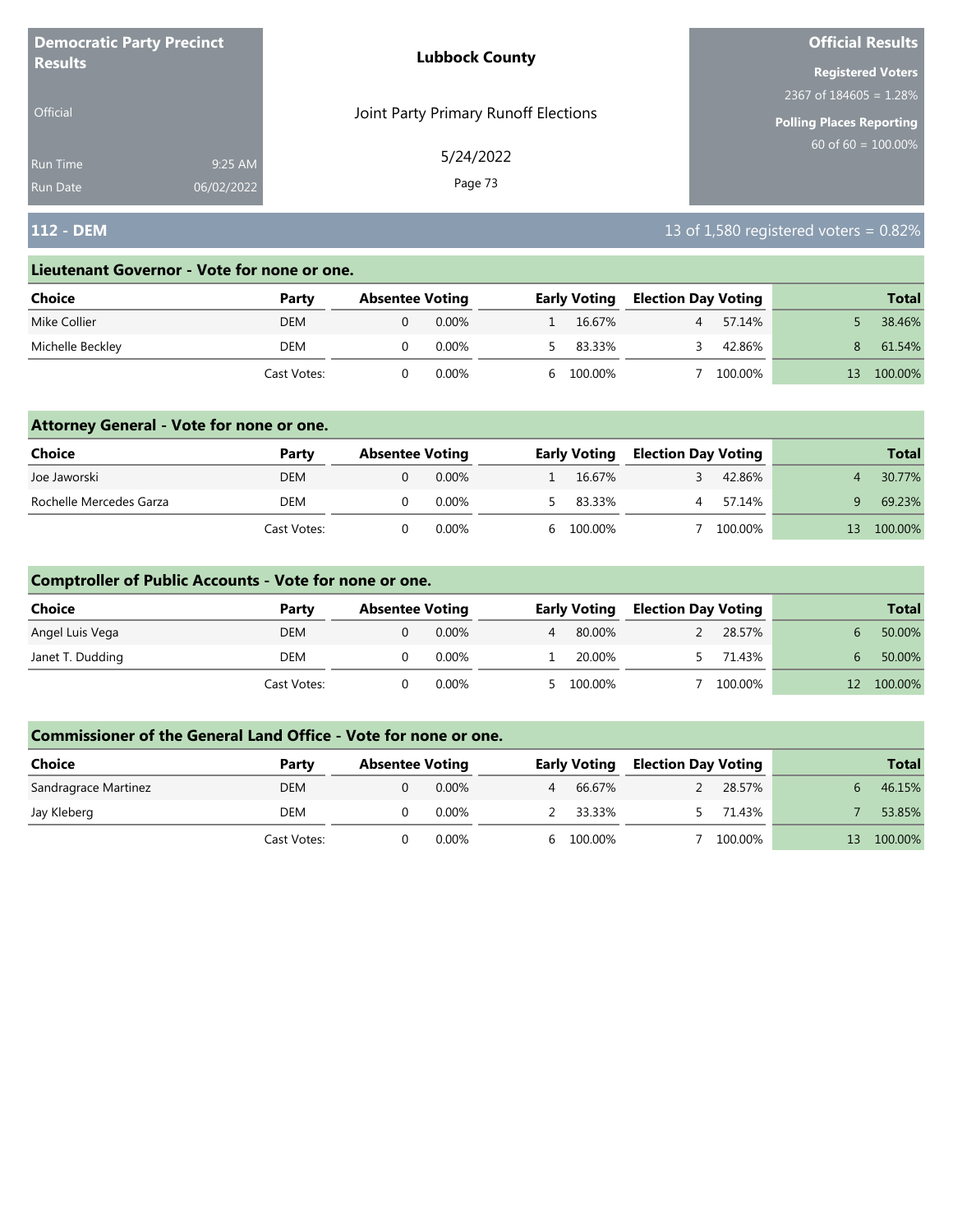| <b>Democratic Party Precinct</b> |            | <b>Lubbock County</b>                | <b>Official Results</b>         |
|----------------------------------|------------|--------------------------------------|---------------------------------|
| <b>Results</b>                   |            |                                      | <b>Registered Voters</b>        |
|                                  |            |                                      | 2367 of $184605 = 1.28\%$       |
| Official                         |            | Joint Party Primary Runoff Elections | <b>Polling Places Reporting</b> |
| <b>Run Time</b>                  | 9:25 AM    | 5/24/2022                            | $60$ of 60 = 100.00%            |
| <b>Run Date</b>                  | 06/02/2022 | Page 73                              |                                 |

## **112 - DEM** 13 of 1,580 registered voters = 0.82%

#### **Lieutenant Governor - Vote for none or one.**

| Choice           | Party       | <b>Absentee Voting</b> |          |    | <b>Early Voting</b> | <b>Election Day Voting</b> |         |    | <b>Total</b> |
|------------------|-------------|------------------------|----------|----|---------------------|----------------------------|---------|----|--------------|
| Mike Collier     | DEM         |                        | $0.00\%$ |    | 16.67%              |                            | 57.14%  |    | 38.46%       |
| Michelle Beckley | DEM         |                        | 0.00%    |    | 83.33%              |                            | 42.86%  | 8. | 61.54%       |
|                  | Cast Votes: |                        | $0.00\%$ | h. | 100.00%             |                            | 100.00% |    | 100.00%      |

### **Attorney General - Vote for none or one.**

| Choice                  | Party       | <b>Absentee Voting</b> |          | <b>Early Voting</b> | <b>Election Day Voting</b> |         |    | <b>Total</b> |
|-------------------------|-------------|------------------------|----------|---------------------|----------------------------|---------|----|--------------|
| Joe Jaworski            | DEM         |                        | 0.00%    | 16.67%              |                            | 42.86%  |    | 30.77%       |
| Rochelle Mercedes Garza | <b>DEM</b>  |                        | $0.00\%$ | 5 83.33%            |                            | 57.14%  |    | 69.23%       |
|                         | Cast Votes: |                        | 0.00%    | 6 100.00%           |                            | 100.00% | 13 | 100.00%      |

### **Comptroller of Public Accounts - Vote for none or one.**

| <b>Choice</b>    | Party       | <b>Absentee Voting</b> |       |   | <b>Early Voting</b> | <b>Election Day Voting</b> |         | <b>Total</b> |
|------------------|-------------|------------------------|-------|---|---------------------|----------------------------|---------|--------------|
| Angel Luis Vega  | DEM         |                        | 0.00% | 4 | 80.00%              |                            | 28.57%  | 50.00%       |
| Janet T. Dudding | DEM         |                        | 0.00% |   | 20.00%              |                            | 71.43%  | 50.00%       |
|                  | Cast Votes: |                        | 0.00% |   | 5 100.00%           |                            | 100.00% | 100.00%      |

| Choice               | Party       | <b>Absentee Voting</b> |          |                | <b>Early Voting</b> | <b>Election Day Voting</b> |         |    | <b>Total</b> |
|----------------------|-------------|------------------------|----------|----------------|---------------------|----------------------------|---------|----|--------------|
| Sandragrace Martinez | <b>DEM</b>  |                        | 0.00%    | $\overline{4}$ | 66.67%              |                            | 28.57%  |    | 46.15%       |
| Jay Kleberg          | DEM         |                        | $0.00\%$ |                | 2 33.33%            |                            | 71.43%  |    | 53.85%       |
|                      | Cast Votes: |                        | 0.00%    |                | 6 100.00%           |                            | 100.00% | 13 | 100.00%      |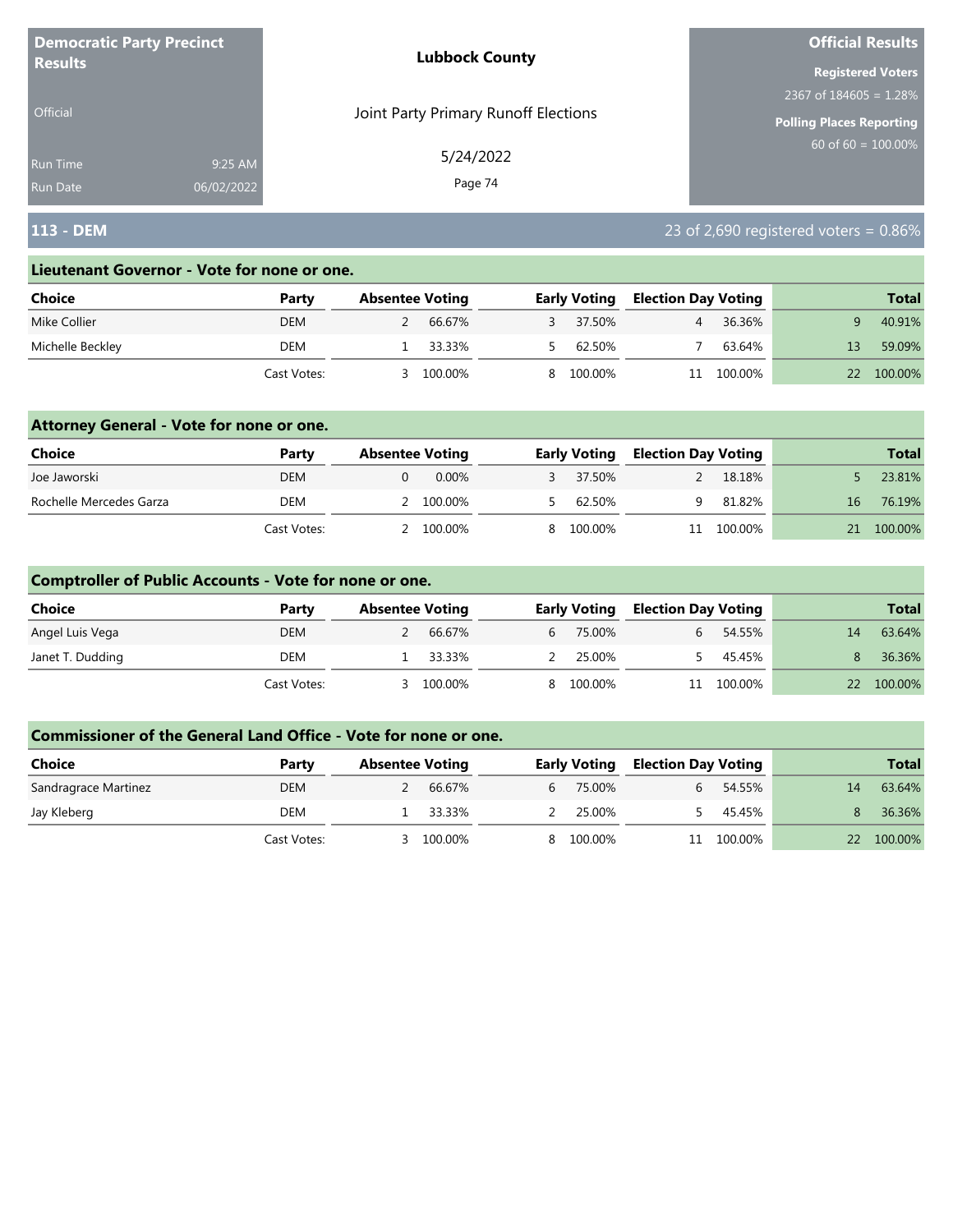| <b>Democratic Party Precinct</b> |            | <b>Lubbock County</b>                | <b>Official Results</b>         |
|----------------------------------|------------|--------------------------------------|---------------------------------|
| <b>Results</b>                   |            |                                      | <b>Registered Voters</b>        |
|                                  |            |                                      | 2367 of $184605 = 1.28\%$       |
| Official                         |            | Joint Party Primary Runoff Elections | <b>Polling Places Reporting</b> |
| <b>Run Time</b>                  | 9:25 AM    | 5/24/2022                            | $60$ of 60 = 100.00%            |
| <b>Run Date</b>                  | 06/02/2022 | Page 74                              |                                 |

## **113 - DEM** 23 of 2,690 registered voters = 0.86%

#### **Lieutenant Governor - Vote for none or one.**

| Choice           | Party       | <b>Absentee Voting</b> |         | <b>Early Voting</b> | <b>Election Day Voting</b> |         | <b>Total</b> |
|------------------|-------------|------------------------|---------|---------------------|----------------------------|---------|--------------|
| Mike Collier     | DEM         |                        | 66.67%  | 37.50%              |                            | 36.36%  | 40.91%       |
| Michelle Beckley | DEM         |                        | 33.33%  | 62.50%              |                            | 63.64%  | 59.09%       |
|                  | Cast Votes: |                        | 100.00% | 8 100.00%           |                            | 100.00% | 100.00%      |

### **Attorney General - Vote for none or one.**

| Choice                  | Party       | <b>Absentee Voting</b> |       | <b>Early Voting</b> | <b>Election Day Voting</b> |            |    | <b>Total</b> |
|-------------------------|-------------|------------------------|-------|---------------------|----------------------------|------------|----|--------------|
| Joe Jaworski            | DEM         |                        | 0.00% | 37.50%              |                            | 18.18%     |    | 23.81%       |
| Rochelle Mercedes Garza | DEM         | 2 100.00%              |       | 62.50%              |                            | 81.82%     | 16 | 76.19%       |
|                         | Cast Votes: | 2 100.00%              |       | 8 100.00%           |                            | 11 100.00% | 21 | 100.00%      |

### **Comptroller of Public Accounts - Vote for none or one.**

| Choice           | Party       | <b>Absentee Voting</b> |          |           | <b>Early Voting</b> | <b>Election Day Voting</b> |            |    | <b>Total</b> |
|------------------|-------------|------------------------|----------|-----------|---------------------|----------------------------|------------|----|--------------|
| Angel Luis Vega  | DEM         |                        | 66.67%   | $6 \quad$ | 75.00%              |                            | 54.55%     | 14 | 63.64%       |
| Janet T. Dudding | DEM         |                        | 1 33.33% |           | 25.00%              |                            | 45.45%     |    | 36.36%       |
|                  | Cast Votes: |                        | 100.00%  |           | 8 100.00%           |                            | 11 100.00% |    | 22 100.00%   |

| <b>Choice</b>        | Party       | <b>Absentee Voting</b> |            |   | <b>Early Voting</b> | <b>Election Day Voting</b> |         |    | <b>Total</b> |
|----------------------|-------------|------------------------|------------|---|---------------------|----------------------------|---------|----|--------------|
| Sandragrace Martinez | <b>DEM</b>  |                        | 66.67%     | 6 | 75.00%              | b.                         | 54.55%  | 14 | 63.64%       |
| Jay Kleberg          | DEM         |                        | $-33.33\%$ |   | 25.00%              |                            | 45.45%  |    | 36.36%       |
|                      | Cast Votes: |                        | 100.00%    |   | 100.00%             |                            | 100.00% | 22 | 100.00%      |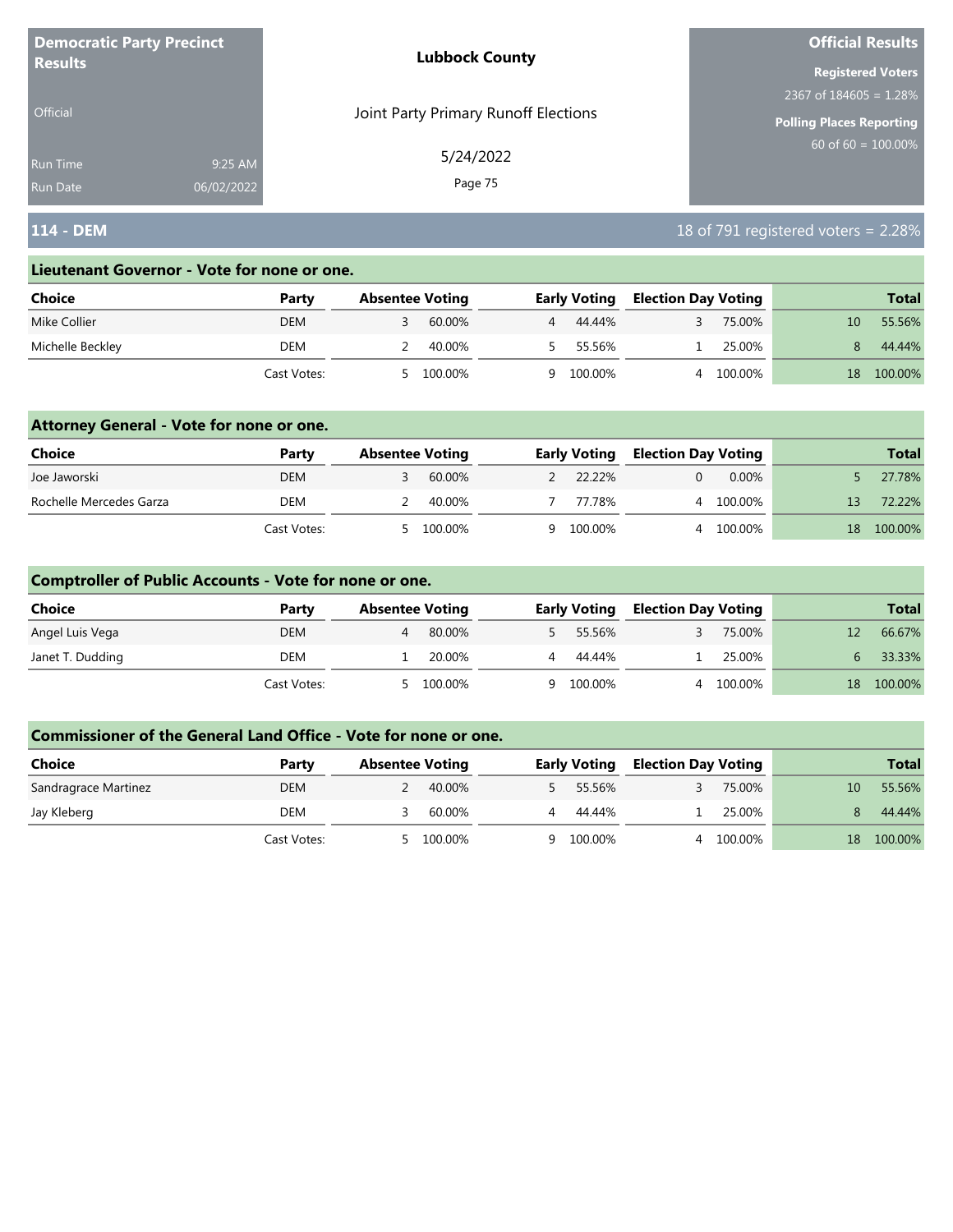| <b>Democratic Party Precinct</b> |            | <b>Lubbock County</b>                | <b>Official Results</b>         |
|----------------------------------|------------|--------------------------------------|---------------------------------|
| <b>Results</b>                   |            |                                      | <b>Registered Voters</b>        |
|                                  |            |                                      | 2367 of $184605 = 1.28\%$       |
| <b>Official</b>                  |            | Joint Party Primary Runoff Elections | <b>Polling Places Reporting</b> |
| <b>Run Time</b>                  | 9:25 AM    | 5/24/2022                            | $60$ of 60 = 100.00%            |
| <b>Run Date</b>                  | 06/02/2022 | Page 75                              |                                 |

## **114 - DEM** 18 of 791 registered voters = 2.28%

#### **Lieutenant Governor - Vote for none or one.**

| Choice           | Party       | <b>Absentee Voting</b> |    | <b>Early Voting</b> | <b>Election Day Voting</b> |         |    | <b>Total</b> |
|------------------|-------------|------------------------|----|---------------------|----------------------------|---------|----|--------------|
| Mike Collier     | DEM         | 60.00%                 |    | 44.44%              |                            | 75.00%  | 10 | 55.56%       |
| Michelle Beckley | DEM         | 40.00%                 |    | 55.56%              |                            | 25.00%  |    | 44.44%       |
|                  | Cast Votes: | 100.00%                | Q. | 100.00%             |                            | 100.00% | 18 | 100.00%      |

### **Attorney General - Vote for none or one.**

| Choice                  | Party       | <b>Absentee Voting</b> |           | <b>Early Voting</b> | <b>Election Day Voting</b> |           |    | <b>Total</b> |
|-------------------------|-------------|------------------------|-----------|---------------------|----------------------------|-----------|----|--------------|
| Joe Jaworski            | <b>DEM</b>  |                        | 60.00%    | 2 22.22%            |                            | 0.00%     |    | 27.78%       |
| Rochelle Mercedes Garza | DEM         |                        | 40.00%    | 77.78%              |                            | 4 100.00% | 13 | 72.22%       |
|                         | Cast Votes: |                        | 5 100.00% | 9 100.00%           |                            | 100.00%   | 18 | 100.00%      |

### **Comptroller of Public Accounts - Vote for none or one.**

| Choice           | Party       | <b>Absentee Voting</b> |         |   | <b>Early Voting</b> |              | <b>Election Day Voting</b> |       | <b>Total</b> |
|------------------|-------------|------------------------|---------|---|---------------------|--------------|----------------------------|-------|--------------|
| Angel Luis Vega  | DEM         |                        | 80.00%  |   | 55.56%              |              | 75.00%                     |       | 66.67%       |
| Janet T. Dudding | DEM         |                        | 20.00%  | 4 | 44.44%              |              | 25.00%                     | $6-1$ | 33.33%       |
|                  | Cast Votes: | - 5                    | 100.00% |   | 9 100.00%           | <sup>4</sup> | 100.00%                    | 18    | 100.00%      |

| <b>Choice</b>        | Party       | <b>Absentee Voting</b> | <b>Early Voting</b> | <b>Election Day Voting</b> | <b>Total</b>              |
|----------------------|-------------|------------------------|---------------------|----------------------------|---------------------------|
| Sandragrace Martinez | DEM         | 40.00%                 | 55.56%              | 75.00%                     | 55.56%<br>10 <sup>1</sup> |
| Jay Kleberg          | DEM         | 60.00%                 | 44.44%              | 25.00%                     | 44.44%                    |
|                      | Cast Votes: | 100.00%                | 100.00%<br>Q        | 100.00%                    | 100.00%<br>18             |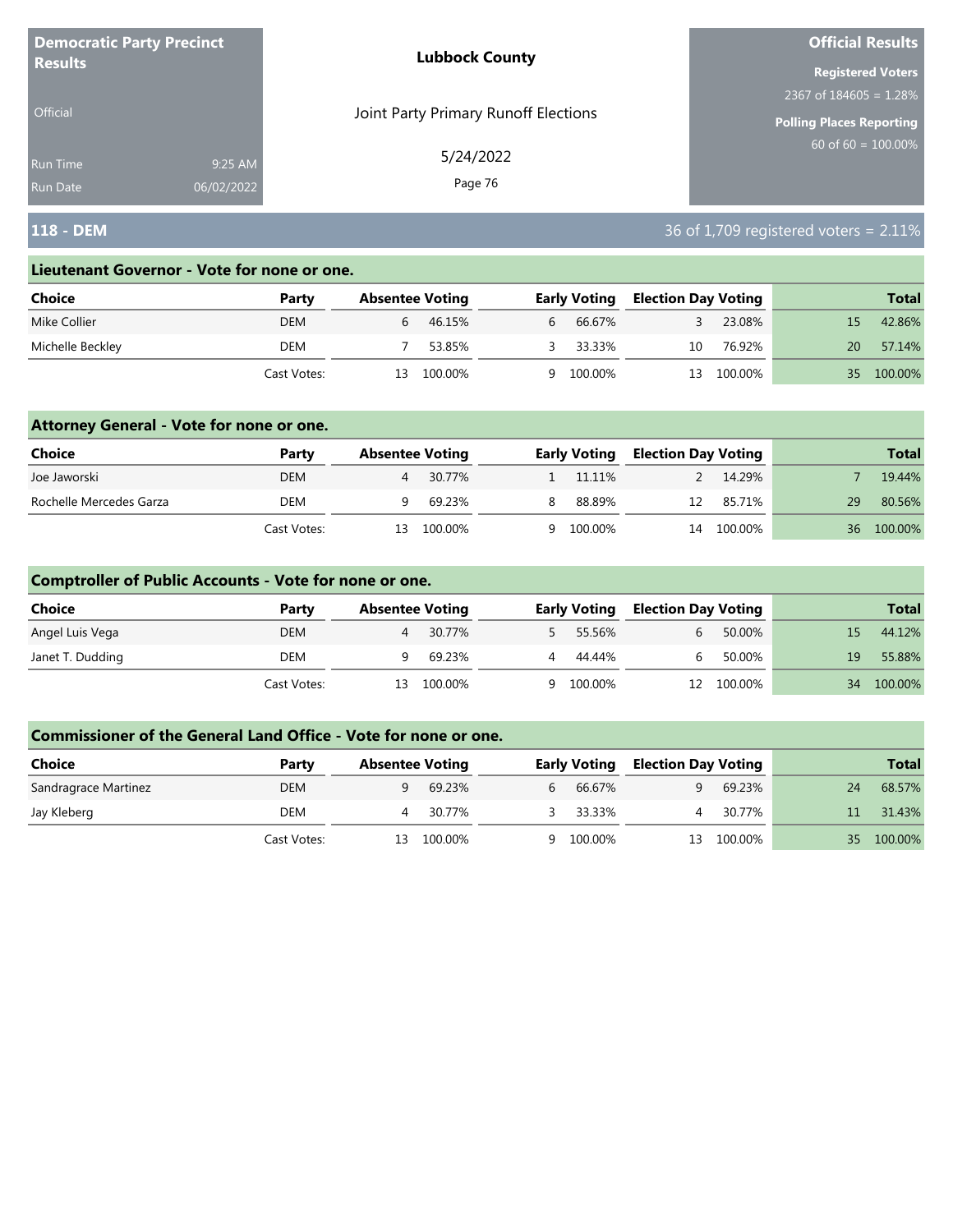| <b>Democratic Party Precinct</b> |            | <b>Lubbock County</b>                | <b>Official Results</b>   |
|----------------------------------|------------|--------------------------------------|---------------------------|
| <b>Results</b>                   |            |                                      | <b>Registered Voters</b>  |
|                                  |            |                                      | 2367 of $184605 = 1.28\%$ |
| <b>Official</b>                  |            | Joint Party Primary Runoff Elections | Polling Places Reporting  |
| Run Time                         | 9:25 AM    | 5/24/2022                            | $60$ of 60 = 100.00%      |
| <b>Run Date</b>                  | 06/02/2022 | Page 76                              |                           |

## **118 - DEM** 36 of 1,709 registered voters = 2.11%

#### **Lieutenant Governor - Vote for none or one.**

| Choice           | Party       | <b>Absentee Voting</b> |         |   | <b>Early Voting</b> |    | <b>Election Day Voting</b> |     | <b>Total</b> |
|------------------|-------------|------------------------|---------|---|---------------------|----|----------------------------|-----|--------------|
| Mike Collier     | DEM         |                        | 46.15%  | b | 66.67%              |    | 23.08%                     |     | 42.86%       |
| Michelle Beckley | DEM         |                        | 53.85%  |   | 33.33%              | 10 | 76.92%                     | 20  | 57.14%       |
|                  | Cast Votes: | 13.                    | 100.00% | Q | 100.00%             | 13 | 100.00%                    | 35. | 100.00%      |

### **Attorney General - Vote for none or one.**

| Choice                  | Party       |     | <b>Absentee Voting</b> |   | <b>Early Voting</b> |    | <b>Election Day Voting</b> |                 | <b>Total</b> |
|-------------------------|-------------|-----|------------------------|---|---------------------|----|----------------------------|-----------------|--------------|
| Joe Jaworski            | DEM         |     | 30.77%                 |   | 1 11.11%            |    | 14.29%                     |                 | 19.44%       |
| Rochelle Mercedes Garza | DEM         |     | 69.23%                 | 8 | 88.89%              | 12 | 85.71%                     | 29              | 80.56%       |
|                         | Cast Votes: | 13. | 100.00%                |   | 9 100.00%           |    | 14 100.00%                 | 36 <sup>-</sup> | 100.00%      |

### **Comptroller of Public Accounts - Vote for none or one.**

| <b>Choice</b>    | Party       | <b>Absentee Voting</b> |         | <b>Early Voting</b> |                | <b>Election Day Voting</b> |     | <b>Total</b> |
|------------------|-------------|------------------------|---------|---------------------|----------------|----------------------------|-----|--------------|
| Angel Luis Vega  | <b>DEM</b>  |                        | 30.77%  | 55.56%              | 6 <sup>1</sup> | 50.00%                     | 15. | 44.12%       |
| Janet T. Dudding | DEM         |                        | 69.23%  | 4 44.44%            | h.             | 50.00%                     | 19  | 55.88%       |
|                  | Cast Votes: | 13.                    | 100.00% | 9 100.00%           |                | 12 100.00%                 |     | 34 100.00%   |

| <b>Choice</b>        | Party       |     | <b>Absentee Voting</b> |    | <b>Early Voting</b> |    | <b>Election Day Voting</b> |                 | <b>Total</b> |
|----------------------|-------------|-----|------------------------|----|---------------------|----|----------------------------|-----------------|--------------|
| Sandragrace Martinez | <b>DEM</b>  |     | 69.23%                 | h. | 66.67%              | q  | 69.23%                     | 24              | 68.57%       |
| Jay Kleberg          | DEM         |     | 30.77%                 |    | 33.33%              |    | 30.77%                     | 11 <sup>1</sup> | 31.43%       |
|                      | Cast Votes: | 13. | 100.00%                | Q  | 100.00%             | 13 | 100.00%                    | 35              | 100.00%      |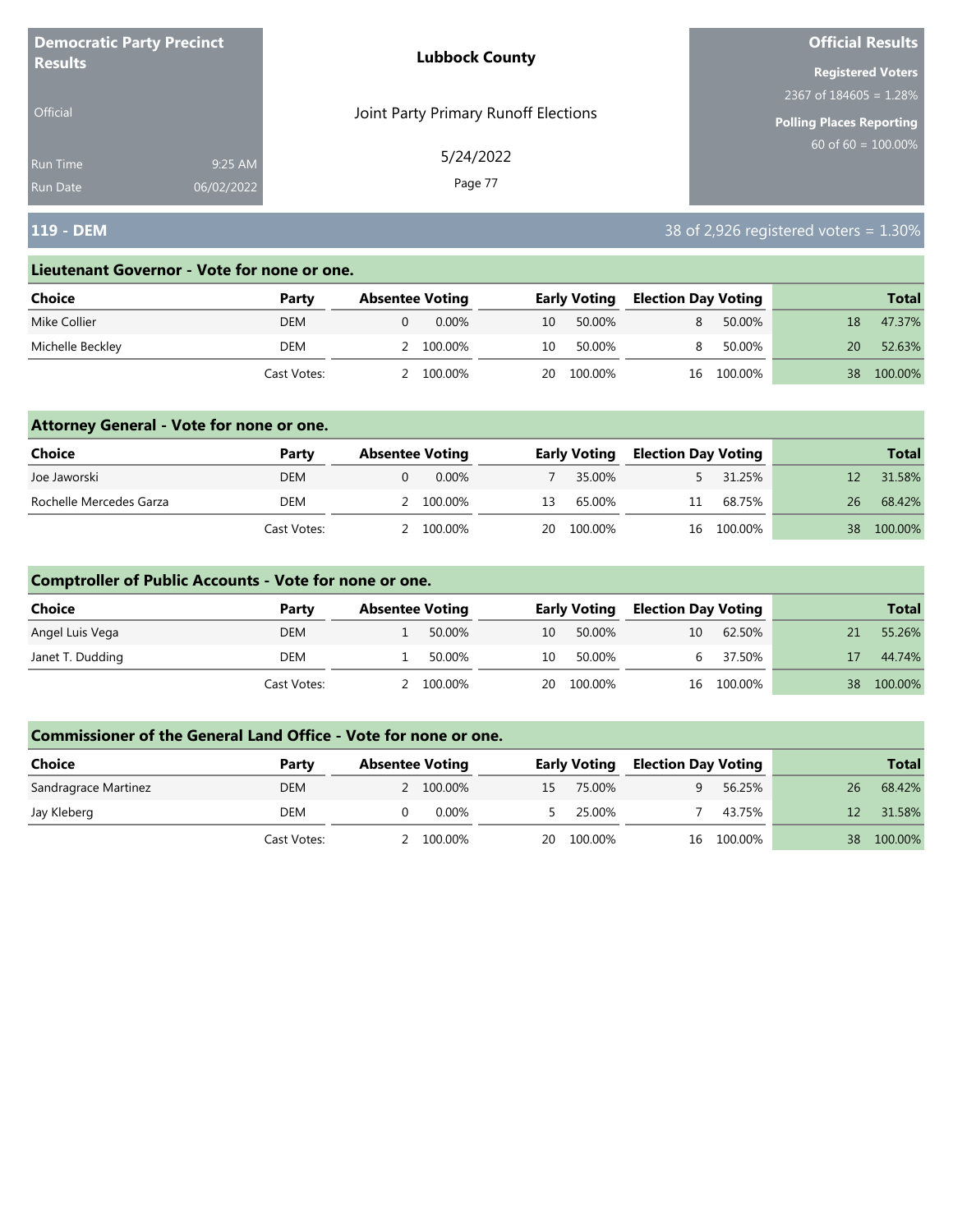| <b>Democratic Party Precinct</b> |            | <b>Lubbock County</b>                | <b>Official Results</b>   |
|----------------------------------|------------|--------------------------------------|---------------------------|
| <b>Results</b>                   |            |                                      | <b>Registered Voters</b>  |
|                                  |            |                                      | 2367 of $184605 = 1.28\%$ |
| <b>Official</b>                  |            | Joint Party Primary Runoff Elections | Polling Places Reporting  |
| Run Time                         | 9:25 AM    | 5/24/2022                            | $60$ of 60 = 100.00%      |
| <b>Run Date</b>                  | 06/02/2022 | Page 77                              |                           |

## **119 - DEM** 38 of 2,926 registered voters = 1.30%

#### **Lieutenant Governor - Vote for none or one.**

| Choice           | Party       | <b>Absentee Voting</b> |    | <b>Early Voting</b> |    | <b>Election Day Voting</b> |    | <b>Total</b> |
|------------------|-------------|------------------------|----|---------------------|----|----------------------------|----|--------------|
| Mike Collier     | DEM         | $0.00\%$               | 10 | 50.00%              | 8. | 50.00%                     | 18 | 47.37%       |
| Michelle Beckley | DEM         | 100.00%                | 10 | 50.00%              | 8. | 50.00%                     | 20 | 52.63%       |
|                  | Cast Votes: | 100.00%                | 20 | 100.00%             |    | 16 100.00%                 | 38 | 100.00%      |

### **Attorney General - Vote for none or one.**

| Choice                  | Party       | <b>Absentee Voting</b> |       |    | <b>Early Voting</b> | <b>Election Day Voting</b> |            |      | <b>Total</b> |
|-------------------------|-------------|------------------------|-------|----|---------------------|----------------------------|------------|------|--------------|
| Joe Jaworski            | DEM         |                        | 0.00% |    | 35.00%              |                            | 31.25%     |      | 31.58%       |
| Rochelle Mercedes Garza | DEM         | 2 100.00%              |       | 13 | 65.00%              | 11                         | 68.75%     | 26   | 68.42%       |
|                         | Cast Votes: | 2 100.00%              |       |    | 20 100.00%          |                            | 16 100.00% | 38 · | 100.00%      |

### **Comptroller of Public Accounts - Vote for none or one.**

| Choice           | Party       | <b>Absentee Voting</b> |         | <b>Early Voting</b> |         | <b>Election Day Voting</b> |            |    | <b>Total</b> |
|------------------|-------------|------------------------|---------|---------------------|---------|----------------------------|------------|----|--------------|
| Angel Luis Vega  | DEM         |                        | 50.00%  | 10                  | 50.00%  | 10                         | 62.50%     | 21 | 55.26%       |
| Janet T. Dudding | DEM         |                        | 50.00%  | 10                  | 50.00%  | h.                         | 37.50%     | 17 | 44.74%       |
|                  | Cast Votes: |                        | 100.00% | 20                  | 100.00% |                            | 16 100.00% |    | 38 100.00%   |

| <b>Choice</b>        | Party       | <b>Absentee Voting</b> |    | <b>Early Voting</b> | <b>Election Day Voting</b> |            |                 | <b>Total</b> |
|----------------------|-------------|------------------------|----|---------------------|----------------------------|------------|-----------------|--------------|
| Sandragrace Martinez | <b>DEM</b>  | 2 100.00%              | 15 | 75.00%              | a                          | 56.25%     | 26              | 68.42%       |
| Jay Kleberg          | DEM         | 0.00%                  |    | 25.00%              |                            | 43.75%     | 12 <sup>7</sup> | 31.58%       |
|                      | Cast Votes: | 100.00%                | 20 | 100.00%             |                            | 16 100.00% | 38              | 100.00%      |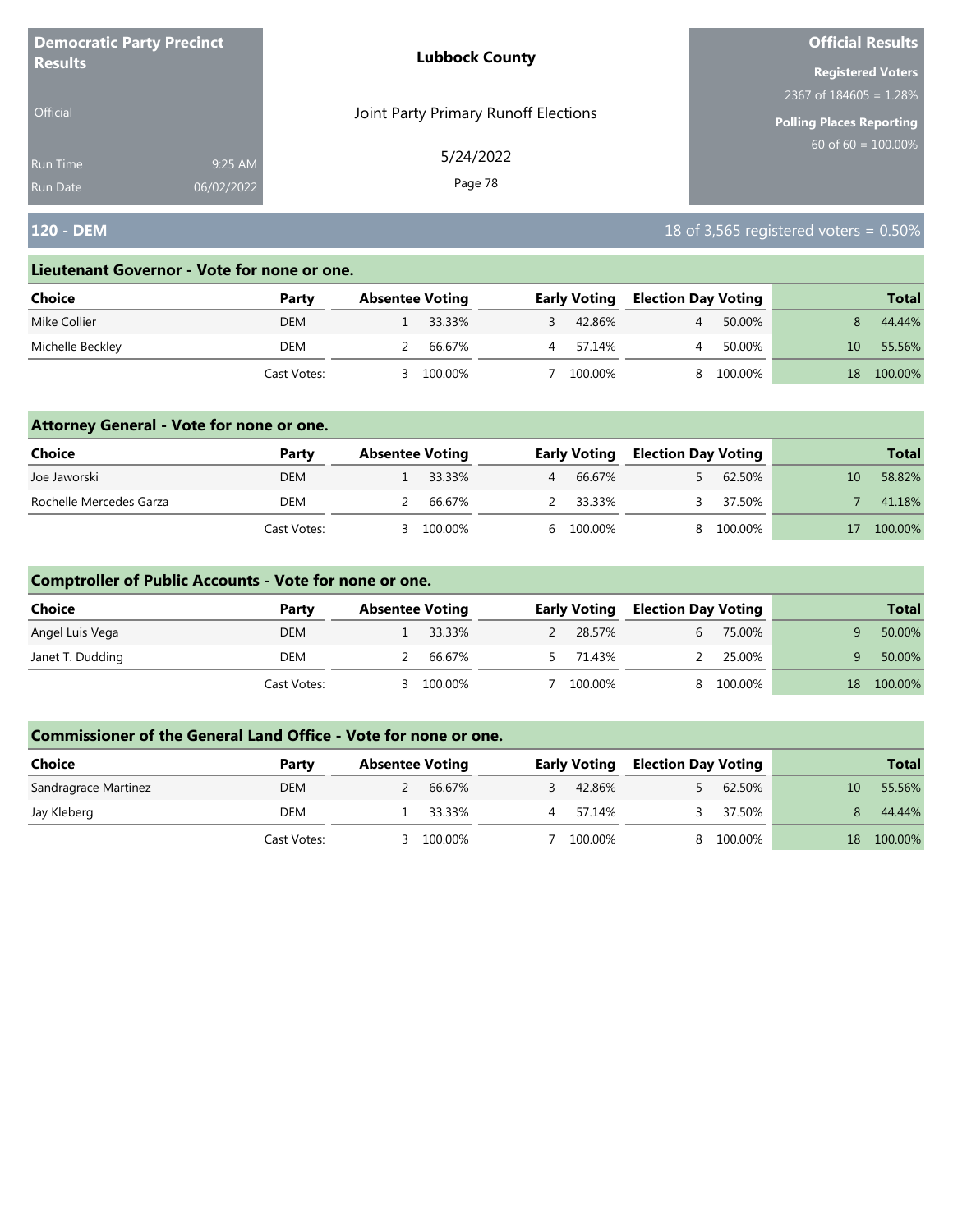| <b>Democratic Party Precinct</b><br><b>Results</b> |            | <b>Lubbock County</b>                | <b>Official Results</b>         |  |
|----------------------------------------------------|------------|--------------------------------------|---------------------------------|--|
|                                                    |            |                                      | <b>Registered Voters</b>        |  |
|                                                    |            |                                      | 2367 of $184605 = 1.28\%$       |  |
| <b>Official</b>                                    |            | Joint Party Primary Runoff Elections | <b>Polling Places Reporting</b> |  |
| Run Time                                           | 9:25 AM    | 5/24/2022                            | $60$ of 60 = $100.00\%$         |  |
| <b>Run Date</b>                                    | 06/02/2022 | Page 78                              |                                 |  |

## **120 - DEM** 18 of 3,565 registered voters = 0.50%

#### **Lieutenant Governor - Vote for none or one.**

| Choice           | Party       | <b>Absentee Voting</b> |         | <b>Early Voting</b> | <b>Election Day Voting</b> |         |     | <b>Total</b> |
|------------------|-------------|------------------------|---------|---------------------|----------------------------|---------|-----|--------------|
| Mike Collier     | <b>DEM</b>  |                        | 33.33%  | 42.86%              |                            | 50.00%  |     | 44.44%       |
| Michelle Beckley | DEM         |                        | 66.67%  | 57.14%              |                            | 50.00%  | 10. | 55.56%       |
|                  | Cast Votes: |                        | 100.00% | 100.00%             |                            | 100.00% | 18  | 100.00%      |

### **Attorney General - Vote for none or one.**

| Choice                  | Party       | <b>Absentee Voting</b> |         | <b>Early Voting</b> | <b>Election Day Voting</b> |           |    | <b>Total</b> |
|-------------------------|-------------|------------------------|---------|---------------------|----------------------------|-----------|----|--------------|
| Joe Jaworski            | <b>DEM</b>  |                        | 33.33%  | 66.67%              |                            | 62.50%    | 10 | 58.82%       |
| Rochelle Mercedes Garza | DEM         |                        | 66.67%  | 2 33.33%            |                            | 37.50%    |    | 41.18%       |
|                         | Cast Votes: | $\prec$                | 100.00% | 6 100.00%           |                            | 8 100.00% |    | 100.00%      |

### **Comptroller of Public Accounts - Vote for none or one.**

| Choice           | Party       | <b>Absentee Voting</b> |          | <b>Early Voting</b> | <b>Election Day Voting</b> |         |    | <b>Total</b> |
|------------------|-------------|------------------------|----------|---------------------|----------------------------|---------|----|--------------|
| Angel Luis Vega  | <b>DEM</b>  |                        | 1 33.33% | 28.57%              |                            | 75.00%  |    | 50.00%       |
| Janet T. Dudding | DEM         |                        | 66.67%   | 71.43%              |                            | 25.00%  |    | 50.00%       |
|                  | Cast Votes: |                        | 100.00%  | 100.00%             |                            | 100.00% | 18 | 100.00%      |

| <b>Choice</b>        | Party       | <b>Absentee Voting</b> |         |   | <b>Early Voting</b> | <b>Election Day Voting</b> |         |    | <b>Total</b> |
|----------------------|-------------|------------------------|---------|---|---------------------|----------------------------|---------|----|--------------|
| Sandragrace Martinez | <b>DEM</b>  |                        | 66.67%  |   | 42.86%              |                            | 62.50%  | 10 | 55.56%       |
| Jay Kleberg          | DEM         |                        | 33.33%  | 4 | 57.14%              |                            | 37.50%  |    | 44.44%       |
|                      | Cast Votes: |                        | 100.00% |   | 100.00%             |                            | 100.00% | 18 | 100.00%      |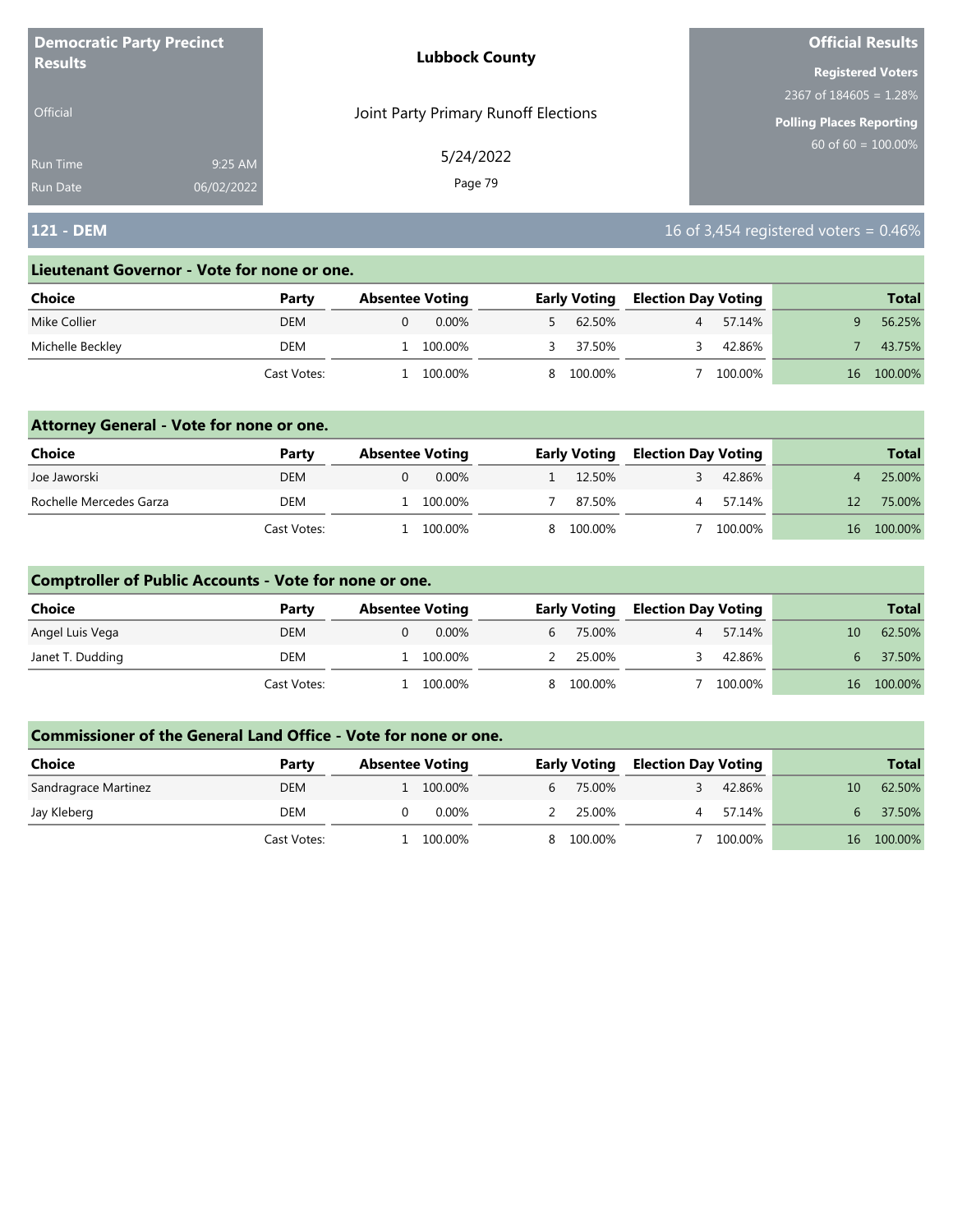| <b>Democratic Party Precinct</b> |            | <b>Lubbock County</b>                | <b>Official Results</b>         |  |
|----------------------------------|------------|--------------------------------------|---------------------------------|--|
| <b>Results</b>                   |            |                                      | <b>Registered Voters</b>        |  |
|                                  |            |                                      | 2367 of $184605 = 1.28\%$       |  |
| <b>Official</b>                  |            | Joint Party Primary Runoff Elections | <b>Polling Places Reporting</b> |  |
| Run Time                         | 9:25 AM    | 5/24/2022                            | $60$ of 60 = $100.00\%$         |  |
| <b>Run Date</b>                  | 06/02/2022 | Page 79                              |                                 |  |

## **121 - DEM** 16 of 3,454 registered voters = 0.46%

#### **Lieutenant Governor - Vote for none or one.**

| Choice           | Party       | <b>Absentee Voting</b> | <b>Early Voting</b> |           | <b>Election Day Voting</b> |         |    | <b>Total</b> |
|------------------|-------------|------------------------|---------------------|-----------|----------------------------|---------|----|--------------|
| Mike Collier     | <b>DEM</b>  | $0.00\%$               |                     | 62.50%    |                            | 57.14%  |    | 56.25%       |
| Michelle Beckley | DEM         | 100.00%                |                     | 37.50%    |                            | 42.86%  |    | 43.75%       |
|                  | Cast Votes: | 100.00%                |                     | 8 100.00% |                            | 100.00% | 16 | 100.00%      |

### **Attorney General - Vote for none or one.**

| Choice                  | Party       | <b>Absentee Voting</b> | <b>Early Voting</b> | <b>Election Day Voting</b> | <b>Total</b>  |
|-------------------------|-------------|------------------------|---------------------|----------------------------|---------------|
| Joe Jaworski            | DEM         | 0.00%                  | 12.50%              | 42.86%                     | 25.00%        |
| Rochelle Mercedes Garza | DEM         | 100.00%                | 87.50%              | 57.14%                     | 75.00%        |
|                         | Cast Votes: | 100.00%                | 8 100.00%           | 100.00%                    | 100.00%<br>16 |

### **Comptroller of Public Accounts - Vote for none or one.**

| <b>Choice</b>    | Party       | <b>Absentee Voting</b> |           | <b>Early Voting</b> | <b>Election Day Voting</b> |         |    | <b>Total</b> |
|------------------|-------------|------------------------|-----------|---------------------|----------------------------|---------|----|--------------|
| Angel Luis Vega  | <b>DEM</b>  | $0.00\%$               | $6 \quad$ | 75.00%              |                            | 57.14%  | 10 | 62.50%       |
| Janet T. Dudding | DEM         | 100.00%                |           | 25.00%              |                            | 42.86%  | 6  | 37.50%       |
|                  | Cast Votes: | 100.00%                |           | 8 100.00%           |                            | 100.00% |    | 16 100.00%   |

| <b>Choice</b>        | Party       | <b>Absentee Voting</b> | <b>Early Voting</b>      | <b>Election Day Voting</b> |         |    | <b>Total</b> |
|----------------------|-------------|------------------------|--------------------------|----------------------------|---------|----|--------------|
| Sandragrace Martinez | DEM         | 100.00%                | 75.00%<br>$\mathfrak{b}$ |                            | 42.86%  | 10 | 62.50%       |
| Jay Kleberg          | DEM         | 0.00%                  | 25.00%                   |                            | 57.14%  |    | 37.50%       |
|                      | Cast Votes: | 100.00%                | 8 100.00%                |                            | 100.00% | 16 | 100.00%      |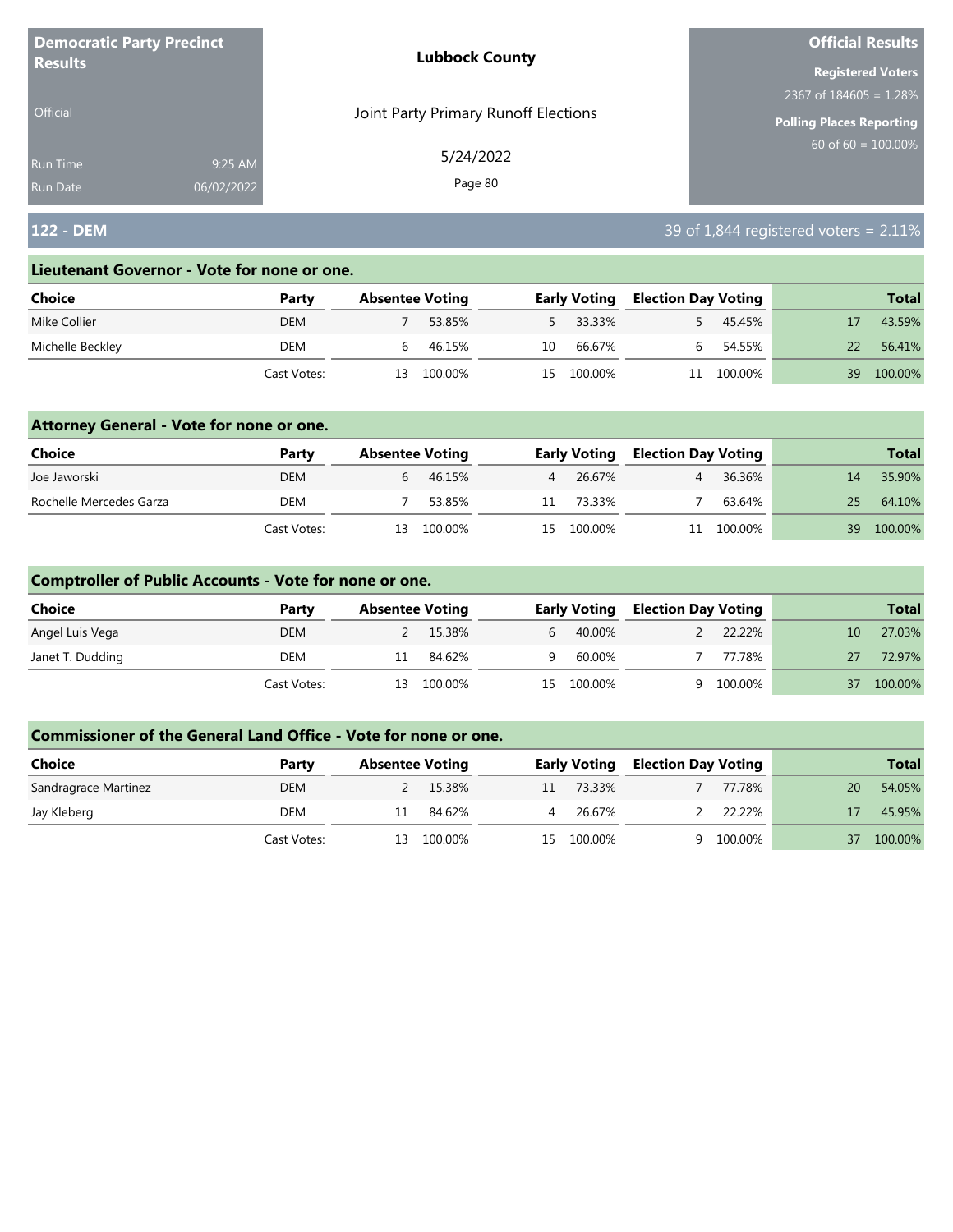| <b>Democratic Party Precinct</b><br><b>Results</b> |            | <b>Lubbock County</b>                | <b>Official Results</b>         |  |
|----------------------------------------------------|------------|--------------------------------------|---------------------------------|--|
|                                                    |            |                                      | <b>Registered Voters</b>        |  |
|                                                    |            |                                      | 2367 of $184605 = 1.28\%$       |  |
| <b>Official</b>                                    |            | Joint Party Primary Runoff Elections | <b>Polling Places Reporting</b> |  |
| Run Time                                           | 9:25 AM    | 5/24/2022                            | 60 of 60 = $100.00\%$           |  |
| <b>Run Date</b>                                    | 06/02/2022 | Page 80                              |                                 |  |

## **122 - DEM** 39 of 1,844 registered voters = 2.11%

#### **Lieutenant Governor - Vote for none or one.**

| Choice           | Party       |    | <b>Absentee Voting</b> |     | <b>Early Voting</b> | <b>Election Day Voting</b> |         |    | <b>Total</b> |
|------------------|-------------|----|------------------------|-----|---------------------|----------------------------|---------|----|--------------|
| Mike Collier     | <b>DEM</b>  |    | 53.85%                 |     | 5 33.33%            |                            | 45.45%  |    | 43.59%       |
| Michelle Beckley | DEM         |    | 46.15%                 | 10  | 66.67%              |                            | 54.55%  |    | 56.41%       |
|                  | Cast Votes: | 13 | 100.00%                | 15. | 100.00%             |                            | 100.00% | 39 | 100.00%      |

### **Attorney General - Vote for none or one.**

| Choice                  | Party       | <b>Absentee Voting</b> |            |    | <b>Early Voting</b> | <b>Election Day Voting</b> |            |    | <b>Total</b> |
|-------------------------|-------------|------------------------|------------|----|---------------------|----------------------------|------------|----|--------------|
| Joe Jaworski            | <b>DEM</b>  | b                      | 46.15%     | 4  | 26.67%              |                            | 36.36%     | 14 | 35.90%       |
| Rochelle Mercedes Garza | DEM         |                        | 53.85%     | 11 | 73.33%              |                            | 63.64%     | 25 | 64.10%       |
|                         | Cast Votes: |                        | 13 100.00% |    | 15 100.00%          |                            | 11 100.00% | 39 | 100.00%      |

### **Comptroller of Public Accounts - Vote for none or one.**

| Choice           | Party       | <b>Absentee Voting</b> |         |   | <b>Early Voting</b> | <b>Election Day Voting</b> |         |    | <b>Total</b> |
|------------------|-------------|------------------------|---------|---|---------------------|----------------------------|---------|----|--------------|
| Angel Luis Vega  | <b>DEM</b>  |                        | 15.38%  | 6 | 40.00%              |                            | 22.22%  | 10 | 27.03%       |
| Janet T. Dudding | DEM         | 11                     | 84.62%  | q | 60.00%              |                            | 77.78%  | 27 | 72.97%       |
|                  | Cast Votes: | 13                     | 100.00% |   | 15 100.00%          | a                          | 100.00% | 37 | 100.00%      |

| <b>Choice</b>        | Party       | <b>Absentee Voting</b> |          |    | <b>Early Voting</b> | <b>Election Day Voting</b> |         |    | <b>Total</b> |
|----------------------|-------------|------------------------|----------|----|---------------------|----------------------------|---------|----|--------------|
| Sandragrace Martinez | <b>DEM</b>  |                        | 2 15.38% | 11 | 73.33%              |                            | 77.78%  | 20 | 54.05%       |
| Jay Kleberg          | DEM         |                        | 84.62%   |    | 26.67%              |                            | 22.22%  |    | 45.95%       |
|                      | Cast Votes: | 13.                    | 100.00%  |    | 15 100.00%          |                            | 100.00% | 37 | 100.00%      |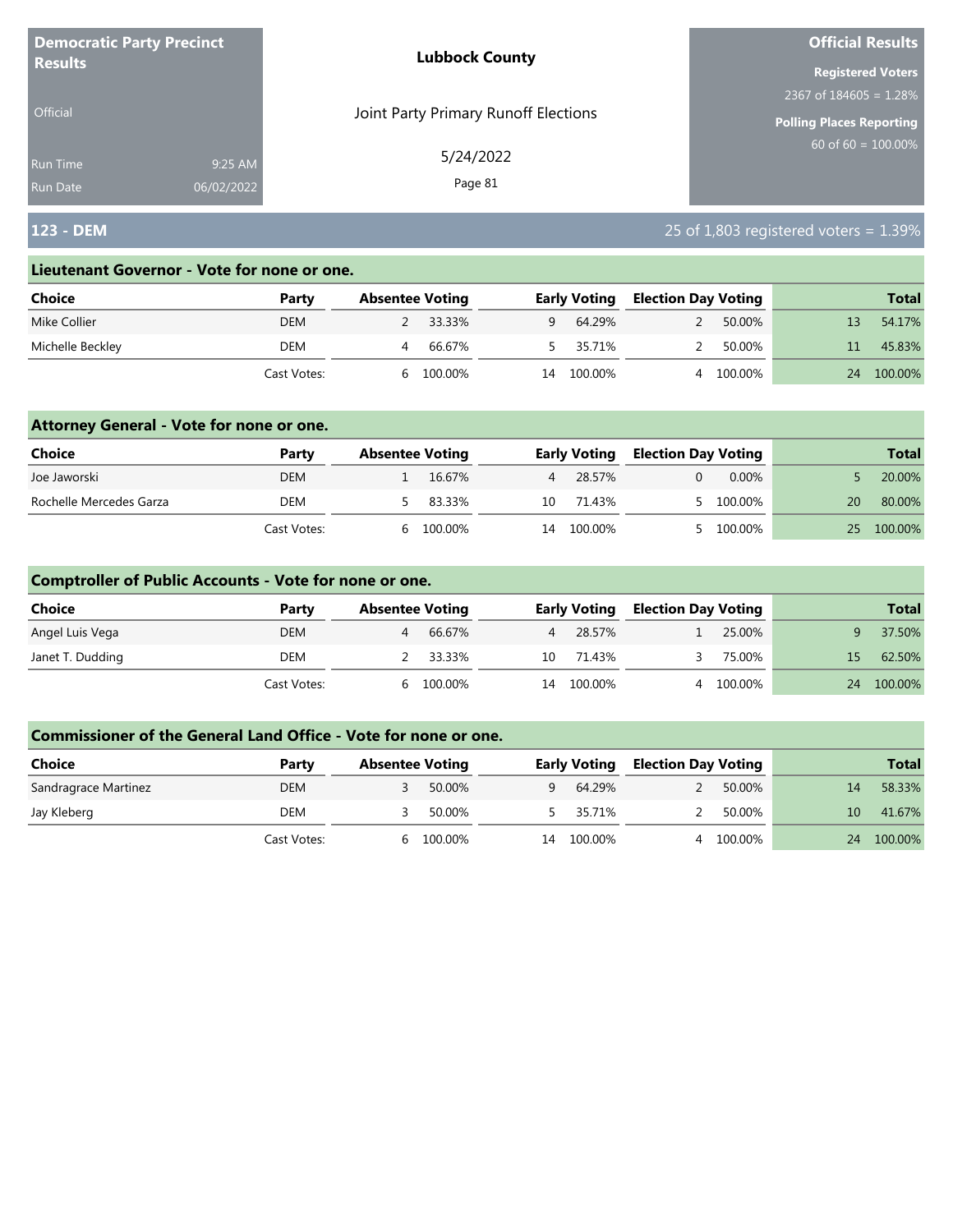| <b>Democratic Party Precinct</b><br><b>Results</b> |            | <b>Lubbock County</b>                | <b>Official Results</b><br><b>Registered Voters</b><br>2367 of $184605 = 1.28\%$<br>Polling Places Reporting<br>$60$ of 60 = 100.00% |  |
|----------------------------------------------------|------------|--------------------------------------|--------------------------------------------------------------------------------------------------------------------------------------|--|
|                                                    |            |                                      |                                                                                                                                      |  |
|                                                    |            |                                      |                                                                                                                                      |  |
| <b>Official</b>                                    |            | Joint Party Primary Runoff Elections |                                                                                                                                      |  |
| Run Time                                           | 9:25 AM    | 5/24/2022                            |                                                                                                                                      |  |
| <b>Run Date</b>                                    | 06/02/2022 | Page 81                              |                                                                                                                                      |  |

## **123 - DEM** 25 of 1,803 registered voters = 1.39%

#### **Lieutenant Governor - Vote for none or one.**

| Choice           | Party       | <b>Absentee Voting</b> |         |    | <b>Early Voting</b> | Election Day Voting |         |    | <b>Total</b> |
|------------------|-------------|------------------------|---------|----|---------------------|---------------------|---------|----|--------------|
| Mike Collier     | DEM         |                        | 33.33%  |    | 64.29%              |                     | 50.00%  | 13 | 54.17%       |
| Michelle Beckley | DEM         |                        | 66.67%  |    | 35.71%              |                     | 50.00%  |    | 45.83%       |
|                  | Cast Votes: |                        | 100.00% | 14 | 100.00%             |                     | 100.00% | 24 | 100.00%      |

### **Attorney General - Vote for none or one.**

| Choice                  | Party       | <b>Absentee Voting</b> |         |    | <b>Early Voting</b> | <b>Election Day Voting</b> |           |    | <b>Total</b> |
|-------------------------|-------------|------------------------|---------|----|---------------------|----------------------------|-----------|----|--------------|
| Joe Jaworski            | DEM         |                        | 16.67%  |    | 28.57%              |                            | 0.00%     |    | 20.00%       |
| Rochelle Mercedes Garza | DEM         |                        | 83.33%  |    | 10 71.43%           |                            | 5 100.00% | 20 | 80.00%       |
|                         | Cast Votes: | h.                     | 100.00% | 14 | 100.00%             |                            | 5 100.00% | 25 | 100.00%      |

### **Comptroller of Public Accounts - Vote for none or one.**

| Choice           | Party       | <b>Absentee Voting</b> |          |    | <b>Early Voting</b> | <b>Election Day Voting</b> |         |    | <b>Total</b> |
|------------------|-------------|------------------------|----------|----|---------------------|----------------------------|---------|----|--------------|
| Angel Luis Vega  | <b>DEM</b>  | 4                      | 66.67%   |    | 4 28.57%            |                            | 25.00%  |    | 37.50%       |
| Janet T. Dudding | DEM         |                        | 2 33.33% | 10 | 71.43%              |                            | 75.00%  | 15 | 62.50%       |
|                  | Cast Votes: | <sub>b</sub>           | 100.00%  | 14 | 100.00%             | 4                          | 100.00% | 24 | 100.00%      |

| <b>Choice</b>        | Party       | <b>Absentee Voting</b> |         |    | <b>Early Voting</b> | <b>Election Day Voting</b> |         |    | <b>Total</b> |
|----------------------|-------------|------------------------|---------|----|---------------------|----------------------------|---------|----|--------------|
| Sandragrace Martinez | <b>DEM</b>  |                        | 50.00%  | Q. | 64.29%              |                            | 50.00%  | 14 | 58.33%       |
| Jay Kleberg          | DEM         |                        | 50.00%  |    | 5 35.71%            |                            | 50.00%  | 10 | 41.67%       |
|                      | Cast Votes: | h                      | 100.00% | 14 | 100.00%             |                            | 100.00% | 24 | 100.00%      |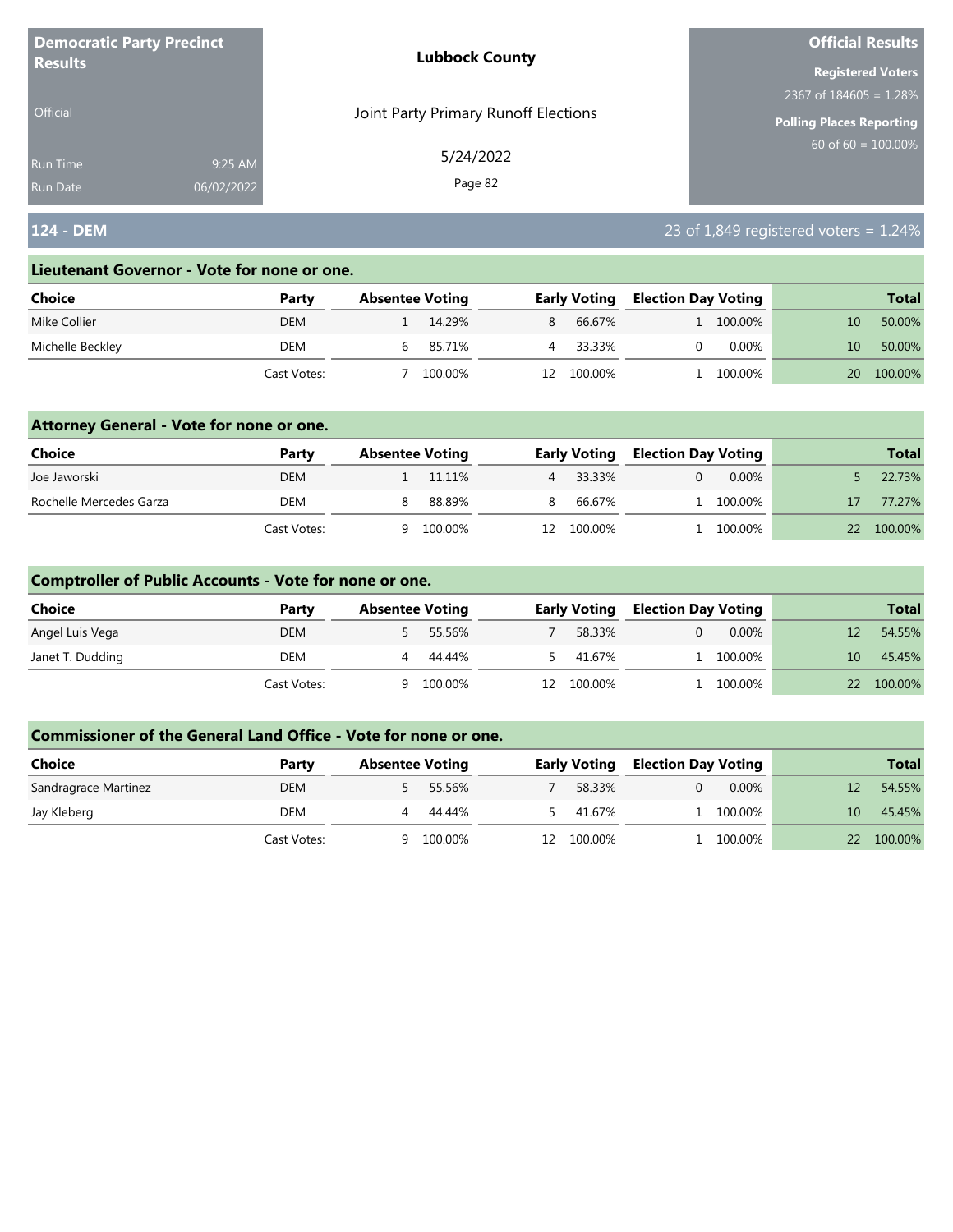| <b>Democratic Party Precinct</b><br><b>Results</b> |            | <b>Lubbock County</b>                | <b>Official Results</b>         |  |  |
|----------------------------------------------------|------------|--------------------------------------|---------------------------------|--|--|
|                                                    |            |                                      | <b>Registered Voters</b>        |  |  |
|                                                    |            |                                      | 2367 of $184605 = 1.28\%$       |  |  |
| <b>Official</b>                                    |            | Joint Party Primary Runoff Elections | <b>Polling Places Reporting</b> |  |  |
| Run Time                                           | 9:25 AM    | 5/24/2022                            | $60$ of 60 = $100.00\%$         |  |  |
| <b>Run Date</b>                                    | 06/02/2022 | Page 82                              |                                 |  |  |

## **124 - DEM** 23 of 1,849 registered voters = 1.24%

#### **Lieutenant Governor - Vote for none or one.**

| Choice           | Party       | <b>Absentee Voting</b> |         |     | <b>Early Voting</b> | <b>Election Day Voting</b> |           |    | <b>Total</b> |
|------------------|-------------|------------------------|---------|-----|---------------------|----------------------------|-----------|----|--------------|
| Mike Collier     | <b>DEM</b>  |                        | 14.29%  | 8   | 66.67%              |                            | 1 100.00% |    | 50.00%       |
| Michelle Beckley | DEM         |                        | 85.71%  |     | 33.33%              |                            | $0.00\%$  | 10 | 50.00%       |
|                  | Cast Votes: |                        | 100.00% | 12. | 100.00%             |                            | 100.00%   | 20 | 100.00%      |

### **Attorney General - Vote for none or one.**

| Choice                  | Party       | <b>Absentee Voting</b> | <b>Early Voting</b> |         | <b>Election Day Voting</b> |           |    | <b>Total</b> |
|-------------------------|-------------|------------------------|---------------------|---------|----------------------------|-----------|----|--------------|
| Joe Jaworski            | DEM         | 11.11%                 |                     | 33.33%  |                            | $0.00\%$  |    | 22.73%       |
| Rochelle Mercedes Garza | DEM         | 88.89%                 | 8.                  | 66.67%  |                            | 1 100.00% | 17 | 77.27%       |
|                         | Cast Votes: | 100.00%                | 12.                 | 100.00% |                            | 100.00%   | 22 | 100.00%      |

### **Comptroller of Public Accounts - Vote for none or one.**

| Choice           | Party       | <b>Absentee Voting</b> |         |     | <b>Early Voting</b> | <b>Election Day Voting</b> |          |    | <b>Total</b> |
|------------------|-------------|------------------------|---------|-----|---------------------|----------------------------|----------|----|--------------|
| Angel Luis Vega  | <b>DEM</b>  |                        | 55.56%  |     | 58.33%              |                            | $0.00\%$ |    | 54.55%       |
| Janet T. Dudding | DEM         | 4                      | 44.44%  |     | 41.67%              |                            | 100.00%  | 10 | 45.45%       |
|                  | Cast Votes: | Q                      | 100.00% | 12. | 100.00%             |                            | 100.00%  |    | 22 100.00%   |

| <b>Choice</b>        | Party       | <b>Absentee Voting</b> |         |    | <b>Early Voting</b> | <b>Election Day Voting</b> |          |              | <b>Total</b> |
|----------------------|-------------|------------------------|---------|----|---------------------|----------------------------|----------|--------------|--------------|
| Sandragrace Martinez | <b>DEM</b>  |                        | 55.56%  |    | 58.33%              |                            | $0.00\%$ |              | 54.55%       |
| Jay Kleberg          | DEM         |                        | 44.44%  |    | 41.67%              |                            | 100.00%  | $10^{\circ}$ | 45.45%       |
|                      | Cast Votes: | a                      | 100.00% | 12 | 100.00%             |                            | 100.00%  | 22           | 100.00%      |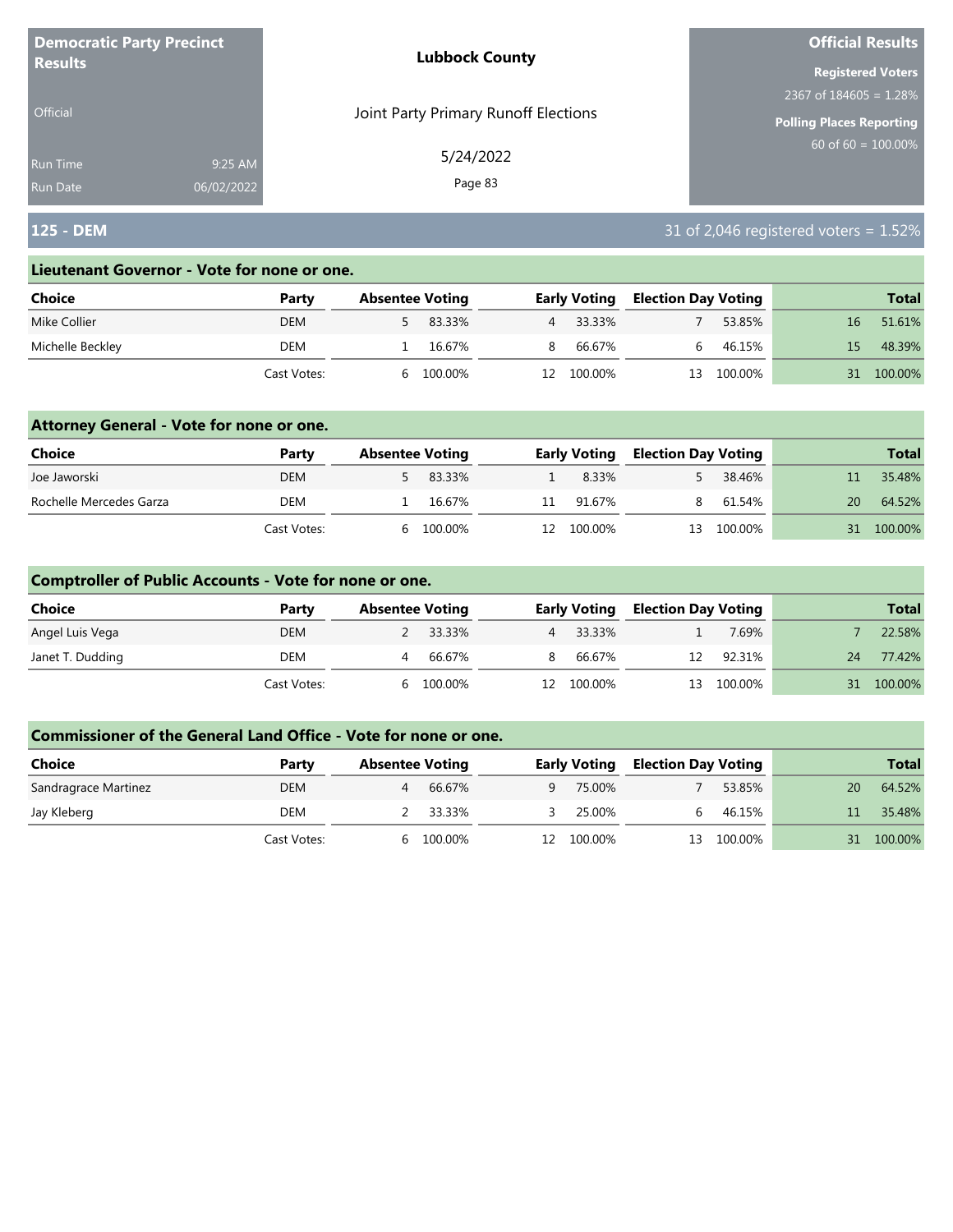| <b>Democratic Party Precinct</b><br><b>Results</b> |            | <b>Lubbock County</b>                | <b>Official Results</b>         |
|----------------------------------------------------|------------|--------------------------------------|---------------------------------|
|                                                    |            |                                      | <b>Registered Voters</b>        |
|                                                    |            |                                      | 2367 of $184605 = 1.28\%$       |
| Official                                           |            | Joint Party Primary Runoff Elections | <b>Polling Places Reporting</b> |
| <b>Run Time</b>                                    | 9:25 AM    | 5/24/2022                            | $60$ of 60 = 100.00%            |
| <b>Run Date</b>                                    | 06/02/2022 | Page 83                              |                                 |

## **125 - DEM** 31 of 2,046 registered voters = 1.52%

#### **Lieutenant Governor - Vote for none or one.**

| Choice           | Party       | <b>Absentee Voting</b> |         |                | <b>Early Voting</b> | <b>Election Day Voting</b> |         |    | <b>Total</b> |
|------------------|-------------|------------------------|---------|----------------|---------------------|----------------------------|---------|----|--------------|
| Mike Collier     | <b>DEM</b>  |                        | 83.33%  | $\overline{4}$ | 33.33%              |                            | 53.85%  | 16 | 51.61%       |
| Michelle Beckley | DEM         |                        | 16.67%  | 8.             | 66.67%              |                            | 46.15%  | 15 | 48.39%       |
|                  | Cast Votes: |                        | 100.00% | 12.            | 100.00%             | 13                         | 100.00% | 31 | 100.00%      |

### **Attorney General - Vote for none or one.**

| <b>Choice</b>           | Party       | <b>Absentee Voting</b> |          |    | <b>Early Voting</b> | <b>Election Day Voting</b> |            |    | <b>Total</b> |
|-------------------------|-------------|------------------------|----------|----|---------------------|----------------------------|------------|----|--------------|
| Joe Jaworski            | <b>DEM</b>  |                        | 5 83.33% |    | 8.33%               |                            | 38.46%     |    | 35.48%       |
| Rochelle Mercedes Garza | DEM         |                        | 16.67%   | 11 | 91.67%              | 8.                         | 61.54%     | 20 | 64.52%       |
|                         | Cast Votes: | h                      | 100.00%  |    | 12 100.00%          |                            | 13 100.00% | 31 | 100.00%      |

### **Comptroller of Public Accounts - Vote for none or one.**

| Choice           | Party       | <b>Absentee Voting</b> |          |     | <b>Early Voting</b> | <b>Election Day Voting</b> |            |    | <b>Total</b> |
|------------------|-------------|------------------------|----------|-----|---------------------|----------------------------|------------|----|--------------|
| Angel Luis Vega  | <b>DEM</b>  |                        | 2 33.33% |     | 4 33.33%            |                            | 7.69%      |    | 22.58%       |
| Janet T. Dudding | DEM         | 4                      | 66.67%   | 8   | 66.67%              | 12 <sup>7</sup>            | 92.31%     | 24 | 77.42%       |
|                  | Cast Votes: | <sub>b</sub>           | 100.00%  | 12. | 100.00%             |                            | 13 100.00% |    | 31 100.00%   |

| <b>Choice</b>        | Party       | <b>Absentee Voting</b> |         |    | <b>Early Voting</b> | <b>Election Day Voting</b> |         |    | <b>Total</b> |
|----------------------|-------------|------------------------|---------|----|---------------------|----------------------------|---------|----|--------------|
| Sandragrace Martinez | <b>DEM</b>  |                        | 66.67%  | Q  | 75.00%              |                            | 53.85%  | 20 | 64.52%       |
| Jay Kleberg          | DEM         | 2 33.33%               |         |    | 25.00%              | h.                         | 46.15%  |    | 35.48%       |
|                      | Cast Votes: | h                      | 100.00% | 12 | 100.00%             | 13.                        | 100.00% | 31 | 100.00%      |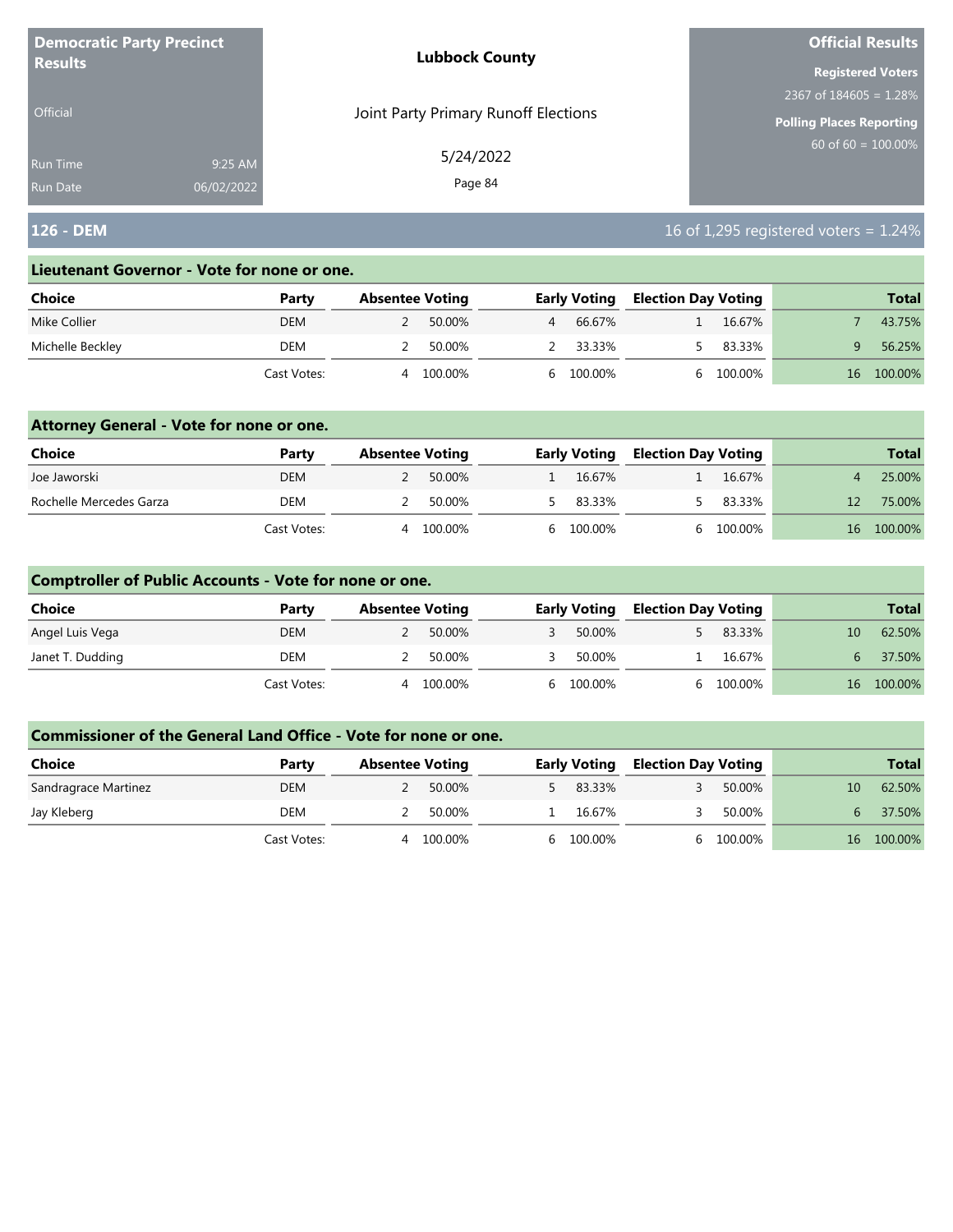| <b>Democratic Party Precinct</b><br><b>Results</b> |            | <b>Lubbock County</b>                | <b>Official Results</b>   |  |  |  |
|----------------------------------------------------|------------|--------------------------------------|---------------------------|--|--|--|
|                                                    |            |                                      | <b>Registered Voters</b>  |  |  |  |
|                                                    |            |                                      | 2367 of $184605 = 1.28\%$ |  |  |  |
| <b>Official</b>                                    |            | Joint Party Primary Runoff Elections | Polling Places Reporting  |  |  |  |
| <b>Run Time</b>                                    | 9:25 AM    | 5/24/2022                            | 60 of $60 = 100.00\%$     |  |  |  |
| <b>Run Date</b>                                    | 06/02/2022 | Page 84                              |                           |  |  |  |

## **126 - DEM** 16 of 1,295 registered voters = 1.24%

#### **Lieutenant Governor - Vote for none or one.**

| Choice           | Party       | <b>Absentee Voting</b> |         |   | <b>Early Voting</b> |  | <b>Election Day Voting</b> |                 | <b>Total</b> |
|------------------|-------------|------------------------|---------|---|---------------------|--|----------------------------|-----------------|--------------|
| Mike Collier     | <b>DEM</b>  |                        | 50.00%  | 4 | 66.67%              |  | 16.67%                     |                 | 43.75%       |
| Michelle Beckley | DEM         |                        | 50.00%  |   | 33.33%              |  | 83.33%                     |                 | 56.25%       |
|                  | Cast Votes: | Δ                      | 100.00% |   | 6 100.00%           |  | 100.00%                    | 16 <sup>1</sup> | 100.00%      |

### **Attorney General - Vote for none or one.**

| Choice                  | Party       | <b>Absentee Voting</b> |         | <b>Early Voting</b> | <b>Election Day Voting</b> |           |    | <b>Total</b> |
|-------------------------|-------------|------------------------|---------|---------------------|----------------------------|-----------|----|--------------|
| Joe Jaworski            | <b>DEM</b>  |                        | 50.00%  | 16.67%              |                            | 16.67%    |    | 25.00%       |
| Rochelle Mercedes Garza | DEM         |                        | 50.00%  | 5 83.33%            |                            | 83.33%    | 12 | 75.00%       |
|                         | Cast Votes: | 4                      | 100.00% | 6 100.00%           |                            | 6 100.00% |    | 16 100.00%   |

### **Comptroller of Public Accounts - Vote for none or one.**

| Choice           | Party       | <b>Absentee Voting</b> |         | <b>Early Voting</b> | <b>Election Day Voting</b> |         |    | <b>Total</b> |
|------------------|-------------|------------------------|---------|---------------------|----------------------------|---------|----|--------------|
| Angel Luis Vega  | <b>DEM</b>  |                        | 50.00%  | 50.00%              |                            | 83.33%  | 10 | 62.50%       |
| Janet T. Dudding | DEM         |                        | 50.00%  | 50.00%              |                            | 16.67%  | 6  | 37.50%       |
|                  | Cast Votes: | 4                      | 100.00% | 6 100.00%           |                            | 100.00% |    | 16 100.00%   |

| <b>Choice</b>        | Party       | <b>Absentee Voting</b> |  | <b>Early Voting</b> | <b>Election Day Voting</b> |         |  |    | <b>Total</b> |
|----------------------|-------------|------------------------|--|---------------------|----------------------------|---------|--|----|--------------|
|                      |             |                        |  |                     |                            |         |  |    |              |
| Sandragrace Martinez | <b>DEM</b>  | 50.00%                 |  | 83.33%              |                            | 50.00%  |  | 10 | 62.50%       |
| Jay Kleberg          | DEM         | 50.00%                 |  | 16.67%              |                            | 50.00%  |  |    | 37.50%       |
|                      | Cast Votes: | 100.00%                |  | 6 100.00%           |                            | 100.00% |  | 16 | 100.00%      |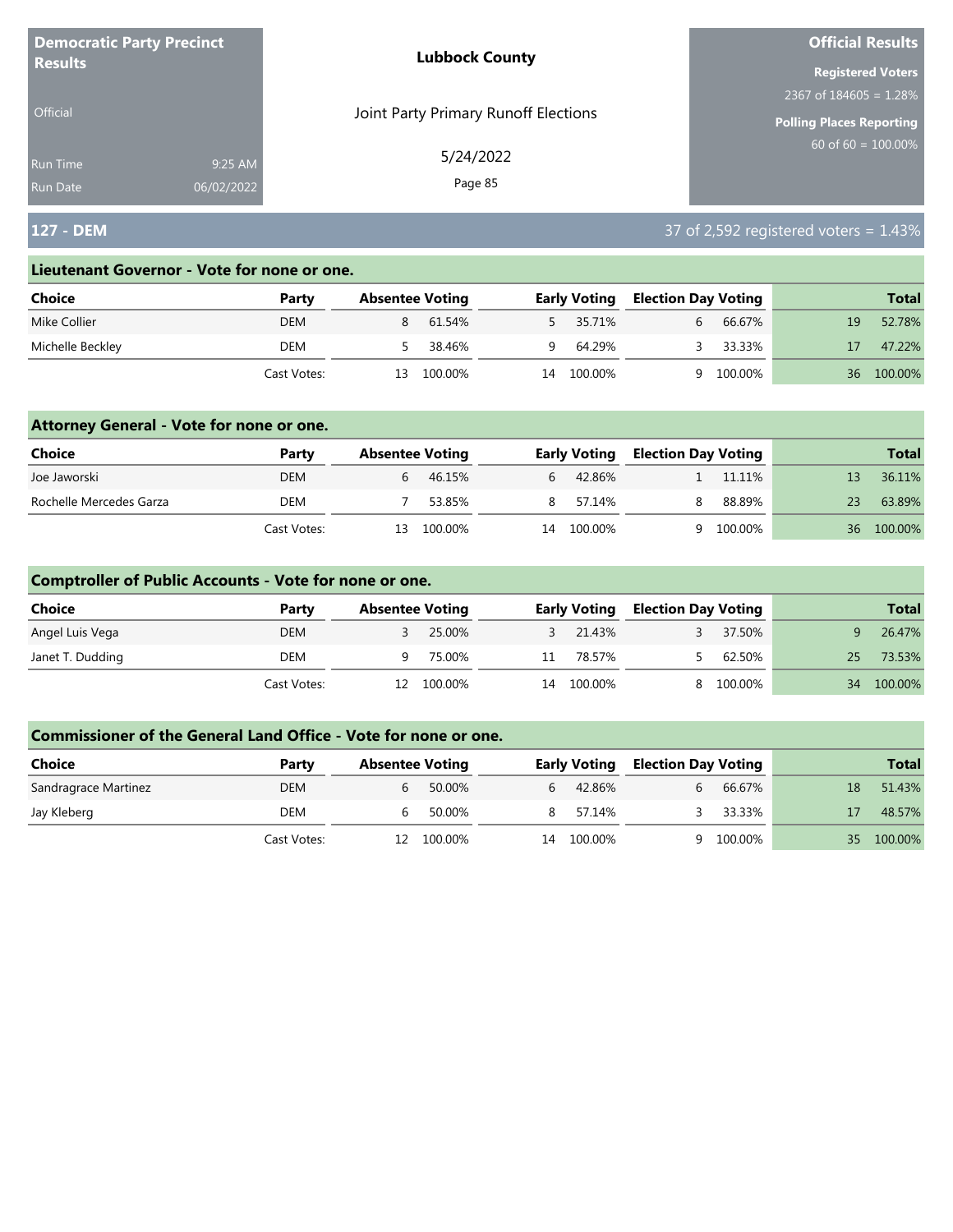| <b>Democratic Party Precinct</b> |            | <b>Lubbock County</b>                | <b>Official Results</b>         |
|----------------------------------|------------|--------------------------------------|---------------------------------|
| <b>Results</b>                   |            |                                      | <b>Registered Voters</b>        |
|                                  |            |                                      | 2367 of $184605 = 1.28\%$       |
| <b>Official</b>                  |            | Joint Party Primary Runoff Elections | <b>Polling Places Reporting</b> |
| Run Time                         | 9:25 AM    | 5/24/2022                            | $60$ of 60 = $100.00\%$         |
| <b>Run Date</b>                  | 06/02/2022 | Page 85                              |                                 |

# **127 - DEM** 37 of 2,592 registered voters = 1.43%

#### **Lieutenant Governor - Vote for none or one.**

| Choice           | Party       |    | <b>Absentee Voting</b> |    | <b>Early Voting</b> | <b>Election Day Voting</b> |         |    | <b>Total</b> |
|------------------|-------------|----|------------------------|----|---------------------|----------------------------|---------|----|--------------|
| Mike Collier     | <b>DEM</b>  |    | 61.54%                 |    | 5 35.71%            |                            | 66.67%  | 19 | 52.78%       |
| Michelle Beckley | DEM         |    | 38.46%                 | Q  | 64.29%              |                            | 33.33%  |    | 47.22%       |
|                  | Cast Votes: | 13 | 100.00%                | 14 | 100.00%             |                            | 100.00% | 36 | 100.00%      |

### **Attorney General - Vote for none or one.**

| Choice                  | Party       | <b>Absentee Voting</b> |            |                | <b>Early Voting</b> | <b>Election Day Voting</b> |         |    | <b>Total</b> |
|-------------------------|-------------|------------------------|------------|----------------|---------------------|----------------------------|---------|----|--------------|
| Joe Jaworski            | <b>DEM</b>  |                        | 46.15%     | $\mathfrak{b}$ | 42.86%              |                            | 11.11%  |    | 36.11%       |
| Rochelle Mercedes Garza | DEM         |                        | 53.85%     |                | 8 57.14%            | 8.                         | 88.89%  | 23 | 63.89%       |
|                         | Cast Votes: |                        | 13 100.00% | 14             | 100.00%             |                            | 100.00% | 36 | 100.00%      |

### **Comptroller of Public Accounts - Vote for none or one.**

| Choice           | Party       | <b>Absentee Voting</b> |            |    | <b>Early Voting</b> | <b>Election Day Voting</b> |         |        | <b>Total</b> |
|------------------|-------------|------------------------|------------|----|---------------------|----------------------------|---------|--------|--------------|
| Angel Luis Vega  | <b>DEM</b>  |                        | 25.00%     |    | 3 21.43%            |                            | 37.50%  |        | 26.47%       |
| Janet T. Dudding | DEM         | a                      | 75.00%     | 11 | 78.57%              |                            | 62.50%  | $25 -$ | 73.53%       |
|                  | Cast Votes: |                        | 12 100.00% | 14 | 100.00%             |                            | 100.00% |        | 34 100.00%   |

| <b>Choice</b>        | Party       | <b>Absentee Voting</b> |         |    | <b>Early Voting</b> | <b>Election Day Voting</b> |         |     | <b>Total</b> |
|----------------------|-------------|------------------------|---------|----|---------------------|----------------------------|---------|-----|--------------|
| Sandragrace Martinez | <b>DEM</b>  | 6                      | 50.00%  | b. | 42.86%              |                            | 66.67%  | 18  | 51.43%       |
| Jay Kleberg          | DEM         | 6                      | 50.00%  | 8. | 57.14%              |                            | 33.33%  |     | 48.57%       |
|                      | Cast Votes: | 12                     | 100.00% | 14 | 100.00%             |                            | 100.00% | 35. | 100.00%      |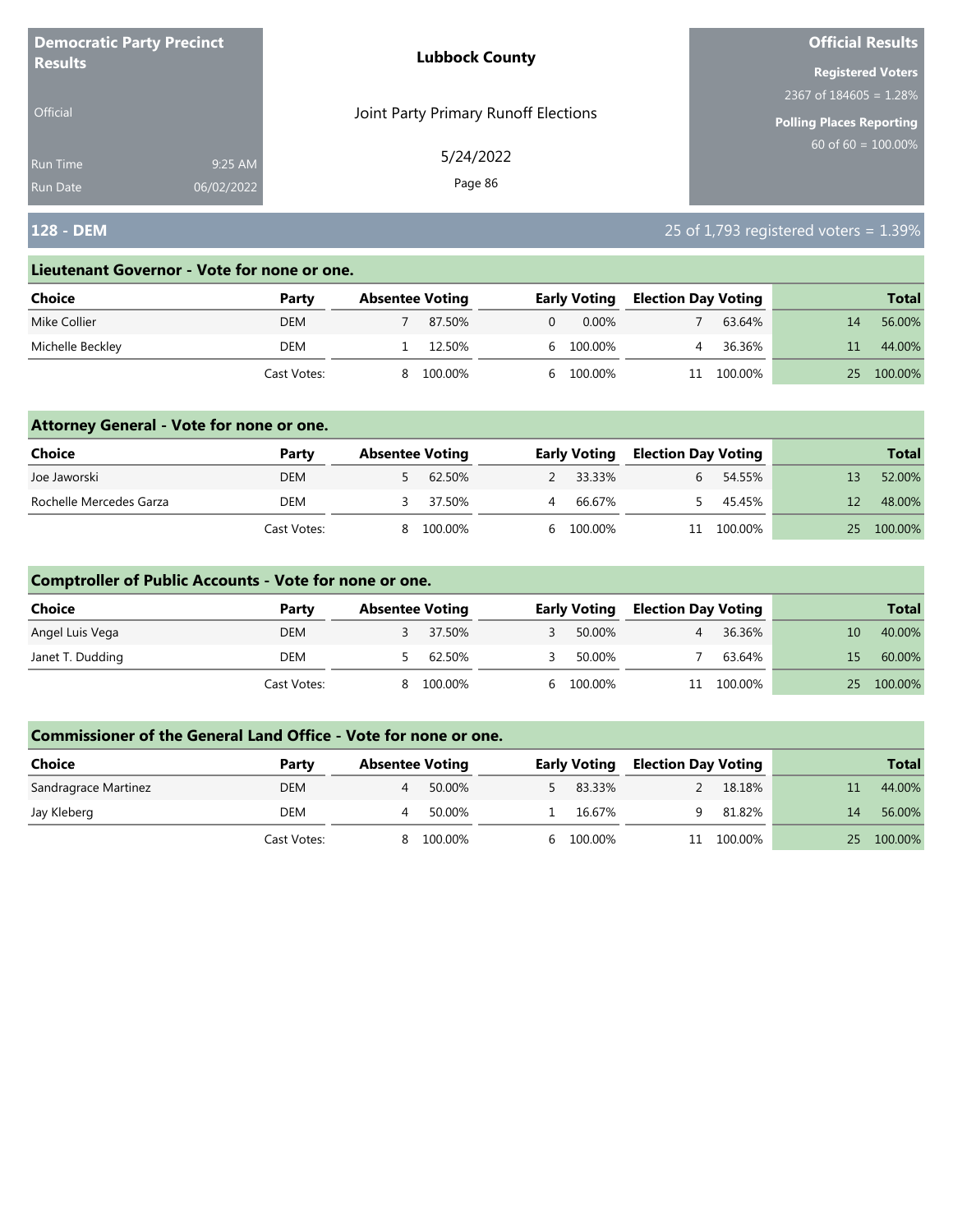| <b>Democratic Party Precinct</b> |            | <b>Lubbock County</b>                | <b>Official Results</b>        |
|----------------------------------|------------|--------------------------------------|--------------------------------|
| <b>Results</b>                   |            |                                      | <b>Registered Voters</b>       |
|                                  |            |                                      | 2367 of $184605 = 1.28\%$      |
| <b>Official</b>                  |            | Joint Party Primary Runoff Elections | Polling Places Reporting       |
| <b>Run Time</b>                  | 9:25 AM    | 5/24/2022                            | $60 \text{ of } 60 = 100.00\%$ |
| <b>Run Date</b>                  | 06/02/2022 | Page 86                              |                                |

## **128 - DEM** 25 of 1,793 registered voters = 1.39%

#### **Lieutenant Governor - Vote for none or one.**

| Choice           | Party       | <b>Absentee Voting</b> |         |    | <b>Early Voting</b> | <b>Election Day Voting</b> |         |    | <b>Total</b> |
|------------------|-------------|------------------------|---------|----|---------------------|----------------------------|---------|----|--------------|
| Mike Collier     | <b>DEM</b>  |                        | 87.50%  | 0  | $0.00\%$            |                            | 63.64%  | 14 | 56.00%       |
| Michelle Beckley | DEM         |                        | 12.50%  |    | 6 100.00%           |                            | 36.36%  |    | 44.00%       |
|                  | Cast Votes: |                        | 100.00% | h. | 100.00%             |                            | 100.00% | 25 | 100.00%      |

### **Attorney General - Vote for none or one.**

| Choice                  | Party       | <b>Absentee Voting</b> |          |   | <b>Early Voting</b> | <b>Election Day Voting</b> |            | <b>Total</b> |
|-------------------------|-------------|------------------------|----------|---|---------------------|----------------------------|------------|--------------|
| Joe Jaworski            | <b>DEM</b>  |                        | 5 62.50% |   | 2 33.33%            |                            | 54.55%     | 52.00%       |
| Rochelle Mercedes Garza | DEM         |                        | 37.50%   | 4 | 66.67%              |                            | 45.45%     | 48.00%       |
|                         | Cast Votes: | 8.                     | 100.00%  |   | 6 100.00%           |                            | 11 100.00% | 25 100.00%   |

### **Comptroller of Public Accounts - Vote for none or one.**

| <b>Choice</b>    | Party       | <b>Absentee Voting</b> |         | <b>Early Voting</b> | <b>Election Day Voting</b> |            |    | <b>Total</b> |
|------------------|-------------|------------------------|---------|---------------------|----------------------------|------------|----|--------------|
| Angel Luis Vega  | <b>DEM</b>  |                        | 37.50%  | 50.00%              |                            | 36.36%     | 10 | 40.00%       |
| Janet T. Dudding | DEM         |                        | 62.50%  | 50.00%              |                            | 63.64%     | 15 | 60.00%       |
|                  | Cast Votes: | 8                      | 100.00% | 6 100.00%           |                            | 11 100.00% |    | 25 100.00%   |

| <b>Choice</b>        | Party       | <b>Absentee Voting</b> |         | <b>Early Voting</b> | <b>Election Day Voting</b> |         |        | <b>Total</b> |
|----------------------|-------------|------------------------|---------|---------------------|----------------------------|---------|--------|--------------|
| Sandragrace Martinez | <b>DEM</b>  |                        | 50.00%  | 83.33%              |                            | 18.18%  |        | 44.00%       |
| Jay Kleberg          | DEM         | д                      | 50.00%  | 16.67%              | a                          | 81.82%  | 14     | 56.00%       |
|                      | Cast Votes: | 8                      | 100.00% | 6 100.00%           | 11                         | 100.00% | $25 -$ | 100.00%      |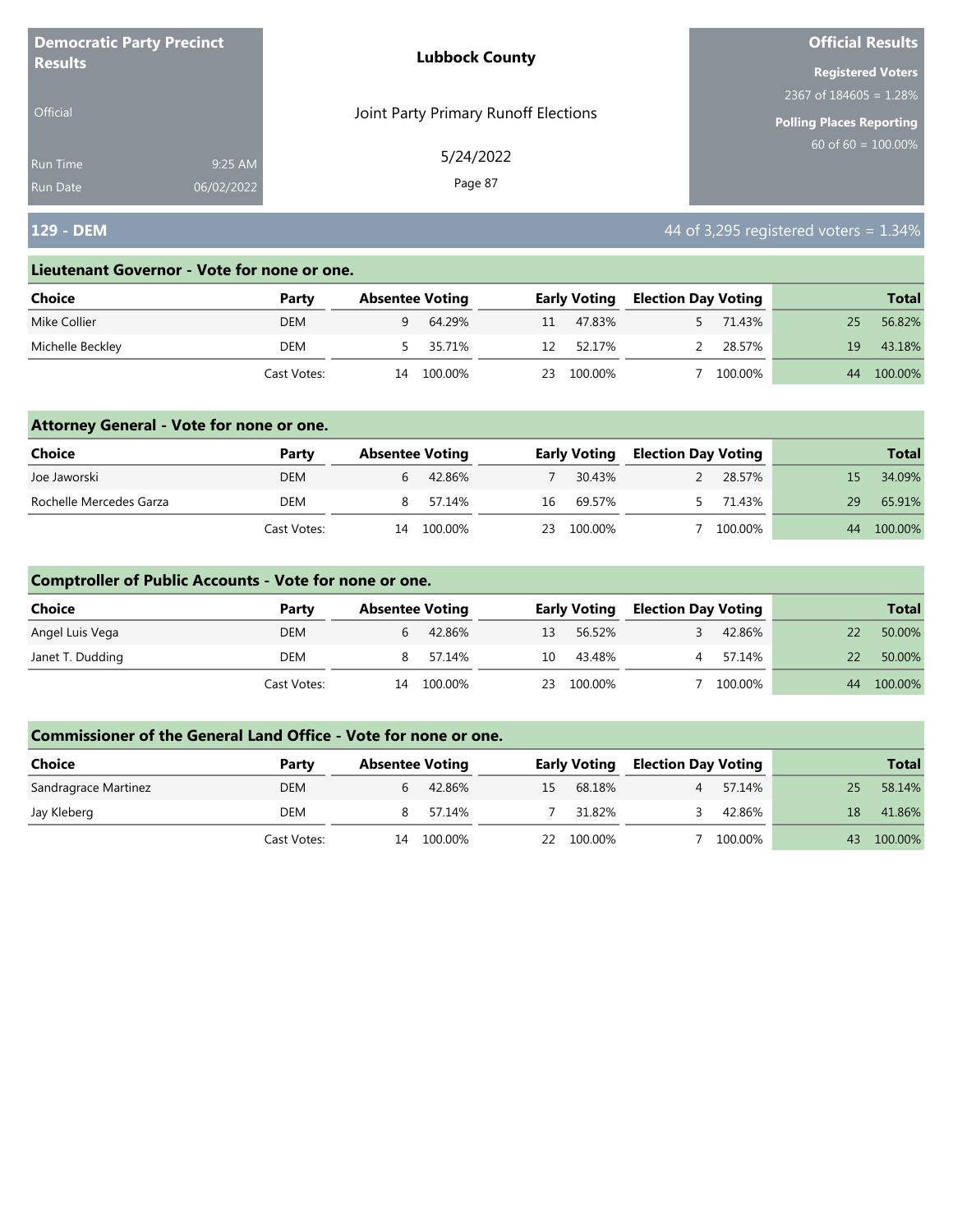| <b>Democratic Party Precinct</b> |            | <b>Lubbock County</b>                | <b>Official Results</b>   |
|----------------------------------|------------|--------------------------------------|---------------------------|
| <b>Results</b>                   |            |                                      | <b>Registered Voters</b>  |
|                                  |            |                                      | 2367 of $184605 = 1.28\%$ |
| <b>Official</b>                  |            | Joint Party Primary Runoff Elections | Polling Places Reporting  |
| Run Time                         | 9:25 AM    | 5/24/2022                            | $60$ of 60 = $100.00\%$   |
| <b>Run Date</b>                  | 06/02/2022 | Page 87                              |                           |

# **129 - DEM 129 - DEM 129 - DEM 129 - DEM 129 - DEM 129 - DEM 129 - DEM 129 - DEM 129 - DEM 129 - DEM 129 - DEM 129 - DEM 129 - DEM 129 - DEM 129 - DEM 129 - DEM 129 - DEM 129 - DEM 129 -**

#### **Lieutenant Governor - Vote for none or one.**

| <b>Choice</b>    | Party       |    | <b>Absentee Voting</b> |     | <b>Early Voting</b> | <b>Election Day Voting</b> |         |    | <b>Total</b> |
|------------------|-------------|----|------------------------|-----|---------------------|----------------------------|---------|----|--------------|
| Mike Collier     | <b>DEM</b>  |    | 64.29%                 | 11  | 47.83%              |                            | 71.43%  | 25 | 56.82%       |
| Michelle Beckley | DEM         |    | 5 35.71%               | 12  | 52.17%              |                            | 28.57%  | 19 | 43.18%       |
|                  | Cast Votes: | 14 | 100.00%                | 23. | 100.00%             |                            | 100.00% | 44 | 100.00%      |

### **Attorney General - Vote for none or one.**

| Choice                  | Party       | <b>Absentee Voting</b> |         |    | <b>Early Voting</b> |  | <b>Election Day Voting</b> |     | <b>Total</b> |
|-------------------------|-------------|------------------------|---------|----|---------------------|--|----------------------------|-----|--------------|
| Joe Jaworski            | <b>DEM</b>  | b                      | 42.86%  |    | 30.43%              |  | 28.57%                     | 15. | 34.09%       |
| Rochelle Mercedes Garza | DEM         |                        | 57.14%  | 16 | 69.57%              |  | 71.43%                     | 29  | 65.91%       |
|                         | Cast Votes: | 14                     | 100.00% |    | 23 100.00%          |  | 100.00%                    | 44  | 100.00%      |

### **Comptroller of Public Accounts - Vote for none or one.**

| <b>Choice</b>    | Party       | <b>Absentee Voting</b> |         |    | <b>Early Voting</b> |   | <b>Election Day Voting</b> |    | <b>Total</b> |
|------------------|-------------|------------------------|---------|----|---------------------|---|----------------------------|----|--------------|
| Angel Luis Vega  | <b>DEM</b>  | b                      | 42.86%  | 13 | 56.52%              |   | 42.86%                     |    | 50.00%       |
| Janet T. Dudding | DEM         | 8                      | 57.14%  | 10 | 43.48%              | 4 | 57.14%                     | 22 | 50.00%       |
|                  | Cast Votes: | 14                     | 100.00% | 23 | 100.00%             |   | 100.00%                    | 44 | 100.00%      |

| <b>Choice</b>        | Party       | <b>Absentee Voting</b> |         |    | <b>Early Voting</b> |  | <b>Election Day Voting</b> |    | <b>Total</b> |
|----------------------|-------------|------------------------|---------|----|---------------------|--|----------------------------|----|--------------|
| Sandragrace Martinez | <b>DEM</b>  |                        | 42.86%  | 15 | 68.18%              |  | 57.14%                     | 25 | 58.14%       |
| Jay Kleberg          | DEM         |                        | 57.14%  |    | 31.82%              |  | 42.86%                     | 18 | 41.86%       |
|                      | Cast Votes: | 14                     | 100.00% | 22 | 100.00%             |  | 100.00%                    | 43 | 100.00%      |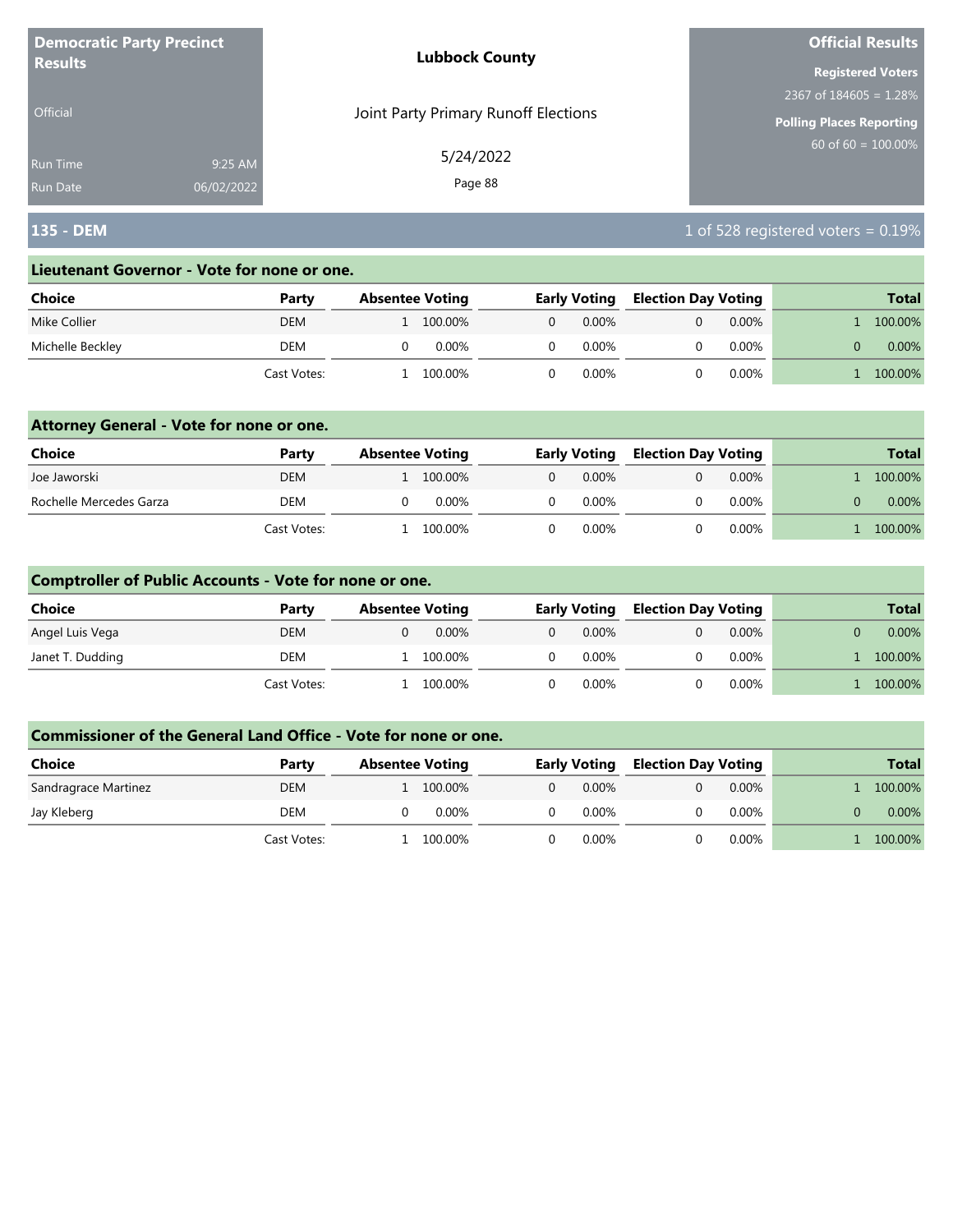| <b>Democratic Party Precinct</b><br><b>Results</b> |            | <b>Lubbock County</b>                | <b>Official Results</b>         |  |  |
|----------------------------------------------------|------------|--------------------------------------|---------------------------------|--|--|
|                                                    |            |                                      | <b>Registered Voters</b>        |  |  |
|                                                    |            |                                      | 2367 of $184605 = 1.28\%$       |  |  |
| Official                                           |            | Joint Party Primary Runoff Elections | <b>Polling Places Reporting</b> |  |  |
| <b>Run Time</b>                                    | 9:25 AM    | 5/24/2022                            | $60$ of 60 = 100.00%            |  |  |
| <b>Run Date</b>                                    | 06/02/2022 | Page 88                              |                                 |  |  |

## **135 - DEM** 1 of 528 registered voters = 0.19%

#### **Lieutenant Governor - Vote for none or one.**

| Choice           | Party       | <b>Absentee Voting</b> |         | <b>Early Voting</b> |          | <b>Election Day Voting</b> |          | <b>Total</b> |
|------------------|-------------|------------------------|---------|---------------------|----------|----------------------------|----------|--------------|
| Mike Collier     | <b>DEM</b>  |                        | 100.00% | 0                   | $0.00\%$ |                            | $0.00\%$ | 100.00%      |
| Michelle Beckley | DEM         |                        | 0.00%   |                     | 0.00%    |                            | $0.00\%$ | $0.00\%$     |
|                  | Cast Votes: |                        | 100.00% |                     | $0.00\%$ |                            | $0.00\%$ | 100.00%      |

### **Attorney General - Vote for none or one.**

| Choice                  | Party       | <b>Absentee Voting</b> |          | <b>Early Voting</b> |          |  |          | <b>Election Day Voting</b> |  | <b>Total</b> |
|-------------------------|-------------|------------------------|----------|---------------------|----------|--|----------|----------------------------|--|--------------|
| Joe Jaworski            | <b>DEM</b>  | 1 100.00%              |          | $\Omega$            | $0.00\%$ |  | $0.00\%$ | 100.00%                    |  |              |
| Rochelle Mercedes Garza | <b>DEM</b>  |                        | $0.00\%$ |                     | 0.00%    |  | $0.00\%$ | $0.00\%$                   |  |              |
|                         | Cast Votes: | 100.00%                |          |                     | 0.00%    |  | $0.00\%$ | 100.00%                    |  |              |

### **Comptroller of Public Accounts - Vote for none or one.**

| <b>Choice</b>    | Party       | <b>Absentee Voting</b> |          | <b>Early Voting</b> |  | <b>Election Day Voting</b> |  | <b>Total</b> |
|------------------|-------------|------------------------|----------|---------------------|--|----------------------------|--|--------------|
| Angel Luis Vega  | <b>DEM</b>  | $0.00\%$               | $\Omega$ | $0.00\%$            |  | $0.00\%$                   |  | $0.00\%$     |
| Janet T. Dudding | DEM         | 100.00%                |          | 0.00%               |  | $0.00\%$                   |  | 100.00%      |
|                  | Cast Votes: | 100.00%                |          | 0.00%               |  | $0.00\%$                   |  | 100.00%      |

| Choice               | Party       | <b>Absentee Voting</b> | <b>Early Voting</b>  | <b>Election Day Voting</b> | <b>Total</b> |
|----------------------|-------------|------------------------|----------------------|----------------------------|--------------|
| Sandragrace Martinez | <b>DEM</b>  | 100.00%                | $0.00\%$<br>$\Omega$ | $0.00\%$                   | 100.00%      |
| Jay Kleberg          | DEM         | 0.00%                  | $0.00\%$             | $0.00\%$                   | $0.00\%$     |
|                      | Cast Votes: | 100.00%                | $0.00\%$             | $0.00\%$                   | 100.00%      |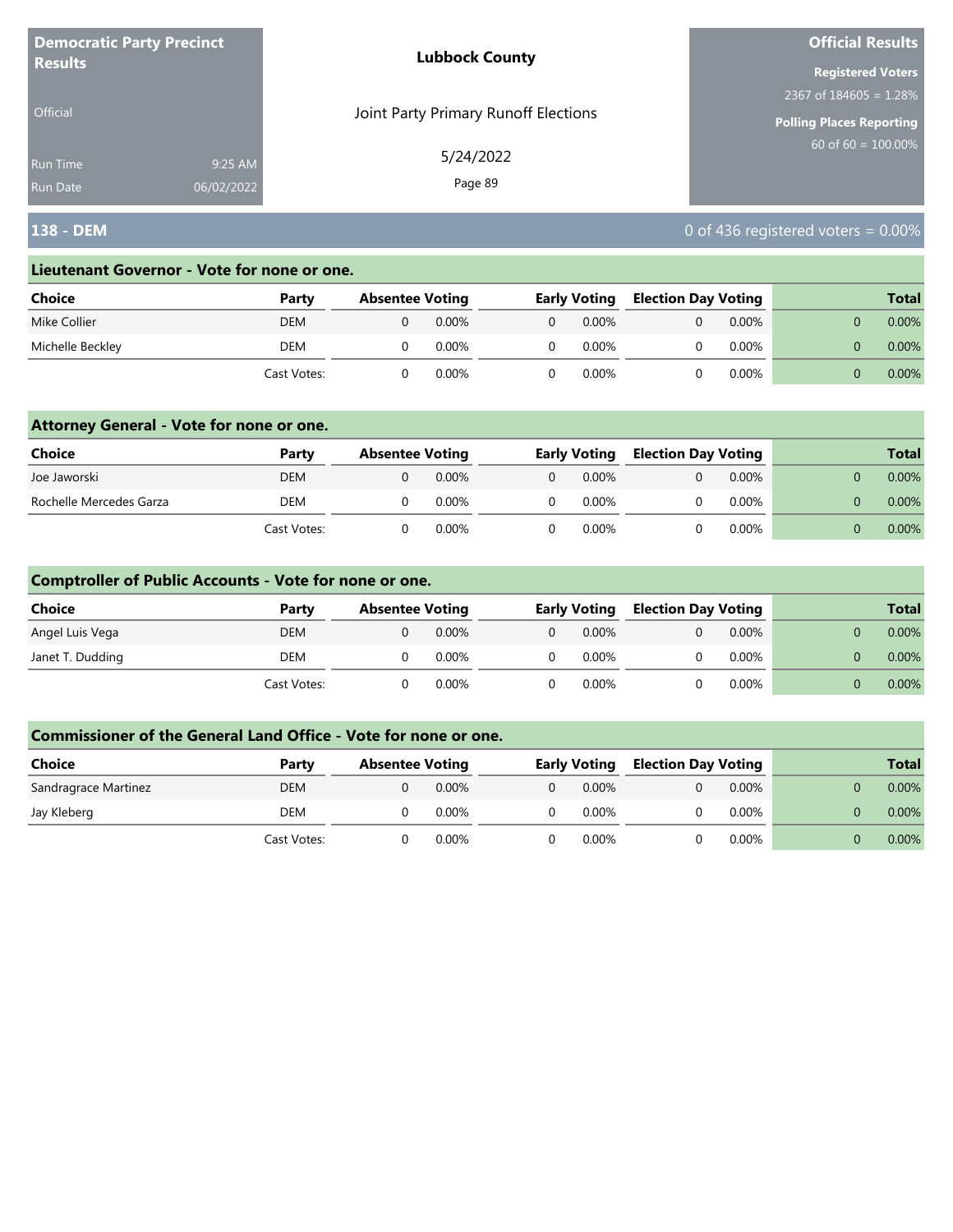| <b>Democratic Party Precinct</b><br><b>Results</b> |            | <b>Lubbock County</b>                | <b>Official Results</b>   |  |  |
|----------------------------------------------------|------------|--------------------------------------|---------------------------|--|--|
|                                                    |            |                                      | <b>Registered Voters</b>  |  |  |
|                                                    |            |                                      | 2367 of $184605 = 1.28\%$ |  |  |
| <b>Official</b>                                    |            | Joint Party Primary Runoff Elections | Polling Places Reporting  |  |  |
| Run Time                                           | 9:25 AM    | 5/24/2022                            | $60$ of 60 = $100.00\%$   |  |  |
| <b>Run Date</b>                                    | 06/02/2022 | Page 89                              |                           |  |  |

## **138 - DEM** 0 of 436 registered voters = 0.00%

#### **Lieutenant Governor - Vote for none or one.**

| <b>Choice</b>    | Party       | <b>Absentee Voting</b> |       | <b>Early Voting</b> |  | <b>Election Day Voting</b> |  | <b>Total</b> |  |
|------------------|-------------|------------------------|-------|---------------------|--|----------------------------|--|--------------|--|
| Mike Collier     | <b>DEM</b>  |                        | 0.00% | 0.00%               |  | $0.00\%$                   |  | $0.00\%$     |  |
| Michelle Beckley | DEM         |                        | 0.00% | $0.00\%$            |  | $0.00\%$                   |  | $0.00\%$     |  |
|                  | Cast Votes: |                        | 0.00% | 0.00%               |  | 0.00%                      |  | $0.00\%$     |  |

### **Attorney General - Vote for none or one.**

| Choice                  | Party       | <b>Absentee Voting</b> |          |          | <b>Early Voting</b> |  | <b>Election Day Voting</b> |  | <b>Total</b> |  |
|-------------------------|-------------|------------------------|----------|----------|---------------------|--|----------------------------|--|--------------|--|
| Joe Jaworski            | DEM         |                        | $0.00\%$ | $\Omega$ | $0.00\%$            |  | $0.00\%$                   |  | $0.00\%$     |  |
| Rochelle Mercedes Garza | <b>DEM</b>  |                        | $0.00\%$ |          | $0.00\%$            |  | $0.00\%$                   |  | 0.00%        |  |
|                         | Cast Votes: |                        | 0.00%    |          | $0.00\%$            |  | $0.00\%$                   |  | $0.00\%$     |  |

### **Comptroller of Public Accounts - Vote for none or one.**

| <b>Choice</b>    | Party       | <b>Absentee Voting</b> |          |          | <b>Early Voting</b> |  | <b>Election Day Voting</b> |  |  | <b>Total</b> |
|------------------|-------------|------------------------|----------|----------|---------------------|--|----------------------------|--|--|--------------|
| Angel Luis Vega  | DEM         |                        | 0.00%    | $\Omega$ | $0.00\%$            |  | $0.00\%$                   |  |  | 0.00%        |
| Janet T. Dudding | DEM         |                        | 0.00%    | $\Omega$ | $0.00\%$            |  | $0.00\%$                   |  |  | $0.00\%$     |
|                  | Cast Votes: |                        | $0.00\%$ |          | $0.00\%$            |  | $0.00\%$                   |  |  | $0.00\%$     |

| Choice               | Party       | <b>Absentee Voting</b> |          |   | <b>Early Voting</b> | <b>Election Day Voting</b> |          |  | <b>Total</b> |
|----------------------|-------------|------------------------|----------|---|---------------------|----------------------------|----------|--|--------------|
| Sandragrace Martinez | DEM         |                        | $0.00\%$ | 0 | $0.00\%$            |                            | $0.00\%$ |  | $0.00\%$     |
| Jay Kleberg          | DEM         |                        | $0.00\%$ |   | $0.00\%$            |                            | 0.00%    |  | 0.00%        |
|                      | Cast Votes: |                        | $0.00\%$ |   | $0.00\%$            |                            | $0.00\%$ |  | $0.00\%$     |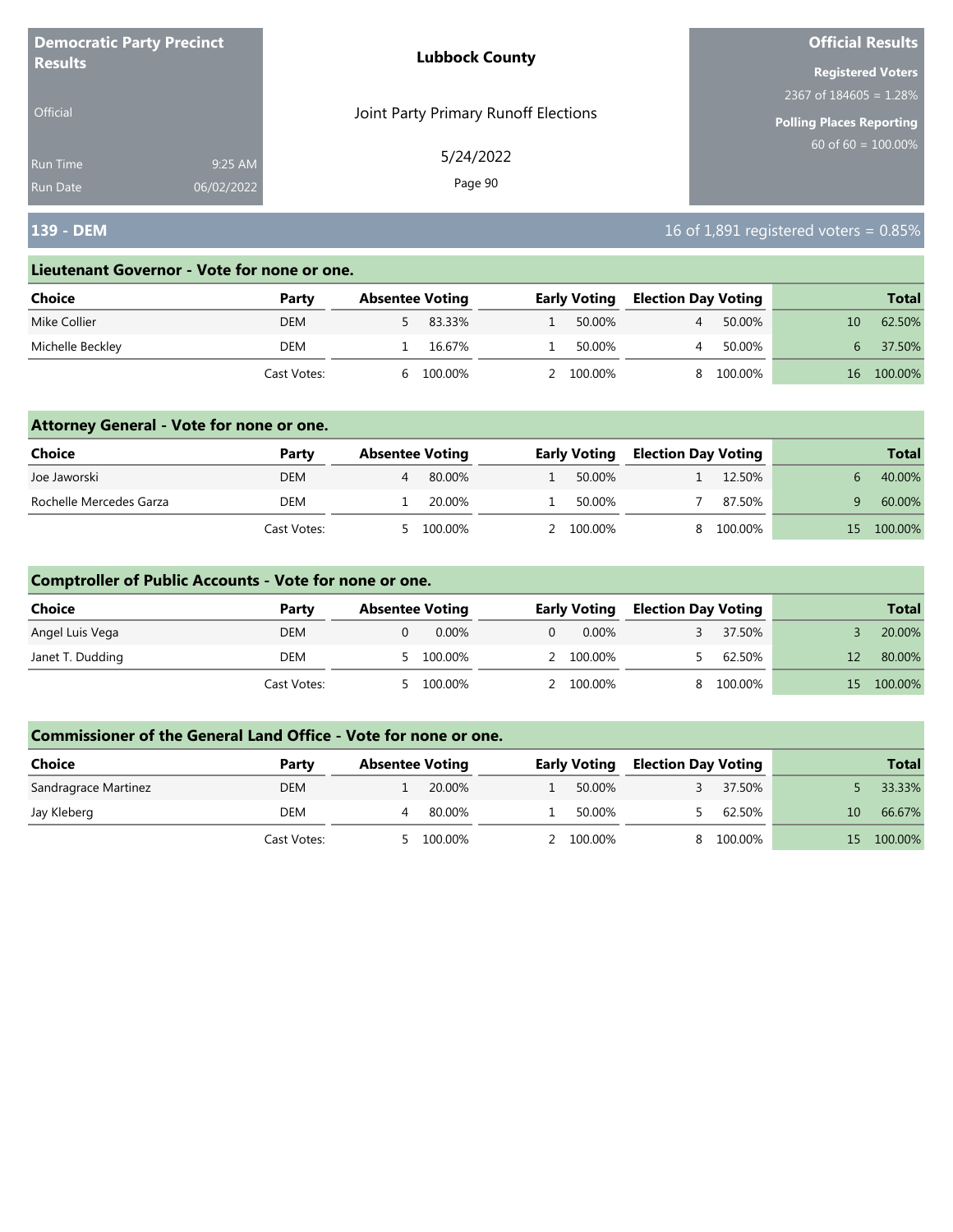| <b>Democratic Party Precinct</b> |            | <b>Lubbock County</b>                | <b>Official Results</b>   |
|----------------------------------|------------|--------------------------------------|---------------------------|
| <b>Results</b>                   |            |                                      | <b>Registered Voters</b>  |
|                                  |            |                                      | 2367 of $184605 = 1.28\%$ |
| <b>Official</b>                  |            | Joint Party Primary Runoff Elections | Polling Places Reporting  |
| <b>Run Time</b>                  | 9:25 AM    | 5/24/2022                            | $60$ of 60 = 100.00%      |
| <b>Run Date</b>                  | 06/02/2022 | Page 90                              |                           |

## **139 - DEM** 16 of 1,891 registered voters = 0.85%

#### **Lieutenant Governor - Vote for none or one.**

| Choice           | Party       | <b>Absentee Voting</b> |         | <b>Early Voting</b> | <b>Election Day Voting</b> |         |    | <b>Total</b> |
|------------------|-------------|------------------------|---------|---------------------|----------------------------|---------|----|--------------|
| Mike Collier     | <b>DEM</b>  |                        | 83.33%  | 50.00%              |                            | 50.00%  | 10 | 62.50%       |
| Michelle Beckley | DEM         |                        | 16.67%  | 50.00%              |                            | 50.00%  | h. | 37.50%       |
|                  | Cast Votes: |                        | 100.00% | $2 100.00\%$        |                            | 100.00% | 16 | 100.00%      |

### **Attorney General - Vote for none or one.**

| Choice                  | Party       | <b>Absentee Voting</b> |         | <b>Early Voting</b> | <b>Election Day Voting</b> |         |     | <b>Total</b> |
|-------------------------|-------------|------------------------|---------|---------------------|----------------------------|---------|-----|--------------|
| Joe Jaworski            | <b>DEM</b>  |                        | 80.00%  | 50.00%              |                            | 12.50%  |     | 40.00%       |
| Rochelle Mercedes Garza | DEM         |                        | 20.00%  | 50.00%              |                            | 87.50%  |     | 60.00%       |
|                         | Cast Votes: | <u>_</u>               | 100.00% | 2 100.00%           |                            | 100.00% | 15. | 100.00%      |

### **Comptroller of Public Accounts - Vote for none or one.**

| <b>Choice</b>    | Party       | <b>Absentee Voting</b> | <b>Early Voting</b> |           | <b>Election Day Voting</b> |         |     | <b>Total</b> |
|------------------|-------------|------------------------|---------------------|-----------|----------------------------|---------|-----|--------------|
| Angel Luis Vega  | <b>DEM</b>  | $0.00\%$               | $\Omega$            | $0.00\%$  |                            | 37.50%  |     | 20.00%       |
| Janet T. Dudding | DEM         | 100.00%                |                     | 2 100.00% |                            | 62.50%  |     | 80.00%       |
|                  | Cast Votes: | 100.00%                |                     | 2 100.00% |                            | 100.00% | 15. | 100.00%      |

| Choice               | Party       | <b>Absentee Voting</b> |         | <b>Early Voting</b> | <b>Election Day Voting</b> |         |     | <b>Total</b> |
|----------------------|-------------|------------------------|---------|---------------------|----------------------------|---------|-----|--------------|
| Sandragrace Martinez | <b>DEM</b>  |                        | 20.00%  | 50.00%              |                            | 37.50%  |     | 33.33%       |
| Jay Kleberg          | DEM         |                        | 80.00%  | 50.00%              |                            | 62.50%  | 10  | 66.67%       |
|                      | Cast Votes: |                        | 100.00% | 2 100.00%           |                            | 100.00% | 15. | 100.00%      |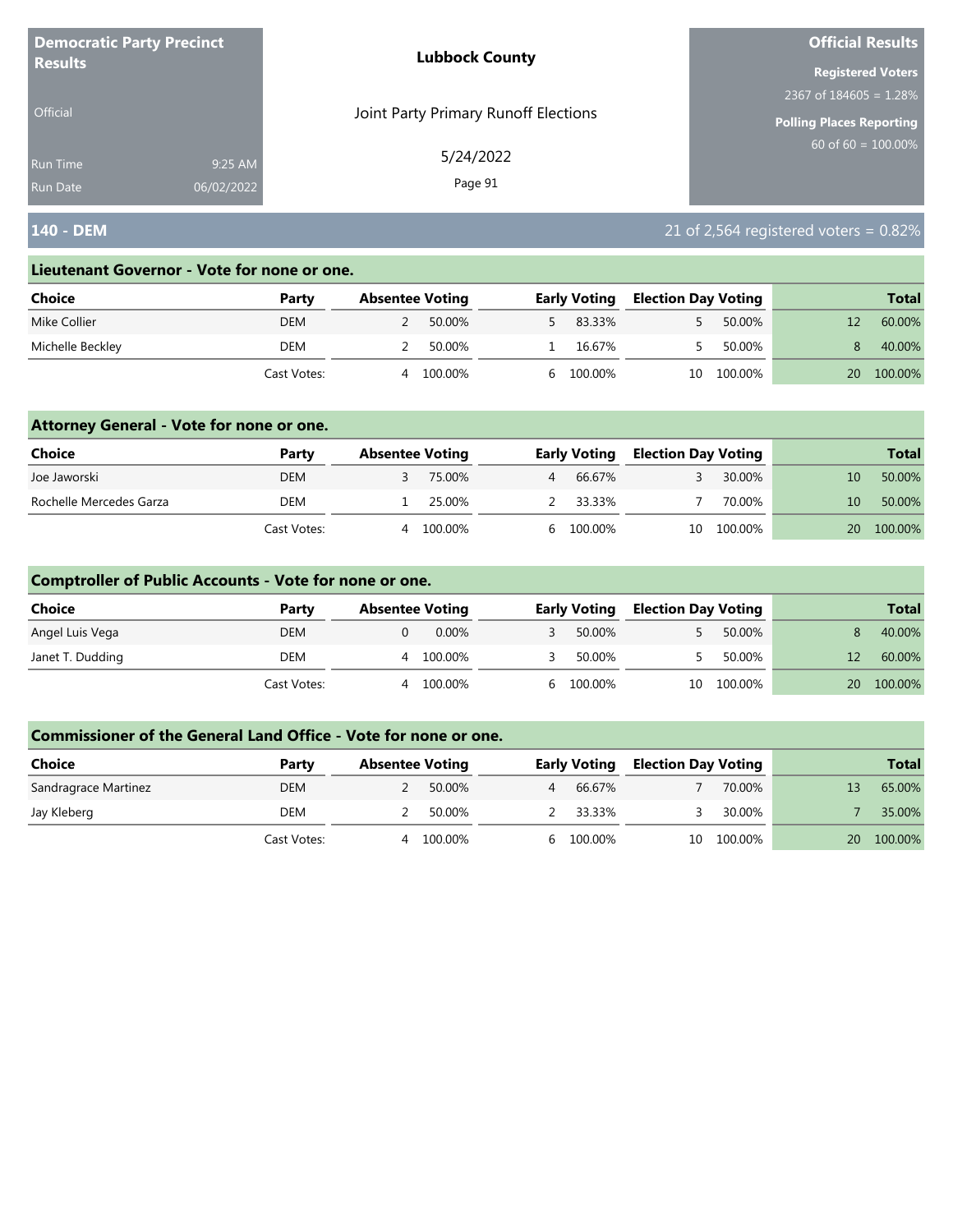| <b>Democratic Party Precinct</b> |            | <b>Lubbock County</b>                | <b>Official Results</b>  |
|----------------------------------|------------|--------------------------------------|--------------------------|
| <b>Results</b>                   |            |                                      | <b>Registered Voters</b> |
|                                  |            |                                      | 2367 of $184605 = 1.28%$ |
| <b>Official</b>                  |            | Joint Party Primary Runoff Elections | Polling Places Reporting |
| <b>Run Time</b>                  | 9:25 AM    | 5/24/2022                            | 60 of $60 = 100.00\%$    |
| <b>Run Date</b>                  | 06/02/2022 | Page 91                              |                          |

## **140 - DEM** 21 of 2,564 registered voters = 0.82%

#### **Lieutenant Governor - Vote for none or one.**

| Choice           | Party       | <b>Absentee Voting</b> |         | <b>Early Voting</b> | <b>Election Day Voting</b> |         |    | <b>Total</b> |
|------------------|-------------|------------------------|---------|---------------------|----------------------------|---------|----|--------------|
| Mike Collier     | <b>DEM</b>  |                        | 50.00%  | 83.33%              |                            | 50.00%  |    | 60.00%       |
| Michelle Beckley | DEM         |                        | 50.00%  | 16.67%              |                            | 50.00%  |    | 40.00%       |
|                  | Cast Votes: |                        | 100.00% | 6 100.00%           | 10                         | 100.00% | 20 | 100.00%      |

### **Attorney General - Vote for none or one.**

| Choice                  | Party       | <b>Absentee Voting</b> |         | <b>Early Voting</b> | <b>Election Day Voting</b> |            |      | <b>Total</b> |
|-------------------------|-------------|------------------------|---------|---------------------|----------------------------|------------|------|--------------|
| Joe Jaworski            | <b>DEM</b>  |                        | 75.00%  | 66.67%              |                            | 30.00%     | 10   | 50.00%       |
| Rochelle Mercedes Garza | DEM         |                        | 25.00%  | 2 33.33%            |                            | 70.00%     | 10   | 50.00%       |
|                         | Cast Votes: | 4                      | 100.00% | 6 100.00%           |                            | 10 100.00% | 20 · | 100.00%      |

### **Comptroller of Public Accounts - Vote for none or one.**

| <b>Choice</b>    | Party       | <b>Absentee Voting</b> | <b>Early Voting</b> | <b>Election Day Voting</b> |            |    | <b>Total</b> |
|------------------|-------------|------------------------|---------------------|----------------------------|------------|----|--------------|
| Angel Luis Vega  | <b>DEM</b>  | $0.00\%$               | 50.00%              |                            | 50.00%     |    | 40.00%       |
| Janet T. Dudding | DEM         | 100.00%<br>4           | 50.00%              |                            | 50.00%     | 12 | 60.00%       |
|                  | Cast Votes: | 100.00%<br>4           | 6 100.00%           |                            | 10 100.00% | 20 | 100.00%      |

| <b>Choice</b>        | Party       | <b>Absentee Voting</b> |         |    | <b>Early Voting</b> | <b>Election Day Voting</b> |         |    | <b>Total</b> |
|----------------------|-------------|------------------------|---------|----|---------------------|----------------------------|---------|----|--------------|
| Sandragrace Martinez | <b>DEM</b>  |                        | 50.00%  |    | 66.67%              |                            | 70.00%  |    | 65.00%       |
| Jay Kleberg          | DEM         |                        | 50.00%  |    | 2 33.33%            |                            | 30.00%  |    | 35.00%       |
|                      | Cast Votes: | Δ                      | 100.00% | h. | 100.00%             | 10                         | 100.00% | 20 | 100.00%      |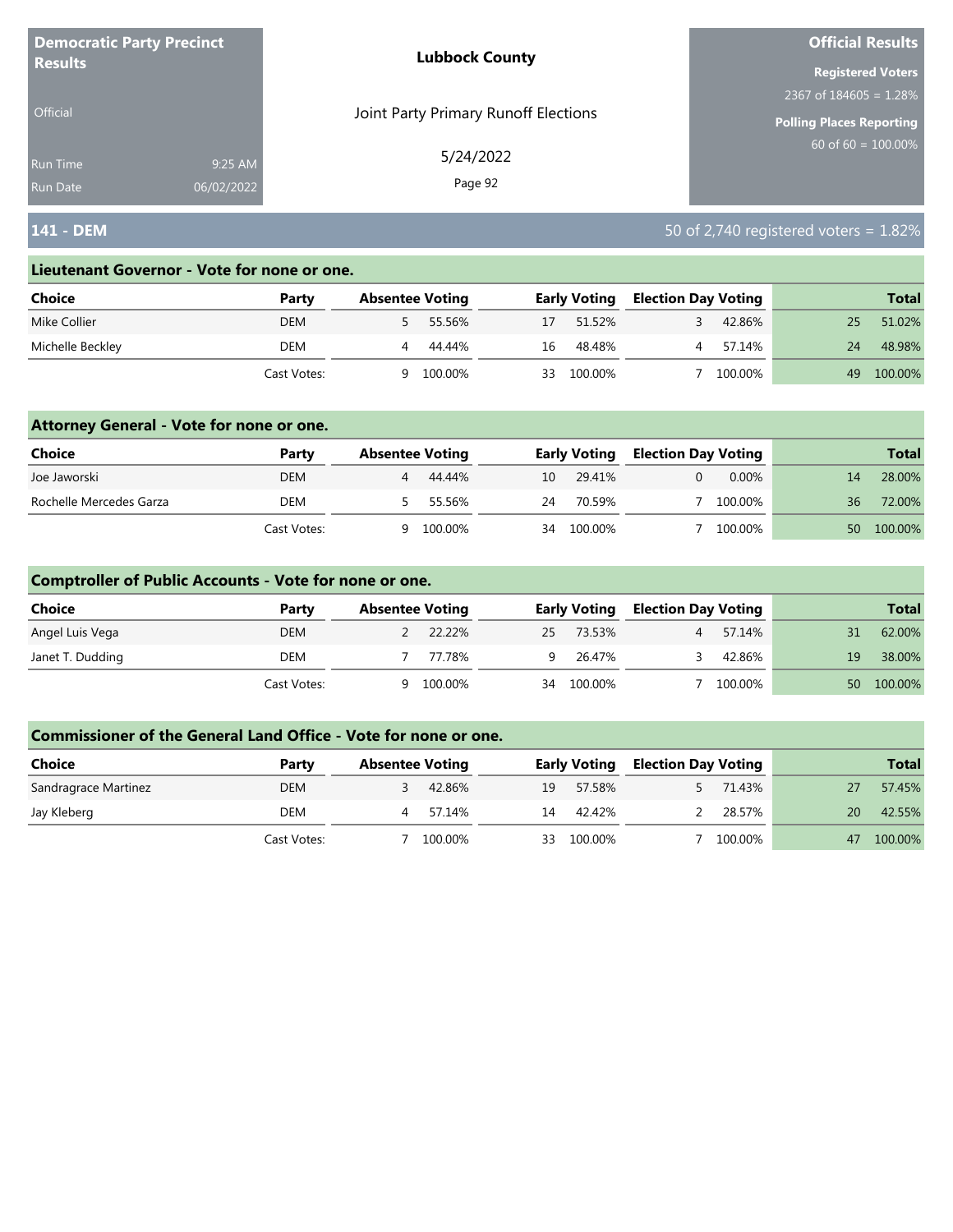| <b>Democratic Party Precinct</b> |            | <b>Lubbock County</b>                | <b>Official Results</b>         |
|----------------------------------|------------|--------------------------------------|---------------------------------|
| <b>Results</b>                   |            |                                      | <b>Registered Voters</b>        |
|                                  |            |                                      | 2367 of $184605 = 1.28\%$       |
| Official                         |            | Joint Party Primary Runoff Elections | <b>Polling Places Reporting</b> |
| <b>Run Time</b>                  | 9:25 AM    | 5/24/2022                            | $60$ of 60 = 100.00%            |
| <b>Run Date</b>                  | 06/02/2022 | Page 92                              |                                 |

## **141 - DEM** 50 of 2,740 registered voters = 1.82%

#### **Lieutenant Governor - Vote for none or one.**

| Choice           | Party       | <b>Absentee Voting</b> |         |     | <b>Early Voting</b> | <b>Election Day Voting</b> |         |    | <b>Total</b> |
|------------------|-------------|------------------------|---------|-----|---------------------|----------------------------|---------|----|--------------|
| Mike Collier     | <b>DEM</b>  |                        | 55.56%  | 17  | 51.52%              |                            | 42.86%  | 25 | 51.02%       |
| Michelle Beckley | DEM         |                        | 44.44%  | 16  | 48.48%              |                            | 57.14%  | 24 | 48.98%       |
|                  | Cast Votes: | a                      | 100.00% | 33. | 100.00%             |                            | 100.00% | 49 | 100.00%      |

### **Attorney General - Vote for none or one.**

| Choice                  | Party       | <b>Absentee Voting</b> |         |    | <b>Early Voting</b> | <b>Election Day Voting</b> |         |    | <b>Total</b> |
|-------------------------|-------------|------------------------|---------|----|---------------------|----------------------------|---------|----|--------------|
| Joe Jaworski            | DEM         |                        | 44.44%  | 10 | 29.41%              |                            | 0.00%   | 14 | 28.00%       |
| Rochelle Mercedes Garza | DEM         |                        | 55.56%  | 24 | 70.59%              |                            | 100.00% | 36 | 72.00%       |
|                         | Cast Votes: | a                      | 100.00% | 34 | 100.00%             |                            | 100.00% | 50 | 100.00%      |

### **Comptroller of Public Accounts - Vote for none or one.**

| Choice           | Party       | <b>Absentee Voting</b> |         | <b>Early Voting</b> | <b>Election Day Voting</b> |         |                 | <b>Total</b> |
|------------------|-------------|------------------------|---------|---------------------|----------------------------|---------|-----------------|--------------|
| Angel Luis Vega  | <b>DEM</b>  |                        | 22.22%  | 25 73.53%           |                            | 57.14%  | 31              | 62.00%       |
| Janet T. Dudding | DEM         |                        | 77.78%  | 9 26.47%            |                            | 42.86%  | 19              | 38.00%       |
|                  | Cast Votes: | Q                      | 100.00% | 34 100.00%          |                            | 100.00% | 50 <sup>°</sup> | 100.00%      |

| Choice               | Party       | <b>Absentee Voting</b> |    | <b>Early Voting</b> | <b>Election Day Voting</b> |         |    | <b>Total</b> |
|----------------------|-------------|------------------------|----|---------------------|----------------------------|---------|----|--------------|
| Sandragrace Martinez | <b>DEM</b>  | 42.86%                 | 19 | 57.58%              |                            | 71.43%  |    | 57.45%       |
| Jay Kleberg          | DEM         | 57.14%                 | 14 | 42.42%              |                            | 28.57%  | 20 | 42.55%       |
|                      | Cast Votes: | 100.00%                | 33 | 100.00%             |                            | 100.00% | 47 | 100.00%      |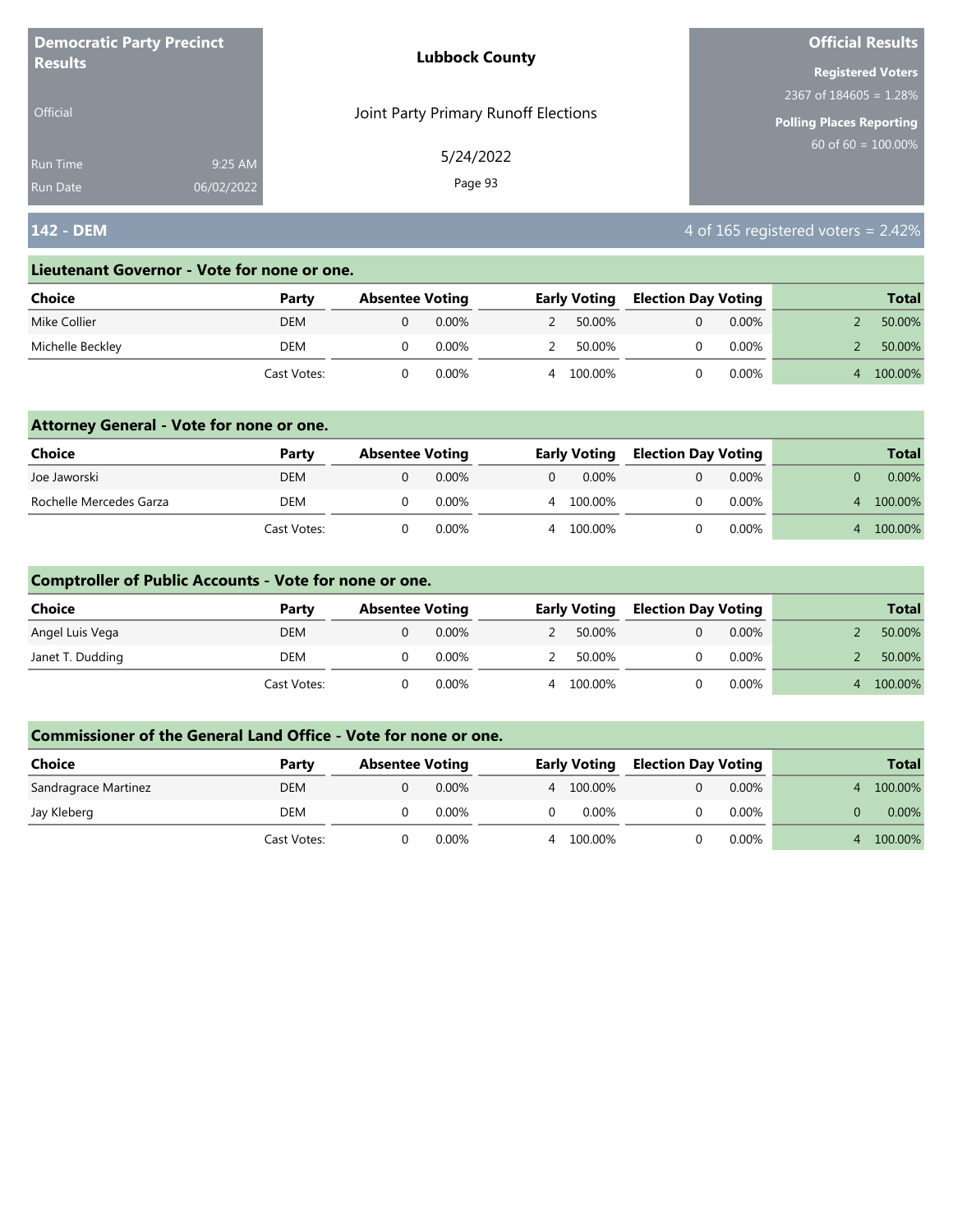| <b>Democratic Party Precinct</b><br><b>Results</b> |            | <b>Lubbock County</b>                | <b>Official Results</b>         |
|----------------------------------------------------|------------|--------------------------------------|---------------------------------|
|                                                    |            |                                      | <b>Registered Voters</b>        |
|                                                    |            |                                      | 2367 of $184605 = 1.28\%$       |
| <b>Official</b>                                    |            | Joint Party Primary Runoff Elections | <b>Polling Places Reporting</b> |
| <b>Run Time</b>                                    | 9:25 AM    | 5/24/2022                            | $60$ of 60 = 100.00%            |
| <b>Run Date</b>                                    | 06/02/2022 | Page 93                              |                                 |

# **142 - DEM** 4 of 165 registered voters = 2.42%

#### **Lieutenant Governor - Vote for none or one.**

| Choice           | Party       | <b>Absentee Voting</b> |          | <b>Early Voting</b> | <b>Election Day Voting</b> |          |   | <b>Total</b> |
|------------------|-------------|------------------------|----------|---------------------|----------------------------|----------|---|--------------|
| Mike Collier     | <b>DEM</b>  |                        | $0.00\%$ | 50.00%              |                            | $0.00\%$ |   | 50.00%       |
| Michelle Beckley | DEM         |                        | 0.00%    | 50.00%              |                            | $0.00\%$ |   | 50.00%       |
|                  | Cast Votes: |                        | 0.00%    | 100.00%             |                            | $0.00\%$ | 4 | 100.00%      |

### **Attorney General - Vote for none or one.**

| <b>Choice</b>           | Party       | <b>Absentee Voting</b> |          | <b>Early Voting</b> | <b>Election Day Voting</b> |          |    | <b>Total</b> |
|-------------------------|-------------|------------------------|----------|---------------------|----------------------------|----------|----|--------------|
| Joe Jaworski            | <b>DEM</b>  |                        | $0.00\%$ | $0.00\%$            |                            | $0.00\%$ |    | $0.00\%$     |
| Rochelle Mercedes Garza | DEM         |                        | 0.00%    | 100.00%             |                            | $0.00\%$ | Δ. | 100.00%      |
|                         | Cast Votes: |                        | 0.00%    | 100.00%             |                            | $0.00\%$ |    | 100.00%      |

### **Comptroller of Public Accounts - Vote for none or one.**

| <b>Choice</b>    | Party       | <b>Absentee Voting</b> |          | <b>Early Voting</b> | <b>Election Day Voting</b> |          | <b>Total</b> |
|------------------|-------------|------------------------|----------|---------------------|----------------------------|----------|--------------|
| Angel Luis Vega  | <b>DEM</b>  |                        | $0.00\%$ | 50.00%              |                            | $0.00\%$ | 50.00%       |
| Janet T. Dudding | DEM         |                        | $0.00\%$ | 50.00%              |                            | $0.00\%$ | 50.00%       |
|                  | Cast Votes: |                        | $0.00\%$ | 4 100.00%           |                            | $0.00\%$ | 100.00%      |

| <b>Choice</b>        | Party       | <b>Absentee Voting</b> |          |   | <b>Early Voting</b> | <b>Election Day Voting</b> |          | <b>Total</b> |
|----------------------|-------------|------------------------|----------|---|---------------------|----------------------------|----------|--------------|
| Sandragrace Martinez | <b>DEM</b>  |                        | $0.00\%$ |   | 4 100,00%           |                            | $0.00\%$ | 100.00%      |
| Jay Kleberg          | DEM         |                        | $0.00\%$ |   | 0.00%               |                            | $0.00\%$ | $0.00\%$     |
|                      | Cast Votes: |                        | 0.00%    | 4 | 100.00%             |                            | $0.00\%$ | 100.00%      |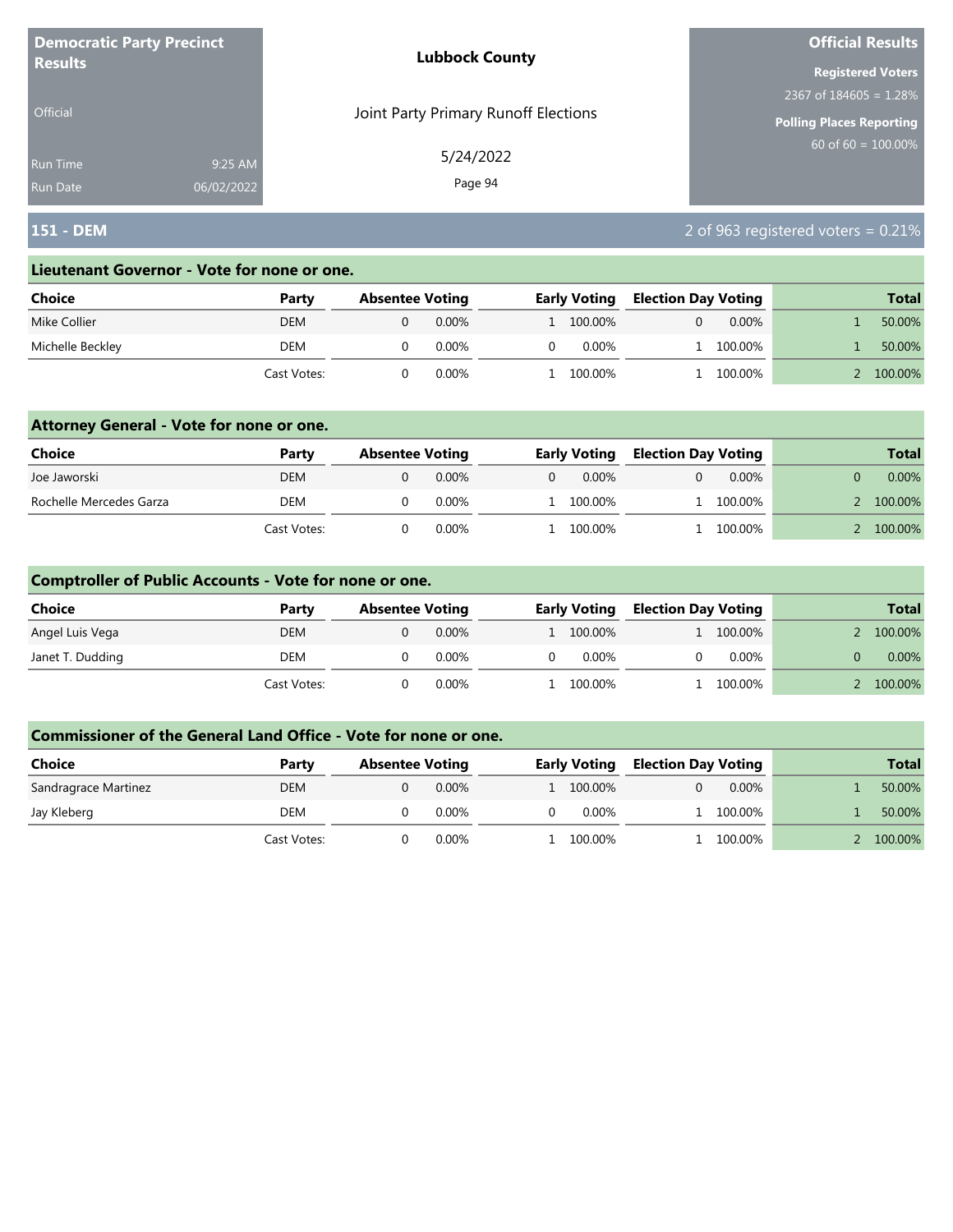| <b>Democratic Party Precinct</b><br><b>Results</b> |            | <b>Lubbock County</b>                | <b>Official Results</b>         |
|----------------------------------------------------|------------|--------------------------------------|---------------------------------|
|                                                    |            |                                      | <b>Registered Voters</b>        |
|                                                    |            |                                      | 2367 of $184605 = 1.28\%$       |
| Official                                           |            | Joint Party Primary Runoff Elections | <b>Polling Places Reporting</b> |
| <b>Run Time</b>                                    | 9:25 AM    | 5/24/2022                            | $60$ of 60 = 100.00%            |
| <b>Run Date</b>                                    | 06/02/2022 | Page 94                              |                                 |

## **151 - DEM** 2 of 963 registered voters = 0.21%

#### **Lieutenant Governor - Vote for none or one.**

| Choice           | Party       | <b>Absentee Voting</b> |          | <b>Early Voting</b> | <b>Election Day Voting</b> |          | <b>Total</b> |
|------------------|-------------|------------------------|----------|---------------------|----------------------------|----------|--------------|
| Mike Collier     | DEM         |                        | $0.00\%$ | 1 100.00%           |                            | $0.00\%$ | 50.00%       |
| Michelle Beckley | DEM         |                        | $0.00\%$ | 0.00%               |                            | 100.00%  | 50.00%       |
|                  | Cast Votes: |                        | 0.00%    | 100.00%             |                            | 100.00%  | 100.00%      |

### **Attorney General - Vote for none or one.**

| Choice                  | Party       | <b>Absentee Voting</b> |          |          | <b>Early Voting</b> | <b>Election Day Voting</b> |           | <b>Total</b> |
|-------------------------|-------------|------------------------|----------|----------|---------------------|----------------------------|-----------|--------------|
| Joe Jaworski            | <b>DEM</b>  |                        | $0.00\%$ | $\Omega$ | 0.00%               |                            | $0.00\%$  | $0.00\%$     |
| Rochelle Mercedes Garza | <b>DEM</b>  |                        | $0.00\%$ |          | 1 100.00%           |                            | 1 100.00% | 100.00%      |
|                         | Cast Votes: |                        | 0.00%    |          | L 100.00%           |                            | 100.00%   | 100.00%      |

### **Comptroller of Public Accounts - Vote for none or one.**

| <b>Choice</b>    | Party       | <b>Absentee Voting</b> |          | <b>Early Voting</b> | <b>Election Day Voting</b> |           | <b>Total</b> |
|------------------|-------------|------------------------|----------|---------------------|----------------------------|-----------|--------------|
| Angel Luis Vega  | DEM         |                        | $0.00\%$ | 1 100.00%           |                            | 1 100.00% | 100.00%      |
| Janet T. Dudding | DEM         |                        | 0.00%    | $0.00\%$            |                            | $0.00\%$  | $0.00\%$     |
|                  | Cast Votes: |                        | $0.00\%$ | l 100.00%           |                            | 1 100.00% | 100.00%      |

| Choice               | Party       | <b>Absentee Voting</b> |          | <b>Early Voting</b> | <b>Election Day Voting</b> |           |  | <b>Total</b> |
|----------------------|-------------|------------------------|----------|---------------------|----------------------------|-----------|--|--------------|
| Sandragrace Martinez | <b>DEM</b>  |                        | $0.00\%$ | 1 100.00%           |                            | $0.00\%$  |  | 50.00%       |
| Jay Kleberg          | DEM         |                        | $0.00\%$ | $0.00\%$            |                            | 1 100.00% |  | 50.00%       |
|                      | Cast Votes: |                        | $0.00\%$ | . 100.00%           |                            | 100.00%   |  | 100.00%      |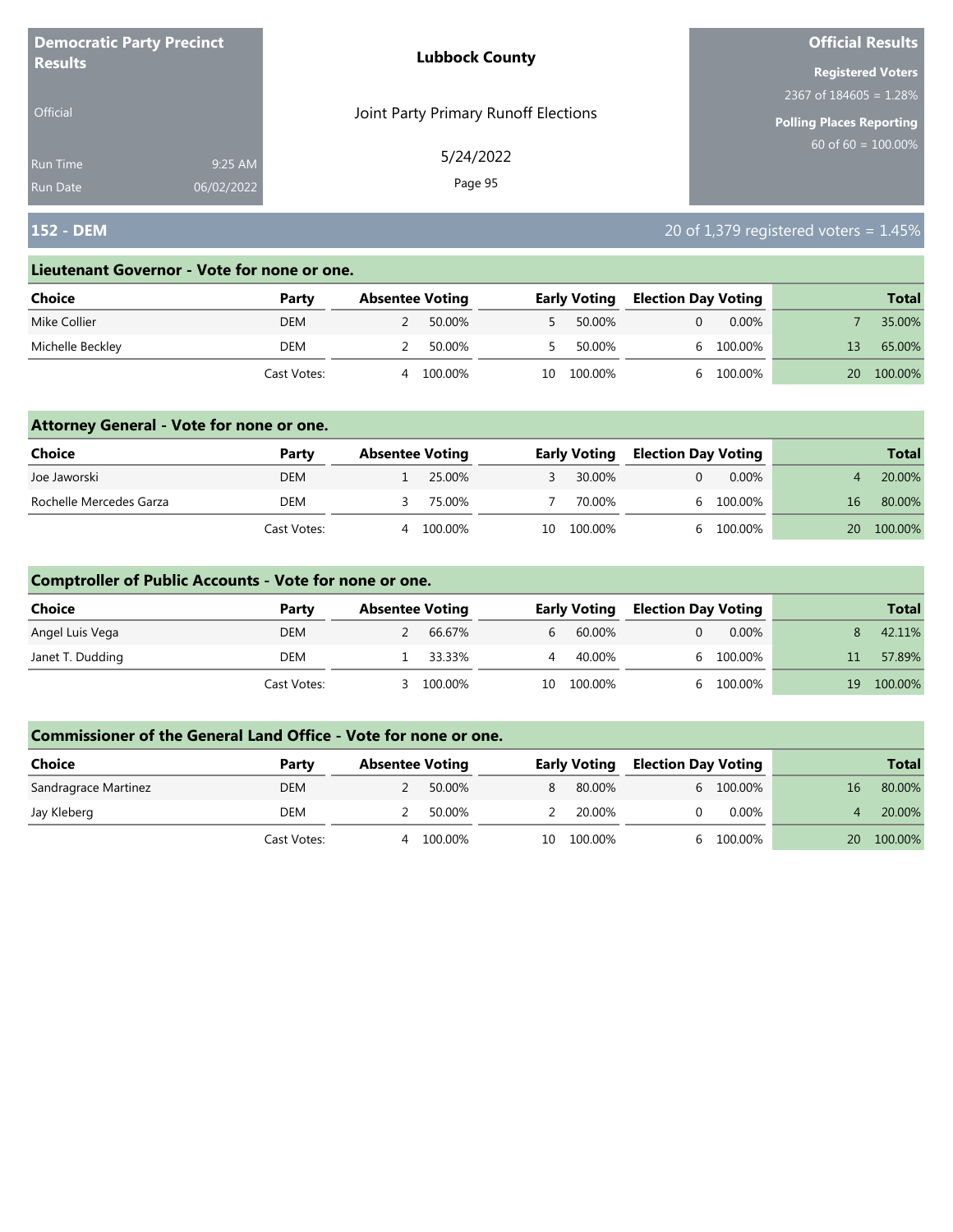|                 | <b>Democratic Party Precinct</b><br><b>Lubbock County</b> |                          | <b>Official Results</b>  |
|-----------------|-----------------------------------------------------------|--------------------------|--------------------------|
| <b>Results</b>  |                                                           | <b>Registered Voters</b> |                          |
|                 |                                                           |                          | 2367 of $184605 = 1.28%$ |
| <b>Official</b> | Joint Party Primary Runoff Elections                      |                          | Polling Places Reporting |
| <b>Run Time</b> | 9:25 AM                                                   | 5/24/2022                | 60 of $60 = 100.00\%$    |
| <b>Run Date</b> | 06/02/2022                                                | Page 95                  |                          |

## **152 - DEM** 20 of 1,379 registered voters = 1.45%

#### **Lieutenant Governor - Vote for none or one.**

| Choice           | Party       |   | <b>Absentee Voting</b> |    | <b>Early Voting</b> | <b>Election Day Voting</b> |          |    | <b>Total</b> |
|------------------|-------------|---|------------------------|----|---------------------|----------------------------|----------|----|--------------|
| Mike Collier     | <b>DEM</b>  |   | 50.00%                 |    | 50.00%              |                            | $0.00\%$ |    | 35.00%       |
| Michelle Beckley | DEM         |   | 50.00%                 |    | 50.00%              |                            | 100.00%  |    | 65.00%       |
|                  | Cast Votes: | Δ | 100.00%                | 10 | 100.00%             |                            | 100.00%  | 20 | 100.00%      |

### **Attorney General - Vote for none or one.**

| Choice                  | Party       | <b>Absentee Voting</b> |         | <b>Early Voting</b> | <b>Election Day Voting</b> |           |           | <b>Total</b> |
|-------------------------|-------------|------------------------|---------|---------------------|----------------------------|-----------|-----------|--------------|
| Joe Jaworski            | DEM         |                        | 25.00%  | 30.00%              |                            | 0.00%     |           | 20.00%       |
| Rochelle Mercedes Garza | DEM         |                        | 75.00%  | 70.00%              |                            | 6 100.00% | 16        | 80.00%       |
|                         | Cast Votes: | 4                      | 100.00% | 10 100.00%          |                            | 6 100.00% | <b>20</b> | 100.00%      |

### **Comptroller of Public Accounts - Vote for none or one.**

| Choice           | Party       | <b>Absentee Voting</b> |          |    | <b>Early Voting</b> | <b>Election Day Voting</b> |           |                 | <b>Total</b> |
|------------------|-------------|------------------------|----------|----|---------------------|----------------------------|-----------|-----------------|--------------|
| Angel Luis Vega  | <b>DEM</b>  |                        | 66.67%   | b. | 60.00%              |                            | $0.00\%$  |                 | 42.11%       |
| Janet T. Dudding | DEM         |                        | 1 33.33% | 4  | 40.00%              |                            | 6 100.00% | 11 <sup>1</sup> | 57.89%       |
|                  | Cast Votes: |                        | 100.00%  | 10 | 100.00%             |                            | 100.00%   | 19              | 100.00%      |

| <b>Choice</b>        | Party       | <b>Absentee Voting</b> |         |    | <b>Early Voting</b> | <b>Election Day Voting</b> |           |    | <b>Total</b> |
|----------------------|-------------|------------------------|---------|----|---------------------|----------------------------|-----------|----|--------------|
|                      |             |                        |         |    |                     |                            |           |    |              |
| Sandragrace Martinez | <b>DEM</b>  |                        | 50.00%  | 8  | 80.00%              |                            | 6 100.00% | 16 | 80.00%       |
| Jay Kleberg          | DEM         |                        | 50.00%  |    | 20.00%              |                            | $0.00\%$  |    | 20.00%       |
|                      | Cast Votes: |                        | 100.00% | 10 | 100.00%             |                            | 100.00%   | 20 | 100.00%      |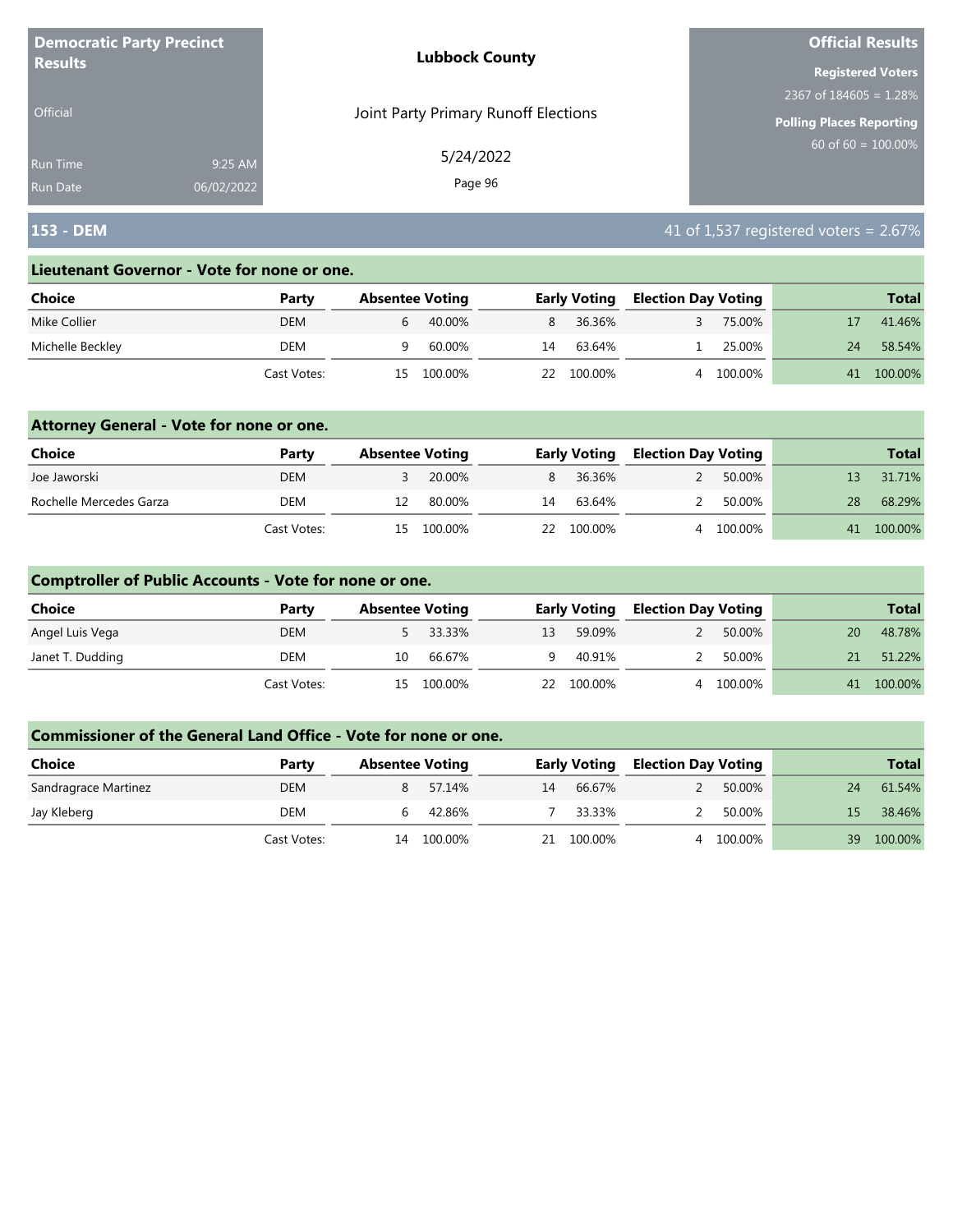| <b>Democratic Party Precinct</b> |            | <b>Lubbock County</b>                | <b>Official Results</b>         |  |  |
|----------------------------------|------------|--------------------------------------|---------------------------------|--|--|
| <b>Results</b>                   |            |                                      | <b>Registered Voters</b>        |  |  |
|                                  |            |                                      | $12367$ of 184605 = 1.28%       |  |  |
| <b>Official</b>                  |            | Joint Party Primary Runoff Elections | <b>Polling Places Reporting</b> |  |  |
| <b>Run Time</b>                  | 9:25 AM    | 5/24/2022                            | $60$ of 60 = 100.00%            |  |  |
| <b>Run Date</b>                  | 06/02/2022 | Page 96                              |                                 |  |  |

## **153 - DEM** 41 of 1,537 registered voters = 2.67%

#### **Lieutenant Governor - Vote for none or one.**

| Choice           | Party       | <b>Absentee Voting</b> |         |    | <b>Early Voting</b> | <b>Election Day Voting</b> |         |    | <b>Total</b> |
|------------------|-------------|------------------------|---------|----|---------------------|----------------------------|---------|----|--------------|
| Mike Collier     | <b>DEM</b>  | 6                      | 40.00%  | 8  | 36.36%              |                            | 75.00%  |    | 41.46%       |
| Michelle Beckley | DEM         |                        | 60.00%  | 14 | 63.64%              |                            | 25.00%  | 24 | 58.54%       |
|                  | Cast Votes: | 15.                    | 100.00% | 22 | 100.00%             |                            | 100.00% | 41 | 100.00%      |

### **Attorney General - Vote for none or one.**

| Choice                  | Party       | <b>Absentee Voting</b> |            |    | <b>Early Voting</b> | <b>Election Day Voting</b> |           |    | <b>Total</b> |
|-------------------------|-------------|------------------------|------------|----|---------------------|----------------------------|-----------|----|--------------|
| Joe Jaworski            | <b>DEM</b>  |                        | 20.00%     |    | 8 36.36%            | $\mathcal{L}$              | 50.00%    |    | 31.71%       |
| Rochelle Mercedes Garza | DEM         | 12                     | 80.00%     | 14 | 63.64%              | $\mathcal{P}$              | 50.00%    | 28 | 68.29%       |
|                         | Cast Votes: |                        | 15 100.00% |    | 22 100.00%          |                            | 4 100.00% |    | 41 100.00%   |

### **Comptroller of Public Accounts - Vote for none or one.**

| <b>Choice</b>    | Party       | <b>Absentee Voting</b> |          |    | <b>Early Voting</b> | <b>Election Day Voting</b> |         |    | <b>Total</b> |
|------------------|-------------|------------------------|----------|----|---------------------|----------------------------|---------|----|--------------|
| Angel Luis Vega  | <b>DEM</b>  |                        | 5 33.33% | 13 | 59.09%              |                            | 50.00%  | 20 | 48.78%       |
| Janet T. Dudding | DEM         | 10                     | 66.67%   | q. | 40.91%              | $\mathcal{P}$              | 50.00%  | 21 | 51.22%       |
|                  | Cast Votes: | 15.                    | 100.00%  |    | 22 100.00%          |                            | 100.00% |    | 41 100.00%   |

| <b>Choice</b>        | Party       | <b>Absentee Voting</b> |         |    | <b>Early Voting</b> | <b>Election Day Voting</b> |         |     | <b>Total</b> |
|----------------------|-------------|------------------------|---------|----|---------------------|----------------------------|---------|-----|--------------|
| Sandragrace Martinez | <b>DEM</b>  |                        | 57.14%  | 14 | 66.67%              |                            | 50.00%  | 24  | 61.54%       |
| Jay Kleberg          | DEM         |                        | 42.86%  |    | 33.33%              |                            | 50.00%  | 15. | 38.46%       |
|                      | Cast Votes: | 14                     | 100.00% | 21 | 100.00%             |                            | 100.00% | 39  | 100.00%      |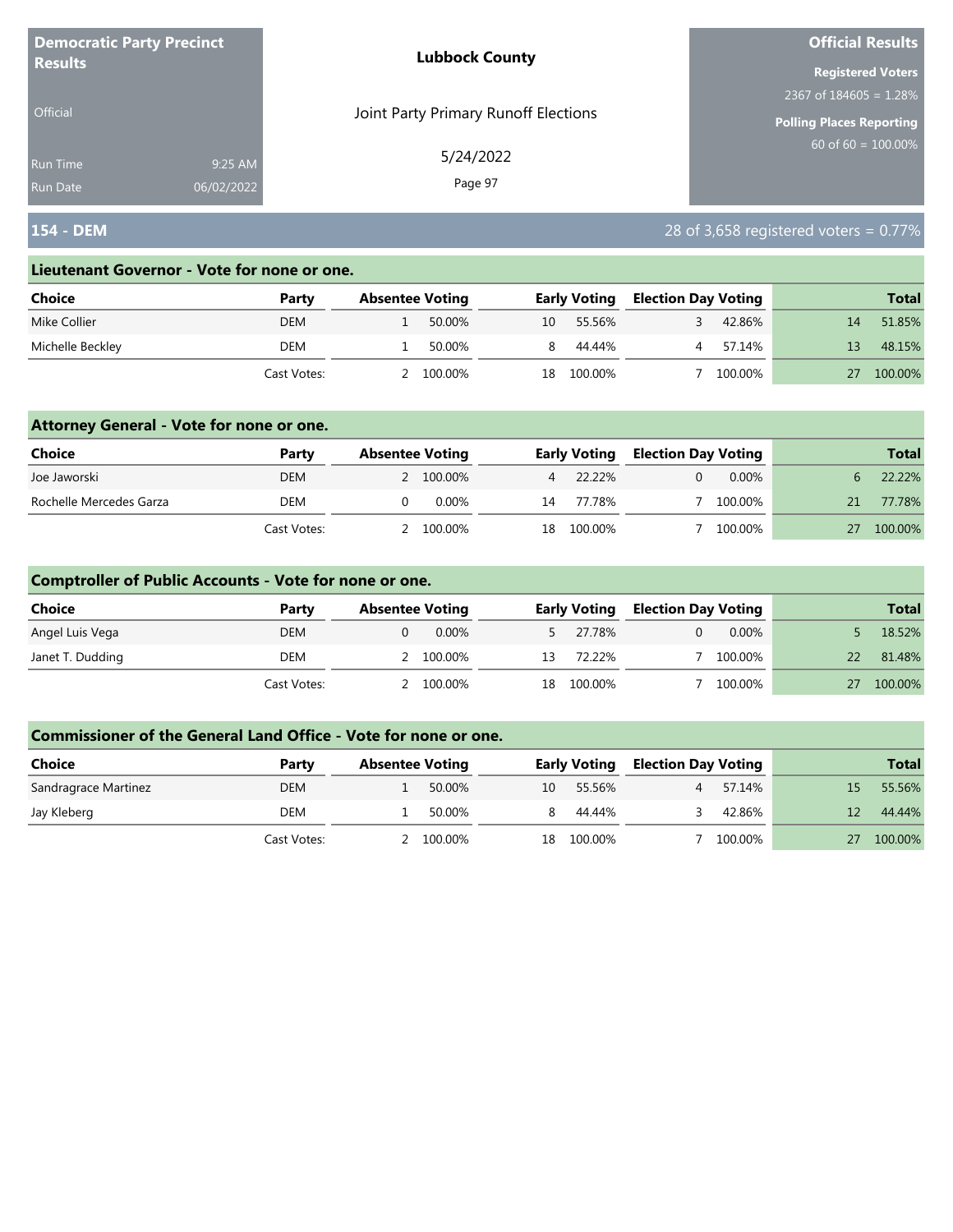| <b>Democratic Party Precinct</b><br><b>Results</b> |            | <b>Lubbock County</b>                | <b>Official Results</b>   |
|----------------------------------------------------|------------|--------------------------------------|---------------------------|
|                                                    |            |                                      | <b>Registered Voters</b>  |
|                                                    |            |                                      | 2367 of $184605 = 1.28\%$ |
| <b>Official</b>                                    |            | Joint Party Primary Runoff Elections | Polling Places Reporting  |
| Run Time                                           | 9:25 AM    | 5/24/2022                            | $60$ of 60 = 100.00%      |
| <b>Run Date</b>                                    | 06/02/2022 | Page 97                              |                           |

## **154 - DEM** 28 of 3,658 registered voters = 0.77%

#### **Lieutenant Governor - Vote for none or one.**

| Choice           | Party       | <b>Absentee Voting</b> |         |    | <b>Early Voting</b> |  | <b>Election Day Voting</b> |    | <b>Total</b> |
|------------------|-------------|------------------------|---------|----|---------------------|--|----------------------------|----|--------------|
| Mike Collier     | <b>DEM</b>  |                        | 50.00%  | 10 | 55.56%              |  | 42.86%                     | 14 | 51.85%       |
| Michelle Beckley | DEM         |                        | 50.00%  |    | 44.44%              |  | 57.14%                     | 13 | 48.15%       |
|                  | Cast Votes: |                        | 100.00% | 18 | 100.00%             |  | 100.00%                    |    | 100.00%      |

### **Attorney General - Vote for none or one.**

| Choice                  | Party       | <b>Absentee Voting</b> | <b>Early Voting</b> |            | <b>Election Day Voting</b> |          |    | <b>Total</b> |
|-------------------------|-------------|------------------------|---------------------|------------|----------------------------|----------|----|--------------|
| Joe Jaworski            | <b>DEM</b>  | 2 100.00%              |                     | 4 22.22%   |                            | $0.00\%$ |    | 22.22%       |
| Rochelle Mercedes Garza | DEM         | $0.00\%$               | 14                  | 77.78%     |                            | 100.00%  | 21 | 77.78%       |
|                         | Cast Votes: | 2 100.00%              |                     | 18 100.00% |                            | 100.00%  |    | 100.00%      |

### **Comptroller of Public Accounts - Vote for none or one.**

| Choice           | Party       | <b>Absentee Voting</b> |     | <b>Early Voting</b> |  | <b>Election Day Voting</b> |    | <b>Total</b> |
|------------------|-------------|------------------------|-----|---------------------|--|----------------------------|----|--------------|
| Angel Luis Vega  | <b>DEM</b>  | 0.00%                  |     | 5 27.78%            |  | $0.00\%$                   |    | 18.52%       |
| Janet T. Dudding | DEM         | 2 100.00%              | 13  | 72.22%              |  | 100.00%                    | 22 | 81.48%       |
|                  | Cast Votes: | 100.00%                | 18. | 100.00%             |  | 100.00%                    | 27 | 100.00%      |

| <b>Choice</b>        | Party       | <b>Absentee Voting</b> |         |    | <b>Early Voting</b> |  | <b>Election Day Voting</b> |    | <b>Total</b> |
|----------------------|-------------|------------------------|---------|----|---------------------|--|----------------------------|----|--------------|
| Sandragrace Martinez | <b>DEM</b>  |                        | 50.00%  | 10 | 55.56%              |  | 57.14%                     | 15 | 55.56%       |
| Jay Kleberg          | DEM         |                        | 50.00%  |    | 44.44%              |  | 42.86%                     |    | 44.44%       |
|                      | Cast Votes: |                        | 100.00% | 18 | 100.00%             |  | 100.00%                    |    | 100.00%      |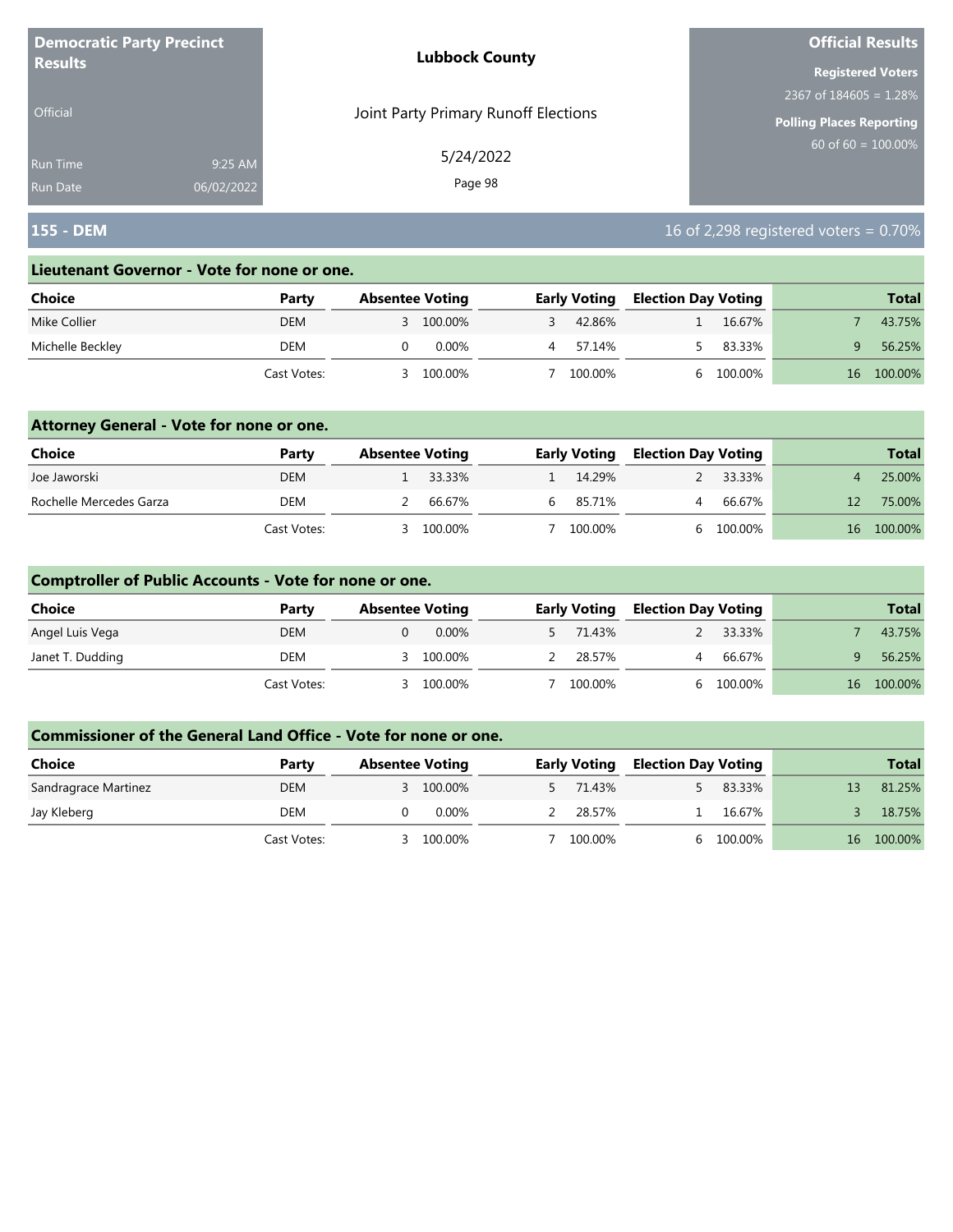| <b>Democratic Party Precinct</b> |            | <b>Lubbock County</b>                | <b>Official Results</b>   |
|----------------------------------|------------|--------------------------------------|---------------------------|
| <b>Results</b>                   |            |                                      | <b>Registered Voters</b>  |
|                                  |            |                                      | 2367 of $184605 = 1.28\%$ |
| <b>Official</b>                  |            | Joint Party Primary Runoff Elections | Polling Places Reporting  |
| <b>Run Time</b>                  | 9:25 AM    | 5/24/2022                            | 60 of $60 = 100.00\%$     |
| <b>Run Date</b>                  | 06/02/2022 | Page 98                              |                           |

## **155 - DEM** 16 of 2,298 registered voters = 0.70%

#### **Lieutenant Governor - Vote for none or one.**

| Choice           | Party       | <b>Absentee Voting</b> |           | <b>Early Voting</b> | <b>Election Day Voting</b> |         |    | <b>Total</b> |
|------------------|-------------|------------------------|-----------|---------------------|----------------------------|---------|----|--------------|
| Mike Collier     | <b>DEM</b>  |                        | 3 100.00% | 42.86%              |                            | 16.67%  |    | 43.75%       |
| Michelle Beckley | DEM         |                        | 0.00%     | 57.14%              |                            | 83.33%  |    | 56.25%       |
|                  | Cast Votes: |                        | 100.00%   | 100.00%             |                            | 100.00% | 16 | 100.00%      |

### **Attorney General - Vote for none or one.**

| <b>Choice</b>           | Party       | <b>Absentee Voting</b> |          | <b>Early Voting</b> |  | <b>Election Day Voting</b> |                 | <b>Total</b> |
|-------------------------|-------------|------------------------|----------|---------------------|--|----------------------------|-----------------|--------------|
| Joe Jaworski            | <b>DEM</b>  |                        | 1 33.33% | 14.29%              |  | 33.33%                     |                 | 25.00%       |
| Rochelle Mercedes Garza | DEM         |                        | 66.67%   | 6 85.71%            |  | 66.67%                     |                 | 75.00%       |
|                         | Cast Votes: |                        | 100.00%  | 100.00%             |  | 100.00%                    | 16 <sup>1</sup> | 100.00%      |

### **Comptroller of Public Accounts - Vote for none or one.**

| Choice           | Party       | <b>Absentee Voting</b> | <b>Early Voting</b> |   | <b>Election Day Voting</b> | <b>Total</b> |
|------------------|-------------|------------------------|---------------------|---|----------------------------|--------------|
| Angel Luis Vega  | <b>DEM</b>  | 0.00%                  | 71.43%              |   | 33.33%                     | 43.75%       |
| Janet T. Dudding | DEM         | 100.00%                | 28.57%              | 4 | 66.67%                     | 56.25%       |
|                  | Cast Votes: | 100.00%                | 100.00%             |   | 100.00%                    | 16 100.00%   |

| <b>Choice</b>        | Party       | <b>Absentee Voting</b> | <b>Early Voting</b> | <b>Election Day Voting</b> |         |    | <b>Total</b> |
|----------------------|-------------|------------------------|---------------------|----------------------------|---------|----|--------------|
| Sandragrace Martinez | <b>DEM</b>  | 3 100.00%              | 5 71.43%            |                            | 83.33%  | 13 | 81.25%       |
| Jay Kleberg          | DEM         | 0.00%                  | 28.57%              |                            | 16.67%  |    | 18.75%       |
|                      | Cast Votes: | 100.00%                | 100.00%             |                            | 100.00% | 16 | 100.00%      |